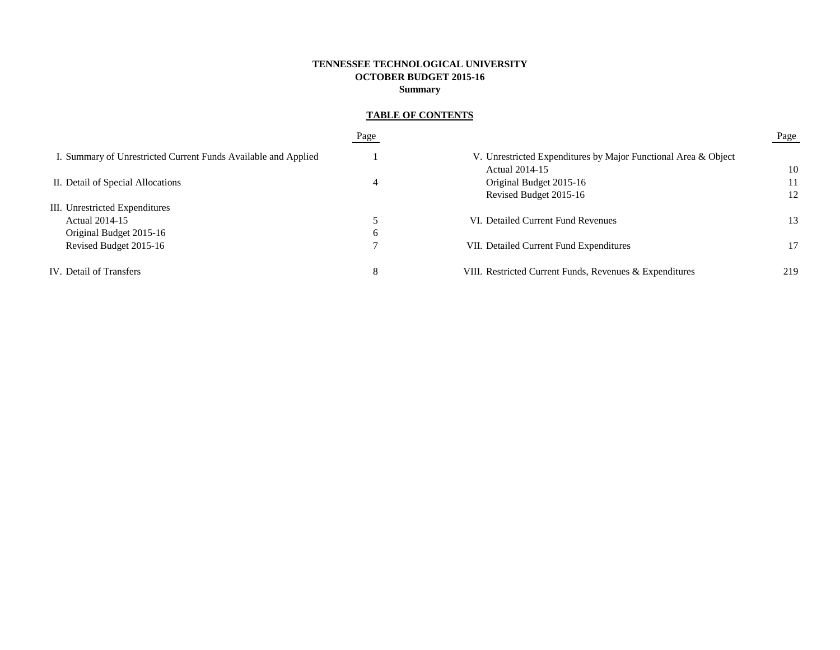# **TENNESSEE TECHNOLOGICAL UNIVERSITY OCTOBER BUDGET 2015-16 Summary**

# **TABLE OF CONTENTS**

|                                                                | Page     |                                                                | Page |  |  |  |
|----------------------------------------------------------------|----------|----------------------------------------------------------------|------|--|--|--|
| I. Summary of Unrestricted Current Funds Available and Applied |          | V. Unrestricted Expenditures by Major Functional Area & Object |      |  |  |  |
|                                                                |          | Actual 2014-15                                                 | 10   |  |  |  |
| II. Detail of Special Allocations                              | 4        | Original Budget 2015-16                                        | 11   |  |  |  |
|                                                                |          | Revised Budget 2015-16                                         | 12   |  |  |  |
| III. Unrestricted Expenditures                                 |          |                                                                |      |  |  |  |
| Actual 2014-15                                                 |          | VI. Detailed Current Fund Revenues                             | 13   |  |  |  |
| Original Budget 2015-16                                        | $\sigma$ |                                                                |      |  |  |  |
| Revised Budget 2015-16                                         |          | VII. Detailed Current Fund Expenditures                        | 17   |  |  |  |
| IV. Detail of Transfers                                        | 8        | VIII. Restricted Current Funds, Revenues & Expenditures        | 219  |  |  |  |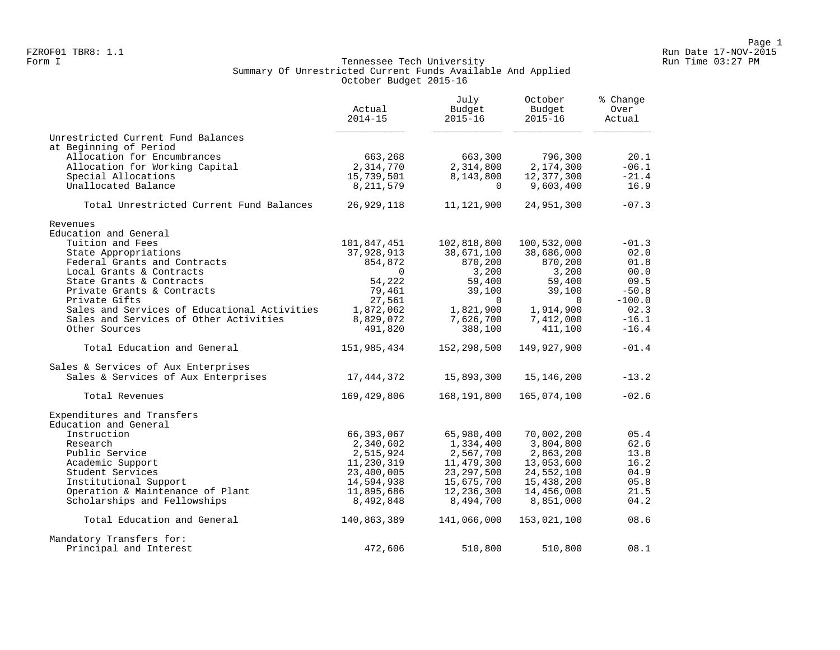### Form I Georgian Communication of the Communication of Tennessee Tech University Communication Run Time 03:27 PM Summary Of Unrestricted Current Funds Available And Applied October Budget 2015-16

|                                              | Actual<br>$2014 - 15$   | July<br>Budget<br>$2015 - 16$ | October<br>Budget<br>$2015 - 16$ | % Change<br>Over<br>Actual |  |
|----------------------------------------------|-------------------------|-------------------------------|----------------------------------|----------------------------|--|
| Unrestricted Current Fund Balances           |                         |                               |                                  |                            |  |
| at Beginning of Period                       |                         |                               |                                  |                            |  |
| Allocation for Encumbrances                  | 663,268                 | 663,300                       | 796,300                          | 20.1                       |  |
| Allocation for Working Capital               | 2,314,770               | 2,314,800                     | 2,174,300                        | $-06.1$<br>$-21.4$         |  |
| Special Allocations<br>Unallocated Balance   | 15,739,501<br>8,211,579 | 8,143,800<br>$\Omega$         | 12,377,300<br>9,603,400          | 16.9                       |  |
| Total Unrestricted Current Fund Balances     | 26,929,118              | 11,121,900                    | 24,951,300                       | $-07.3$                    |  |
| Revenues                                     |                         |                               |                                  |                            |  |
| Education and General                        |                         |                               |                                  |                            |  |
| Tuition and Fees                             | 101,847,451             | 102,818,800                   | 100,532,000                      | $-01.3$                    |  |
| State Appropriations                         | 37,928,913              | 38,671,100                    | 38,686,000                       | 02.0                       |  |
| Federal Grants and Contracts                 | 854,872                 | 870,200                       | 870,200                          | 01.8                       |  |
| Local Grants & Contracts                     | $\Omega$                | 3,200                         | 3,200                            | 00.0                       |  |
| State Grants & Contracts                     | 54,222                  | 59,400                        | 59,400                           | 09.5                       |  |
| Private Grants & Contracts                   | 79,461                  | 39,100                        | 39,100                           | $-50.8$                    |  |
| Private Gifts                                | 27,561                  | $\Omega$                      | $\Omega$                         | $-100.0$                   |  |
| Sales and Services of Educational Activities | 1,872,062               | 1,821,900                     | 1,914,900                        | 02.3                       |  |
| Sales and Services of Other Activities       | 8,829,072               | 7,626,700                     | 7,412,000                        | $-16.1$                    |  |
| Other Sources                                | 491,820                 | 388,100                       | 411,100                          | $-16.4$                    |  |
| Total Education and General                  | 151,985,434             | 152,298,500                   | 149,927,900                      | $-01.4$                    |  |
| Sales & Services of Aux Enterprises          |                         |                               |                                  |                            |  |
| Sales & Services of Aux Enterprises          | 17,444,372              | 15,893,300                    | 15,146,200                       | $-13.2$                    |  |
| Total Revenues                               | 169,429,806             | 168,191,800                   | 165,074,100                      | $-02.6$                    |  |
| Expenditures and Transfers                   |                         |                               |                                  |                            |  |
| Education and General                        |                         |                               |                                  |                            |  |
| Instruction                                  | 66, 393, 067            | 65,980,400                    | 70,002,200                       | 05.4                       |  |
| Research                                     | 2,340,602               | 1,334,400                     | 3,804,800                        | 62.6                       |  |
| Public Service                               | 2,515,924               | 2,567,700                     | 2,863,200                        | 13.8                       |  |
| Academic Support                             | 11,230,319              | 11,479,300                    | 13,053,600                       | 16.2                       |  |
| Student Services                             | 23,400,005              | 23, 297, 500                  | 24,552,100                       | 04.9                       |  |
| Institutional Support                        | 14,594,938              | 15,675,700                    | 15,438,200                       | 05.8                       |  |
| Operation & Maintenance of Plant             | 11,895,686              | 12,236,300                    | 14,456,000                       | 21.5                       |  |
| Scholarships and Fellowships                 | 8,492,848               | 8,494,700                     | 8,851,000                        | 04.2                       |  |
| Total Education and General                  | 140,863,389             | 141,066,000                   | 153,021,100                      | 08.6                       |  |
| Mandatory Transfers for:                     |                         |                               |                                  |                            |  |
| Principal and Interest                       | 472,606                 | 510,800                       | 510,800                          | 08.1                       |  |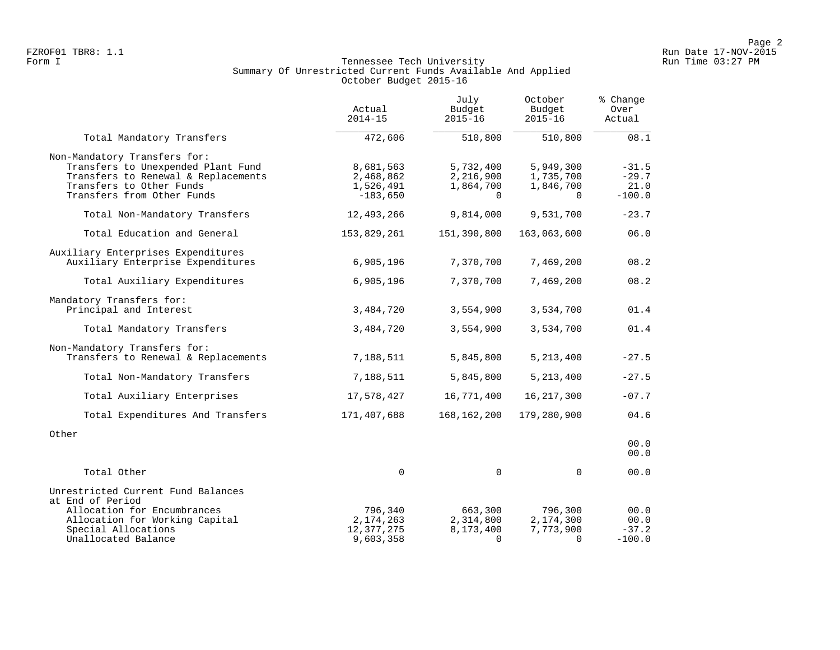# Form I Georgian Communication of the Communication of Tennessee Tech University Communication Run Time 03:27 PM Summary Of Unrestricted Current Funds Available And Applied October Budget 2015-16

|                                                                                                                                                                     | Actual<br>$2014 - 15$                             | July<br>Budget<br>$2015 - 16$                   | October<br>Budget<br>$2015 - 16$                | % Change<br>Over<br>Actual             |
|---------------------------------------------------------------------------------------------------------------------------------------------------------------------|---------------------------------------------------|-------------------------------------------------|-------------------------------------------------|----------------------------------------|
| Total Mandatory Transfers                                                                                                                                           | 472,606                                           | 510,800                                         | 510,800                                         | 08.1                                   |
| Non-Mandatory Transfers for:<br>Transfers to Unexpended Plant Fund<br>Transfers to Renewal & Replacements<br>Transfers to Other Funds<br>Transfers from Other Funds | 8,681,563<br>2,468,862<br>1,526,491<br>$-183,650$ | 5,732,400<br>2,216,900<br>1,864,700<br>$\Omega$ | 5,949,300<br>1,735,700<br>1,846,700<br>$\Omega$ | $-31.5$<br>$-29.7$<br>21.0<br>$-100.0$ |
| Total Non-Mandatory Transfers                                                                                                                                       | 12,493,266                                        | 9,814,000                                       | 9,531,700                                       | $-23.7$                                |
| Total Education and General                                                                                                                                         | 153,829,261                                       | 151,390,800                                     | 163,063,600                                     | 06.0                                   |
| Auxiliary Enterprises Expenditures<br>Auxiliary Enterprise Expenditures                                                                                             | 6,905,196                                         | 7,370,700                                       | 7,469,200                                       | 08.2                                   |
| Total Auxiliary Expenditures                                                                                                                                        | 6,905,196                                         | 7,370,700                                       | 7,469,200                                       | 08.2                                   |
| Mandatory Transfers for:<br>Principal and Interest                                                                                                                  | 3,484,720                                         | 3,554,900                                       | 3,534,700                                       | 01.4                                   |
| Total Mandatory Transfers                                                                                                                                           | 3,484,720                                         | 3,554,900                                       | 3,534,700                                       | 01.4                                   |
| Non-Mandatory Transfers for:<br>Transfers to Renewal & Replacements                                                                                                 | 7,188,511                                         | 5,845,800                                       | 5, 213, 400                                     | $-27.5$                                |
| Total Non-Mandatory Transfers                                                                                                                                       | 7,188,511                                         | 5,845,800                                       | 5, 213, 400                                     | $-27.5$                                |
| Total Auxiliary Enterprises                                                                                                                                         | 17,578,427                                        | 16,771,400                                      | 16, 217, 300                                    | $-07.7$                                |
| Total Expenditures And Transfers                                                                                                                                    | 171,407,688                                       | 168, 162, 200                                   | 179,280,900                                     | 04.6                                   |
| Other                                                                                                                                                               |                                                   |                                                 |                                                 | 00.0<br>00.0                           |
| Total Other                                                                                                                                                         | $\mathbf 0$                                       | $\mathbf 0$                                     | 0                                               | 00.0                                   |
| Unrestricted Current Fund Balances<br>at End of Period<br>Allocation for Encumbrances<br>Allocation for Working Capital                                             | 796,340<br>2,174,263                              | 663,300<br>2,314,800                            | 796,300<br>2,174,300                            | 00.0<br>00.0                           |
| Special Allocations<br>Unallocated Balance                                                                                                                          | 12, 377, 275<br>9,603,358                         | 8,173,400<br>$\Omega$                           | 7,773,900<br>$\Omega$                           | $-37.2$<br>$-100.0$                    |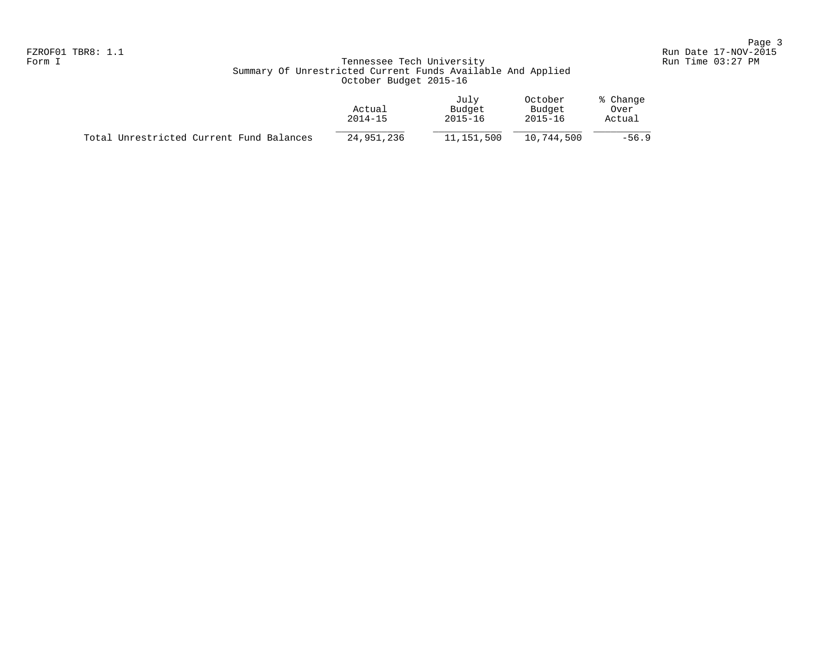# Form I Georgian Communication of the Communication of Tennessee Tech University Communication Run Time 03:27 PM Summary Of Unrestricted Current Funds Available And Applied October Budget 2015-16

|                                          | Actual<br>$2014 - 15$ | July<br>Budget<br>2015-16 | October<br>Budget<br>$2015 - 16$ | % Change<br>Over<br>Actual |
|------------------------------------------|-----------------------|---------------------------|----------------------------------|----------------------------|
| Total Unrestricted Current Fund Balances | 24,951,236            | 11,151,500                | 10,744,500                       | $-56.9$                    |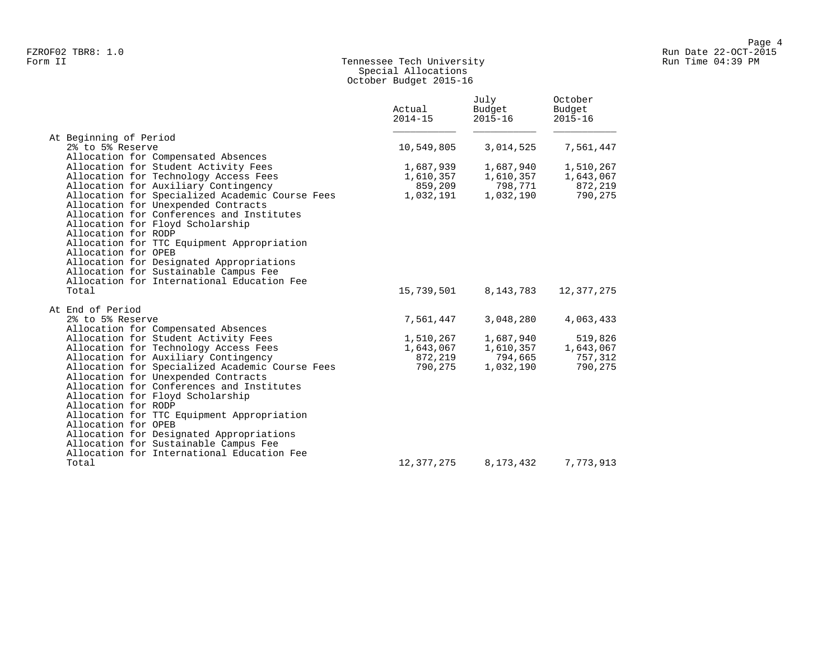# Form II Tennessee Tech University Run Time 04:39 PM Special Allocations October Budget 2015-16

|                                                                                                                                                                                                                                                                                                                                                                                                                 | Actual<br>$2014 - 15$   | July<br>Budget<br>$2015 - 16$ | October<br>Budget<br>$2015 - 16$ |
|-----------------------------------------------------------------------------------------------------------------------------------------------------------------------------------------------------------------------------------------------------------------------------------------------------------------------------------------------------------------------------------------------------------------|-------------------------|-------------------------------|----------------------------------|
| At Beginning of Period<br>2% to 5% Reserve                                                                                                                                                                                                                                                                                                                                                                      | 10,549,805              | 3,014,525                     | 7,561,447                        |
| Allocation for Compensated Absences                                                                                                                                                                                                                                                                                                                                                                             |                         |                               |                                  |
| Allocation for Student Activity Fees                                                                                                                                                                                                                                                                                                                                                                            | 1,687,939               | 1,687,940                     | 1,510,267                        |
| Allocation for Technology Access Fees                                                                                                                                                                                                                                                                                                                                                                           | 1,610,357               | 1,610,357                     | 1,643,067                        |
| Allocation for Auxiliary Contingency                                                                                                                                                                                                                                                                                                                                                                            | 859,209                 | 798,771                       | 872,219                          |
| Allocation for Specialized Academic Course Fees<br>Allocation for Unexpended Contracts<br>Allocation for Conferences and Institutes<br>Allocation for Floyd Scholarship<br>Allocation for RODP<br>Allocation for TTC Equipment Appropriation<br>Allocation for OPEB<br>Allocation for Designated Appropriations<br>Allocation for Sustainable Campus Fee<br>Allocation for International Education Fee<br>Total | 1,032,191<br>15,739,501 | 1,032,190<br>8,143,783        | 790,275<br>12,377,275            |
| At End of Period                                                                                                                                                                                                                                                                                                                                                                                                |                         |                               |                                  |
| 2% to 5% Reserve                                                                                                                                                                                                                                                                                                                                                                                                | 7,561,447               | 3,048,280                     | 4,063,433                        |
| Allocation for Compensated Absences                                                                                                                                                                                                                                                                                                                                                                             |                         |                               |                                  |
| Allocation for Student Activity Fees                                                                                                                                                                                                                                                                                                                                                                            | 1,510,267               | 1,687,940                     | 519,826                          |
| Allocation for Technology Access Fees                                                                                                                                                                                                                                                                                                                                                                           | 1,643,067               | 1,610,357                     | 1,643,067                        |
| Allocation for Auxiliary Contingency                                                                                                                                                                                                                                                                                                                                                                            | 872,219                 | 794,665                       | 757,312                          |
| Allocation for Specialized Academic Course Fees<br>Allocation for Unexpended Contracts<br>Allocation for Conferences and Institutes<br>Allocation for Floyd Scholarship<br>Allocation for RODP<br>Allocation for TTC Equipment Appropriation<br>Allocation for OPEB<br>Allocation for Designated Appropriations<br>Allocation for Sustainable Campus Fee<br>Allocation for International Education Fee          | 790,275                 | 1,032,190                     | 790,275                          |
| Total                                                                                                                                                                                                                                                                                                                                                                                                           | 12,377,275              | 8, 173, 432                   | 7,773,913                        |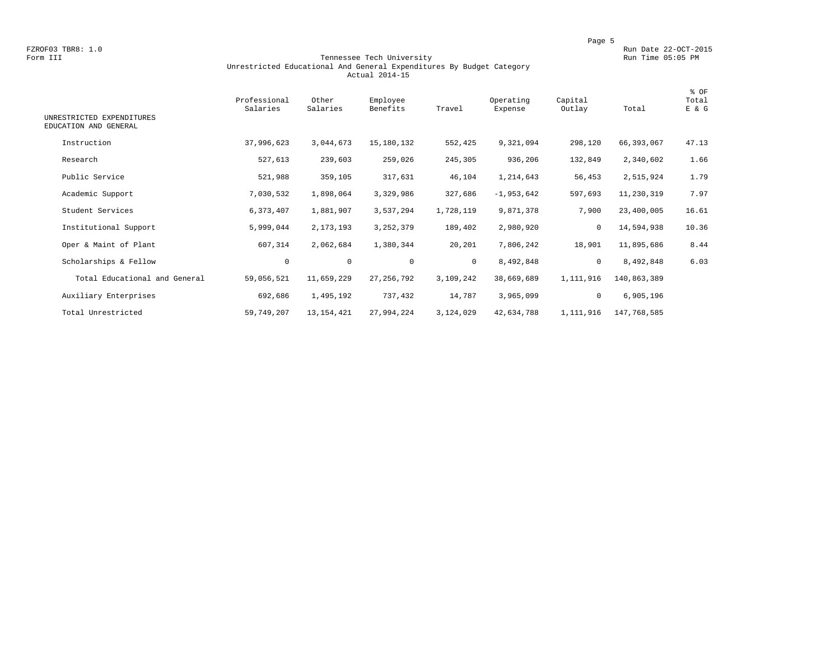FZROF03 TBR8: 1.0<br>Form III Run Date 22-OCT-2015 Porm intersed the control of the Run Date 22-OCT-2015 Porm iii

#### Form III Tennessee Tech University Run Time 05:05 PM Unrestricted Educational And General Expenditures By Budget Category Actual 2014-15

| UNRESTRICTED EXPENDITURES<br>EDUCATION AND GENERAL | Professional<br>Salaries | Other<br>Salaries | Employee<br>Benefits | Travel    | Operating<br>Expense | Capital<br>Outlay | Total       | % OF<br>Total<br>E & G |
|----------------------------------------------------|--------------------------|-------------------|----------------------|-----------|----------------------|-------------------|-------------|------------------------|
| Instruction                                        | 37,996,623               | 3,044,673         | 15,180,132           | 552,425   | 9,321,094            | 298,120           | 66,393,067  | 47.13                  |
| Research                                           | 527,613                  | 239,603           | 259,026              | 245,305   | 936,206              | 132,849           | 2,340,602   | 1.66                   |
| Public Service                                     | 521,988                  | 359,105           | 317,631              | 46,104    | 1,214,643            | 56,453            | 2,515,924   | 1.79                   |
| Academic Support                                   | 7,030,532                | 1,898,064         | 3,329,986            | 327,686   | $-1,953,642$         | 597,693           | 11,230,319  | 7.97                   |
| Student Services                                   | 6,373,407                | 1,881,907         | 3,537,294            | 1,728,119 | 9,871,378            | 7,900             | 23,400,005  | 16.61                  |
| Institutional Support                              | 5,999,044                | 2, 173, 193       | 3, 252, 379          | 189,402   | 2,980,920            | $\mathbf{0}$      | 14,594,938  | 10.36                  |
| Oper & Maint of Plant                              | 607,314                  | 2,062,684         | 1,380,344            | 20,201    | 7,806,242            | 18,901            | 11,895,686  | 8.44                   |
| Scholarships & Fellow                              | 0                        | $\mathbf 0$       | $\mathbf{0}$         | $\circ$   | 8,492,848            | $\mathbf{0}$      | 8,492,848   | 6.03                   |
| Total Educational and General                      | 59,056,521               | 11,659,229        | 27, 256, 792         | 3,109,242 | 38,669,689           | 1,111,916         | 140,863,389 |                        |
| Auxiliary Enterprises                              | 692,686                  | 1,495,192         | 737,432              | 14,787    | 3,965,099            | $\mathbf 0$       | 6,905,196   |                        |
| Total Unrestricted                                 | 59,749,207               | 13, 154, 421      | 27,994,224           | 3,124,029 | 42,634,788           | 1,111,916         | 147,768,585 |                        |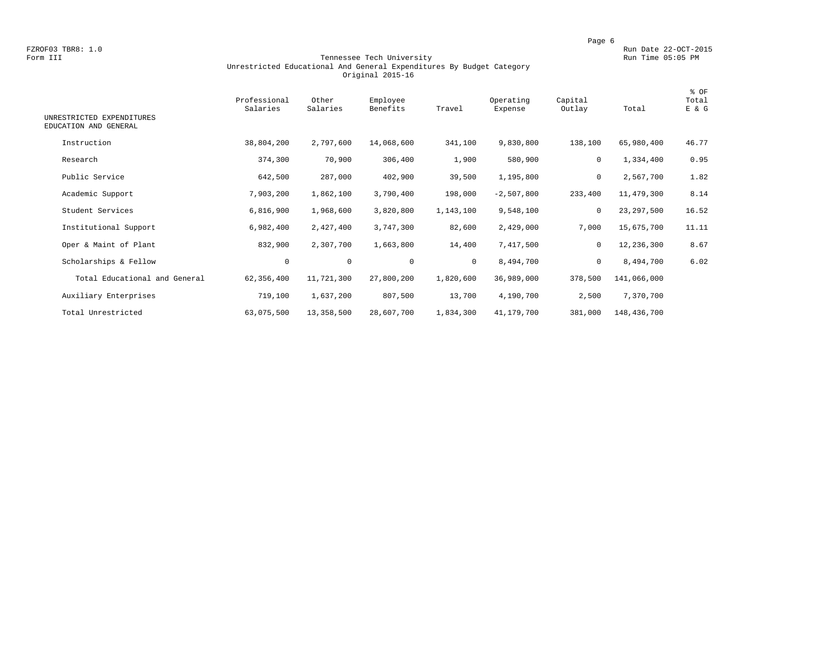FZROF03 TBR8: 1.0<br>Form III Run Date 22-OCT-2015 Run Date 22-OCT-2015<br>Form III Run Time 05:05 PM

#### Form III Tennessee Tech University Run Time 05:05 PM Unrestricted Educational And General Expenditures By Budget Category Original 2015-16

| UNRESTRICTED EXPENDITURES     | Professional<br>Salaries | Other<br>Salaries | Employee<br>Benefits | Travel       | Operating<br>Expense | Capital<br>Outlay | Total        | % OF<br>Total<br>E & G |
|-------------------------------|--------------------------|-------------------|----------------------|--------------|----------------------|-------------------|--------------|------------------------|
| EDUCATION AND GENERAL         |                          |                   |                      |              |                      |                   |              |                        |
| Instruction                   | 38,804,200               | 2,797,600         | 14,068,600           | 341,100      | 9,830,800            | 138,100           | 65,980,400   | 46.77                  |
| Research                      | 374,300                  | 70,900            | 306,400              | 1,900        | 580,900              | 0                 | 1,334,400    | 0.95                   |
| Public Service                | 642,500                  | 287,000           | 402,900              | 39,500       | 1,195,800            | 0                 | 2,567,700    | 1.82                   |
| Academic Support              | 7,903,200                | 1,862,100         | 3,790,400            | 198,000      | $-2,507,800$         | 233,400           | 11,479,300   | 8.14                   |
| Student Services              | 6,816,900                | 1,968,600         | 3,820,800            | 1,143,100    | 9,548,100            | $\mathbf 0$       | 23, 297, 500 | 16.52                  |
| Institutional Support         | 6,982,400                | 2,427,400         | 3,747,300            | 82,600       | 2,429,000            | 7,000             | 15,675,700   | 11.11                  |
| Oper & Maint of Plant         | 832,900                  | 2,307,700         | 1,663,800            | 14,400       | 7,417,500            | $\mathbf 0$       | 12,236,300   | 8.67                   |
| Scholarships & Fellow         | $\mathbf 0$              | $\mathbf 0$       | $\mathbf 0$          | $\mathbf{0}$ | 8,494,700            | $\mathbf 0$       | 8,494,700    | 6.02                   |
| Total Educational and General | 62,356,400               | 11,721,300        | 27,800,200           | 1,820,600    | 36,989,000           | 378,500           | 141,066,000  |                        |
| Auxiliary Enterprises         | 719,100                  | 1,637,200         | 807,500              | 13,700       | 4,190,700            | 2,500             | 7,370,700    |                        |
| Total Unrestricted            | 63,075,500               | 13,358,500        | 28,607,700           | 1,834,300    | 41,179,700           | 381,000           | 148,436,700  |                        |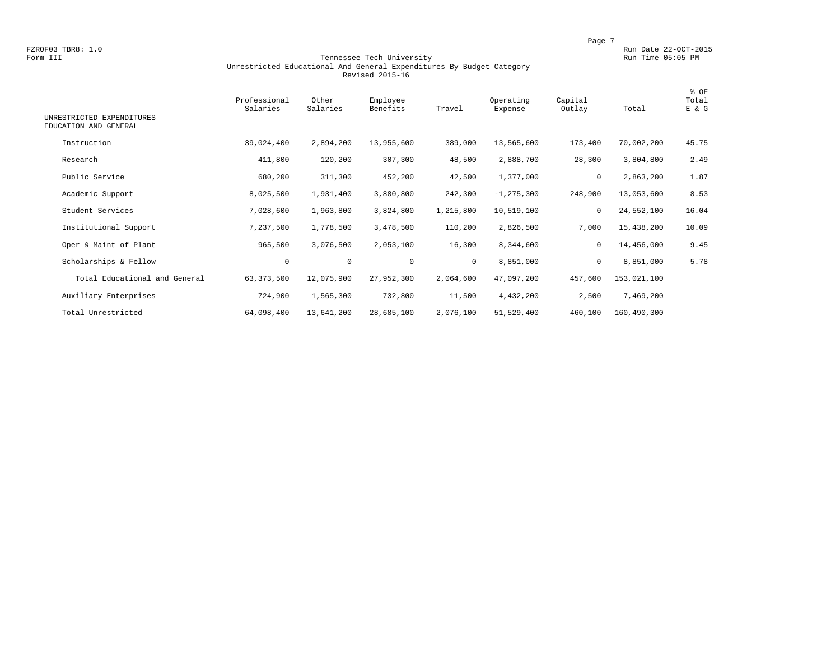FZROF03 TBR8: 1.0<br>Form III Run Date 22-OCT-2015<br>Form III Run Time 05:05 PM

#### Form III Tennessee Tech University Run Time 05:05 PM Unrestricted Educational And General Expenditures By Budget Category Revised 2015-16

| UNRESTRICTED EXPENDITURES     | Professional<br>Salaries | Other<br>Salaries | Employee<br>Benefits | Travel       | Operating<br>Expense | Capital<br>Outlay | Total       | % OF<br>Total<br>E & G |
|-------------------------------|--------------------------|-------------------|----------------------|--------------|----------------------|-------------------|-------------|------------------------|
| EDUCATION AND GENERAL         |                          |                   |                      |              |                      |                   |             |                        |
| Instruction                   | 39,024,400               | 2,894,200         | 13,955,600           | 389,000      | 13,565,600           | 173,400           | 70,002,200  | 45.75                  |
| Research                      | 411,800                  | 120,200           | 307,300              | 48,500       | 2,888,700            | 28,300            | 3,804,800   | 2.49                   |
| Public Service                | 680,200                  | 311,300           | 452,200              | 42,500       | 1,377,000            | 0                 | 2,863,200   | 1.87                   |
| Academic Support              | 8,025,500                | 1,931,400         | 3,880,800            | 242,300      | $-1, 275, 300$       | 248,900           | 13,053,600  | 8.53                   |
| Student Services              | 7,028,600                | 1,963,800         | 3,824,800            | 1,215,800    | 10,519,100           | $\mathbf 0$       | 24,552,100  | 16.04                  |
| Institutional Support         | 7,237,500                | 1,778,500         | 3,478,500            | 110,200      | 2,826,500            | 7,000             | 15,438,200  | 10.09                  |
| Oper & Maint of Plant         | 965,500                  | 3,076,500         | 2,053,100            | 16,300       | 8,344,600            | 0                 | 14,456,000  | 9.45                   |
| Scholarships & Fellow         | 0                        | $\mathbf 0$       | $\mathbf 0$          | $\mathbf{0}$ | 8,851,000            | $\mathbf 0$       | 8,851,000   | 5.78                   |
| Total Educational and General | 63, 373, 500             | 12,075,900        | 27,952,300           | 2,064,600    | 47,097,200           | 457,600           | 153,021,100 |                        |
| Auxiliary Enterprises         | 724,900                  | 1,565,300         | 732,800              | 11,500       | 4,432,200            | 2,500             | 7,469,200   |                        |
| Total Unrestricted            | 64,098,400               | 13,641,200        | 28,685,100           | 2,076,100    | 51,529,400           | 460,100           | 160,490,300 |                        |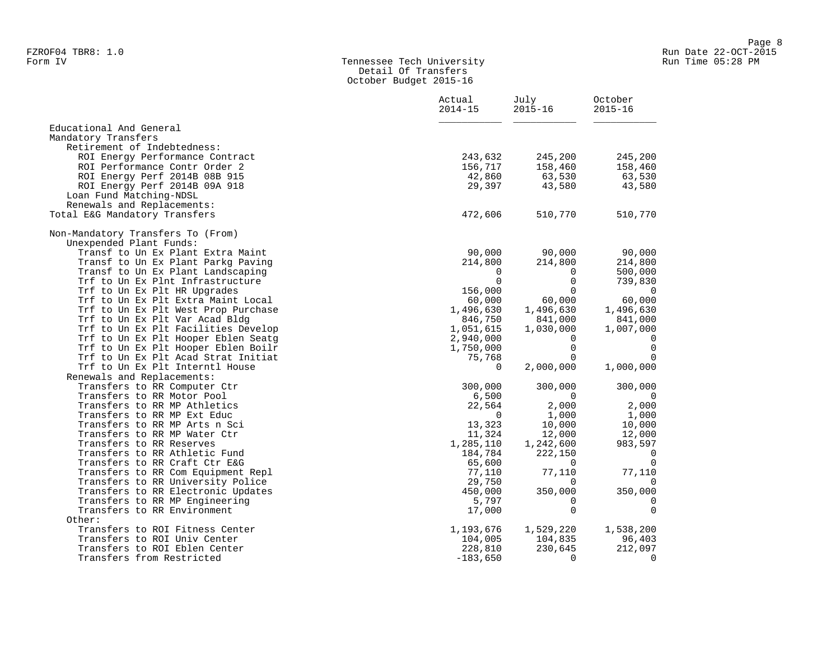#### Form IV Tennessee Tech University Run Time 05:28 PM Detail Of Transfers October Budget 2015-16

|                                                                            | Actual<br>$2014 - 15$ | July<br>$2015 - 16$  | October<br>$2015 - 16$  |  |
|----------------------------------------------------------------------------|-----------------------|----------------------|-------------------------|--|
| Educational And General                                                    |                       |                      |                         |  |
| Mandatory Transfers                                                        |                       |                      |                         |  |
| Retirement of Indebtedness:                                                |                       |                      |                         |  |
| ROI Energy Performance Contract                                            | 243,632               | 245,200              | 245,200                 |  |
| ROI Performance Contr Order 2                                              | 156,717               | 158,460              | 158,460                 |  |
| ROI Energy Perf 2014B 08B 915                                              | 42,860                | 63,530               | 63,530                  |  |
| ROI Energy Perf 2014B 09A 918                                              | 29,397                | 43,580               | 43,580                  |  |
| Loan Fund Matching-NDSL                                                    |                       |                      |                         |  |
| Renewals and Replacements:                                                 |                       |                      |                         |  |
| Total E&G Mandatory Transfers                                              | 472,606               | 510,770              | 510,770                 |  |
| Non-Mandatory Transfers To (From)                                          |                       |                      |                         |  |
| Unexpended Plant Funds:                                                    |                       |                      |                         |  |
| Transf to Un Ex Plant Extra Maint                                          | 90,000                | 90,000               | 90,000                  |  |
| Transf to Un Ex Plant Parkg Paving                                         | 214,800               | 214,800              | 214,800                 |  |
| Transf to Un Ex Plant Landscaping                                          | $\Omega$              | $\Omega$             | 500,000                 |  |
| Trf to Un Ex Plnt Infrastructure                                           | $\Omega$              | $\mathbf 0$          | 739,830                 |  |
| Trf to Un Ex Plt HR Upgrades                                               | 156,000               | $\Omega$             | 0                       |  |
| Trf to Un Ex Plt Extra Maint Local                                         | 60,000                | 60,000               | 60,000                  |  |
| Trf to Un Ex Plt West Prop Purchase                                        | 1,496,630             | 1,496,630            | 1,496,630               |  |
| Trf to Un Ex Plt Var Acad Bldg                                             | 846,750               | 841,000              | 841,000                 |  |
| Trf to Un Ex Plt Facilities Develop                                        | 1,051,615             | 1,030,000            | 1,007,000               |  |
| Trf to Un Ex Plt Hooper Eblen Seatq                                        | 2,940,000             | $\Omega$<br>$\Omega$ | $\Omega$<br>$\mathbf 0$ |  |
| Trf to Un Ex Plt Hooper Eblen Boilr<br>Trf to Un Ex Plt Acad Strat Initiat | 1,750,000             | $\Omega$             | $\Omega$                |  |
| Trf to Un Ex Plt Interntl House                                            | 75,768<br>$\Omega$    | 2,000,000            | 1,000,000               |  |
| Renewals and Replacements:                                                 |                       |                      |                         |  |
| Transfers to RR Computer Ctr                                               | 300,000               | 300,000              | 300,000                 |  |
| Transfers to RR Motor Pool                                                 | 6,500                 | $\Omega$             | 0                       |  |
| Transfers to RR MP Athletics                                               | 22,564                | 2,000                | 2,000                   |  |
| Transfers to RR MP Ext Educ                                                | $\Omega$              | 1,000                | 1,000                   |  |
| Transfers to RR MP Arts n Sci                                              | 13,323                | 10,000               | 10,000                  |  |
| Transfers to RR MP Water Ctr                                               | 11,324                | 12,000               | 12,000                  |  |
| Transfers to RR Reserves                                                   | 1,285,110             | 1,242,600            | 983,597                 |  |
| Transfers to RR Athletic Fund                                              | 184,784               | 222,150              | $\mathbf 0$             |  |
| Transfers to RR Craft Ctr E&G                                              | 65,600                | $\Omega$             | $\mathbf 0$             |  |
| Transfers to RR Com Equipment Repl                                         | 77,110                | 77,110               | 77,110                  |  |
| Transfers to RR University Police                                          | 29,750                | $\Omega$             | 0                       |  |
| Transfers to RR Electronic Updates                                         | 450,000               | 350,000              | 350,000                 |  |
| Transfers to RR MP Engineering                                             | 5,797                 | 0                    | 0                       |  |
| Transfers to RR Environment                                                | 17,000                | $\mathbf 0$          | $\mathbf 0$             |  |
| Other:                                                                     |                       |                      |                         |  |
| Transfers to ROI Fitness Center                                            | 1,193,676             | 1,529,220            | 1,538,200               |  |
| Transfers to ROI Univ Center                                               | 104,005               | 104,835              | 96,403                  |  |
| Transfers to ROI Eblen Center                                              | 228,810               | 230,645              | 212,097                 |  |
| Transfers from Restricted                                                  | $-183,650$            | $\Omega$             | 0                       |  |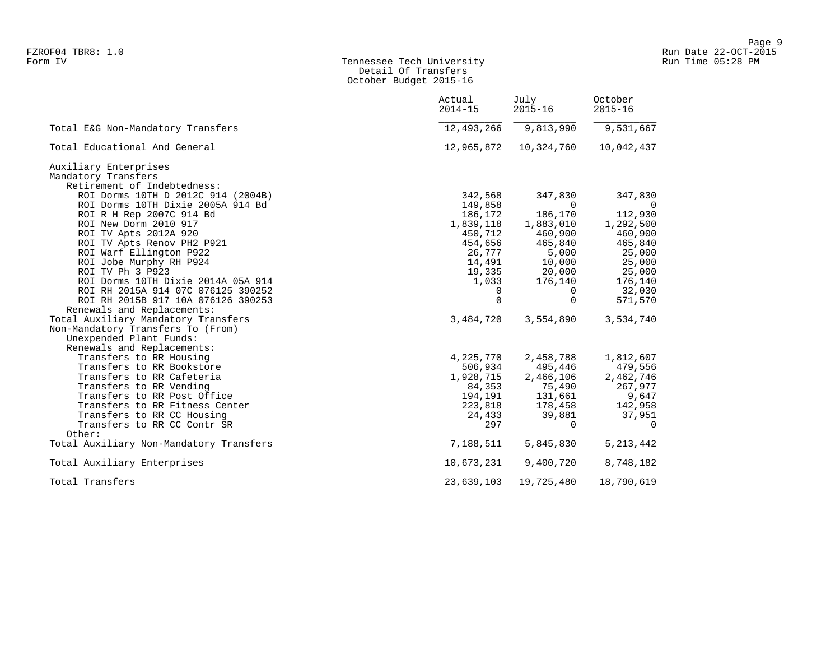# Form IV Tennessee Tech University Run Time 05:28 PM Detail Of Transfers October Budget 2015-16

|                                         | Actual<br>$2014 - 15$ | July<br>$2015 - 16$                    | October<br>$2015 - 16$ |
|-----------------------------------------|-----------------------|----------------------------------------|------------------------|
| Total E&G Non-Mandatory Transfers       | 12,493,266            | 9,813,990                              | 9,531,667              |
| Total Educational And General           | 12,965,872            | 10,324,760                             | 10,042,437             |
| Auxiliary Enterprises                   |                       |                                        |                        |
| Mandatory Transfers                     |                       |                                        |                        |
| Retirement of Indebtedness:             |                       |                                        |                        |
| ROI Dorms 10TH D 2012C 914 (2004B)      | 342,568               | 347,830                                | 347,830                |
| ROI Dorms 10TH Dixie 2005A 914 Bd       | 149,858               | $\overline{0}$                         | $\overline{0}$         |
| ROI R H Rep 2007C 914 Bd                | 186,172               | 186,170                                | 112,930                |
| ROI New Dorm 2010 917                   | 1,839,118             | 1,883,010                              | 1,292,500              |
| ROI TV Apts 2012A 920                   | 450,712               | 460,900                                | 460,900                |
| ROI TV Apts Renov PH2 P921              | 454,656               | 465,840                                | 465,840                |
| ROI Warf Ellington P922                 | 26,777                | 5,000                                  | 25,000                 |
| ROI Jobe Murphy RH P924                 |                       |                                        | 25,000                 |
| ROI TV Ph 3 P923                        |                       | $19,335$ $20,000$                      | 25,000                 |
| ROI Dorms 10TH Dixie 2014A 05A 914      | 1,033                 | 176,140                                | 176,140                |
| ROI RH 2015A 914 07C 076125 390252      | $\Omega$              | $\Omega$                               | 32,030                 |
| ROI RH 2015B 917 10A 076126 390253      | $\Omega$              | $\Omega$                               | 571,570                |
| Renewals and Replacements:              |                       |                                        |                        |
| Total Auxiliary Mandatory Transfers     | 3,484,720             | 3,554,890                              | 3,534,740              |
| Non-Mandatory Transfers To (From)       |                       |                                        |                        |
| Unexpended Plant Funds:                 |                       |                                        |                        |
| Renewals and Replacements:              |                       |                                        |                        |
| Transfers to RR Housing                 | 4,225,770             | 2,458,788                              | 1,812,607              |
| Transfers to RR Bookstore               |                       | 506,934 495,446<br>1,928,715 2,466,106 | 479,556                |
| Transfers to RR Cafeteria               |                       | 2,466,106                              | 2,462,746              |
| Transfers to RR Vending                 |                       | 84,353 75,490                          | 267,977                |
| Transfers to RR Post Office             |                       | 194, 191 131, 661                      | 9,647                  |
| Transfers to RR Fitness Center          | 223,818               | 178,458                                | 142,958                |
| Transfers to RR CC Housing              | 24,433                | 39,881                                 | 37,951                 |
| Transfers to RR CC Contr SR             | 297                   | $\Omega$                               | $\cap$                 |
| Other:                                  |                       |                                        |                        |
| Total Auxiliary Non-Mandatory Transfers | 7,188,511             | 5,845,830                              | 5, 213, 442            |
| Total Auxiliary Enterprises             | 10,673,231            | 9,400,720                              | 8,748,182              |
| Total Transfers                         | 23,639,103            | 19,725,480                             | 18,790,619             |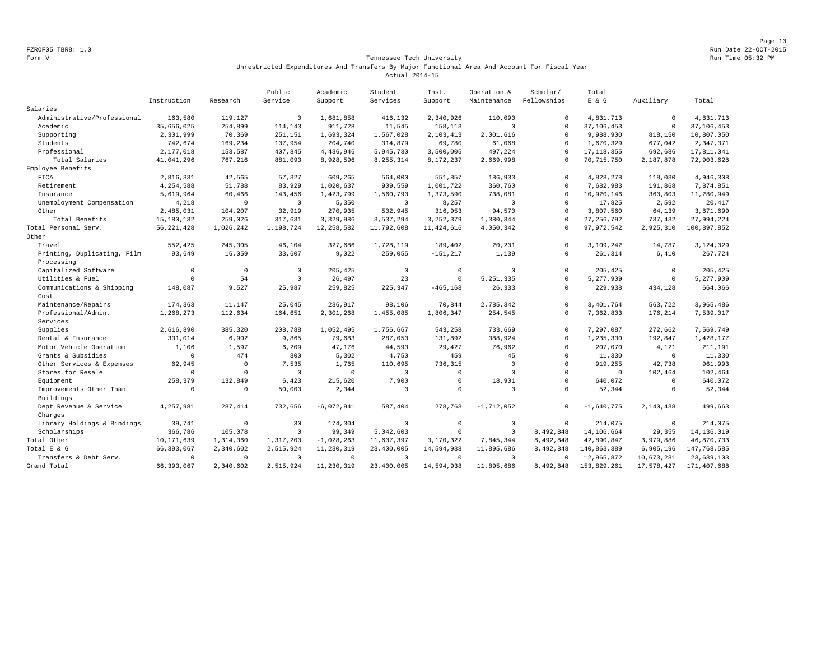Page 10 FZROF05 TBR8: 1.0 Run Date 22-OCT-2015

#### Form V Tennessee Tech University Run Time 05:32 PM Unrestricted Expenditures And Transfers By Major Functional Area And Account For Fiscal Year Actual 2014-15

|                             |              |                | Public       | Academic     | Student     | Inst.        | Operation &  | Scholar/    | Total        |              |              |
|-----------------------------|--------------|----------------|--------------|--------------|-------------|--------------|--------------|-------------|--------------|--------------|--------------|
|                             | Instruction  | Research       | Service      | Support      | Services    | Support      | Maintenance  | Fellowships | $E$ & $G$    | Auxiliary    | Total        |
| Salaries                    |              |                |              |              |             |              |              |             |              |              |              |
| Administrative/Professional | 163,580      | 119,127        | $\mathbf{0}$ | 1,681,858    | 416,132     | 2,340,926    | 110,090      | $\mathbf 0$ | 4.831.713    | $\circ$      | 4.831.713    |
| Academic                    | 35,656,025   | 254,899        | 114,143      | 911,728      | 11,545      | 158,113      | $\Omega$     | $\Omega$    | 37, 106, 453 | $\mathbb O$  | 37, 106, 453 |
| Supporting                  | 2,301,999    | 70,369         | 251,151      | 1,693,324    | 1,567,028   | 2,103,413    | 2,001,616    | $\mathbf 0$ | 9,988,900    | 818,150      | 10,807,050   |
| Students                    | 742,674      | 169,234        | 107,954      | 204,740      | 314,879     | 69,780       | 61,068       | $\Omega$    | 1,670,329    | 677,042      | 2,347,371    |
| Professional                | 2,177,018    | 153,587        | 407,845      | 4,436,946    | 5,945,730   | 3,500,005    | 497,224      | $\Omega$    | 17, 118, 355 | 692,686      | 17,811,041   |
| Total Salaries              | 41,041,296   | 767,216        | 881,093      | 8,928,596    | 8,255,314   | 8,172,237    | 2,669,998    | $\mathbf 0$ | 70, 715, 750 | 2,187,878    | 72,903,628   |
| Employee Benefits           |              |                |              |              |             |              |              |             |              |              |              |
| FICA                        | 2,816,331    | 42,565         | 57.327       | 609,265      | 564,000     | 551,857      | 186,933      | $\mathbf 0$ | 4,828,278    | 118,030      | 4,946,308    |
| Retirement                  | 4,254,588    | 51,788         | 83,929       | 1,020,637    | 909,559     | 1,001,722    | 360,760      | $\mathbf 0$ | 7,682,983    | 191,868      | 7,874,851    |
| Insurance                   | 5,619,964    | 60,466         | 143,456      | 1,423,799    | 1,560,790   | 1,373,590    | 738,081      | $\mathbf 0$ | 10,920,146   | 360,803      | 11,280,949   |
| Unemployment Compensation   | 4,218        | $\circ$        | $\mathbf{0}$ | 5,350        | $\Omega$    | 8,257        | $\Omega$     | $\Omega$    | 17,825       | 2,592        | 20,417       |
| Other                       | 2,485,031    | 104,207        | 32,919       | 270,935      | 502,945     | 316,953      | 94,570       | $\mathbf 0$ | 3,807,560    | 64,139       | 3,871,699    |
| Total Benefits              | 15, 180, 132 | 259,026        | 317,631      | 3,329,986    | 3,537,294   | 3, 252, 379  | 1,380,344    | $\mathbf 0$ | 27, 256, 792 | 737,432      | 27,994,224   |
| Total Personal Serv.        | 56, 221, 428 | 1,026,242      | 1,198,724    | 12, 258, 582 | 11,792,608  | 11, 424, 616 | 4,050,342    | $\Omega$    | 97, 972, 542 | 2,925,310    | 100,897,852  |
| Other                       |              |                |              |              |             |              |              |             |              |              |              |
| Travel                      | 552,425      | 245,305        | 46,104       | 327,686      | 1,728,119   | 189,402      | 20,201       | $\mathbf 0$ | 3,109,242    | 14,787       | 3,124,029    |
| Printing, Duplicating, Film | 93,649       | 16,059         | 33,607       | 9,022        | 259,055     | $-151, 217$  | 1,139        | $\mathbf 0$ | 261,314      | 6,410        | 267,724      |
| Processing                  |              |                |              |              |             |              |              |             |              |              |              |
| Capitalized Software        | $\mathbf 0$  | $\mathbf 0$    | $\circ$      | 205,425      | $\Omega$    | $\circ$      | $\mathbf{0}$ | $\circ$     | 205,425      | $\circ$      | 205,425      |
| Utilities & Fuel            | $\Omega$     | 54             | $\Omega$     | 26,497       | 23          | $\Omega$     | 5, 251, 335  | $\Omega$    | 5,277,909    | $\circ$      | 5,277,909    |
| Communications & Shipping   | 148,087      | 9,527          | 25,987       | 259,825      | 225,347     | $-465, 168$  | 26,333       | $\mathbf 0$ | 229,938      | 434,128      | 664,066      |
| Cost                        |              |                |              |              |             |              |              |             |              |              |              |
| Maintenance/Repairs         | 174,363      | 11,147         | 25,045       | 236,917      | 98,106      | 70,844       | 2,785,342    | $\Omega$    | 3,401,764    | 563,722      | 3,965,486    |
| Professional/Admin.         | 1,268,273    | 112,634        | 164,651      | 2,301,268    | 1,455,085   | 1,806,347    | 254,545      | $\mathbf 0$ | 7,362,803    | 176,214      | 7,539,017    |
| Services                    |              |                |              |              |             |              |              |             |              |              |              |
| Supplies                    | 2,616,890    | 385,320        | 208,788      | 1,052,495    | 1,756,667   | 543,258      | 733,669      | $\mathbf 0$ | 7,297,087    | 272,662      | 7,569,749    |
| Rental & Insurance          | 331,014      | 6,902          | 9,865        | 79,683       | 287,050     | 131,892      | 388,924      | $\mathbf 0$ | 1,235,330    | 192,847      | 1,428,177    |
| Motor Vehicle Operation     | 1,106        | 1,597          | 6,209        | 47,176       | 44,593      | 29,427       | 76,962       | $\mathbf 0$ | 207,070      | 4,121        | 211,191      |
| Grants & Subsidies          | $\Omega$     | 474            | 300          | 5,302        | 4,750       | 459          | 45           | $\Omega$    | 11,330       | $\circ$      | 11,330       |
| Other Services & Expenses   | 62,945       | $\overline{0}$ | 7,535        | 1,765        | 110,695     | 736,315      | $\mathbf{0}$ | $\mathbf 0$ | 919,255      | 42,738       | 961,993      |
| Stores for Resale           | $\mathbf 0$  | $\mathbf 0$    | $\mathbf{0}$ | $\mathbb O$  | $\mathbf 0$ | $\mathbf 0$  | $\mathbf 0$  | $\mathbf 0$ | $\mathbb O$  | 102,464      | 102,464      |
| Equipment                   | 258,379      | 132,849        | 6,423        | 215,620      | 7,900       | $\Omega$     | 18,901       | $\Omega$    | 640,072      | $\circ$      | 640,072      |
| Improvements Other Than     | $^{\circ}$   | $^{\circ}$     | 50,000       | 2,344        | $\Omega$    | $\Omega$     | $\mathbf{0}$ | $\Omega$    | 52,344       | $\mathbf{0}$ | 52,344       |
| Buildings                   |              |                |              |              |             |              |              |             |              |              |              |
| Dept Revenue & Service      | 4,257,981    | 287, 414       | 732,656      | $-6,072,941$ | 587,404     | 278,763      | $-1,712,052$ | $\Omega$    | $-1,640,775$ | 2,140,438    | 499,663      |
| Charges                     |              |                |              |              |             |              |              |             |              |              |              |
| Library Holdings & Bindings | 39,741       | $\mathbf 0$    | 30           | 174,304      | $\circ$     | $\mathbf 0$  | $\mathbf{0}$ | $\mathbf 0$ | 214,075      | $\circ$      | 214,075      |
| Scholarships                | 366,786      | 105,078        | $\Omega$     | 99,349       | 5,042,603   | $\Omega$     | $\Omega$     | 8,492,848   | 14,106,664   | 29,355       | 14, 136, 019 |
| Total Other                 | 10, 171, 639 | 1,314,360      | 1,317,200    | $-1,028,263$ | 11,607,397  | 3,170,322    | 7,845,344    | 8,492,848   | 42,890,847   | 3,979,886    | 46,870,733   |
| Total E & G                 | 66, 393, 067 | 2,340,602      | 2,515,924    | 11,230,319   | 23,400,005  | 14,594,938   | 11,895,686   | 8,492,848   | 140,863,389  | 6,905,196    | 147,768,585  |
| Transfers & Debt Serv.      | $\mathbf 0$  | $\mathbf{0}$   | $\Omega$     | $\mathbf 0$  | $\Omega$    | $\circ$      | $\Omega$     | $\Omega$    | 12,965,872   | 10,673,231   | 23,639,103   |
| Grand Total                 | 66, 393, 067 | 2,340,602      | 2,515,924    | 11,230,319   | 23,400,005  | 14,594,938   | 11,895,686   | 8,492,848   | 153,829,261  | 17,578,427   | 171,407,688  |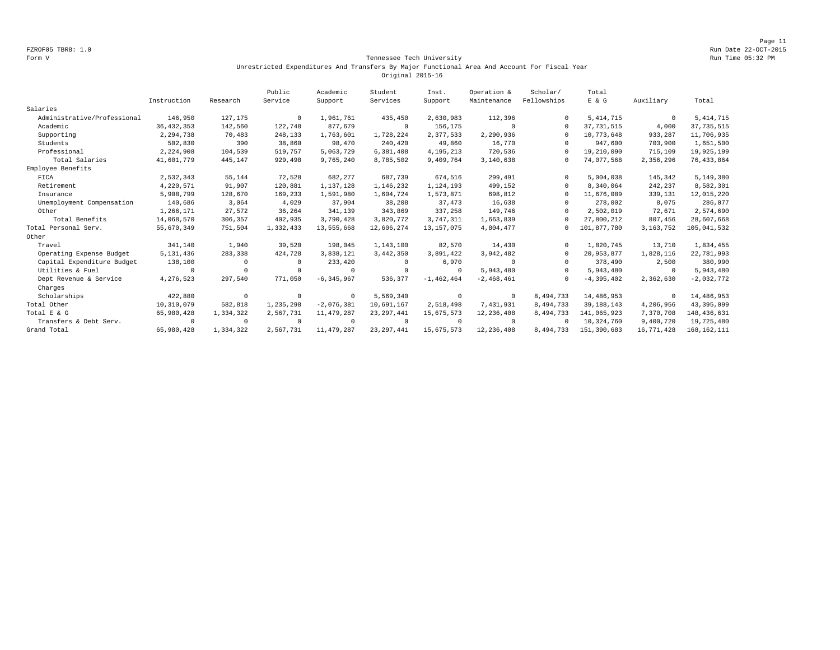Page 11 FZROF05 TBR8: 1.0 Run Date 22-OCT-2015

#### Form V Tennessee Tech University **Tennessee Tech University** Run Time 05:32 PM Unrestricted Expenditures And Transfers By Major Functional Area And Account For Fiscal Year Original 2015-16

|                             |              |            | Public    | Academic       | Student      | Inst.          | Operation &  | Scholar/    | Total          |             |               |
|-----------------------------|--------------|------------|-----------|----------------|--------------|----------------|--------------|-------------|----------------|-------------|---------------|
|                             | Instruction  | Research   | Service   | Support        | Services     | Support        | Maintenance  | Fellowships | E & G          | Auxiliary   | Total         |
| Salaries                    |              |            |           |                |              |                |              |             |                |             |               |
| Administrative/Professional | 146,950      | 127,175    | $\Omega$  | 1,961,761      | 435,450      | 2,630,983      | 112,396      | $\Omega$    | 5, 414, 715    | $^{\circ}$  | 5, 414, 715   |
| Academic                    | 36, 432, 353 | 142,560    | 122,748   | 877,679        | $^{\circ}$   | 156,175        | 0            | $\Omega$    | 37, 731, 515   | 4,000       | 37, 735, 515  |
| Supporting                  | 2,294,738    | 70,483     | 248,133   | 1,763,601      | 1,728,224    | 2,377,533      | 2,290,936    |             | 10,773,648     | 933,287     | 11,706,935    |
| Students                    | 502,830      | 390        | 38,860    | 98,470         | 240,420      | 49,860         | 16,770       |             | 947,600        | 703,900     | 1,651,500     |
| Professional                | 2,224,908    | 104,539    | 519,757   | 5,063,729      | 6,381,408    | 4, 195, 213    | 720,536      | $\Omega$    | 19,210,090     | 715,109     | 19,925,199    |
| Total Salaries              | 41,601,779   | 445,147    | 929,498   | 9,765,240      | 8,785,502    | 9,409,764      | 3,140,638    | $\Omega$    | 74,077,568     | 2,356,296   | 76, 433, 864  |
| Employee Benefits           |              |            |           |                |              |                |              |             |                |             |               |
| FICA                        | 2,532,343    | 55,144     | 72,528    | 682,277        | 687,739      | 674,516        | 299,491      | $\Omega$    | 5,004,038      | 145,342     | 5,149,380     |
| Retirement                  | 4,220,571    | 91,907     | 120,881   | 1,137,128      | 1,146,232    | 1,124,193      | 499,152      | $\Omega$    | 8,340,064      | 242,237     | 8,582,301     |
| Insurance                   | 5,908,799    | 128,670    | 169,233   | 1,591,980      | 1,604,724    | 1,573,871      | 698,812      | 0           | 11,676,089     | 339,131     | 12,015,220    |
| Unemployment Compensation   | 140,686      | 3,064      | 4,029     | 37,904         | 38,208       | 37,473         | 16,638       |             | 278,002        | 8,075       | 286,077       |
| Other                       | 1,266,171    | 27,572     | 36,264    | 341,139        | 343,869      | 337,258        | 149,746      | $\Omega$    | 2,502,019      | 72,671      | 2,574,690     |
| Total Benefits              | 14,068,570   | 306,357    | 402,935   | 3,790,428      | 3,820,772    | 3,747,311      | 1,663,839    |             | 27,800,212     | 807,456     | 28,607,668    |
| Total Personal Serv.        | 55,670,349   | 751,504    | 1,332,433 | 13,555,668     | 12,606,274   | 13, 157, 075   | 4,804,477    | $\Omega$    | 101,877,780    | 3, 163, 752 | 105,041,532   |
| Other                       |              |            |           |                |              |                |              |             |                |             |               |
| Travel                      | 341,140      | 1,940      | 39,520    | 198,045        | 1,143,100    | 82,570         | 14,430       | $\Omega$    | 1,820,745      | 13,710      | 1,834,455     |
| Operating Expense Budget    | 5, 131, 436  | 283,338    | 424,728   | 3,838,121      | 3,442,350    | 3,891,422      | 3,942,482    | $\Omega$    | 20,953,877     | 1,828,116   | 22,781,993    |
| Capital Expenditure Budget  | 138,100      | $\Omega$   |           | 233,420        | 0            | 6,970          | $^{\circ}$   |             | 378,490        | 2,500       | 380,990       |
| Utilities & Fuel            | $\Omega$     | $\Omega$   |           | $^{\circ}$     | $\Omega$     | $^{\circ}$     | 5,943,480    | $\cap$      | 5,943,480      | $^{\circ}$  | 5,943,480     |
| Dept Revenue & Service      | 4,276,523    | 297,540    | 771,050   | $-6, 345, 967$ | 536.377      | $-1, 462, 464$ | $-2,468,461$ | $\cap$      | $-4, 395, 402$ | 2,362,630   | $-2,032,772$  |
| Charges                     |              |            |           |                |              |                |              |             |                |             |               |
| Scholarships                | 422,880      | $^{\circ}$ | $\Omega$  | $^{\circ}$     | 5,569,340    | $^{\circ}$     | $^{\circ}$   | 8,494,733   | 14,486,953     | $^{\circ}$  | 14,486,953    |
| Total Other                 | 10,310,079   | 582,818    | 1,235,298 | $-2,076,381$   | 10,691,167   | 2,518,498      | 7,431,931    | 8,494,733   | 39, 188, 143   | 4,206,956   | 43,395,099    |
| Total E & G                 | 65,980,428   | 1,334,322  | 2,567,731 | 11,479,287     | 23, 297, 441 | 15,675,573     | 12,236,408   | 8,494,733   | 141,065,923    | 7,370,708   | 148,436,631   |
| Transfers & Debt Serv.      | $\Omega$     | $^{\circ}$ | $\Omega$  | $^{\circ}$     | $^{\circ}$   | $\Omega$       | $^{\circ}$   | $\Omega$    | 10,324,760     | 9,400,720   | 19,725,480    |
| Grand Total                 | 65,980,428   | 1,334,322  | 2,567,731 | 11, 479, 287   | 23, 297, 441 | 15,675,573     | 12,236,408   | 8,494,733   | 151,390,683    | 16,771,428  | 168, 162, 111 |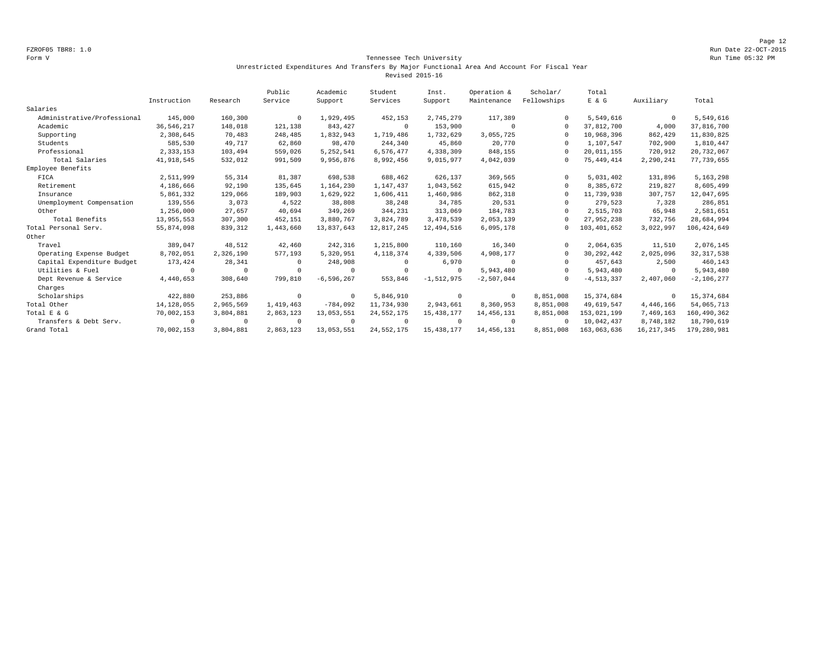Page 12 FZROF05 TBR8: 1.0 Run Date 22-OCT-2015

#### Form V Tennessee Tech University Run Time 05:32 PM Unrestricted Expenditures And Transfers By Major Functional Area And Account For Fiscal Year Revised 2015-16

|                             |              |            | Public     | Academic       | Student      | Inst.        | Operation &  | Scholar/    | Total          |              |                |
|-----------------------------|--------------|------------|------------|----------------|--------------|--------------|--------------|-------------|----------------|--------------|----------------|
|                             | Instruction  | Research   | Service    | Support        | Services     | Support      | Maintenance  | Fellowships | E & G          | Auxiliary    | Total          |
| Salaries                    |              |            |            |                |              |              |              |             |                |              |                |
| Administrative/Professional | 145,000      | 160,300    | $\Omega$   | 1,929,495      | 452,153      | 2,745,279    | 117,389      | $\Omega$    | 5,549,616      | $\mathbf 0$  | 5,549,616      |
| Academic                    | 36, 546, 217 | 148,018    | 121,138    | 843,427        | $^{\circ}$   | 153,900      | $\Omega$     | $\Omega$    | 37,812,700     | 4,000        | 37,816,700     |
| Supporting                  | 2,308,645    | 70,483     | 248,485    | 1,832,943      | 1,719,486    | 1,732,629    | 3,055,725    | $\Omega$    | 10,968,396     | 862,429      | 11,830,825     |
| Students                    | 585,530      | 49,717     | 62,860     | 98,470         | 244,340      | 45,860       | 20,770       | $\Omega$    | 1,107,547      | 702,900      | 1,810,447      |
| Professional                | 2,333,153    | 103,494    | 559,026    | 5, 252, 541    | 6,576,477    | 4,338,309    | 848,155      | $\Omega$    | 20,011,155     | 720,912      | 20,732,067     |
| Total Salaries              | 41,918,545   | 532,012    | 991,509    | 9,956,876      | 8,992,456    | 9,015,977    | 4,042,039    | 0           | 75, 449, 414   | 2,290,241    | 77,739,655     |
| Employee Benefits           |              |            |            |                |              |              |              |             |                |              |                |
| FICA                        | 2,511,999    | 55,314     | 81,387     | 698,538        | 688,462      | 626,137      | 369,565      | $\Omega$    | 5,031,402      | 131,896      | 5, 163, 298    |
| Retirement                  | 4,186,666    | 92,190     | 135,645    | 1,164,230      | 1,147,437    | 1,043,562    | 615,942      | $\Omega$    | 8,385,672      | 219,827      | 8,605,499      |
| Insurance                   | 5,861,332    | 129,066    | 189,903    | 1,629,922      | 1,606,411    | 1,460,986    | 862,318      | $\Omega$    | 11,739,938     | 307,757      | 12,047,695     |
| Unemployment Compensation   | 139,556      | 3,073      | 4,522      | 38,808         | 38,248       | 34,785       | 20,531       |             | 279,523        | 7,328        | 286,851        |
| Other                       | 1,256,000    | 27,657     | 40,694     | 349,269        | 344,231      | 313,069      | 184,783      | $\Omega$    | 2,515,703      | 65,948       | 2,581,651      |
| Total Benefits              | 13,955,553   | 307,300    | 452,151    | 3,880,767      | 3,824,789    | 3,478,539    | 2,053,139    |             | 27,952,238     | 732,756      | 28,684,994     |
| Total Personal Serv.        | 55,874,098   | 839,312    | 1,443,660  | 13,837,643     | 12,817,245   | 12,494,516   | 6,095,178    | $\Omega$    | 103,401,652    | 3,022,997    | 106, 424, 649  |
| Other                       |              |            |            |                |              |              |              |             |                |              |                |
| Travel                      | 389,047      | 48,512     | 42,460     | 242,316        | 1,215,800    | 110,160      | 16,340       | $\cap$      | 2,064,635      | 11,510       | 2,076,145      |
| Operating Expense Budget    | 8,702,051    | 2,326,190  | 577,193    | 5,320,951      | 4, 118, 374  | 4,339,506    | 4,908,177    | $\Omega$    | 30, 292, 442   | 2,025,096    | 32, 317, 538   |
| Capital Expenditure Budget  | 173,424      | 28,341     | $\Omega$   | 248,908        | 0            | 6,970        | $^{\circ}$   | $\Omega$    | 457,643        | 2,500        | 460,143        |
| Utilities & Fuel            | $^{\circ}$   | $^{\circ}$ | $\Omega$   | $^{\circ}$     | $\Omega$     | $^{\circ}$   | 5,943,480    | $\cap$      | 5,943,480      | $^{\circ}$   | 5,943,480      |
| Dept Revenue & Service      | 4,440,653    | 308,640    | 799,810    | $-6, 596, 267$ | 553,846      | $-1,512,975$ | $-2,507,044$ | $\Omega$    | $-4, 513, 337$ | 2,407,060    | $-2, 106, 277$ |
| Charges                     |              |            |            |                |              |              |              |             |                |              |                |
| Scholarships                | 422,880      | 253,886    | $^{\circ}$ | $^{\circ}$     | 5,846,910    | 0            | $^{\circ}$   | 8,851,008   | 15, 374, 684   | 0            | 15, 374, 684   |
| Total Other                 | 14, 128, 055 | 2,965,569  | 1,419,463  | $-784,092$     | 11,734,930   | 2,943,661    | 8,360,953    | 8,851,008   | 49,619,547     | 4,446,166    | 54,065,713     |
| Total E & G                 | 70,002,153   | 3,804,881  | 2,863,123  | 13,053,551     | 24, 552, 175 | 15, 438, 177 | 14, 456, 131 | 8,851,008   | 153,021,199    | 7,469,163    | 160,490,362    |
| Transfers & Debt Serv.      | $\Omega$     | $^{\circ}$ |            | $^{\circ}$     | $\Omega$     | $\Omega$     | $\Omega$     |             | 10,042,437     | 8,748,182    | 18,790,619     |
| Grand Total                 | 70,002,153   | 3,804,881  | 2,863,123  | 13,053,551     | 24, 552, 175 | 15, 438, 177 | 14, 456, 131 | 8,851,008   | 163,063,636    | 16, 217, 345 | 179,280,981    |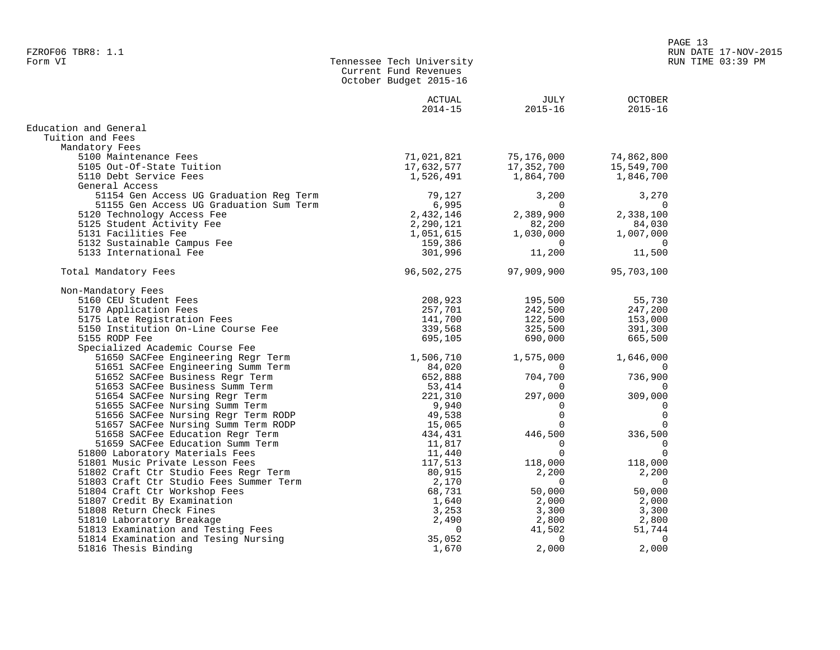|                                                                          | Current Fund Revenues<br>October Budget 2015-16 |             |                       |
|--------------------------------------------------------------------------|-------------------------------------------------|-------------|-----------------------|
|                                                                          | ACTUAL                                          | JULY        | <b>OCTOBER</b>        |
|                                                                          | $2014 - 15$                                     | $2015 - 16$ | $2015 - 16$           |
| Education and General                                                    |                                                 |             |                       |
| Tuition and Fees                                                         |                                                 |             |                       |
| Mandatory Fees                                                           |                                                 |             |                       |
| 5100 Maintenance Fees                                                    | 71,021,821                                      | 75,176,000  | 74,862,800            |
| 5105 Out-Of-State Tuition                                                | 17,632,577                                      | 17,352,700  | 15,549,700            |
| 5110 Debt Service Fees                                                   | 1,526,491                                       | 1,864,700   | 1,846,700             |
| General Access                                                           |                                                 |             |                       |
| 51154 Gen Access UG Graduation Reg Term                                  | 79,127                                          | 3,200       | 3,270                 |
| 51155 Gen Access UG Graduation Sum Term                                  | 6,995                                           | $\Omega$    | $\overline{0}$        |
| 5120 Technology Access Fee                                               | 2,432,146                                       | 2,389,900   | 2,338,100             |
| 5125 Student Activity Fee                                                | 2,290,121                                       | 82,200      | 84,030                |
| 5131 Facilities Fee                                                      | 1,051,615                                       | 1,030,000   | 1,007,000             |
| 5132 Sustainable Campus Fee                                              | 159,386                                         | $\Omega$    | $\Omega$              |
| 5133 International Fee                                                   | 301,996                                         | 11,200      | 11,500                |
|                                                                          |                                                 |             |                       |
| Total Mandatory Fees                                                     | 96,502,275                                      | 97,909,900  | 95,703,100            |
| Non-Mandatory Fees                                                       |                                                 |             |                       |
| 5160 CEU Student Fees                                                    | 208,923                                         | 195,500     | 55,730                |
| 5170 Application Fees                                                    | 257,701                                         | 242,500     | 247,200               |
| 5175 Late Registration Fees                                              | 141,700                                         | 122,500     | 153,000               |
| 5150 Institution On-Line Course Fee                                      | 339,568                                         | 325,500     | 391,300               |
| 5155 RODP Fee                                                            | 695,105                                         | 690,000     | 665,500               |
| Specialized Academic Course Fee                                          |                                                 |             |                       |
| 51650 SACFee Engineering Regr Term                                       | 1,506,710                                       | 1,575,000   | 1,646,000             |
| 51651 SACFee Engineering Summ Term                                       | 84,020                                          | $\Omega$    | $\Omega$              |
| 51652 SACFee Business Regr Term                                          | 652,888                                         | 704,700     | 736,900               |
| 51653 SACFee Business Summ Term                                          | 53,414                                          | $\Omega$    | $\Omega$              |
| 51654 SACFee Nursing Regr Term                                           | 221,310                                         | 297,000     | 309,000               |
| 51655 SACFee Nursing Summ Term                                           | 9,940                                           | $\Omega$    | 0                     |
| 51656 SACFee Nursing Regr Term RODP                                      | 49,538                                          | $\mathbf 0$ | $\mathbf 0$           |
| 51657 SACFee Nursing Summ Term RODP                                      | 15,065                                          | $\Omega$    | $\Omega$              |
| 51658 SACFee Education Regr Term                                         | 434,431                                         | 446,500     | 336,500               |
| 51659 SACFee Education Summ Term                                         | 11,817                                          | $\mathbf 0$ | $\mathbf 0$           |
| 51800 Laboratory Materials Fees                                          | 11,440                                          | $\mathbf 0$ | $\mathbf 0$           |
| 51801 Music Private Lesson Fees                                          | 117,513                                         | 118,000     | 118,000               |
| 51802 Craft Ctr Studio Fees Regr Term                                    | 80,915                                          | 2,200       | 2,200                 |
|                                                                          |                                                 |             |                       |
| 51803 Craft Ctr Studio Fees Summer Term<br>51804 Craft Ctr Workshop Fees | 2,170<br>68,731                                 | 0<br>50,000 | $\mathbf 0$<br>50,000 |
|                                                                          |                                                 |             |                       |
| 51807 Credit By Examination                                              | 1,640                                           | 2,000       | 2,000                 |
| 51808 Return Check Fines                                                 | 3,253                                           | 3,300       | 3,300                 |
| 51810 Laboratory Breakage                                                | 2,490                                           | 2,800       | 2,800                 |

51810 Laboratory Breakage 2,490 2,800 2,800 2,800 2,800 2,800 2,800 2,800 2,800 2,800 2,800 2,800 2,800 2,800<br>
51813 Examination and Testing Fees 0 2,800 41,502 51,744<br>
51814 Examination and Testing Nursing 35,052 0 0 51813 Examination and Testing Fees 0 51,744<br>51814 Examination and Tesing Nursing 1988 61,052 51,744 51814 Examination and Tesing Nursing 35,052 0 0

 $1,670$  2,000

Tennessee Tech University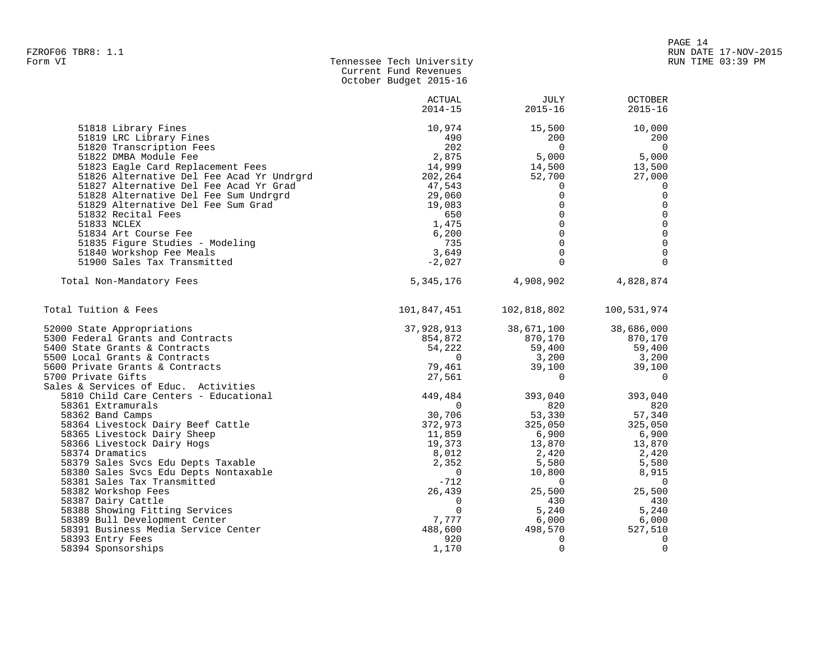| Form VI | Tennessee Tech University |
|---------|---------------------------|
|         | Current Fund Revenues     |
|         | October Budget 2015-16    |

|                                                                  | ACTUAL<br>$2014 - 15$ | JULY<br>$2015 - 16$     | <b>OCTOBER</b><br>$2015 - 16$ |
|------------------------------------------------------------------|-----------------------|-------------------------|-------------------------------|
| 51818 Library Fines                                              | 10,974                | 15,500                  | 10,000                        |
| 51819 LRC Library Fines                                          | 490                   | 200                     | 200                           |
| 51820 Transcription Fees<br>51822 DMBA Module Fee                | 202<br>2,875          | $\overline{0}$<br>5,000 | $\overline{0}$                |
| 51823 Eagle Card Replacement Fees                                | 14,999                | 14,500                  | 5,000<br>13,500               |
| 51826 Alternative Del Fee Acad Yr Undrgrd                        | 202,264               | 52,700                  | 27,000                        |
| 51827 Alternative Del Fee Acad Yr Grad                           | 47,543                | $\overline{0}$          | $\overline{0}$                |
| 51828 Alternative Del Fee Sum Undrgrd                            | 29,060                | $\Omega$                | $\mathbf 0$                   |
| 51829 Alternative Del Fee Sum Grad                               | 19,083                | $\Omega$                | $\mathbf 0$                   |
| 51832 Recital Fees                                               | 650                   | $\Omega$                | $\overline{0}$                |
| 51833 NCLEX                                                      | 1,475                 | $\mathbf 0$             | $\mathsf 0$                   |
| 51834 Art Course Fee                                             | 6,200                 | $\mathbf 0$             | $\,0\,$                       |
| 51835 Figure Studies - Modeling                                  | 735                   | $\mathbf 0$             | $\,0\,$                       |
| 51840 Workshop Fee Meals                                         | 3,649                 | $\mathbf 0$<br>$\Omega$ | $\mathbf 0$<br>$\Omega$       |
| 51900 Sales Tax Transmitted                                      | $-2,027$              |                         |                               |
| Total Non-Mandatory Fees                                         | 5,345,176             | 4,908,902               | 4,828,874                     |
| Total Tuition & Fees                                             |                       | 101,847,451 102,818,802 | 100,531,974                   |
| 52000 State Appropriations                                       | 37,928,913            | 38,671,100              | 38,686,000                    |
| 5300 Federal Grants and Contracts                                | 854,872               | 870,170                 | 870,170                       |
| 5400 State Grants & Contracts                                    | 54,222                | 59,400                  | 59,400                        |
| 5500 Local Grants & Contracts                                    | $\overline{0}$        | 3,200                   | 3,200                         |
| 5600 Private Grants & Contracts                                  | 79,461                | 39,100                  | 39,100                        |
| 5700 Private Gifts                                               | 27,561                | $\overline{0}$          | $\mathbf 0$                   |
| Sales & Services of Educ. Activities                             |                       |                         |                               |
| 5810 Child Care Centers - Educational                            | 449,484               | 393,040                 | 393,040                       |
| 58361 Extramurals                                                | $\overline{0}$        | 820                     | 820                           |
| 58362 Band Camps                                                 | 30,706                | 53,330<br>325,050       | 57,340<br>325,050             |
| 58364 Livestock Dairy Beef Cattle<br>58365 Livestock Dairy Sheep | 372,973<br>11,859     | 6,900                   | 6,900                         |
| 58366 Livestock Dairy Hogs                                       | 19,373                | 13,870                  | 13,870                        |
| 58374 Dramatics                                                  | 8,012                 | 2,420                   | 2,420                         |
| 58379 Sales Svcs Edu Depts Taxable                               | 2,352                 | 5,580                   | 5,580                         |
| 58380 Sales Svcs Edu Depts Nontaxable                            | $\overline{0}$        | 10,800                  | 8,915                         |
| 58381 Sales Tax Transmitted                                      | $-712$                | $\overline{0}$          | $\overline{0}$                |
| 58382 Workshop Fees                                              | 26,439                | 25,500                  | 25,500                        |
| 58387 Dairy Cattle                                               | $\Omega$              | 430                     | 430                           |
| 58388 Showing Fitting Services                                   | $\Omega$              | 5,240                   | 5,240                         |
| 58389 Bull Development Center                                    | 7,777                 | 6,000                   | 6,000                         |
| 58391 Business Media Service Center                              | 488,600               | 498,570                 | 527,510                       |
| 58393 Entry Fees                                                 | 920                   | $\mathbf 0$             | 0                             |
| 58394 Sponsorships                                               | 1,170                 | $\Omega$                | $\Omega$                      |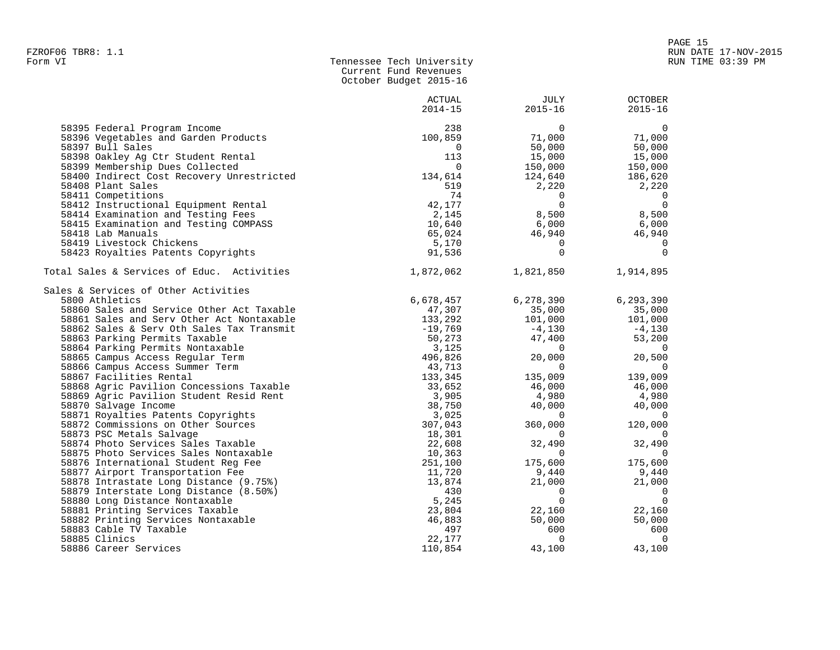| Form VI | Tennessee Tech University |
|---------|---------------------------|
|         | Current Fund Revenues     |
|         | October Budget 2015-16    |

|                                            | <b>ACTUAL</b>  | <b>JULY</b>    | <b>OCTOBER</b>           |
|--------------------------------------------|----------------|----------------|--------------------------|
|                                            | $2014 - 15$    | $2015 - 16$    | $2015 - 16$              |
| 58395 Federal Program Income               | 238            | $\mathbf 0$    | $\overline{0}$           |
| 58396 Vegetables and Garden Products       | 100,859        | 71,000         | 71,000                   |
| 58397 Bull Sales                           | $\overline{0}$ | 50,000         | 50,000                   |
| 58398 Oakley Aq Ctr Student Rental         | 113            | 15,000         | 15,000                   |
| 58399 Membership Dues Collected            | $\overline{0}$ | 150,000        | 150,000                  |
| 58400 Indirect Cost Recovery Unrestricted  | 134,614        | 124,640        | 186,620                  |
| 58408 Plant Sales                          | 519            | 2,220          | 2,220                    |
| 58411 Competitions                         | 74             | $\overline{0}$ | $\overline{0}$           |
| 58412 Instructional Equipment Rental       | 42,177         | $\overline{0}$ | $\overline{0}$           |
| 58414 Examination and Testing Fees         | 2,145          | 8,500          | 8,500                    |
| 58415 Examination and Testing COMPASS      | 10,640         | 6,000          | 6,000                    |
| 58418 Lab Manuals                          | 65,024         | 46,940         | 46,940                   |
| 58419 Livestock Chickens                   | 5,170          | $\Omega$       | $\overline{0}$           |
| 58423 Royalties Patents Copyrights         | 91,536         | $\Omega$       | $\Omega$                 |
| Total Sales & Services of Educ. Activities | 1,872,062      | 1,821,850      | 1,914,895                |
| Sales & Services of Other Activities       |                |                |                          |
| 5800 Athletics                             | 6,678,457      | 6,278,390      | 6,293,390                |
| 58860 Sales and Service Other Act Taxable  | 47,307         | 35,000         | 35,000                   |
| 58861 Sales and Serv Other Act Nontaxable  | 133,292        | 101,000        | 101,000                  |
| 58862 Sales & Serv Oth Sales Tax Transmit  | $-19,769$      | $-4,130$       | $-4,130$                 |
| 58863 Parking Permits Taxable              | 50,273         | 47,400         | 53,200                   |
| 58864 Parking Permits Nontaxable           | 3,125          | $\bigcirc$     | $\overline{0}$           |
| 58865 Campus Access Regular Term           | 496,826        | 20,000         | 20,500                   |
| 58866 Campus Access Summer Term            | 43,713         | $\Omega$       | $\overline{0}$           |
| 58867 Facilities Rental                    | 133,345        | 135,009        | 139,009                  |
| 58868 Agric Pavilion Concessions Taxable   | 33,652         | 46,000         | 46,000                   |
| 58869 Agric Pavilion Student Resid Rent    | 3,905          | 4,980          | 4,980                    |
| 58870 Salvage Income                       | 38,750         | 40,000         | 40,000                   |
| 58871 Royalties Patents Copyrights         | 3,025          | $\Omega$       | $\overline{0}$           |
| 58872 Commissions on Other Sources         | 307,043        | 360,000        | 120,000                  |
| 58873 PSC Metals Salvage                   | 18,301         | $\Omega$       | - 0                      |
| 58874 Photo Services Sales Taxable         | 22,608         | 32,490         | 32,490                   |
| 58875 Photo Services Sales Nontaxable      | 10,363         | $\mathbf 0$    | $\overline{0}$           |
| 58876 International Student Reg Fee        | 251,100        | 175,600        | 175,600                  |
| 58877 Airport Transportation Fee           | 11,720         | 9,440          | 9,440                    |
| 58878 Intrastate Long Distance (9.75%)     | 13,874         | 21,000         | 21,000                   |
| 58879 Interstate Long Distance (8.50%)     | 430            | $\overline{0}$ | $\overline{\phantom{0}}$ |
| 58880 Long Distance Nontaxable             | 5,245          | $\Omega$       | $\bigcirc$               |
| 58881 Printing Services Taxable            | 23,804         | 22,160         | 22,160                   |
| 58882 Printing Services Nontaxable         | 46,883         | 50,000         | 50,000                   |
| 58883 Cable TV Taxable                     | 497            | 600            | 600                      |
| 58885 Clinics                              | 22,177         | $\mathbf 0$    | $\overline{0}$           |
| 58886 Career Services                      | 110,854        | 43,100         | 43,100                   |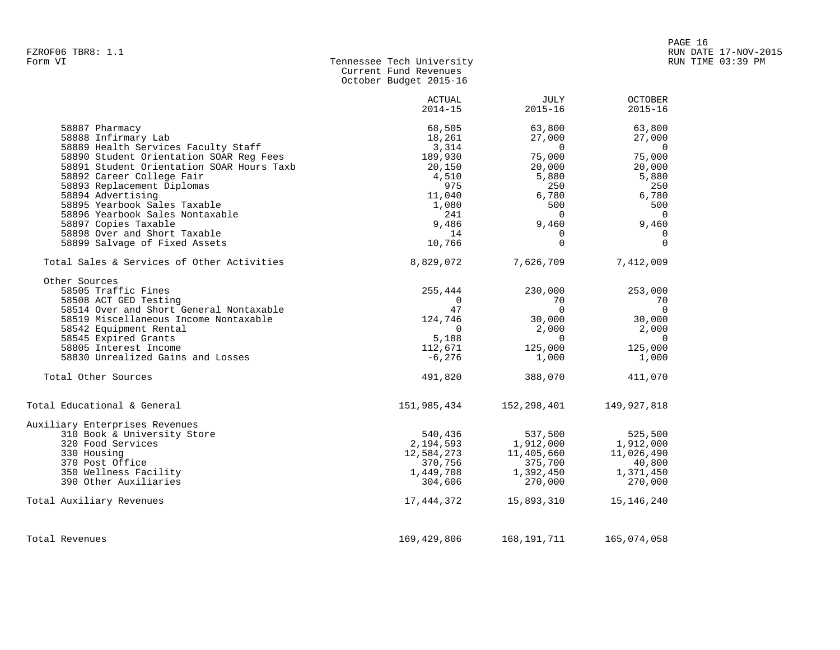| Form VI | Tennessee Tech University |  |
|---------|---------------------------|--|
|         | Current Fund Revenues     |  |
|         | October Budget 2015-16    |  |

|                                                                                | <b>ACTUAL</b><br>$2014 - 15$ | <b>JULY</b><br>$2015 - 16$ | <b>OCTOBER</b><br>$2015 - 16$ |
|--------------------------------------------------------------------------------|------------------------------|----------------------------|-------------------------------|
| 58887 Pharmacy                                                                 | 68,505                       | 63,800                     | 63,800                        |
| 58888 Infirmary Lab                                                            | 18,261                       | 27,000                     | 27,000                        |
| 58889 Health Services Faculty Staff<br>58890 Student Orientation SOAR Reg Fees | 3,314<br>189,930             | $\Omega$<br>75,000         | $\overline{0}$<br>75,000      |
| 58891 Student Orientation SOAR Hours Taxb                                      | 20,150                       | 20,000                     | 20,000                        |
| 58892 Career College Fair                                                      | 4,510                        | 5,880                      | 5,880                         |
| 58893 Replacement Diplomas                                                     | 975                          | 250                        | 250                           |
| 58894 Advertising                                                              | 11,040                       | 6,780                      | 6,780                         |
| 58895 Yearbook Sales Taxable                                                   | 1,080                        | 500                        | 500                           |
| 58896 Yearbook Sales Nontaxable                                                | 241                          | $\Omega$                   | $\Omega$                      |
| 58897 Copies Taxable                                                           | 9,486                        | 9,460                      | 9,460                         |
| 58898 Over and Short Taxable                                                   | 14                           | 0                          | 0                             |
| 58899 Salvage of Fixed Assets                                                  | 10,766                       | $\Omega$                   | $\Omega$                      |
| Total Sales & Services of Other Activities                                     | 8,829,072                    | 7,626,709                  | 7,412,009                     |
| Other Sources<br>58505 Traffic Fines                                           |                              |                            |                               |
| 58508 ACT GED Testing                                                          | 255,444<br>$\Omega$          | 230,000<br>70              | 253,000<br>70                 |
| 58514 Over and Short General Nontaxable                                        | 47                           | $\Omega$                   | $\Omega$                      |
| 58519 Miscellaneous Income Nontaxable                                          | 124,746                      | 30,000                     | 30,000                        |
| 58542 Equipment Rental                                                         | $\mathbf 0$                  | 2,000                      | 2,000                         |
| 58545 Expired Grants                                                           | 5,188                        | $\overline{0}$             | $\overline{0}$                |
| 58805 Interest Income                                                          | 112,671                      | 125,000                    | 125,000                       |
| 58830 Unrealized Gains and Losses                                              | $-6,276$                     | 1,000                      | 1,000                         |
| Total Other Sources                                                            | 491,820                      | 388,070                    | 411,070                       |
| Total Educational & General                                                    | 151,985,434                  | 152,298,401                | 149,927,818                   |
| Auxiliary Enterprises Revenues                                                 |                              |                            |                               |
| 310 Book & University Store                                                    | 540,436                      | 537,500                    | 525,500                       |
| 320 Food Services                                                              | 2,194,593                    | 1,912,000                  | 1,912,000                     |
| 330 Housing                                                                    | 12,584,273                   | 11,405,660                 | 11,026,490                    |
| 370 Post Office                                                                | 370,756                      | 375,700                    | 40,800                        |
| 350 Wellness Facility<br>390 Other Auxiliaries                                 | 1,449,708<br>304,606         | 1,392,450                  | 1,371,450                     |
|                                                                                |                              | 270,000                    | 270,000                       |
| Total Auxiliary Revenues                                                       | 17,444,372                   | 15,893,310                 | 15,146,240                    |
| Total Revenues                                                                 | 169, 429, 806                | 168, 191, 711              | 165,074,058                   |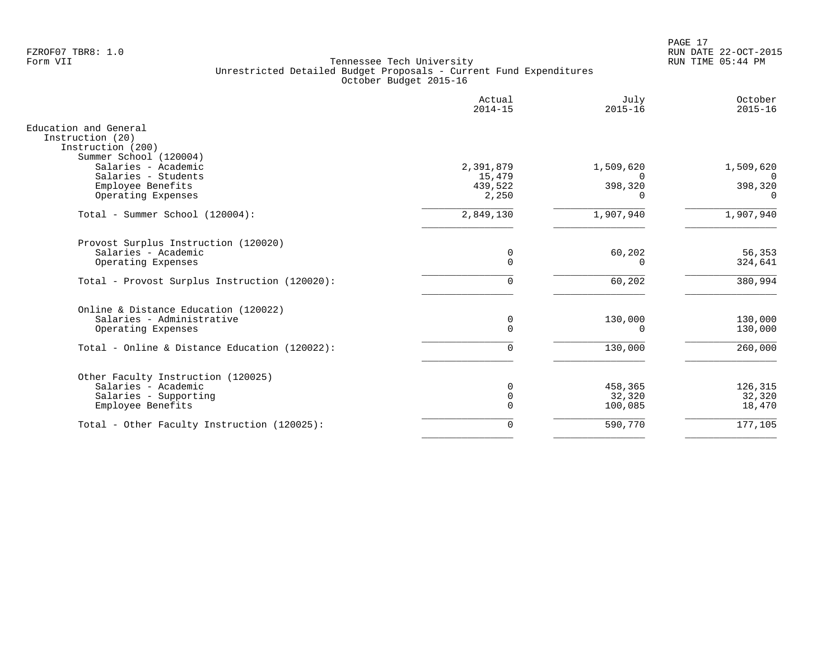PAGE 17 FZROF07 TBR8: 1.0 RUN DATE 22-OCT-2015

|                                                                | Actual<br>$2014 - 15$ | July<br>$2015 - 16$ | October<br>$2015 - 16$ |
|----------------------------------------------------------------|-----------------------|---------------------|------------------------|
| Education and General<br>Instruction (20)<br>Instruction (200) |                       |                     |                        |
| Summer School (120004)<br>Salaries - Academic                  | 2,391,879             | 1,509,620           | 1,509,620              |
| Salaries - Students                                            | 15,479                | $\Omega$            | $\Omega$               |
| Employee Benefits                                              | 439,522               | 398,320             | 398,320                |
| Operating Expenses                                             | 2,250                 | $\Omega$            | $\Omega$               |
| Total - Summer School (120004):                                | 2,849,130             | 1,907,940           | 1,907,940              |
| Provost Surplus Instruction (120020)                           |                       |                     |                        |
| Salaries - Academic                                            | 0                     | 60,202              | 56,353                 |
| Operating Expenses                                             | $\mathbf 0$           | $\Omega$            | 324,641                |
| Total - Provost Surplus Instruction (120020):                  | $\mathbf 0$           | 60,202              | 380,994                |
| Online & Distance Education (120022)                           |                       |                     |                        |
| Salaries - Administrative                                      | $\mathbf 0$           | 130,000             | 130,000                |
| Operating Expenses                                             | $\Omega$              | $\Omega$            | 130,000                |
| Total - Online & Distance Education (120022):                  | $\Omega$              | 130,000             | 260,000                |
| Other Faculty Instruction (120025)                             |                       |                     |                        |
| Salaries - Academic                                            | $\mathbf 0$           | 458,365             | 126,315                |
| Salaries - Supporting                                          | $\mathbf 0$           | 32,320              | 32,320                 |
| Employee Benefits                                              | $\mathbf 0$           | 100,085             | 18,470                 |
| Total - Other Faculty Instruction (120025):                    | $\mathbf 0$           | 590,770             | 177,105                |
|                                                                |                       |                     |                        |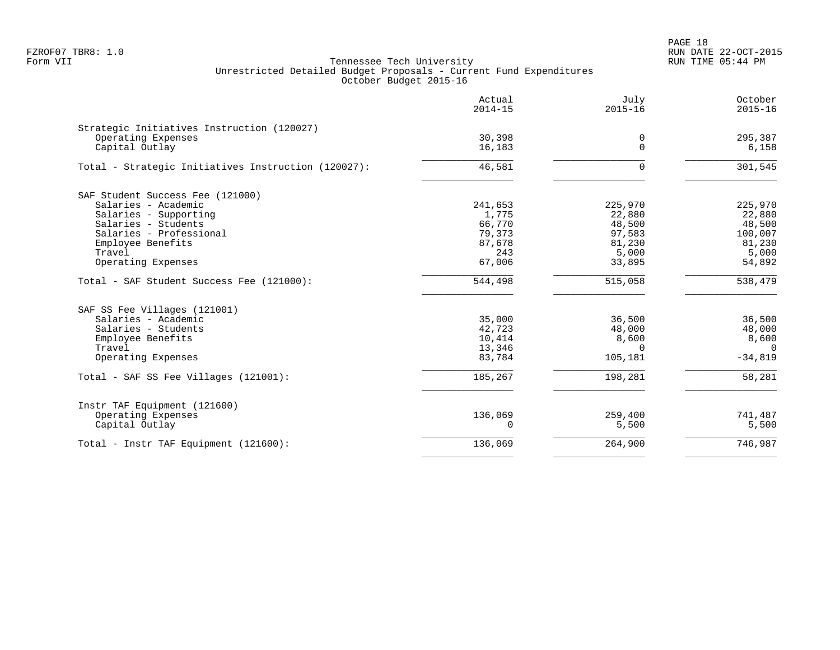PAGE 18 FZROF07 TBR8: 1.0 RUN DATE 22-OCT-2015

|                                                     | Actual<br>$2014 - 15$ | July<br>$2015 - 16$ | October<br>$2015 - 16$ |
|-----------------------------------------------------|-----------------------|---------------------|------------------------|
| Strategic Initiatives Instruction (120027)          |                       |                     |                        |
| Operating Expenses                                  | 30,398                | 0                   | 295,387                |
| Capital Outlay                                      | 16,183                | $\Omega$            | 6,158                  |
| Total - Strategic Initiatives Instruction (120027): | 46,581                | $\mathbf 0$         | 301,545                |
| SAF Student Success Fee (121000)                    |                       |                     |                        |
| Salaries - Academic                                 | 241,653               | 225,970             | 225,970                |
| Salaries - Supporting                               | 1,775                 | 22,880              | 22,880                 |
| Salaries - Students                                 | 66,770                | 48,500              | 48,500                 |
| Salaries - Professional                             | 79,373                | 97,583              | 100,007                |
| Employee Benefits                                   | 87,678                | 81,230              | 81,230                 |
| Travel                                              | 243                   | 5,000               | 5,000                  |
| Operating Expenses                                  | 67,006                | 33,895              | 54,892                 |
| Total - SAF Student Success Fee (121000):           | 544,498               | 515,058             | 538,479                |
| SAF SS Fee Villages (121001)                        |                       |                     |                        |
| Salaries - Academic                                 | 35,000                | 36,500              | 36,500                 |
| Salaries - Students                                 | 42,723                | 48,000              | 48,000                 |
| Employee Benefits                                   | 10,414                | 8,600               | 8,600                  |
| Travel                                              | 13,346                | $\Omega$            | $\Omega$               |
| Operating Expenses                                  | 83,784                | 105,181             | $-34,819$              |
| Total - SAF SS Fee Villages (121001):               | 185,267               | 198,281             | 58,281                 |
| Instr TAF Equipment (121600)                        |                       |                     |                        |
| Operating Expenses                                  | 136,069               | 259,400             | 741,487                |
| Capital Outlay                                      | $\Omega$              | 5,500               | 5,500                  |
| Total - Instr TAF Equipment (121600):               | 136,069               | 264,900             | 746,987                |
|                                                     |                       |                     |                        |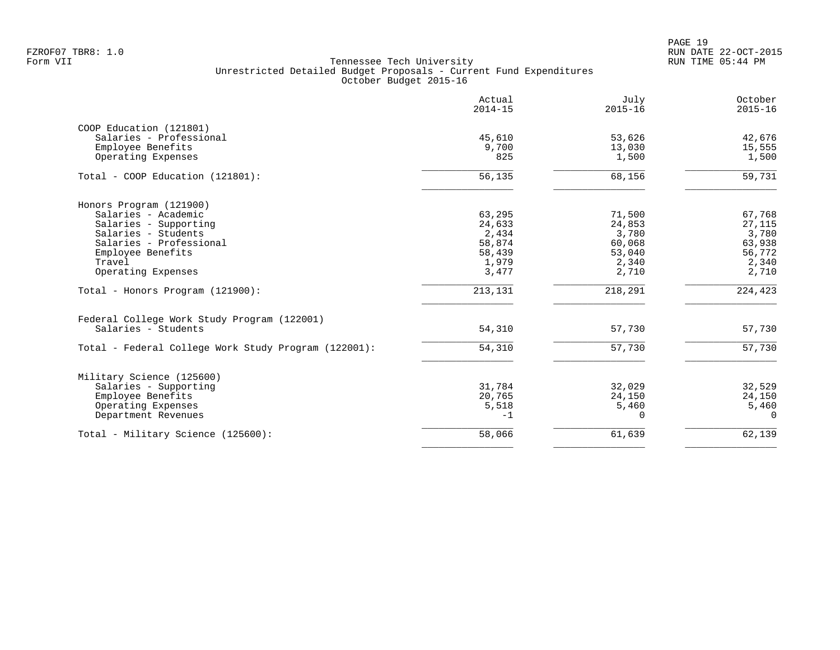|                                                      | Actual<br>$2014 - 15$ | July<br>$2015 - 16$ | October<br>$2015 - 16$ |
|------------------------------------------------------|-----------------------|---------------------|------------------------|
| COOP Education (121801)                              |                       |                     |                        |
| Salaries - Professional                              | 45,610                | 53,626              | 42,676                 |
| Employee Benefits                                    | 9,700                 | 13,030              | 15,555                 |
| Operating Expenses                                   | 825                   | 1,500               | 1,500                  |
| Total - COOP Education (121801):                     | 56,135                | 68,156              | 59,731                 |
| Honors Program (121900)                              |                       |                     |                        |
| Salaries - Academic                                  | 63,295                | 71,500              | 67,768                 |
| Salaries - Supporting                                | 24,633                | 24,853              | 27,115                 |
| Salaries - Students                                  | 2,434                 | 3,780               | 3,780                  |
| Salaries - Professional                              | 58,874                | 60,068              | 63,938                 |
| Employee Benefits                                    | 58,439                | 53,040              | 56,772                 |
| Travel                                               | 1,979                 | 2,340               | 2,340                  |
| Operating Expenses                                   | 3,477                 | 2,710               | 2,710                  |
| Total - Honors Program (121900):                     | 213,131               | 218,291             | 224,423                |
| Federal College Work Study Program (122001)          |                       |                     |                        |
| Salaries - Students                                  | 54,310                | 57,730              | 57,730                 |
| Total - Federal College Work Study Program (122001): | 54,310                | 57,730              | 57,730                 |
| Military Science (125600)                            |                       |                     |                        |
| Salaries - Supporting                                | 31,784                | 32,029              | 32,529                 |
| Employee Benefits                                    | 20,765                | 24,150              | 24,150                 |
| Operating Expenses                                   | 5,518                 | 5,460               | 5,460                  |
| Department Revenues                                  | $-1$                  | $\Omega$            | $\Omega$               |
| Total - Military Science (125600):                   | 58,066                | 61,639              | 62,139                 |
|                                                      |                       |                     |                        |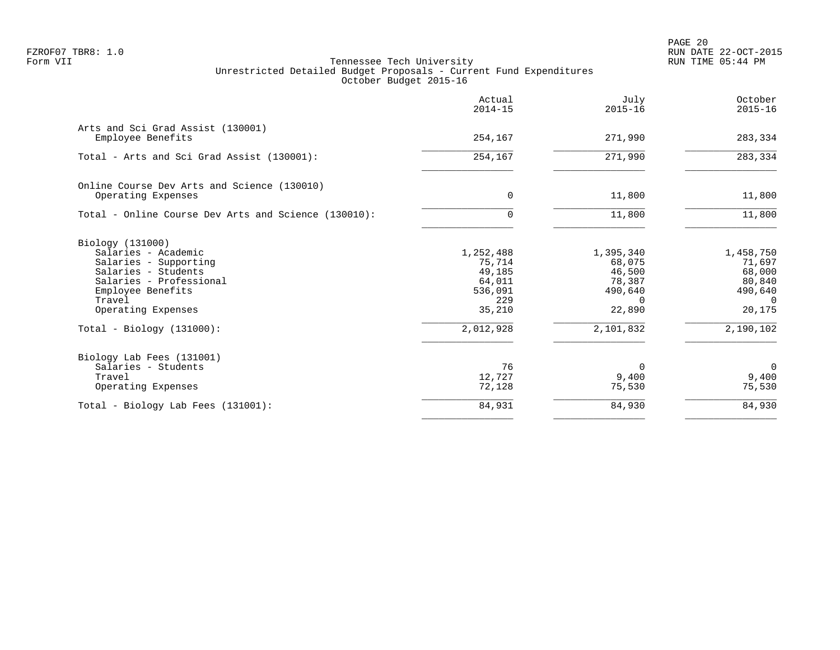PAGE 20 FZROF07 TBR8: 1.0 RUN DATE 22-OCT-2015

|                                                                                                                                                                                                        | Actual<br>$2014 - 15$                                                            | July<br>$2015 - 16$                                                                   | October<br>$2015 - 16$                                                                |
|--------------------------------------------------------------------------------------------------------------------------------------------------------------------------------------------------------|----------------------------------------------------------------------------------|---------------------------------------------------------------------------------------|---------------------------------------------------------------------------------------|
| Arts and Sci Grad Assist (130001)<br>Employee Benefits                                                                                                                                                 | 254,167                                                                          | 271,990                                                                               | 283,334                                                                               |
| Total - Arts and Sci Grad Assist (130001):                                                                                                                                                             | 254,167                                                                          | 271,990                                                                               | 283,334                                                                               |
| Online Course Dev Arts and Science (130010)<br>Operating Expenses                                                                                                                                      | $\mathbf 0$                                                                      | 11,800                                                                                | 11,800                                                                                |
| Total - Online Course Dev Arts and Science (130010):                                                                                                                                                   | $\mathbf 0$                                                                      | 11,800                                                                                | 11,800                                                                                |
| Biology (131000)<br>Salaries - Academic<br>Salaries - Supporting<br>Salaries - Students<br>Salaries - Professional<br>Employee Benefits<br>Travel<br>Operating Expenses<br>$Total - Biology (131000):$ | 1,252,488<br>75,714<br>49,185<br>64,011<br>536,091<br>229<br>35,210<br>2,012,928 | 1,395,340<br>68,075<br>46,500<br>78,387<br>490,640<br>$\Omega$<br>22,890<br>2,101,832 | 1,458,750<br>71,697<br>68,000<br>80,840<br>490,640<br>$\Omega$<br>20,175<br>2,190,102 |
| Biology Lab Fees (131001)<br>Salaries - Students<br>Travel<br>Operating Expenses                                                                                                                       | 76<br>12,727<br>72,128                                                           | $\Omega$<br>9,400<br>75,530                                                           | $\mathbf 0$<br>9,400<br>75,530                                                        |
| Total - Biology Lab Fees (131001):                                                                                                                                                                     | 84,931                                                                           | 84,930                                                                                | 84,930                                                                                |
|                                                                                                                                                                                                        |                                                                                  |                                                                                       |                                                                                       |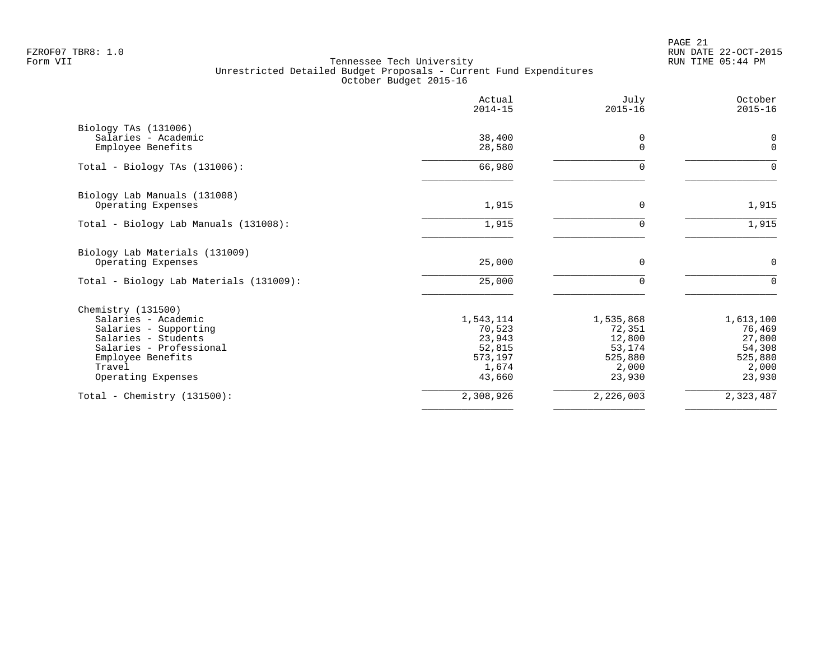PAGE 21 FZROF07 TBR8: 1.0 RUN DATE 22-OCT-2015

|                                                                                                                                                                           | Actual<br>$2014 - 15$                                                 | July<br>$2015 - 16$                                                   | October<br>$2015 - 16$                                                |
|---------------------------------------------------------------------------------------------------------------------------------------------------------------------------|-----------------------------------------------------------------------|-----------------------------------------------------------------------|-----------------------------------------------------------------------|
| Biology TAs (131006)<br>Salaries - Academic<br>Employee Benefits                                                                                                          | 38,400<br>28,580                                                      | $\Omega$<br>$\Omega$                                                  | 0<br>$\mathbf 0$                                                      |
| Total - Biology TAs $(131006)$ :                                                                                                                                          | 66,980                                                                |                                                                       | 0                                                                     |
| Biology Lab Manuals (131008)<br>Operating Expenses                                                                                                                        | 1,915                                                                 | 0                                                                     | 1,915                                                                 |
| Total - Biology Lab Manuals (131008):                                                                                                                                     | 1,915                                                                 |                                                                       | 1,915                                                                 |
| Biology Lab Materials (131009)<br>Operating Expenses                                                                                                                      | 25,000                                                                | $\mathbf 0$                                                           | 0                                                                     |
| Total - Biology Lab Materials (131009):                                                                                                                                   | 25,000                                                                | ∩                                                                     | $\Omega$                                                              |
| Chemistry (131500)<br>Salaries - Academic<br>Salaries - Supporting<br>Salaries - Students<br>Salaries - Professional<br>Employee Benefits<br>Travel<br>Operating Expenses | 1,543,114<br>70,523<br>23,943<br>52,815<br>573,197<br>1,674<br>43,660 | 1,535,868<br>72,351<br>12,800<br>53,174<br>525,880<br>2,000<br>23,930 | 1,613,100<br>76,469<br>27,800<br>54,308<br>525,880<br>2,000<br>23,930 |
| Total - Chemistry $(131500)$ :                                                                                                                                            | 2,308,926                                                             | 2,226,003                                                             | 2,323,487                                                             |
|                                                                                                                                                                           |                                                                       |                                                                       |                                                                       |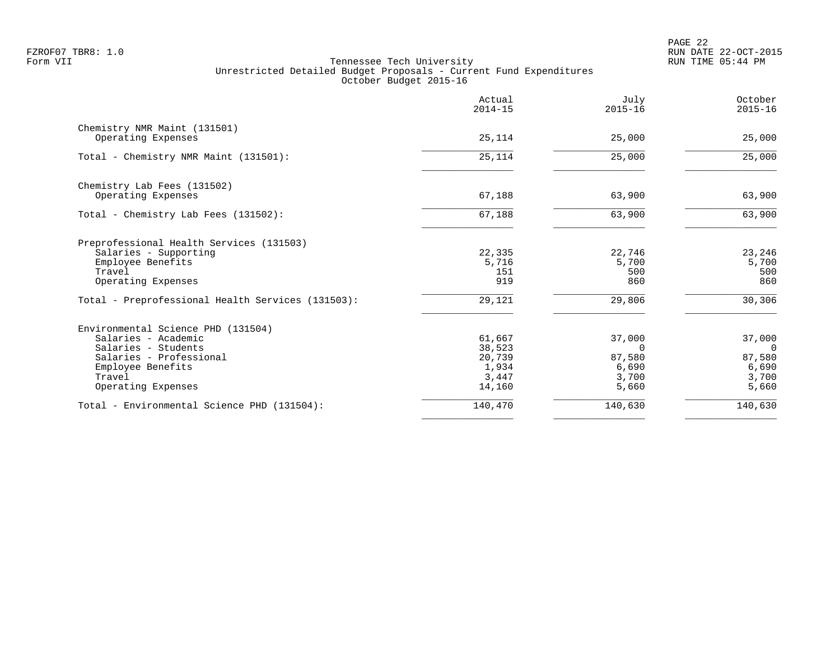|                                                    | Actual<br>$2014 - 15$ | July<br>$2015 - 16$ | October<br>$2015 - 16$ |
|----------------------------------------------------|-----------------------|---------------------|------------------------|
| Chemistry NMR Maint (131501)<br>Operating Expenses | 25,114                | 25,000              | 25,000                 |
|                                                    |                       |                     |                        |
| Total - Chemistry NMR Maint (131501):              | 25,114                | 25,000              | 25,000                 |
| Chemistry Lab Fees (131502)                        |                       |                     |                        |
| Operating Expenses                                 | 67,188                | 63,900              | 63,900                 |
| Total - Chemistry Lab Fees (131502):               | 67,188                | 63,900              | 63,900                 |
| Preprofessional Health Services (131503)           |                       |                     |                        |
| Salaries - Supporting                              | 22,335                | 22,746              | 23,246                 |
| Employee Benefits                                  | 5,716                 | 5,700               | 5,700                  |
| Travel                                             | 151                   | 500                 | 500                    |
| Operating Expenses                                 | 919                   | 860                 | 860                    |
| Total - Preprofessional Health Services (131503):  | 29,121                | 29,806              | 30,306                 |
| Environmental Science PHD (131504)                 |                       |                     |                        |
| Salaries - Academic                                | 61,667                | 37,000              | 37,000                 |
| Salaries - Students                                | 38,523                | $\Omega$            | $\Omega$               |
| Salaries - Professional                            | 20,739                | 87,580              | 87,580                 |
| Employee Benefits                                  | 1,934                 | 6,690               | 6,690                  |
| Travel<br>Operating Expenses                       | 3,447<br>14,160       | 3,700<br>5,660      | 3,700<br>5,660         |
|                                                    |                       |                     |                        |
| Total - Environmental Science PHD (131504):        | 140,470               | 140,630             | 140,630                |
|                                                    |                       |                     |                        |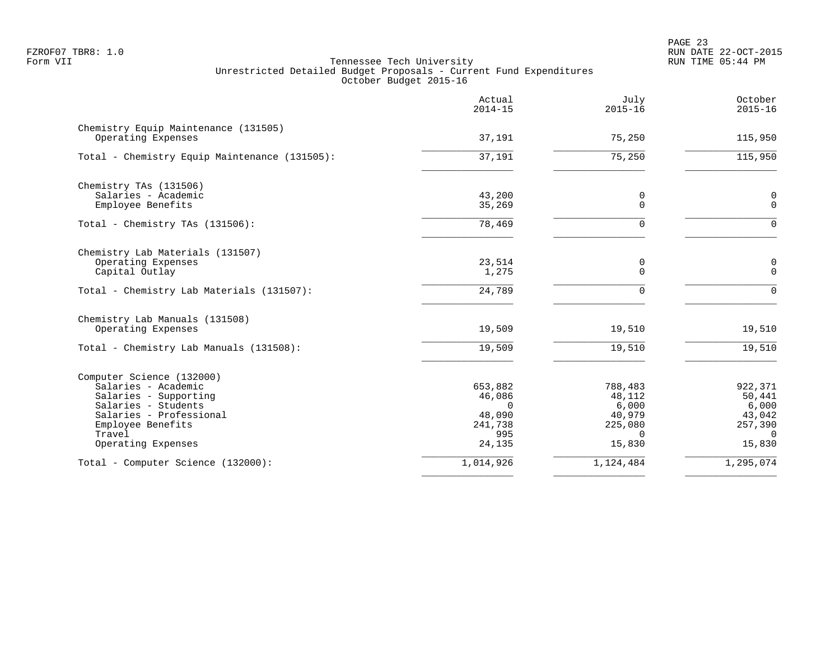PAGE 23 FZROF07 TBR8: 1.0 RUN DATE 22-OCT-2015

| Actual<br>$2014 - 15$ | July<br>$2015 - 16$                                                                   | October<br>$2015 - 16$                                                                                             |
|-----------------------|---------------------------------------------------------------------------------------|--------------------------------------------------------------------------------------------------------------------|
|                       |                                                                                       | 115,950                                                                                                            |
|                       |                                                                                       |                                                                                                                    |
| 37,191                | 75,250                                                                                | 115,950                                                                                                            |
|                       |                                                                                       |                                                                                                                    |
| 43,200                | 0                                                                                     | $\mathsf 0$                                                                                                        |
|                       |                                                                                       | $\mathsf{O}$                                                                                                       |
| 78,469                | $\Omega$                                                                              | $\mathbf 0$                                                                                                        |
|                       |                                                                                       |                                                                                                                    |
| 23,514                | 0                                                                                     | $\mathsf 0$                                                                                                        |
|                       |                                                                                       | $\overline{0}$                                                                                                     |
| 24,789                | $\Omega$                                                                              | $\Omega$                                                                                                           |
|                       |                                                                                       |                                                                                                                    |
|                       |                                                                                       | 19,510                                                                                                             |
| 19,509                | 19,510                                                                                | 19,510                                                                                                             |
|                       |                                                                                       |                                                                                                                    |
| 653,882               | 788,483                                                                               | 922,371                                                                                                            |
|                       |                                                                                       | 50,441                                                                                                             |
|                       |                                                                                       | 6,000                                                                                                              |
|                       |                                                                                       | 43,042                                                                                                             |
|                       |                                                                                       | 257,390                                                                                                            |
| 24,135                | 15,830                                                                                | $\Omega$<br>15,830                                                                                                 |
|                       |                                                                                       | 1,295,074                                                                                                          |
|                       | 37,191<br>35,269<br>1,275<br>19,509<br>46,086<br>$\Omega$<br>48,090<br>241,738<br>995 | 75,250<br>$\mathbf 0$<br>0<br>19,510<br>48,112<br>6,000<br>40,979<br>225,080<br>$\Omega$<br>1,014,926<br>1,124,484 |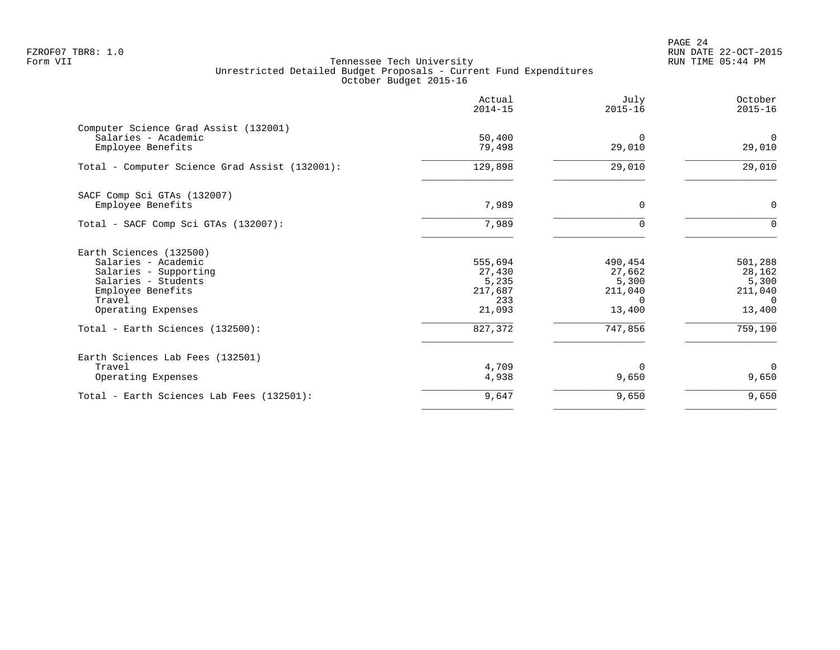PAGE 24 FZROF07 TBR8: 1.0 RUN DATE 22-OCT-2015

|                                                                                                                                                     | Actual<br>$2014 - 15$                                  | July<br>$2015 - 16$                                         | October<br>$2015 - 16$                                      |
|-----------------------------------------------------------------------------------------------------------------------------------------------------|--------------------------------------------------------|-------------------------------------------------------------|-------------------------------------------------------------|
| Computer Science Grad Assist (132001)<br>Salaries - Academic<br>Employee Benefits                                                                   | 50,400<br>79,498                                       | 0<br>29,010                                                 | $\mathbf{0}$<br>29,010                                      |
| Total - Computer Science Grad Assist (132001):                                                                                                      | 129,898                                                | 29,010                                                      | 29,010                                                      |
| SACF Comp Sci GTAs (132007)<br>Employee Benefits                                                                                                    | 7,989                                                  | 0                                                           | $\mathbf 0$                                                 |
| Total - SACF Comp Sci GTAs (132007):                                                                                                                | 7,989                                                  | $\Omega$                                                    | $\Omega$                                                    |
| Earth Sciences (132500)<br>Salaries - Academic<br>Salaries - Supporting<br>Salaries - Students<br>Employee Benefits<br>Travel<br>Operating Expenses | 555,694<br>27,430<br>5,235<br>217,687<br>233<br>21,093 | 490,454<br>27,662<br>5,300<br>211,040<br>$\Omega$<br>13,400 | 501,288<br>28,162<br>5,300<br>211,040<br>$\Omega$<br>13,400 |
| Total - Earth Sciences (132500):                                                                                                                    | 827,372                                                | 747,856                                                     | 759,190                                                     |
| Earth Sciences Lab Fees (132501)<br>Travel<br>Operating Expenses                                                                                    | 4,709<br>4,938                                         | $\Omega$<br>9,650                                           | $\Omega$<br>9,650                                           |
| Total - Earth Sciences Lab Fees (132501):                                                                                                           | 9,647                                                  | 9,650                                                       | 9,650                                                       |
|                                                                                                                                                     |                                                        |                                                             |                                                             |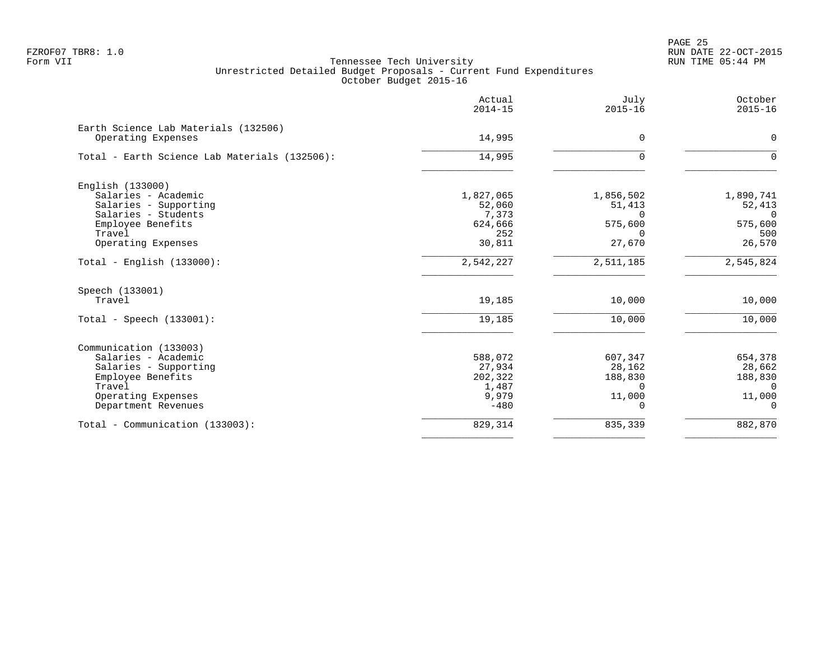PAGE 25 FZROF07 TBR8: 1.0 RUN DATE 22-OCT-2015

|                                                                                                                                                    | Actual<br>$2014 - 15$                                    | July<br>$2015 - 16$                                            | October<br>$2015 - 16$                                  |
|----------------------------------------------------------------------------------------------------------------------------------------------------|----------------------------------------------------------|----------------------------------------------------------------|---------------------------------------------------------|
| Earth Science Lab Materials (132506)<br>Operating Expenses                                                                                         | 14,995                                                   | $\mathbf 0$                                                    | $\mathbf 0$                                             |
| Total - Earth Science Lab Materials (132506):                                                                                                      | 14,995                                                   | $\Omega$                                                       | $\Omega$                                                |
| English (133000)<br>Salaries - Academic<br>Salaries - Supporting                                                                                   | 1,827,065<br>52,060                                      | 1,856,502<br>51,413                                            | 1,890,741<br>52,413                                     |
| Salaries - Students<br>Employee Benefits<br>Travel<br>Operating Expenses                                                                           | 7,373<br>624,666<br>252<br>30,811                        | $\Omega$<br>575,600<br>$\Omega$<br>27,670                      | $\Omega$<br>575,600<br>500<br>26,570                    |
| Total - English $(133000)$ :                                                                                                                       | 2,542,227                                                | 2,511,185                                                      | 2,545,824                                               |
| Speech (133001)<br>Travel                                                                                                                          | 19,185                                                   | 10,000                                                         | 10,000                                                  |
| Total - Speech $(133001)$ :                                                                                                                        | 19,185                                                   | 10,000                                                         | 10,000                                                  |
| Communication (133003)<br>Salaries - Academic<br>Salaries - Supporting<br>Employee Benefits<br>Travel<br>Operating Expenses<br>Department Revenues | 588,072<br>27,934<br>202,322<br>1,487<br>9,979<br>$-480$ | 607,347<br>28,162<br>188,830<br>$\Omega$<br>11,000<br>$\Omega$ | 654,378<br>28,662<br>188,830<br>$\Omega$<br>11,000<br>0 |
| Total - Communication (133003):                                                                                                                    | 829,314                                                  | 835,339                                                        | 882,870                                                 |
|                                                                                                                                                    |                                                          |                                                                |                                                         |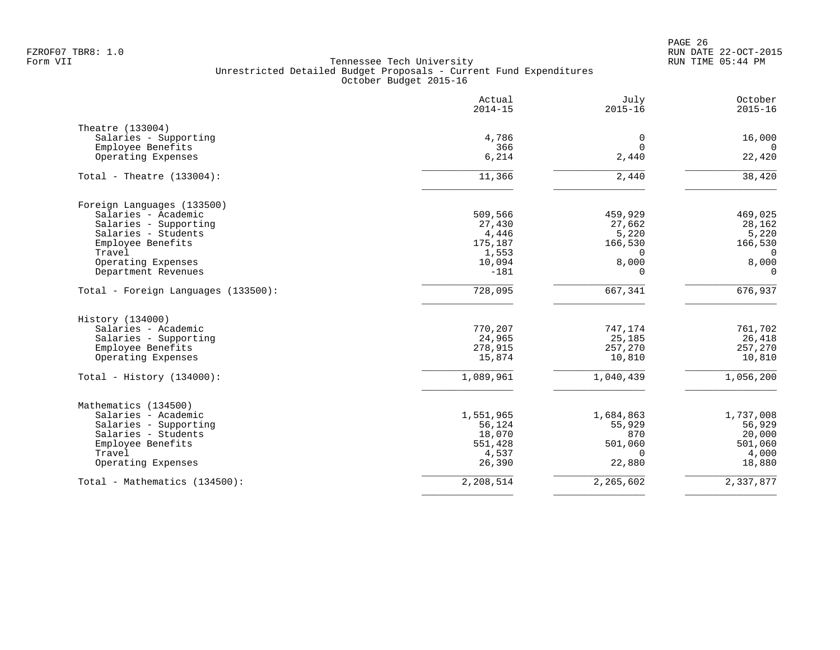|                                     | Actual<br>$2014 - 15$ | July<br>$2015 - 16$ | October<br>$2015 - 16$ |
|-------------------------------------|-----------------------|---------------------|------------------------|
| Theatre (133004)                    |                       |                     |                        |
| Salaries - Supporting               | 4,786                 | 0                   | 16,000                 |
| Employee Benefits                   | 366                   | $\Omega$            | $\Omega$               |
| Operating Expenses                  | 6,214                 | 2,440               | 22,420                 |
| Total - Theatre $(133004)$ :        | 11,366                | 2,440               | 38,420                 |
| Foreign Languages (133500)          |                       |                     |                        |
| Salaries - Academic                 | 509,566               | 459,929             | 469,025                |
| Salaries - Supporting               | 27,430                | 27,662              | 28,162                 |
| Salaries - Students                 | 4,446                 | 5,220               | 5,220                  |
| Employee Benefits                   | 175,187               | 166,530             | 166,530                |
| Travel                              | 1,553                 | $\Omega$            | $\Omega$               |
| Operating Expenses                  | 10,094                | 8,000               | 8,000                  |
| Department Revenues                 | $-181$                | $\Omega$            | $\Omega$               |
| Total - Foreign Languages (133500): | 728,095               | 667,341             | 676,937                |
| History (134000)                    |                       |                     |                        |
| Salaries - Academic                 | 770,207               | 747,174             | 761,702                |
| Salaries - Supporting               | 24,965                | 25,185              | 26,418                 |
| Employee Benefits                   | 278,915               | 257,270             | 257,270                |
| Operating Expenses                  | 15,874                | 10,810              | 10,810                 |
| Total - History $(134000)$ :        | 1,089,961             | 1,040,439           | 1,056,200              |
| Mathematics (134500)                |                       |                     |                        |
| Salaries - Academic                 | 1,551,965             | 1,684,863           | 1,737,008              |
| Salaries - Supporting               | 56,124                | 55,929              | 56,929                 |
| Salaries - Students                 | 18,070                | 870                 | 20,000                 |
| Employee Benefits                   | 551,428               | 501,060             | 501,060                |
| Travel                              | 4,537                 | $\Omega$            | 4,000                  |
| Operating Expenses                  | 26,390                | 22,880              | 18,880                 |
| Total - Mathematics (134500):       | 2,208,514             | 2,265,602           | 2,337,877              |
|                                     |                       |                     |                        |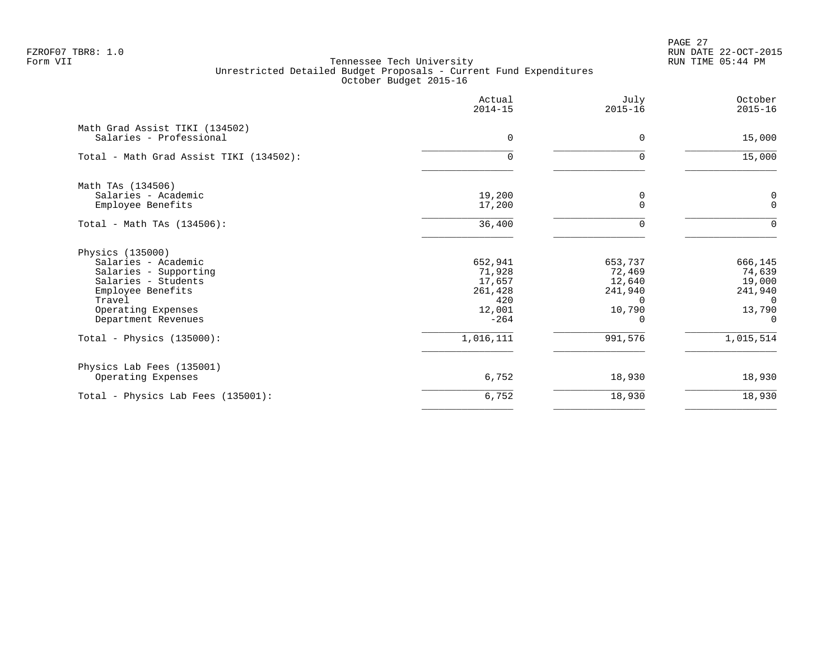PAGE 27 FZROF07 TBR8: 1.0 RUN DATE 22-OCT-2015

|                                                           | Actual<br>$2014 - 15$ | July<br>$2015 - 16$ | October<br>$2015 - 16$ |
|-----------------------------------------------------------|-----------------------|---------------------|------------------------|
| Math Grad Assist TIKI (134502)<br>Salaries - Professional | 0                     | 0                   | 15,000                 |
|                                                           |                       |                     |                        |
| Total - Math Grad Assist TIKI (134502):                   | $\cap$                |                     | 15,000                 |
| Math TAs (134506)                                         |                       |                     |                        |
| Salaries - Academic                                       | 19,200                | 0                   | 0                      |
| Employee Benefits                                         | 17,200                | $\Omega$            | $\mathbf 0$            |
| Total - Math TAs (134506):                                | 36,400                |                     | $\Omega$               |
| Physics (135000)                                          |                       |                     |                        |
| Salaries - Academic                                       | 652,941               | 653,737             | 666,145                |
| Salaries - Supporting                                     | 71,928                | 72,469              | 74,639                 |
| Salaries - Students                                       | 17,657                | 12,640              | 19,000                 |
| Employee Benefits                                         | 261,428               | 241,940             | 241,940                |
| Travel                                                    | 420                   | $\Omega$            | $\Omega$               |
| Operating Expenses<br>Department Revenues                 | 12,001<br>$-264$      | 10,790<br>0         | 13,790<br>$\mathbf 0$  |
| Total - Physics (135000):                                 | 1,016,111             | 991,576             | 1,015,514              |
| Physics Lab Fees (135001)                                 |                       |                     |                        |
| Operating Expenses                                        | 6,752                 | 18,930              | 18,930                 |
| Total - Physics Lab Fees (135001):                        | 6,752                 | 18,930              | 18,930                 |
|                                                           |                       |                     |                        |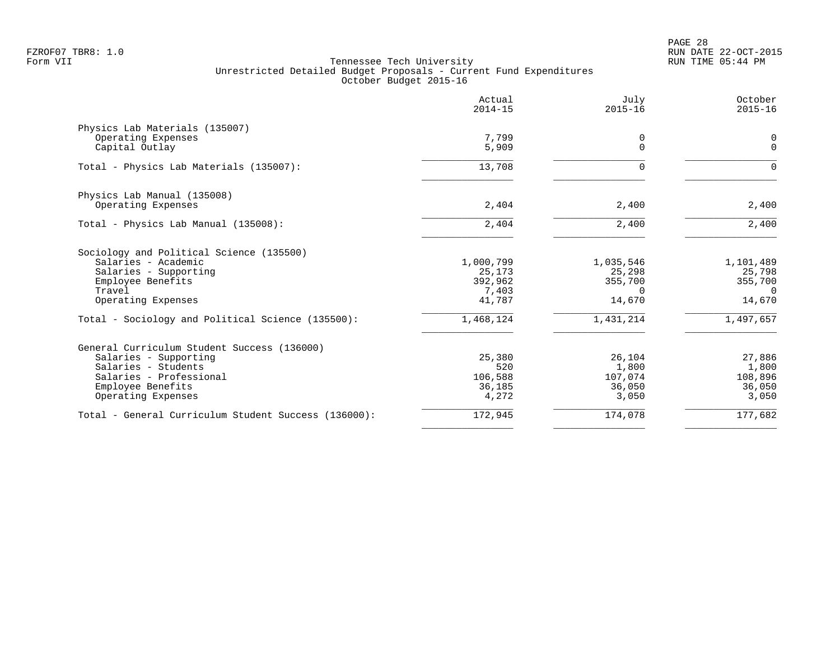PAGE 28 FZROF07 TBR8: 1.0 RUN DATE 22-OCT-2015

|                                                      | Actual<br>$2014 - 15$ | July<br>$2015 - 16$ | October<br>$2015 - 16$ |
|------------------------------------------------------|-----------------------|---------------------|------------------------|
| Physics Lab Materials (135007)                       |                       |                     |                        |
| Operating Expenses<br>Capital Outlay                 | 7,799<br>5,909        | 0<br>$\Omega$       | 0<br>$\mathbf{0}$      |
| Total - Physics Lab Materials (135007):              | 13,708                | $\Omega$            | $\Omega$               |
| Physics Lab Manual (135008)                          |                       |                     |                        |
| Operating Expenses                                   | 2,404                 | 2,400               | 2,400                  |
| Total - Physics Lab Manual (135008):                 | 2,404                 | 2,400               | 2,400                  |
| Sociology and Political Science (135500)             |                       |                     |                        |
| Salaries - Academic                                  | 1,000,799             | 1,035,546           | 1,101,489              |
| Salaries - Supporting<br>Employee Benefits           | 25,173<br>392,962     | 25,298<br>355,700   | 25,798<br>355,700      |
| Travel                                               | 7,403                 | $\Omega$            | $\Omega$               |
| Operating Expenses                                   | 41,787                | 14,670              | 14,670                 |
| Total - Sociology and Political Science (135500):    | 1,468,124             | 1,431,214           | 1,497,657              |
| General Curriculum Student Success (136000)          |                       |                     |                        |
| Salaries - Supporting                                | 25,380                | 26,104              | 27,886                 |
| Salaries - Students                                  | 520                   | 1,800               | 1,800                  |
| Salaries - Professional                              | 106,588               | 107,074             | 108,896                |
| Employee Benefits<br>Operating Expenses              | 36,185<br>4,272       | 36,050<br>3,050     | 36,050<br>3,050        |
| Total - General Curriculum Student Success (136000): | 172,945               | 174,078             | 177,682                |
|                                                      |                       |                     |                        |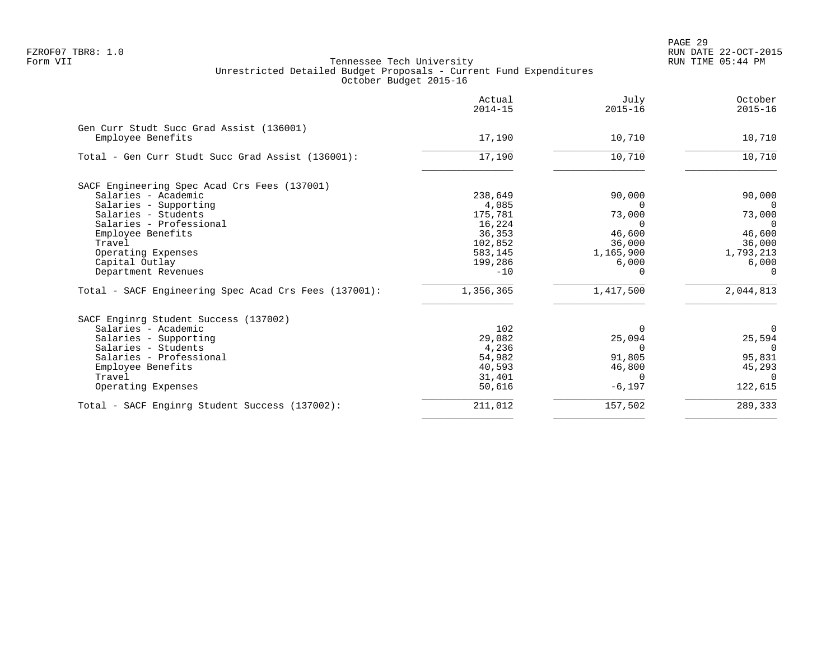PAGE 29 FZROF07 TBR8: 1.0 RUN DATE 22-OCT-2015

|                                                       | Actual<br>$2014 - 15$ | July<br>$2015 - 16$ | October<br>$2015 - 16$ |
|-------------------------------------------------------|-----------------------|---------------------|------------------------|
| Gen Curr Studt Succ Grad Assist (136001)              |                       |                     |                        |
| Employee Benefits                                     | 17,190                | 10,710              | 10,710                 |
| Total - Gen Curr Studt Succ Grad Assist (136001):     | 17,190                | 10,710              | 10,710                 |
| SACF Engineering Spec Acad Crs Fees (137001)          |                       |                     |                        |
| Salaries - Academic                                   | 238,649               | 90,000              | 90,000                 |
| Salaries - Supporting                                 | 4,085                 | $\Omega$            | $\overline{0}$         |
| Salaries - Students                                   | 175,781               | 73,000              | 73,000                 |
| Salaries - Professional                               | 16,224                | $\Omega$            | $\overline{0}$         |
| Employee Benefits                                     | 36,353                | 46,600              | 46,600                 |
| Travel                                                | 102,852               | 36,000              | 36,000                 |
| Operating Expenses                                    | 583,145               | 1,165,900           | 1,793,213              |
| Capital Outlay                                        | 199,286               | 6,000               | 6,000                  |
| Department Revenues                                   | $-10$                 | ∩                   | $\Omega$               |
| Total - SACF Engineering Spec Acad Crs Fees (137001): | 1,356,365             | 1,417,500           | 2,044,813              |
| SACF Enginrg Student Success (137002)                 |                       |                     |                        |
| Salaries - Academic                                   | 102                   |                     | $\Omega$               |
| Salaries - Supporting                                 | 29,082                | 25,094              | 25,594                 |
| Salaries - Students                                   | 4,236                 | $\Omega$            | $\Omega$               |
| Salaries - Professional                               | 54,982                | 91,805              | 95,831                 |
| Employee Benefits                                     | 40,593                | 46,800              | 45,293                 |
| Travel                                                | 31,401                | <sup>n</sup>        | $\cap$                 |
| Operating Expenses                                    | 50,616                | $-6,197$            | 122,615                |
| Total - SACF Enginrg Student Success (137002):        | 211,012               | 157,502             | 289,333                |
|                                                       |                       |                     |                        |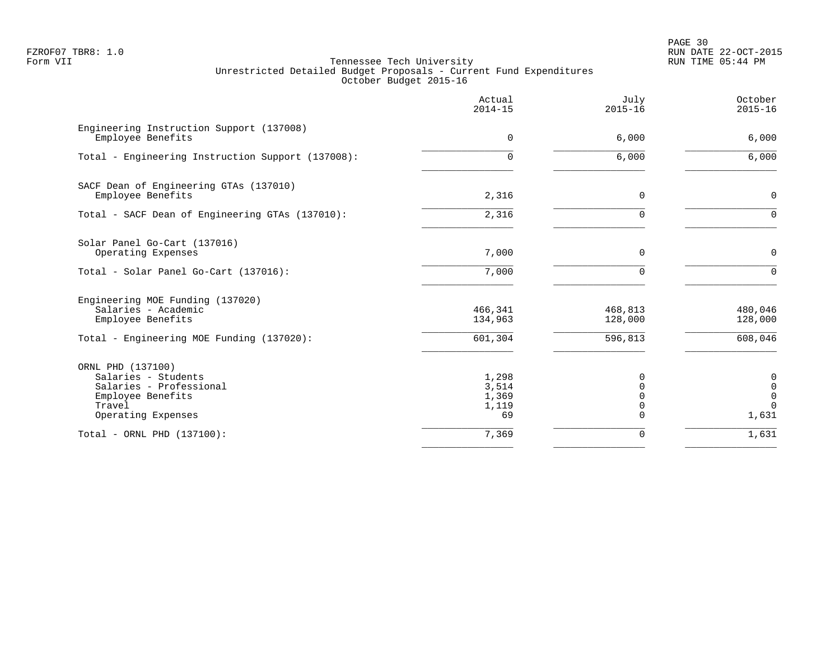PAGE 30 FZROF07 TBR8: 1.0 RUN DATE 22-OCT-2015

|                                                                                                                          | Actual<br>$2014 - 15$                  | July<br>$2015 - 16$ | October<br>$2015 - 16$                     |
|--------------------------------------------------------------------------------------------------------------------------|----------------------------------------|---------------------|--------------------------------------------|
| Engineering Instruction Support (137008)<br>Employee Benefits                                                            | $\Omega$                               | 6,000               | 6,000                                      |
| Total - Engineering Instruction Support (137008):                                                                        | $\Omega$                               | 6,000               | 6,000                                      |
| SACF Dean of Engineering GTAs (137010)<br>Employee Benefits                                                              | 2,316                                  | $\Omega$            | $\mathbf 0$                                |
| Total - SACF Dean of Engineering GTAs (137010):                                                                          | 2,316                                  |                     | $\Omega$                                   |
| Solar Panel Go-Cart (137016)<br>Operating Expenses                                                                       | 7,000                                  | $\Omega$            | $\mathbf 0$                                |
| Total - Solar Panel Go-Cart (137016):                                                                                    | 7,000                                  |                     | $\Omega$                                   |
| Engineering MOE Funding (137020)<br>Salaries - Academic<br>Employee Benefits                                             | 466,341<br>134,963                     | 468,813<br>128,000  | 480,046<br>128,000                         |
| Total - Engineering MOE Funding (137020):                                                                                | 601,304                                | 596,813             | 608,046                                    |
| ORNL PHD (137100)<br>Salaries - Students<br>Salaries - Professional<br>Employee Benefits<br>Travel<br>Operating Expenses | 1,298<br>3,514<br>1,369<br>1,119<br>69 | ∩                   | 0<br>$\mathbf 0$<br>0<br>$\Omega$<br>1,631 |
| Total - ORNL PHD (137100):                                                                                               | 7,369                                  | $\Omega$            | 1,631                                      |
|                                                                                                                          |                                        |                     |                                            |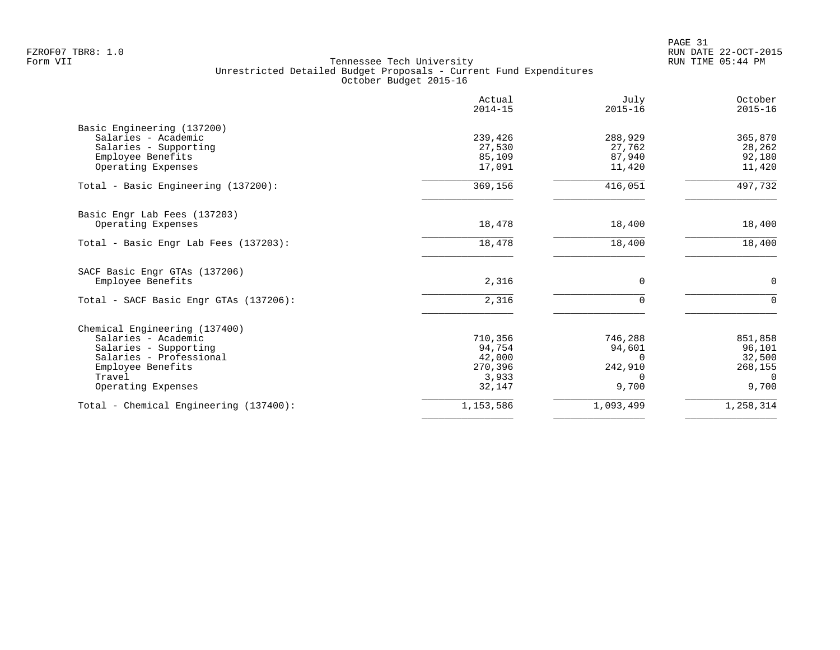|                                        | Actual<br>$2014 - 15$ | July<br>$2015 - 16$ | October<br>$2015 - 16$ |
|----------------------------------------|-----------------------|---------------------|------------------------|
| Basic Engineering (137200)             |                       |                     |                        |
| Salaries - Academic                    | 239,426               | 288,929             | 365,870                |
| Salaries - Supporting                  | 27,530                | 27,762              | 28,262                 |
| Employee Benefits                      | 85,109                | 87,940              | 92,180                 |
| Operating Expenses                     | 17,091                | 11,420              | 11,420                 |
| Total - Basic Engineering (137200):    | 369,156               | 416,051             | 497,732                |
| Basic Engr Lab Fees (137203)           |                       |                     |                        |
| Operating Expenses                     | 18,478                | 18,400              | 18,400                 |
| Total - Basic Engr Lab Fees (137203):  | 18,478                | 18,400              | 18,400                 |
| SACF Basic Engr GTAs (137206)          |                       |                     |                        |
| Employee Benefits                      | 2,316                 | $\Omega$            | $\mathbf 0$            |
| Total - SACF Basic Engr GTAs (137206): | 2,316                 | $\Omega$            | $\Omega$               |
| Chemical Engineering (137400)          |                       |                     |                        |
| Salaries - Academic                    | 710,356               | 746,288             | 851,858                |
| Salaries - Supporting                  | 94,754                | 94,601              | 96,101                 |
| Salaries - Professional                | 42,000                | $\Omega$            | 32,500                 |
| Employee Benefits                      | 270,396               | 242,910             | 268,155                |
| Travel                                 | 3,933                 | $\Omega$            | $\Omega$               |
| Operating Expenses                     | 32,147                | 9,700               | 9,700                  |
| Total - Chemical Engineering (137400): | 1,153,586             | 1,093,499           | 1,258,314              |
|                                        |                       |                     |                        |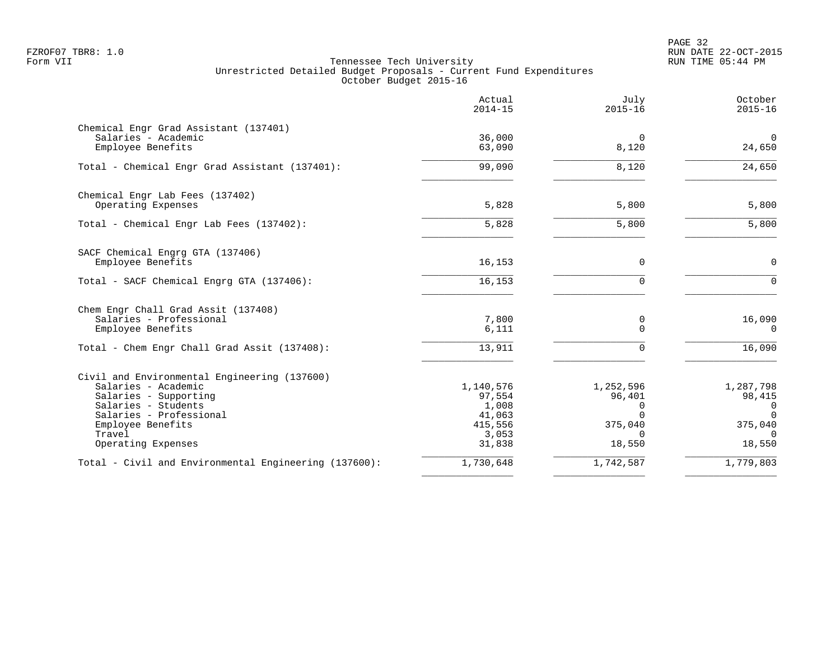PAGE 32 FZROF07 TBR8: 1.0 RUN DATE 22-OCT-2015

|                                                                                                                                                                                                     | Actual<br>$2014 - 15$                                                | July<br>$2015 - 16$                                                   | October<br>$2015 - 16$                                                |
|-----------------------------------------------------------------------------------------------------------------------------------------------------------------------------------------------------|----------------------------------------------------------------------|-----------------------------------------------------------------------|-----------------------------------------------------------------------|
| Chemical Engr Grad Assistant (137401)<br>Salaries - Academic<br>Employee Benefits                                                                                                                   | 36,000<br>63,090                                                     | $\mathbf 0$<br>8,120                                                  | $\overline{0}$<br>24,650                                              |
| Total - Chemical Engr Grad Assistant (137401):                                                                                                                                                      | 99,090                                                               | 8,120                                                                 | 24,650                                                                |
| Chemical Engr Lab Fees (137402)<br>Operating Expenses                                                                                                                                               | 5,828                                                                | 5,800                                                                 | 5,800                                                                 |
| Total - Chemical Engr Lab Fees (137402):                                                                                                                                                            | $\overline{5,828}$                                                   | 5,800                                                                 | 5,800                                                                 |
| SACF Chemical Engrg GTA (137406)<br>Employee Benefits                                                                                                                                               | 16,153                                                               | $\mathbf 0$                                                           | $\mathbf 0$                                                           |
| Total - SACF Chemical Engrg GTA (137406):                                                                                                                                                           | 16,153                                                               | $\Omega$                                                              | $\Omega$                                                              |
| Chem Engr Chall Grad Assit (137408)<br>Salaries - Professional<br>Employee Benefits                                                                                                                 | 7,800<br>6,111                                                       | 0<br>$\Omega$                                                         | 16,090<br>$\Omega$                                                    |
| Total - Chem Engr Chall Grad Assit (137408):                                                                                                                                                        | 13,911                                                               | $\mathbf 0$                                                           | 16,090                                                                |
| Civil and Environmental Engineering (137600)<br>Salaries - Academic<br>Salaries - Supporting<br>Salaries - Students<br>Salaries - Professional<br>Employee Benefits<br>Travel<br>Operating Expenses | 1,140,576<br>97,554<br>1,008<br>41,063<br>415,556<br>3,053<br>31,838 | 1,252,596<br>96,401<br>0<br>$\Omega$<br>375,040<br>$\Omega$<br>18,550 | 1,287,798<br>98,415<br>0<br>$\Omega$<br>375,040<br>$\Omega$<br>18,550 |
| Total - Civil and Environmental Engineering (137600):                                                                                                                                               | 1,730,648                                                            | 1,742,587                                                             | 1,779,803                                                             |
|                                                                                                                                                                                                     |                                                                      |                                                                       |                                                                       |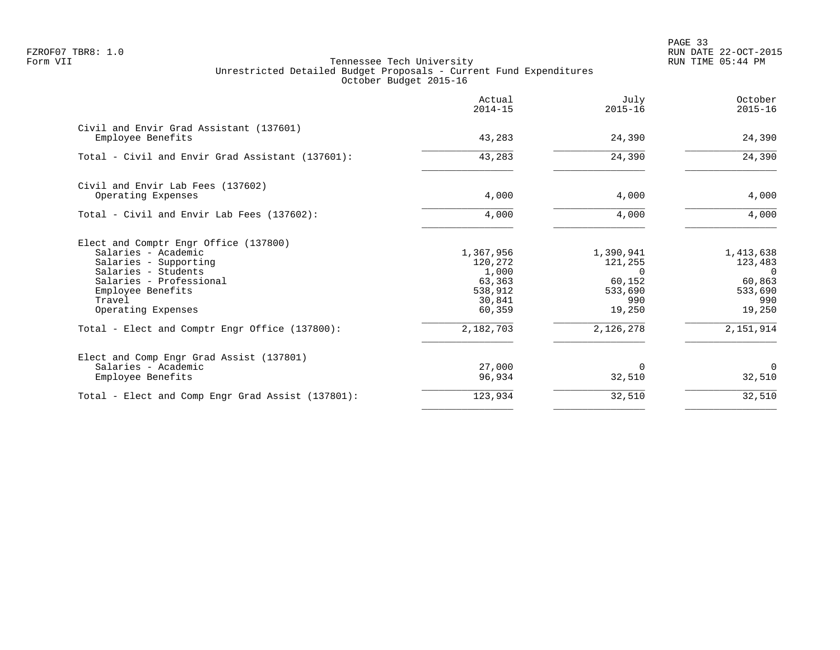PAGE 33 FZROF07 TBR8: 1.0 RUN DATE 22-OCT-2015

|                                                                                                                                                                                              | Actual<br>$2014 - 15$                                                  | July<br>$2015 - 16$                                             | October<br>$2015 - 16$                                                 |
|----------------------------------------------------------------------------------------------------------------------------------------------------------------------------------------------|------------------------------------------------------------------------|-----------------------------------------------------------------|------------------------------------------------------------------------|
| Civil and Envir Grad Assistant (137601)<br>Employee Benefits                                                                                                                                 | 43,283                                                                 | 24,390                                                          | 24,390                                                                 |
| Total - Civil and Envir Grad Assistant (137601):                                                                                                                                             | 43,283                                                                 | 24,390                                                          | 24,390                                                                 |
| Civil and Envir Lab Fees (137602)<br>Operating Expenses                                                                                                                                      | 4,000                                                                  | 4,000                                                           | 4,000                                                                  |
| Total - Civil and Envir Lab Fees (137602):                                                                                                                                                   | 4,000                                                                  | 4,000                                                           | 4,000                                                                  |
| Elect and Comptr Engr Office (137800)<br>Salaries - Academic<br>Salaries - Supporting<br>Salaries - Students<br>Salaries - Professional<br>Employee Benefits<br>Travel<br>Operating Expenses | 1,367,956<br>120,272<br>1,000<br>63,363<br>538,912<br>30,841<br>60,359 | 1,390,941<br>121,255<br>0<br>60,152<br>533,690<br>990<br>19,250 | 1,413,638<br>123,483<br>$\Omega$<br>60,863<br>533,690<br>990<br>19,250 |
| Total - Elect and Comptr Engr Office (137800):                                                                                                                                               | 2,182,703                                                              | 2,126,278                                                       | 2,151,914                                                              |
| Elect and Comp Engr Grad Assist (137801)<br>Salaries - Academic<br>Employee Benefits                                                                                                         | 27,000<br>96,934                                                       | $\Omega$<br>32,510                                              | $\Omega$<br>32,510                                                     |
| Total - Elect and Comp Engr Grad Assist (137801):                                                                                                                                            |                                                                        | 32,510                                                          | 32,510                                                                 |
|                                                                                                                                                                                              | 123,934                                                                |                                                                 |                                                                        |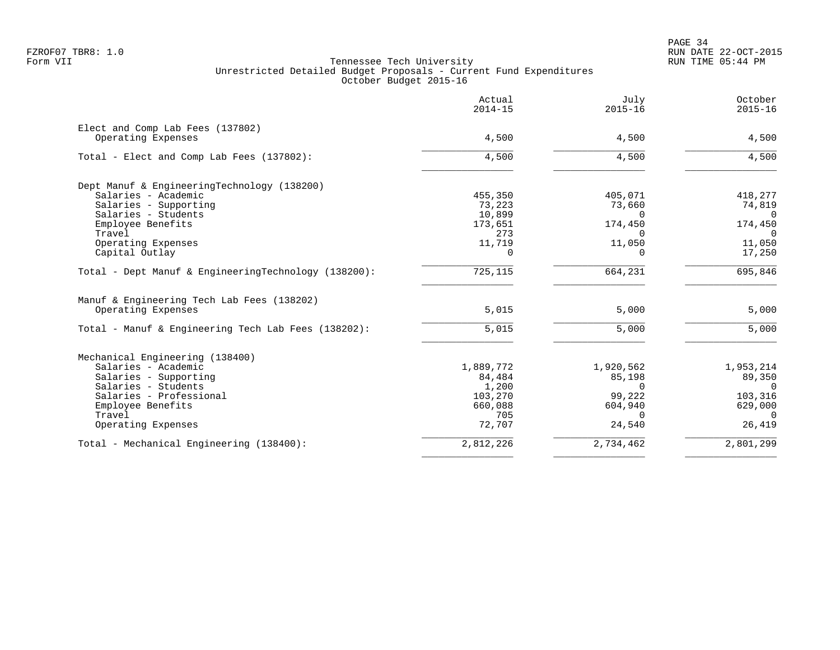|                                                      | Actual<br>$2014 - 15$ | July<br>$2015 - 16$ | October<br>$2015 - 16$ |
|------------------------------------------------------|-----------------------|---------------------|------------------------|
| Elect and Comp Lab Fees (137802)                     |                       |                     |                        |
| Operating Expenses                                   | 4,500                 | 4,500               | 4,500                  |
| Total - Elect and Comp Lab Fees (137802):            | 4,500                 | 4,500               | 4,500                  |
| Dept Manuf & EngineeringTechnology (138200)          |                       |                     |                        |
| Salaries - Academic                                  | 455,350               | 405,071             | 418,277                |
| Salaries - Supporting                                | 73,223                | 73,660              | 74,819                 |
| Salaries - Students                                  | 10,899                | $\Omega$            | $\Omega$               |
| Employee Benefits                                    | 173,651               | 174,450             | 174,450                |
| Travel                                               | 273                   | $\Omega$            | $\Omega$               |
| Operating Expenses                                   | 11,719<br>$\Omega$    | 11,050<br>$\Omega$  | 11,050                 |
| Capital Outlay                                       |                       |                     | 17,250                 |
| Total - Dept Manuf & EngineeringTechnology (138200): | 725, 115              | 664,231             | 695,846                |
| Manuf & Engineering Tech Lab Fees (138202)           |                       |                     |                        |
| Operating Expenses                                   | 5,015                 | 5,000               | 5,000                  |
| Total - Manuf & Engineering Tech Lab Fees (138202):  | 5,015                 | 5,000               | 5,000                  |
| Mechanical Engineering (138400)                      |                       |                     |                        |
| Salaries - Academic                                  | 1,889,772             | 1,920,562           | 1,953,214              |
| Salaries - Supporting                                | 84,484                | 85,198              | 89,350                 |
| Salaries - Students                                  | 1,200                 | $\Omega$            | $\Omega$               |
| Salaries - Professional                              | 103,270               | 99,222              | 103,316                |
| Employee Benefits<br>Travel                          | 660,088<br>705        | 604,940             | 629,000                |
| Operating Expenses                                   | 72,707                | $\Omega$<br>24,540  | $\Omega$<br>26,419     |
|                                                      |                       |                     |                        |
| Total - Mechanical Engineering (138400):             | 2,812,226             | 2,734,462           | 2,801,299              |
|                                                      |                       |                     |                        |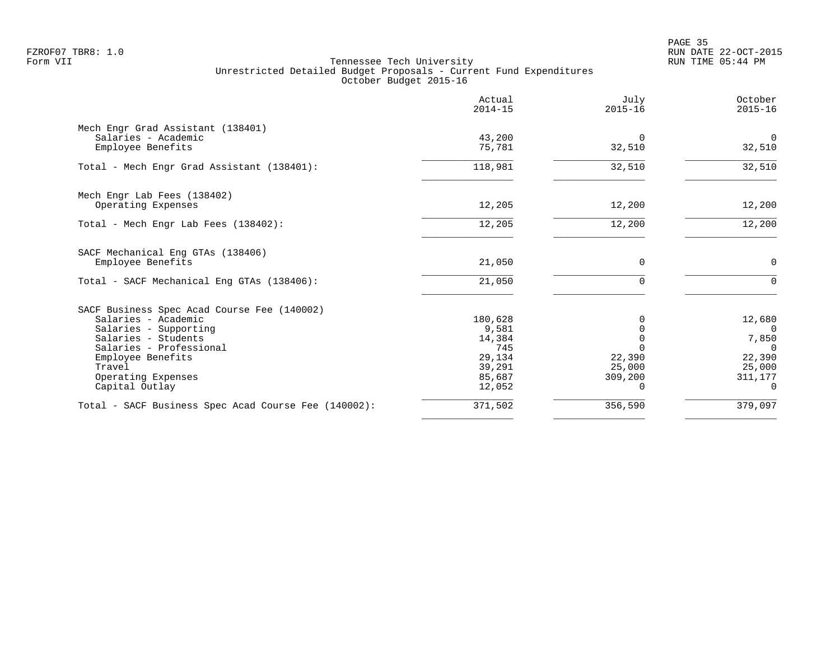en and the state of the state of the state of the state of the state of the state of the state of the state of the state of the state of the state of the state of the state of the state of the state of the state of the sta FZROF07 TBR8: 1.0 RUN DATE 22-OCT-2015

| Actual<br>$2014 - 15$ | July<br>$2015 - 16$ | October<br>$2015 - 16$ |
|-----------------------|---------------------|------------------------|
|                       |                     |                        |
| 43,200                | $\Omega$            | $\overline{0}$         |
| 75,781                | 32,510              | 32,510                 |
| 118,981               | 32,510              | 32,510                 |
|                       |                     |                        |
| 12,205                | 12,200              | 12,200                 |
| 12,205                | 12,200              | 12,200                 |
|                       |                     |                        |
| 21,050                | 0                   | $\mathbf 0$            |
| 21,050                | $\Omega$            | $\Omega$               |
|                       |                     |                        |
| 180,628               |                     | 12,680                 |
| 9,581                 |                     | $\Omega$               |
| 14,384                |                     | 7,850                  |
| 745                   |                     | $\Omega$               |
| 29,134                | 22,390              | 22,390                 |
| 39,291                | 25,000              | 25,000                 |
| 85,687                | 309,200             | 311,177                |
| 12,052                | $\Omega$            | 0                      |
| 371,502               | 356,590             | 379,097                |
|                       |                     |                        |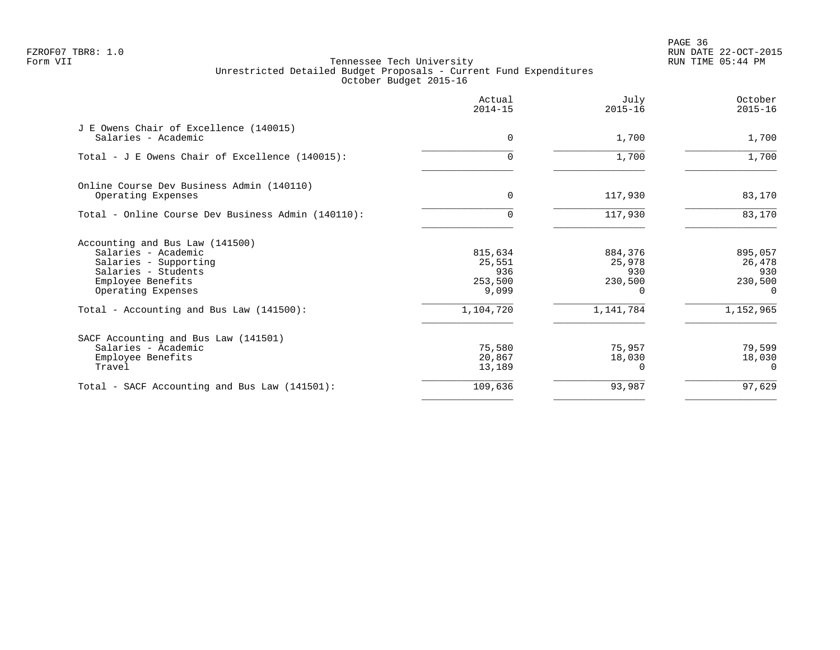en and the state of the state of the state of the state of the state of the state of the state of the state of the state of the state of the state of the state of the state of the state of the state of the state of the sta FZROF07 TBR8: 1.0 RUN DATE 22-OCT-2015

|                                                                                                                                                   | Actual<br>$2014 - 15$                        | July<br>$2015 - 16$                      | October<br>$2015 - 16$                          |
|---------------------------------------------------------------------------------------------------------------------------------------------------|----------------------------------------------|------------------------------------------|-------------------------------------------------|
| J E Owens Chair of Excellence (140015)<br>Salaries - Academic                                                                                     | $\Omega$                                     | 1,700                                    | 1,700                                           |
| Total - J E Owens Chair of Excellence $(140015)$ :                                                                                                |                                              | 1,700                                    | 1,700                                           |
| Online Course Dev Business Admin (140110)<br>Operating Expenses                                                                                   | 0                                            | 117,930                                  | 83,170                                          |
| Total - Online Course Dev Business Admin (140110):                                                                                                |                                              | 117,930                                  | 83,170                                          |
| Accounting and Bus Law (141500)<br>Salaries - Academic<br>Salaries - Supporting<br>Salaries - Students<br>Employee Benefits<br>Operating Expenses | 815,634<br>25,551<br>936<br>253,500<br>9,099 | 884,376<br>25,978<br>930<br>230,500<br>0 | 895,057<br>26,478<br>930<br>230,500<br>$\Omega$ |
| Total - Accounting and Bus Law (141500):                                                                                                          | 1,104,720                                    | 1,141,784                                | 1,152,965                                       |
| SACF Accounting and Bus Law (141501)<br>Salaries - Academic<br>Employee Benefits<br>Travel                                                        | 75,580<br>20,867<br>13,189                   | 75,957<br>18,030                         | 79,599<br>18,030<br>$\Omega$                    |
| Total - SACF Accounting and Bus Law (141501):                                                                                                     | 109,636                                      | 93,987                                   | 97,629                                          |
|                                                                                                                                                   |                                              |                                          |                                                 |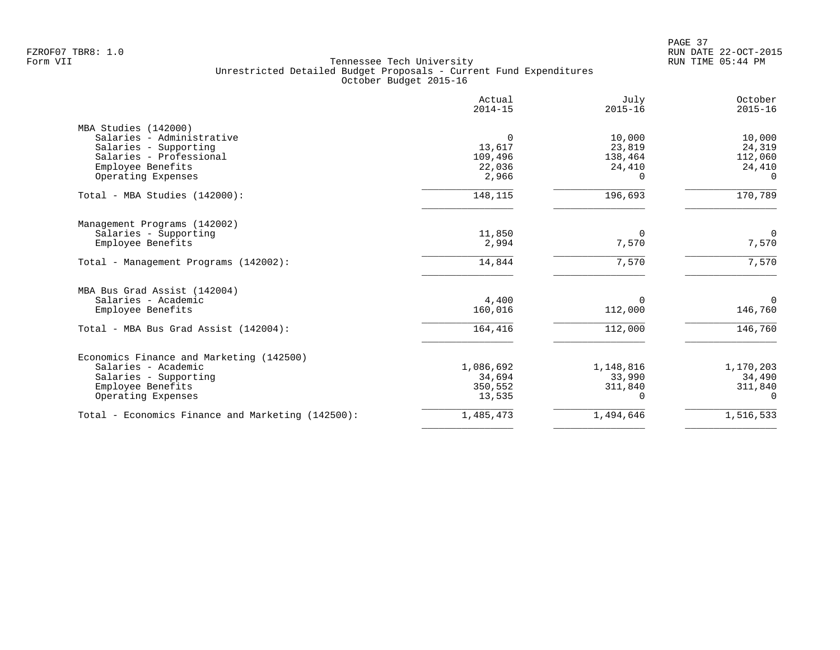| Actual<br>$2014 - 15$ | July<br>$2015 - 16$                                    | October<br>$2015 - 16$                                             |
|-----------------------|--------------------------------------------------------|--------------------------------------------------------------------|
|                       |                                                        |                                                                    |
|                       |                                                        | 10,000                                                             |
|                       |                                                        | 24,319                                                             |
|                       |                                                        | 112,060                                                            |
|                       |                                                        | 24,410                                                             |
|                       |                                                        | $\Omega$                                                           |
| 148,115               | 196,693                                                | 170,789                                                            |
|                       |                                                        |                                                                    |
| 11,850                | 0                                                      | $\overline{0}$                                                     |
| 2,994                 | 7,570                                                  | 7,570                                                              |
| 14,844                | 7,570                                                  | 7,570                                                              |
|                       |                                                        |                                                                    |
| 4,400                 | $\Omega$                                               | 0                                                                  |
| 160,016               | 112,000                                                | 146,760                                                            |
| 164,416               | 112,000                                                | 146,760                                                            |
|                       |                                                        |                                                                    |
|                       |                                                        | 1,170,203                                                          |
| 34,694                | 33,990                                                 | 34,490                                                             |
| 350,552               | 311,840                                                | 311,840                                                            |
| 13,535                | $\Omega$                                               | 0                                                                  |
| 1,485,473             | 1,494,646                                              | 1,516,533                                                          |
|                       | 0<br>13,617<br>109,496<br>22,036<br>2,966<br>1,086,692 | 10,000<br>23,819<br>138,464<br>24,410<br><sup>n</sup><br>1,148,816 |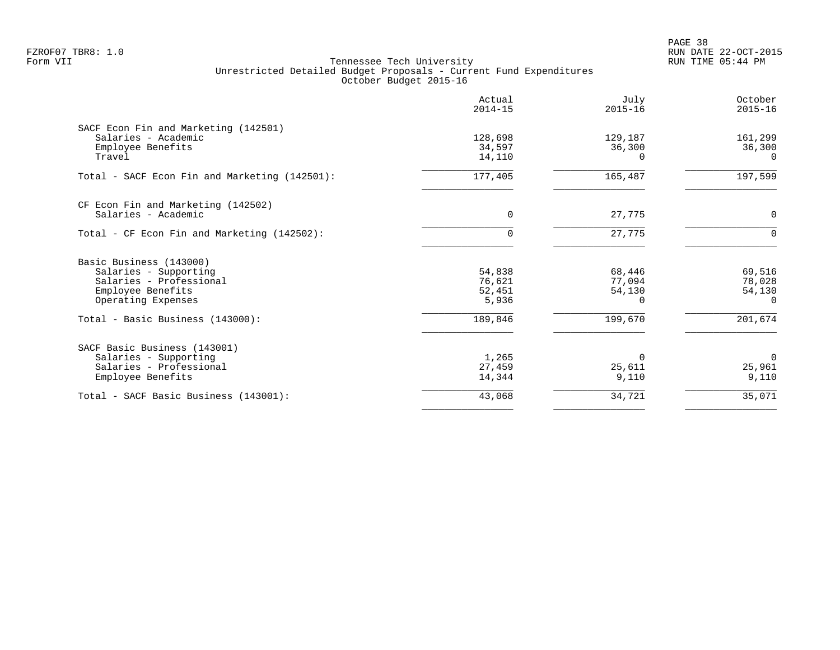PAGE 38 FZROF07 TBR8: 1.0 RUN DATE 22-OCT-2015

|                                               | Actual<br>$2014 - 15$ | July<br>$2015 - 16$ | October<br>$2015 - 16$ |
|-----------------------------------------------|-----------------------|---------------------|------------------------|
| SACF Econ Fin and Marketing (142501)          |                       |                     |                        |
| Salaries - Academic                           | 128,698               | 129,187             | 161,299                |
| Employee Benefits                             | 34,597                | 36,300              | 36,300                 |
| Travel                                        | 14,110                | O                   | $\Omega$               |
| Total - SACF Econ Fin and Marketing (142501): | 177,405               | 165,487             | 197,599                |
| CF Econ Fin and Marketing (142502)            |                       |                     |                        |
| Salaries - Academic                           | $\Omega$              | 27,775              | $\mathbf 0$            |
| Total - CF Econ Fin and Marketing (142502):   | <sup>n</sup>          | 27,775              | $\Omega$               |
| Basic Business (143000)                       |                       |                     |                        |
| Salaries - Supporting                         | 54,838                | 68,446              | 69,516                 |
| Salaries - Professional                       | 76,621                | 77,094              | 78,028                 |
| Employee Benefits                             | 52,451                | 54,130              | 54,130                 |
| Operating Expenses                            | 5,936                 | ∩                   | $\Omega$               |
| Total - Basic Business (143000):              | 189,846               | 199,670             | 201,674                |
| SACF Basic Business (143001)                  |                       |                     |                        |
| Salaries - Supporting                         | 1,265                 | $\Omega$            | $\overline{0}$         |
| Salaries - Professional                       | 27,459                | 25,611              | 25,961                 |
| Employee Benefits                             | 14,344                | 9,110               | 9,110                  |
| Total - SACF Basic Business (143001):         | 43,068                | 34,721              | 35,071                 |
|                                               |                       |                     |                        |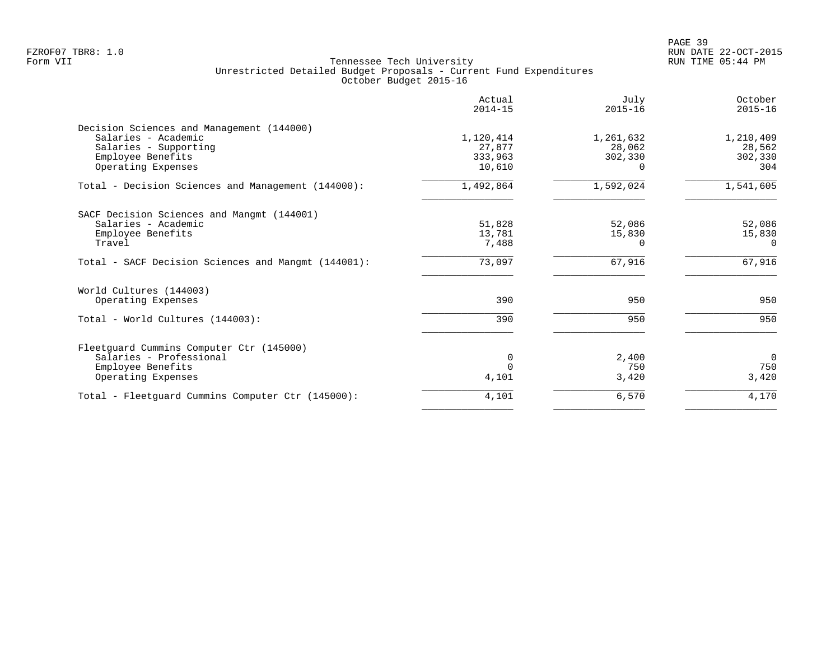|                                                     | Actual<br>$2014 - 15$ | July<br>$2015 - 16$ | October<br>$2015 - 16$ |
|-----------------------------------------------------|-----------------------|---------------------|------------------------|
| Decision Sciences and Management (144000)           |                       |                     |                        |
| Salaries - Academic                                 | 1,120,414             | 1,261,632           | 1,210,409              |
| Salaries - Supporting                               | 27,877                | 28,062              | 28,562                 |
| Employee Benefits                                   | 333,963               | 302,330             | 302,330                |
| Operating Expenses                                  | 10,610                | $\Omega$            | 304                    |
| Total - Decision Sciences and Management (144000):  | 1,492,864             | 1,592,024           | 1,541,605              |
| SACF Decision Sciences and Mangmt (144001)          |                       |                     |                        |
| Salaries - Academic                                 | 51,828                | 52,086              | 52,086                 |
| Employee Benefits                                   | 13,781                | 15,830              | 15,830                 |
| Travel                                              | 7,488                 | $\Omega$            | $\Omega$               |
| Total - SACF Decision Sciences and Mangmt (144001): | 73,097                | 67,916              | 67,916                 |
| World Cultures (144003)                             |                       |                     |                        |
| Operating Expenses                                  | 390                   | 950                 | 950                    |
| Total - World Cultures (144003):                    | 390                   | 950                 | 950                    |
|                                                     |                       |                     |                        |
| Fleetquard Cummins Computer Ctr (145000)            |                       |                     |                        |
| Salaries - Professional                             | 0                     | 2,400               | $\Omega$               |
| Employee Benefits                                   | $\Omega$              | 750                 | 750                    |
| Operating Expenses                                  | 4,101                 | 3,420               | 3,420                  |
| Total - Fleetquard Cummins Computer Ctr (145000):   | 4,101                 | 6,570               | 4,170                  |
|                                                     |                       |                     |                        |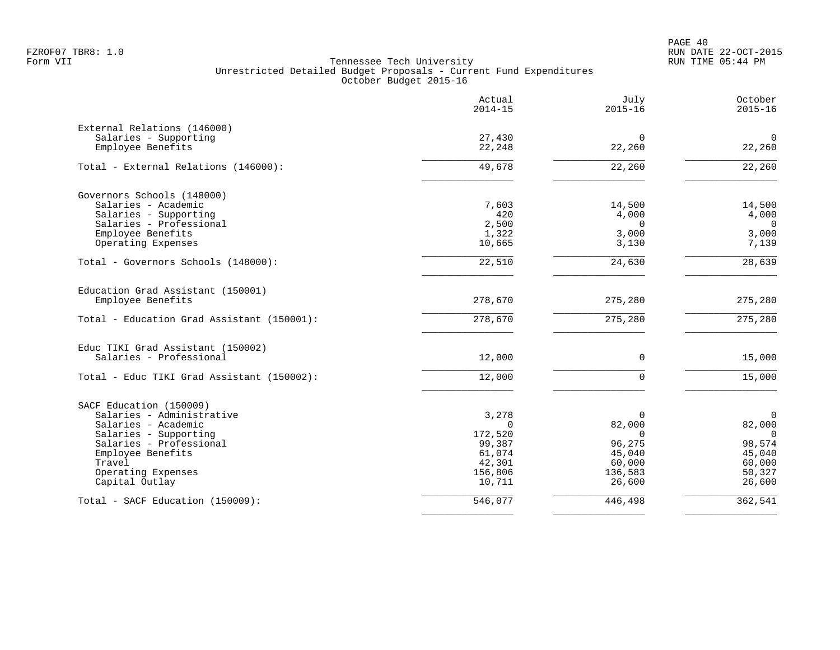PAGE 40 FZROF07 TBR8: 1.0 RUN DATE 22-OCT-2015

|                                            | Actual<br>$2014 - 15$ | July<br>$2015 - 16$ | October<br>$2015 - 16$ |
|--------------------------------------------|-----------------------|---------------------|------------------------|
| External Relations (146000)                |                       |                     |                        |
| Salaries - Supporting                      | 27,430                | 0                   | $\mathbf 0$            |
| Employee Benefits                          | 22,248                | 22,260              | 22,260                 |
| Total - External Relations (146000):       | 49,678                | 22,260              | 22,260                 |
| Governors Schools (148000)                 |                       |                     |                        |
| Salaries - Academic                        | 7,603                 | 14,500              | 14,500                 |
| Salaries - Supporting                      | 420                   | 4,000               | 4,000                  |
| Salaries - Professional                    | 2,500                 | $\Omega$            | 0                      |
| Employee Benefits                          | 1,322                 | 3,000               | 3,000                  |
| Operating Expenses                         | 10,665                | 3,130               | 7,139                  |
| Total - Governors Schools (148000):        | 22,510                | 24,630              | 28,639                 |
| Education Grad Assistant (150001)          |                       |                     |                        |
| Employee Benefits                          | 278,670               | 275,280             | 275,280                |
| Total - Education Grad Assistant (150001): | 278,670               | 275,280             | 275,280                |
| Educ TIKI Grad Assistant (150002)          |                       |                     |                        |
| Salaries - Professional                    | 12,000                | $\mathbf 0$         | 15,000                 |
| Total - Educ TIKI Grad Assistant (150002): | 12,000                | $\Omega$            | 15,000                 |
| SACF Education (150009)                    |                       |                     |                        |
| Salaries - Administrative                  | 3,278                 | $\Omega$            | $\Omega$               |
| Salaries - Academic                        | $\Omega$              | 82,000              | 82,000                 |
| Salaries - Supporting                      | 172,520               | $\Omega$            | $\Omega$               |
| Salaries - Professional                    | 99,387                | 96,275              | 98,574                 |
| Employee Benefits                          | 61,074                | 45,040              | 45,040                 |
| Travel                                     | 42,301                | 60,000              | 60,000                 |
| Operating Expenses<br>Capital Outlay       | 156,806<br>10,711     | 136,583<br>26,600   | 50,327<br>26,600       |
|                                            |                       |                     |                        |
| Total - SACF Education (150009):           | 546,077               | 446,498             | 362,541                |
|                                            |                       |                     |                        |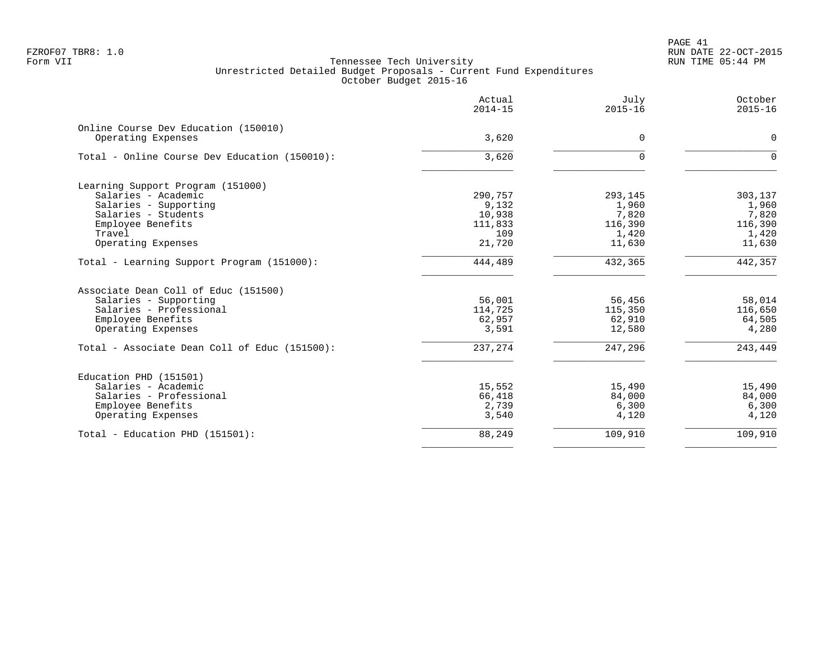PAGE 41 FZROF07 TBR8: 1.0 RUN DATE 22-OCT-2015

|                                                            | Actual<br>$2014 - 15$ | July<br>$2015 - 16$ | October<br>$2015 - 16$ |
|------------------------------------------------------------|-----------------------|---------------------|------------------------|
| Online Course Dev Education (150010)<br>Operating Expenses | 3,620                 | 0                   | $\mathbf 0$            |
| Total - Online Course Dev Education (150010):              | 3,620                 | $\Omega$            | $\mathbf 0$            |
| Learning Support Program (151000)                          |                       |                     |                        |
| Salaries - Academic                                        | 290,757               | 293,145             | 303,137                |
| Salaries - Supporting                                      | 9,132                 | 1,960               | 1,960                  |
| Salaries - Students                                        | 10,938                | 7,820               | 7,820                  |
| Employee Benefits                                          | 111,833               | 116,390             | 116,390                |
| Travel                                                     | 109                   | 1,420               | 1,420                  |
| Operating Expenses                                         | 21,720                | 11,630              | 11,630                 |
| Total - Learning Support Program (151000):                 | 444,489               | 432,365             | 442,357                |
| Associate Dean Coll of Educ (151500)                       |                       |                     |                        |
| Salaries - Supporting                                      | 56,001                | 56,456              | 58,014                 |
| Salaries - Professional                                    | 114,725               | 115,350             | 116,650                |
| Employee Benefits                                          | 62,957                | 62,910              | 64,505                 |
| Operating Expenses                                         | 3,591                 | 12,580              | 4,280                  |
| Total - Associate Dean Coll of Educ (151500):              | 237,274               | 247,296             | 243,449                |
| Education PHD (151501)                                     |                       |                     |                        |
| Salaries - Academic                                        | 15,552                | 15,490              | 15,490                 |
| Salaries - Professional                                    | 66,418                | 84,000              | 84,000                 |
| Employee Benefits                                          | 2,739                 | 6,300               | 6,300                  |
| Operating Expenses                                         | 3,540                 | 4,120               | 4,120                  |
| Total - Education PHD (151501):                            | 88,249                | 109,910             | 109,910                |
|                                                            |                       |                     |                        |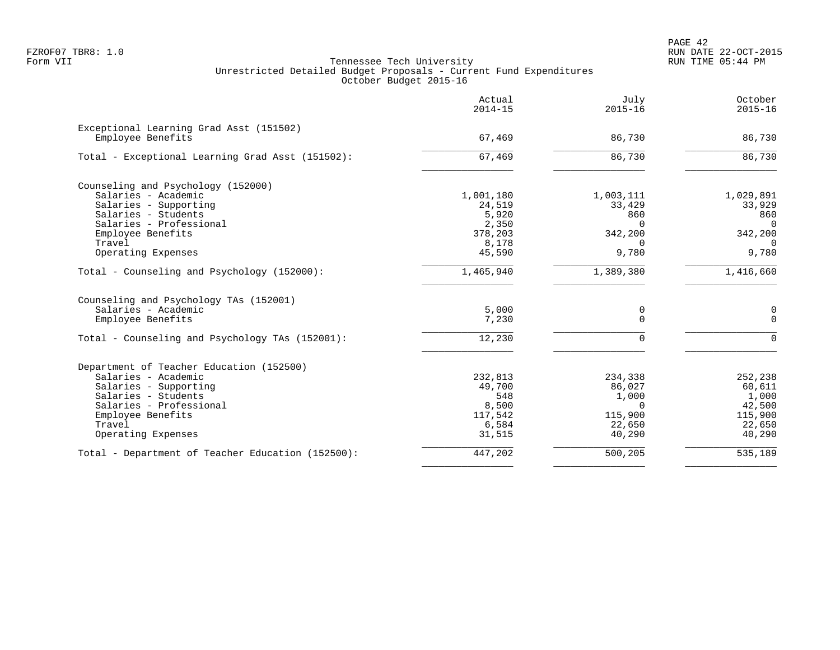|                                                              | Actual<br>$2014 - 15$ | July<br>$2015 - 16$ | October<br>$2015 - 16$ |
|--------------------------------------------------------------|-----------------------|---------------------|------------------------|
| Exceptional Learning Grad Asst (151502)<br>Employee Benefits | 67,469                | 86,730              | 86,730                 |
|                                                              |                       |                     |                        |
| Total - Exceptional Learning Grad Asst (151502):             | 67,469                | 86,730              | 86,730                 |
| Counseling and Psychology (152000)                           |                       |                     |                        |
| Salaries - Academic                                          | 1,001,180             | 1,003,111           | 1,029,891              |
| Salaries - Supporting                                        | 24,519                | 33,429              | 33,929                 |
| Salaries - Students                                          | 5,920                 | 860                 | 860                    |
| Salaries - Professional                                      | 2,350                 | $\Omega$            | $\Omega$               |
| Employee Benefits                                            | 378,203               | 342,200             | 342,200                |
| Travel                                                       | 8,178                 | $\Omega$            | $\Omega$               |
| Operating Expenses                                           | 45,590                | 9,780               | 9,780                  |
| Total - Counseling and Psychology (152000):                  | 1,465,940             | 1,389,380           | 1,416,660              |
| Counseling and Psychology TAs (152001)                       |                       |                     |                        |
| Salaries - Academic                                          | 5,000                 | 0                   | 0                      |
| Employee Benefits                                            | 7,230                 | $\Omega$            | $\Omega$               |
| Total - Counseling and Psychology TAs (152001):              | 12,230                | $\Omega$            | $\cap$                 |
| Department of Teacher Education (152500)                     |                       |                     |                        |
| Salaries - Academic                                          | 232,813               | 234,338             | 252,238                |
| Salaries - Supporting                                        | 49,700                | 86,027              | 60,611                 |
| Salaries - Students                                          | 548                   | 1,000               | 1,000                  |
| Salaries - Professional                                      | 8,500                 | $\Omega$            | 42,500                 |
| Employee Benefits                                            | 117,542               | 115,900             | 115,900                |
| Travel                                                       | 6,584                 | 22,650              | 22,650                 |
| Operating Expenses                                           | 31,515                | 40,290              | 40,290                 |
| Total - Department of Teacher Education (152500):            | 447,202               | 500,205             | 535,189                |
|                                                              |                       |                     |                        |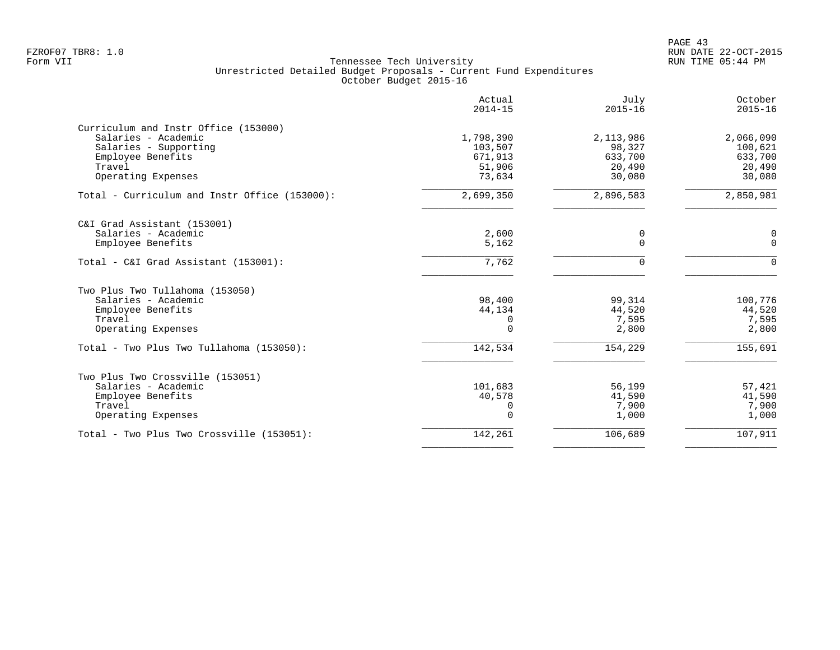| Actual<br>$2014 - 15$ | July<br>$2015 - 16$                                                                                             | October<br>$2015 - 16$                                                                                            |
|-----------------------|-----------------------------------------------------------------------------------------------------------------|-------------------------------------------------------------------------------------------------------------------|
|                       |                                                                                                                 |                                                                                                                   |
|                       |                                                                                                                 | 2,066,090                                                                                                         |
|                       |                                                                                                                 | 100,621                                                                                                           |
|                       |                                                                                                                 | 633,700                                                                                                           |
|                       |                                                                                                                 | 20,490                                                                                                            |
|                       |                                                                                                                 | 30,080                                                                                                            |
| 2,699,350             | 2,896,583                                                                                                       | 2,850,981                                                                                                         |
|                       |                                                                                                                 |                                                                                                                   |
|                       |                                                                                                                 | 0                                                                                                                 |
| 5,162                 | $\Omega$                                                                                                        | $\Omega$                                                                                                          |
| 7,762                 | $\mathbf 0$                                                                                                     | $\Omega$                                                                                                          |
|                       |                                                                                                                 |                                                                                                                   |
|                       |                                                                                                                 | 100,776                                                                                                           |
|                       |                                                                                                                 | 44,520                                                                                                            |
|                       |                                                                                                                 | 7,595                                                                                                             |
| $\Omega$              | 2,800                                                                                                           | 2,800                                                                                                             |
| 142,534               | 154,229                                                                                                         | 155,691                                                                                                           |
|                       |                                                                                                                 |                                                                                                                   |
|                       |                                                                                                                 | 57,421                                                                                                            |
|                       |                                                                                                                 | 41,590                                                                                                            |
|                       |                                                                                                                 | 7,900                                                                                                             |
| 0                     | 1,000                                                                                                           | 1,000                                                                                                             |
| 142,261               | 106,689                                                                                                         | 107,911                                                                                                           |
|                       | 1,798,390<br>103,507<br>671,913<br>51,906<br>73,634<br>2,600<br>98,400<br>44,134<br>0<br>101,683<br>40,578<br>0 | 2,113,986<br>98,327<br>633,700<br>20,490<br>30,080<br>0<br>99,314<br>44,520<br>7,595<br>56,199<br>41,590<br>7,900 |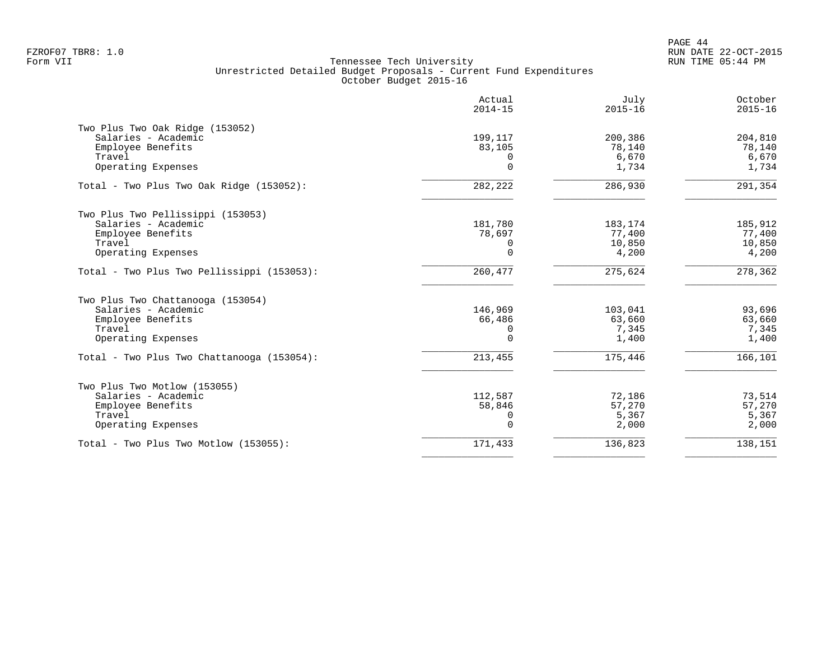|                                            | Actual<br>$2014 - 15$ | July<br>$2015 - 16$ | October<br>$2015 - 16$ |
|--------------------------------------------|-----------------------|---------------------|------------------------|
| Two Plus Two Oak Ridge (153052)            |                       |                     |                        |
| Salaries - Academic                        | 199,117               | 200,386             | 204,810                |
| Employee Benefits<br>Travel                | 83,105<br>0           | 78,140<br>6,670     | 78,140<br>6,670        |
| Operating Expenses                         | $\Omega$              | 1,734               | 1,734                  |
| Total - Two Plus Two Oak Ridge (153052):   | 282,222               | 286,930             | 291,354                |
| Two Plus Two Pellissippi (153053)          |                       |                     |                        |
| Salaries - Academic                        | 181,780               | 183,174             | 185,912                |
| Employee Benefits                          | 78,697                | 77,400              | 77,400                 |
| Travel                                     | 0                     | 10,850              | 10,850                 |
| Operating Expenses                         | $\Omega$              | 4,200               | 4,200                  |
| Total - Two Plus Two Pellissippi (153053): | 260,477               | 275,624             | 278,362                |
| Two Plus Two Chattanooga (153054)          |                       |                     |                        |
| Salaries - Academic                        | 146,969               | 103,041             | 93,696                 |
| Employee Benefits                          | 66,486                | 63,660              | 63,660                 |
| Travel                                     | 0                     | 7,345               | 7,345                  |
| Operating Expenses                         | $\Omega$              | 1,400               | 1,400                  |
| Total - Two Plus Two Chattanooga (153054): | 213,455               | 175,446             | 166,101                |
| Two Plus Two Motlow (153055)               |                       |                     |                        |
| Salaries - Academic                        | 112,587               | 72,186              | 73,514                 |
| Employee Benefits                          | 58,846                | 57,270              | 57,270                 |
| Travel                                     | 0                     | 5,367               | 5,367                  |
| Operating Expenses                         | 0                     | 2,000               | 2,000                  |
| Total - Two Plus Two Motlow (153055):      | 171,433               | 136,823             | 138,151                |
|                                            |                       |                     |                        |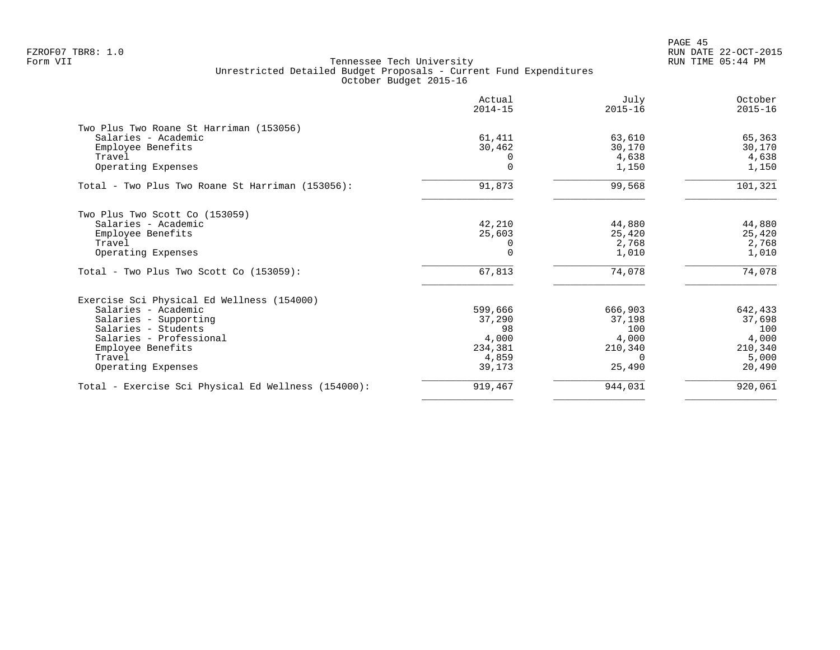PAGE 45 FZROF07 TBR8: 1.0 RUN DATE 22-OCT-2015

|                                                     | Actual<br>$2014 - 15$ | July<br>$2015 - 16$ | October<br>$2015 - 16$ |
|-----------------------------------------------------|-----------------------|---------------------|------------------------|
| Two Plus Two Roane St Harriman (153056)             |                       |                     |                        |
| Salaries - Academic                                 | 61,411                | 63,610              | 65,363                 |
| Employee Benefits                                   | 30,462                | 30,170              | 30,170                 |
| Travel                                              |                       | 4,638               | 4,638                  |
| Operating Expenses                                  | $\Omega$              | 1,150               | 1,150                  |
| Total - Two Plus Two Roane St Harriman (153056):    | 91,873                | 99,568              | 101,321                |
| Two Plus Two Scott Co (153059)                      |                       |                     |                        |
| Salaries - Academic                                 | 42,210                | 44,880              | 44,880                 |
| Employee Benefits                                   | 25,603                | 25,420              | 25,420                 |
| Travel                                              | $\Omega$              | 2,768               | 2,768                  |
| Operating Expenses                                  |                       | 1,010               | 1,010                  |
| Total - Two Plus Two Scott Co (153059):             | 67,813                | 74,078              | 74,078                 |
| Exercise Sci Physical Ed Wellness (154000)          |                       |                     |                        |
| Salaries - Academic                                 | 599,666               | 666,903             | 642,433                |
| Salaries - Supporting                               | 37,290                | 37,198              | 37,698                 |
| Salaries - Students                                 | 98                    | 100                 | 100                    |
| Salaries - Professional                             | 4,000                 | 4,000               | 4,000                  |
| Employee Benefits                                   | 234,381               | 210,340             | 210,340                |
| Travel                                              | 4,859                 | $\Omega$            | 5,000                  |
| Operating Expenses                                  | 39,173                | 25,490              | 20,490                 |
| Total - Exercise Sci Physical Ed Wellness (154000): | 919,467               | 944,031             | 920,061                |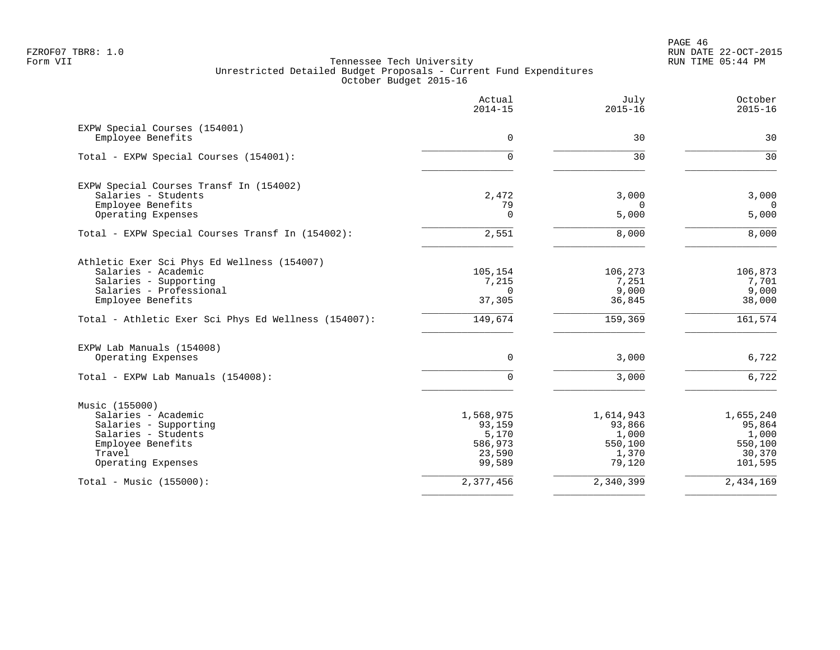PAGE 46 FZROF07 TBR8: 1.0 RUN DATE 22-OCT-2015

|                                                      | Actual<br>$2014 - 15$ | July<br>$2015 - 16$ | October<br>$2015 - 16$ |
|------------------------------------------------------|-----------------------|---------------------|------------------------|
| EXPW Special Courses (154001)                        |                       |                     |                        |
| Employee Benefits                                    | $\Omega$              | 30                  | 30                     |
| Total - EXPW Special Courses (154001):               | $\Omega$              | 30                  | 30                     |
| EXPW Special Courses Transf In (154002)              |                       |                     |                        |
| Salaries - Students                                  | 2,472                 | 3,000               | 3,000                  |
| Employee Benefits<br>Operating Expenses              | 79<br>$\Omega$        | $\Omega$<br>5,000   | $\Omega$<br>5,000      |
|                                                      |                       |                     |                        |
| Total - EXPW Special Courses Transf In (154002):     | 2,551                 | 8,000               | 8,000                  |
| Athletic Exer Sci Phys Ed Wellness (154007)          |                       |                     |                        |
| Salaries - Academic                                  | 105,154               | 106,273             | 106,873                |
| Salaries - Supporting<br>Salaries - Professional     | 7,215<br>$\Omega$     | 7,251<br>9,000      | 7,701<br>9,000         |
| Employee Benefits                                    | 37,305                | 36,845              | 38,000                 |
| Total - Athletic Exer Sci Phys Ed Wellness (154007): | 149,674               | 159,369             | 161,574                |
| EXPW Lab Manuals (154008)                            |                       |                     |                        |
| Operating Expenses                                   | $\mathbf 0$           | 3,000               | 6,722                  |
| Total - EXPW Lab Manuals (154008):                   | $\Omega$              | 3,000               | 6,722                  |
| Music (155000)                                       |                       |                     |                        |
| Salaries - Academic                                  | 1,568,975             | 1,614,943           | 1,655,240              |
| Salaries - Supporting                                | 93,159                | 93,866              | 95,864                 |
| Salaries - Students<br>Employee Benefits             | 5,170<br>586,973      | 1,000<br>550,100    | 1,000<br>550,100       |
| Travel                                               | 23,590                | 1,370               | 30,370                 |
| Operating Expenses                                   | 99,589                | 79,120              | 101,595                |
| Total - Music $(155000)$ :                           | 2,377,456             | 2,340,399           | 2,434,169              |
|                                                      |                       |                     |                        |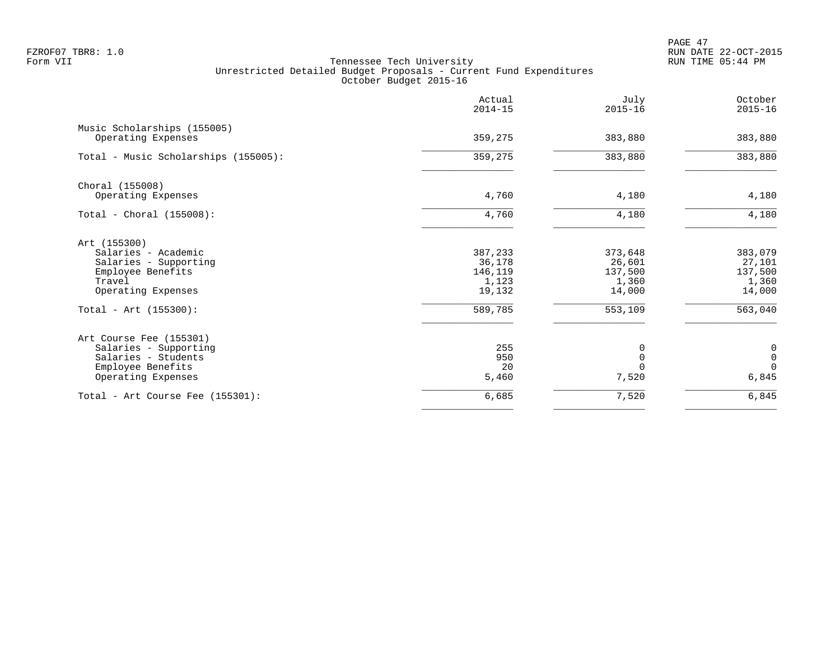PAGE 47 FZROF07 TBR8: 1.0 RUN DATE 22-OCT-2015

|                                                   | Actual<br>$2014 - 15$ | July<br>$2015 - 16$ | October<br>$2015 - 16$ |
|---------------------------------------------------|-----------------------|---------------------|------------------------|
| Music Scholarships (155005)<br>Operating Expenses | 359,275               | 383,880             | 383,880                |
| Total - Music Scholarships (155005):              | 359,275               | 383,880             | 383,880                |
| Choral (155008)                                   |                       |                     |                        |
| Operating Expenses                                | 4,760                 | 4,180               | 4,180                  |
| $Total - Choral (155008):$                        | 4,760                 | 4,180               | 4,180                  |
| Art (155300)                                      |                       |                     |                        |
| Salaries - Academic                               | 387,233               | 373,648             | 383,079                |
| Salaries - Supporting                             | 36,178                | 26,601              | 27,101                 |
| Employee Benefits<br>Travel                       | 146,119<br>1,123      | 137,500<br>1,360    | 137,500<br>1,360       |
| Operating Expenses                                | 19,132                | 14,000              | 14,000                 |
| Total - Art $(155300)$ :                          | 589,785               | 553,109             | 563,040                |
| Art Course Fee (155301)                           |                       |                     |                        |
| Salaries - Supporting                             | 255                   | 0                   | 0                      |
| Salaries - Students                               | 950                   | $\Omega$            | $\mathsf{O}\xspace$    |
| Employee Benefits<br>Operating Expenses           | 20<br>5,460           | $\Omega$<br>7,520   | $\Omega$<br>6,845      |
| Total - Art Course Fee $(155301)$ :               | 6,685                 | 7,520               | 6,845                  |
|                                                   |                       |                     |                        |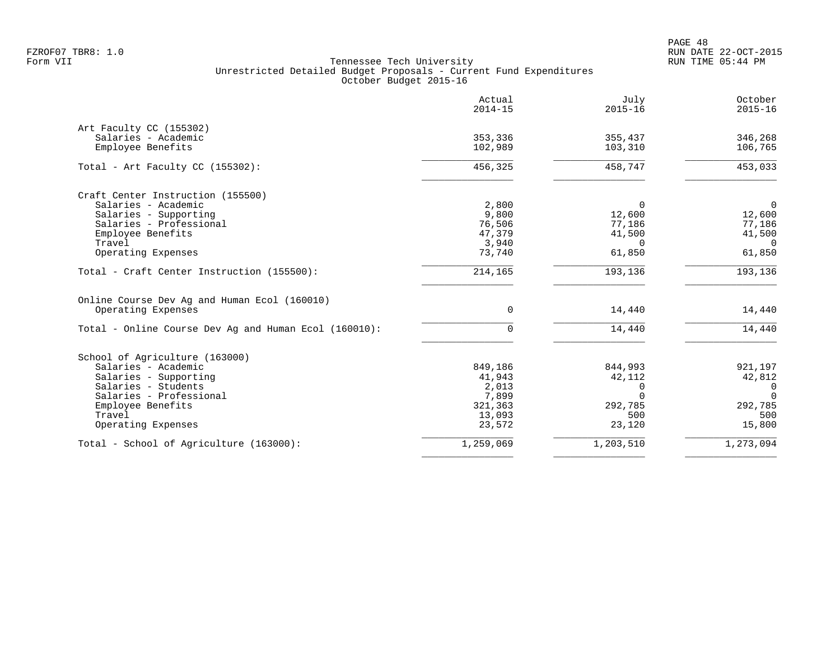PAGE 48 FZROF07 TBR8: 1.0 RUN DATE 22-OCT-2015

| Actual<br>$2014 - 15$ | July<br>$2015 - 16$                          | October<br>$2015 - 16$      |
|-----------------------|----------------------------------------------|-----------------------------|
|                       |                                              |                             |
| 353,336               | 355,437                                      | 346,268                     |
| 102,989               | 103,310                                      | 106,765                     |
| 456,325               | 458,747                                      | 453,033                     |
|                       |                                              |                             |
|                       | $\Omega$                                     | $\mathsf{O}$                |
| 9,800                 |                                              | 12,600                      |
| 76,506                | 77,186                                       | 77,186                      |
| 47,379                | 41,500                                       | 41,500                      |
|                       | $\Omega$                                     | $\Omega$                    |
| 73,740                | 61,850                                       | 61,850                      |
| 214,165               | 193,136                                      | 193, 136                    |
|                       |                                              |                             |
| 0                     | 14,440                                       | 14,440                      |
| $\Omega$              | 14,440                                       | 14,440                      |
|                       |                                              |                             |
|                       |                                              | 921,197                     |
|                       |                                              | 42,812                      |
|                       | <sup>n</sup>                                 | $\mathbf 0$                 |
| 7,899                 | $\Omega$                                     | $\Omega$                    |
| 321,363               | 292,785                                      | 292,785                     |
| 13,093                | 500                                          | 500                         |
| 23,572                | 23,120                                       | 15,800                      |
| 1,259,069             | 1,203,510                                    | 1,273,094                   |
|                       | 2,800<br>3,940<br>849,186<br>41,943<br>2,013 | 12,600<br>844,993<br>42,112 |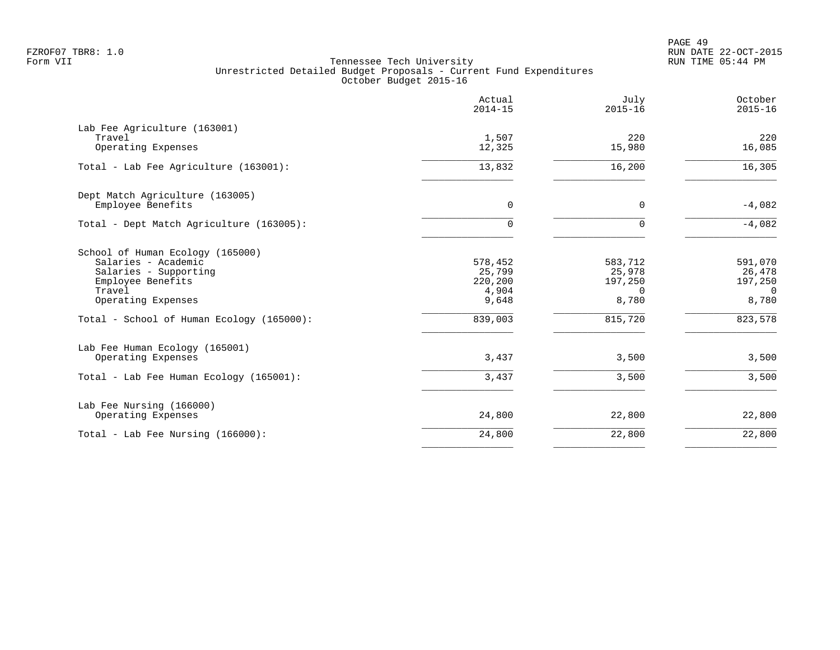PAGE 49 FZROF07 TBR8: 1.0 RUN DATE 22-OCT-2015

|                                                                                                                                                                                    | Actual<br>$2014 - 15$                                     | July<br>$2015 - 16$                                   | October<br>$2015 - 16$                                             |
|------------------------------------------------------------------------------------------------------------------------------------------------------------------------------------|-----------------------------------------------------------|-------------------------------------------------------|--------------------------------------------------------------------|
| Lab Fee Agriculture (163001)<br>Travel<br>Operating Expenses                                                                                                                       | 1,507<br>12,325                                           | 220<br>15,980                                         | 220<br>16,085                                                      |
| Total - Lab Fee Agriculture (163001):                                                                                                                                              | 13,832                                                    | 16,200                                                | 16,305                                                             |
| Dept Match Agriculture (163005)<br>Employee Benefits                                                                                                                               | $\mathbf 0$                                               | 0                                                     | $-4,082$                                                           |
| Total - Dept Match Agriculture (163005):                                                                                                                                           | $\Omega$                                                  | $\mathbf 0$                                           | $-4,082$                                                           |
| School of Human Ecology (165000)<br>Salaries - Academic<br>Salaries - Supporting<br>Employee Benefits<br>Travel<br>Operating Expenses<br>Total - School of Human Ecology (165000): | 578,452<br>25,799<br>220,200<br>4,904<br>9,648<br>839,003 | 583,712<br>25,978<br>197,250<br>0<br>8,780<br>815,720 | 591,070<br>26,478<br>197,250<br>$\overline{0}$<br>8,780<br>823,578 |
| Lab Fee Human Ecology (165001)<br>Operating Expenses<br>Total - Lab Fee Human Ecology (165001):                                                                                    | 3,437<br>3,437                                            | 3,500<br>3,500                                        | 3,500<br>$\overline{3}$ , 500                                      |
| Lab Fee Nursing (166000)<br>Operating Expenses                                                                                                                                     | 24,800                                                    | 22,800                                                | 22,800                                                             |
| Total - Lab Fee Nursing $(166000)$ :                                                                                                                                               | 24,800                                                    | 22,800                                                | 22,800                                                             |
|                                                                                                                                                                                    |                                                           |                                                       |                                                                    |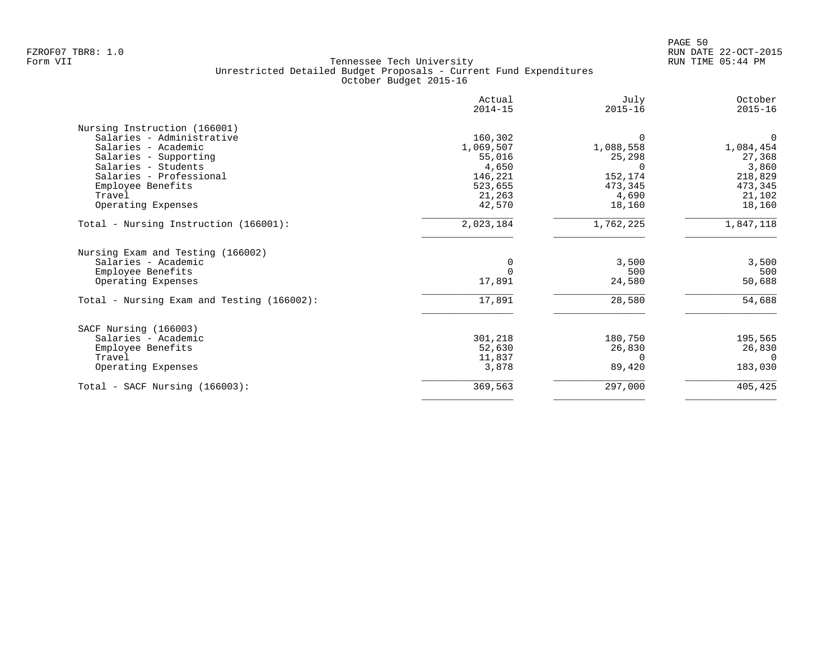|                                            | Actual<br>$2014 - 15$ | July<br>$2015 - 16$ | October<br>$2015 - 16$ |
|--------------------------------------------|-----------------------|---------------------|------------------------|
| Nursing Instruction (166001)               |                       |                     |                        |
| Salaries - Administrative                  | 160,302               | $\Omega$            | $\overline{0}$         |
| Salaries - Academic                        | 1,069,507             | 1,088,558           | 1,084,454              |
| Salaries - Supporting                      | 55,016                | 25,298              | 27,368                 |
| Salaries - Students                        | 4,650                 | $\Omega$            | 3,860                  |
| Salaries - Professional                    | 146,221               | 152,174             | 218,829                |
| Employee Benefits                          | 523,655               | 473,345             | 473,345                |
| Travel                                     | 21,263                | 4,690               | 21,102                 |
| Operating Expenses                         | 42,570                | 18,160              | 18,160                 |
| Total - Nursing Instruction (166001):      | 2,023,184             | 1,762,225           | 1,847,118              |
| Nursing Exam and Testing (166002)          |                       |                     |                        |
| Salaries - Academic                        |                       | 3,500               | 3,500                  |
| Employee Benefits                          |                       | 500                 | 500                    |
| Operating Expenses                         | 17,891                | 24,580              | 50,688                 |
| Total - Nursing Exam and Testing (166002): | 17,891                | 28,580              | 54,688                 |
| SACF Nursing (166003)                      |                       |                     |                        |
| Salaries - Academic                        | 301,218               | 180,750             | 195,565                |
| Employee Benefits                          | 52,630                | 26,830              | 26,830                 |
| Travel                                     | 11,837                | $\Omega$            | $\Omega$               |
| Operating Expenses                         | 3,878                 | 89,420              | 183,030                |
| Total - SACF Nursing (166003):             | 369,563               | 297,000             | 405,425                |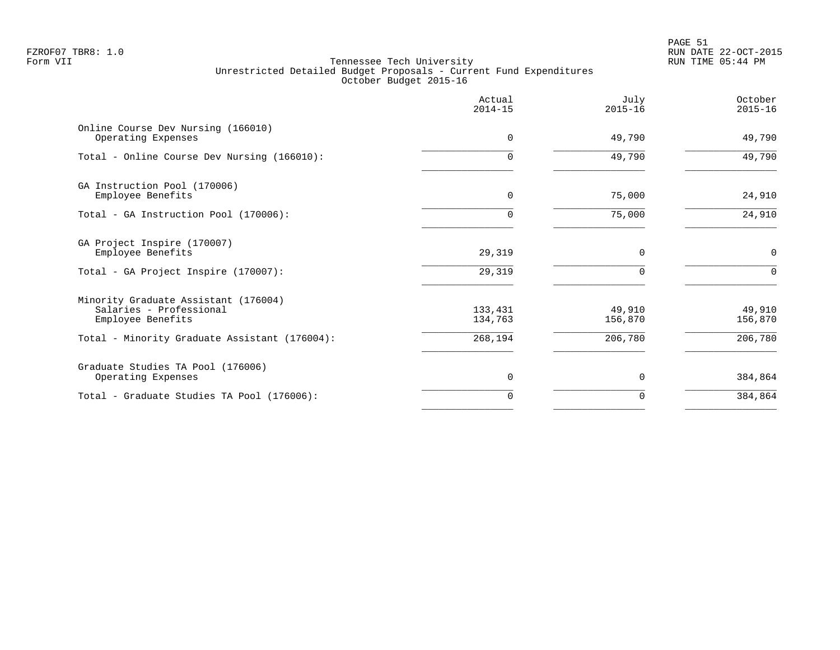PAGE 51 FZROF07 TBR8: 1.0 RUN DATE 22-OCT-2015

|                                                                                      | Actual<br>$2014 - 15$ | July<br>$2015 - 16$ | October<br>$2015 - 16$ |
|--------------------------------------------------------------------------------------|-----------------------|---------------------|------------------------|
| Online Course Dev Nursing (166010)<br>Operating Expenses                             | $\Omega$              | 49,790              | 49,790                 |
| Total - Online Course Dev Nursing (166010):                                          | 0                     | 49,790              | 49,790                 |
| GA Instruction Pool (170006)<br>Employee Benefits                                    | 0                     | 75,000              | 24,910                 |
| Total - GA Instruction Pool (170006):                                                | 0                     | 75,000              | 24,910                 |
| GA Project Inspire (170007)<br>Employee Benefits                                     | 29,319                | 0                   | 0                      |
| Total - GA Project Inspire (170007):                                                 | 29,319                | $\Omega$            | $\Omega$               |
| Minority Graduate Assistant (176004)<br>Salaries - Professional<br>Employee Benefits | 133,431<br>134,763    | 49,910<br>156,870   | 49,910<br>156,870      |
| Total - Minority Graduate Assistant (176004):                                        | 268,194               | 206,780             | 206,780                |
| Graduate Studies TA Pool (176006)<br>Operating Expenses                              | 0                     | $\mathbf 0$         | 384,864                |
| Total - Graduate Studies TA Pool (176006):                                           | 0                     | $\Omega$            | 384,864                |
|                                                                                      |                       |                     |                        |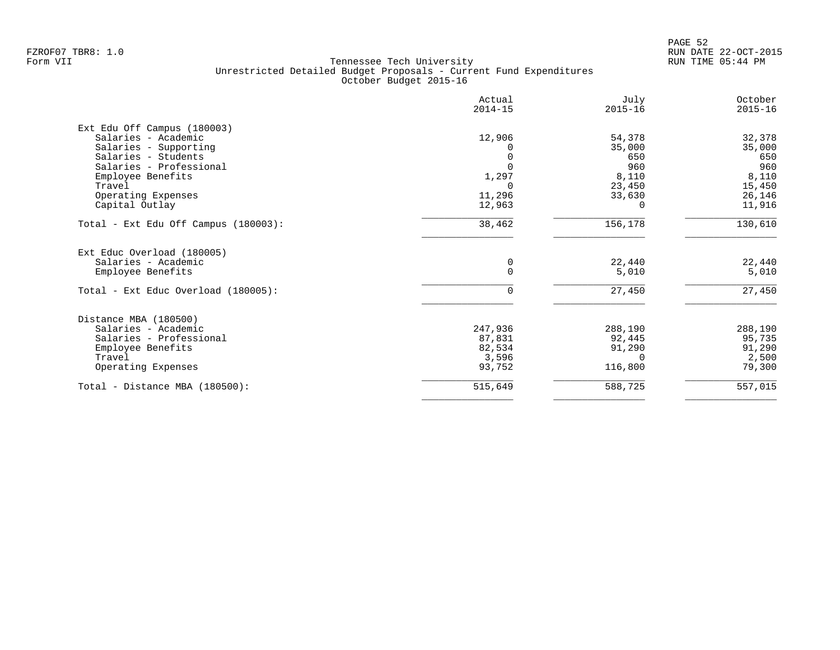|                                      | Actual<br>$2014 - 15$ | July<br>$2015 - 16$ | October<br>$2015 - 16$ |
|--------------------------------------|-----------------------|---------------------|------------------------|
| Ext Edu Off Campus (180003)          |                       |                     |                        |
| Salaries - Academic                  | 12,906                | 54,378              | 32,378                 |
| Salaries - Supporting                |                       | 35,000              | 35,000                 |
| Salaries - Students                  |                       | 650                 | 650                    |
| Salaries - Professional              |                       | 960                 | 960                    |
| Employee Benefits                    | 1,297                 | 8,110               | 8,110                  |
| Travel                               | $\Omega$              | 23,450              | 15,450                 |
| Operating Expenses                   | 11,296                | 33,630              | 26,146                 |
| Capital Outlay                       | 12,963                |                     | 11,916                 |
| Total - Ext Edu Off Campus (180003): | 38,462                | 156,178             | 130,610                |
| Ext Educ Overload (180005)           |                       |                     |                        |
| Salaries - Academic                  | 0                     | 22,440              | 22,440                 |
| Employee Benefits                    | $\Omega$              | 5,010               | 5,010                  |
| Total - Ext Educ Overload (180005):  | $\mathbf 0$           | 27,450              | 27,450                 |
| Distance MBA (180500)                |                       |                     |                        |
| Salaries - Academic                  | 247,936               | 288,190             | 288,190                |
| Salaries - Professional              | 87,831                | 92,445              | 95,735                 |
| Employee Benefits                    | 82,534                | 91,290              | 91,290                 |
| Travel                               | 3,596                 | $\Omega$            | 2,500                  |
| Operating Expenses                   | 93,752                | 116,800             | 79,300                 |
| Total - Distance MBA (180500):       | 515,649               | 588,725             | 557,015                |
|                                      |                       |                     |                        |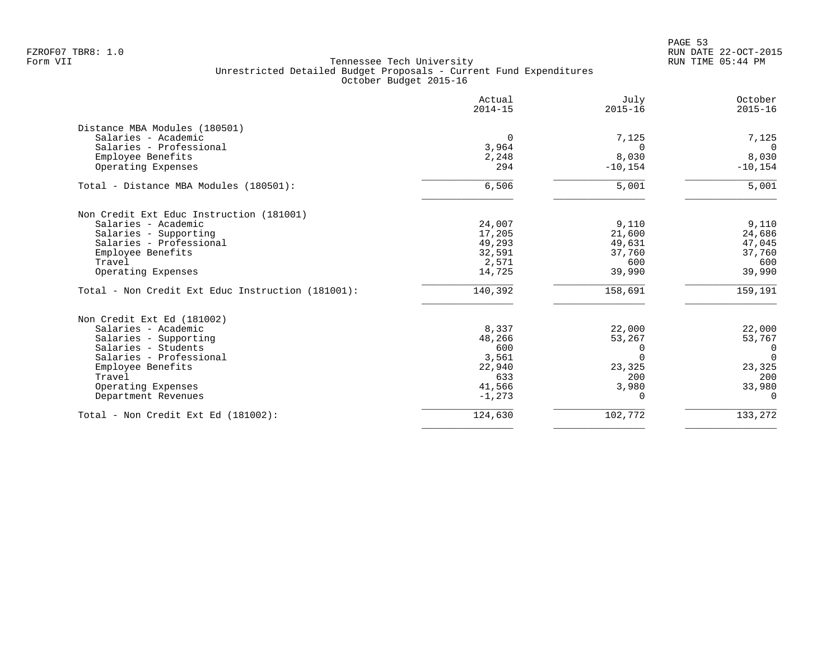|                                                   | Actual<br>$2014 - 15$ | July<br>$2015 - 16$ | October<br>$2015 - 16$ |
|---------------------------------------------------|-----------------------|---------------------|------------------------|
| Distance MBA Modules (180501)                     |                       |                     |                        |
| Salaries - Academic                               | $\Omega$              | 7,125               | 7,125                  |
| Salaries - Professional                           | 3,964                 | $\Omega$            | $\Omega$               |
| Employee Benefits                                 | 2,248                 | 8,030               | 8,030                  |
| Operating Expenses                                | 294                   | $-10,154$           | $-10, 154$             |
| Total - Distance MBA Modules (180501):            | 6,506                 | 5,001               | 5,001                  |
| Non Credit Ext Educ Instruction (181001)          |                       |                     |                        |
| Salaries - Academic                               | 24,007                | 9,110               | 9,110                  |
| Salaries - Supporting                             | 17,205                | 21,600              | 24,686                 |
| Salaries - Professional                           | 49,293                | 49,631              | 47,045                 |
| Employee Benefits                                 | 32,591                | 37,760              | 37,760                 |
| Travel                                            | 2,571                 | 600                 | 600                    |
| Operating Expenses                                | 14,725                | 39,990              | 39,990                 |
| Total - Non Credit Ext Educ Instruction (181001): | 140,392               | 158,691             | 159,191                |
| Non Credit Ext Ed (181002)                        |                       |                     |                        |
| Salaries - Academic                               | 8,337                 | 22,000              | 22,000                 |
| Salaries - Supporting                             | 48,266                | 53,267              | 53,767                 |
| Salaries - Students                               | 600                   | 0                   | 0                      |
| Salaries - Professional                           | 3,561                 | $\Omega$            | $\Omega$               |
| Employee Benefits                                 | 22,940                | 23,325              | 23,325                 |
| Travel                                            | 633                   | 200                 | 200                    |
| Operating Expenses                                | 41,566                | 3,980               | 33,980                 |
| Department Revenues                               | $-1,273$              | $\Omega$            | $\Omega$               |
| Total - Non Credit Ext Ed (181002):               | 124,630               | 102,772             | 133,272                |
|                                                   |                       |                     |                        |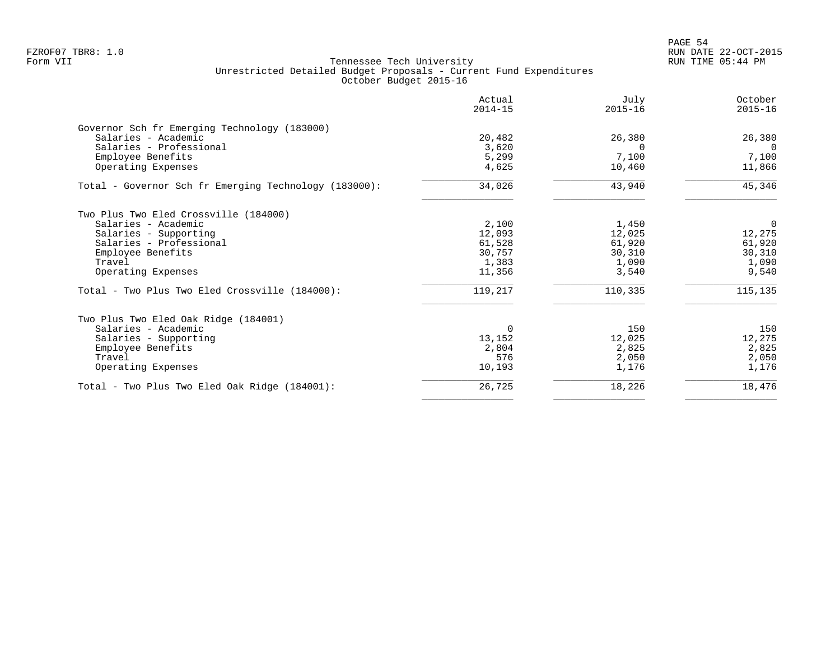|                                                                                                                                                                       | Actual<br>$2014 - 15$                                  | July<br>$2015 - 16$                                   | October<br>$2015 - 16$                                         |
|-----------------------------------------------------------------------------------------------------------------------------------------------------------------------|--------------------------------------------------------|-------------------------------------------------------|----------------------------------------------------------------|
| Governor Sch fr Emerging Technology (183000)<br>Salaries - Academic<br>Salaries - Professional<br>Employee Benefits<br>Operating Expenses                             | 20,482<br>3,620<br>5,299<br>4,625                      | 26,380<br>7,100<br>10,460                             | 26,380<br>$\Omega$<br>7,100<br>11,866                          |
| Total - Governor Sch fr Emerging Technology (183000):                                                                                                                 | 34,026                                                 | 43,940                                                | 45,346                                                         |
| Two Plus Two Eled Crossville (184000)<br>Salaries - Academic<br>Salaries - Supporting<br>Salaries - Professional<br>Employee Benefits<br>Travel<br>Operating Expenses | 2,100<br>12,093<br>61,528<br>30,757<br>1,383<br>11,356 | 1,450<br>12,025<br>61,920<br>30,310<br>1,090<br>3,540 | $\overline{0}$<br>12,275<br>61,920<br>30,310<br>1,090<br>9,540 |
| Total - Two Plus Two Eled Crossville (184000):                                                                                                                        | 119,217                                                | 110,335                                               | 115,135                                                        |
| Two Plus Two Eled Oak Ridge (184001)<br>Salaries - Academic<br>Salaries - Supporting<br>Employee Benefits<br>Travel<br>Operating Expenses                             | $\Omega$<br>13,152<br>2,804<br>576<br>10,193           | 150<br>12,025<br>2,825<br>2,050<br>1,176              | 150<br>12,275<br>2,825<br>2,050<br>1,176                       |
| Total - Two Plus Two Eled Oak Ridge (184001):                                                                                                                         | 26,725                                                 | 18,226                                                | 18,476                                                         |
|                                                                                                                                                                       |                                                        |                                                       |                                                                |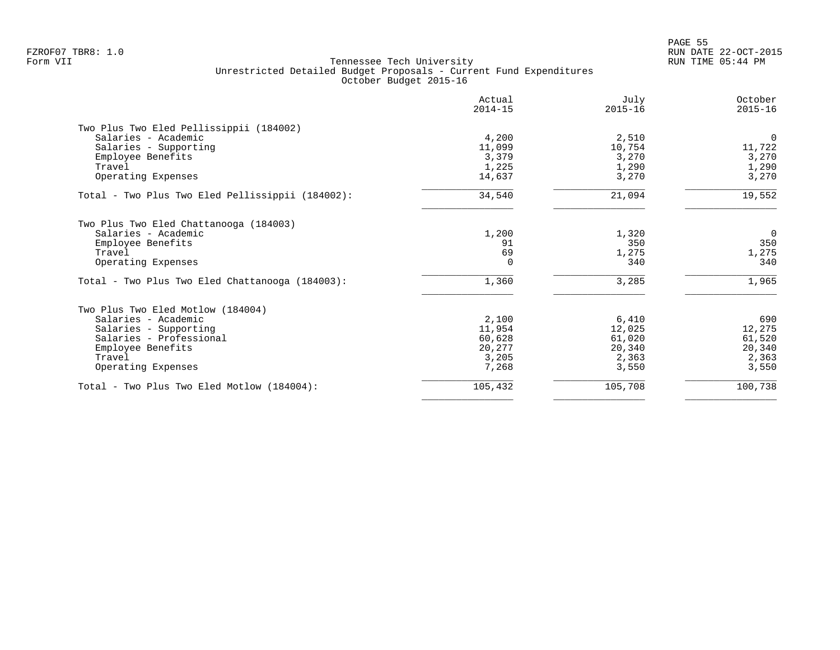|                                                  | Actual<br>$2014 - 15$ | July<br>$2015 - 16$ | October<br>$2015 - 16$ |
|--------------------------------------------------|-----------------------|---------------------|------------------------|
| Two Plus Two Eled Pellissippii (184002)          |                       |                     |                        |
| Salaries - Academic                              | 4,200                 | 2,510               | $\overline{0}$         |
| Salaries - Supporting                            | 11,099                | 10,754              | 11,722                 |
| Employee Benefits                                | 3,379                 | 3,270               | 3,270                  |
| Travel                                           | 1,225                 | 1,290               | 1,290                  |
| Operating Expenses                               | 14,637                | 3,270               | 3,270                  |
| Total - Two Plus Two Eled Pellissippii (184002): | 34,540                | 21,094              | 19,552                 |
| Two Plus Two Eled Chattanooga (184003)           |                       |                     |                        |
| Salaries - Academic                              | 1,200                 | 1,320               | $\overline{0}$         |
| Employee Benefits                                | 91                    | 350                 | 350                    |
| Travel                                           | 69                    | 1,275               | 1,275                  |
| Operating Expenses                               | $\Omega$              | 340                 | 340                    |
| Total - Two Plus Two Eled Chattanooga (184003):  | 1,360                 | 3,285               | 1,965                  |
| Two Plus Two Eled Motlow (184004)                |                       |                     |                        |
| Salaries - Academic                              | 2,100                 | 6,410               | 690                    |
| Salaries - Supporting                            | 11,954                | 12,025              | 12,275                 |
| Salaries - Professional                          | 60,628                | 61,020              | 61,520                 |
| Employee Benefits                                | 20,277                | 20,340              | 20,340                 |
| Travel                                           | 3,205                 | 2,363               | 2,363                  |
| Operating Expenses                               | 7,268                 | 3,550               | 3,550                  |
| Total - Two Plus Two Eled Motlow (184004):       | 105,432               | 105,708             | 100,738                |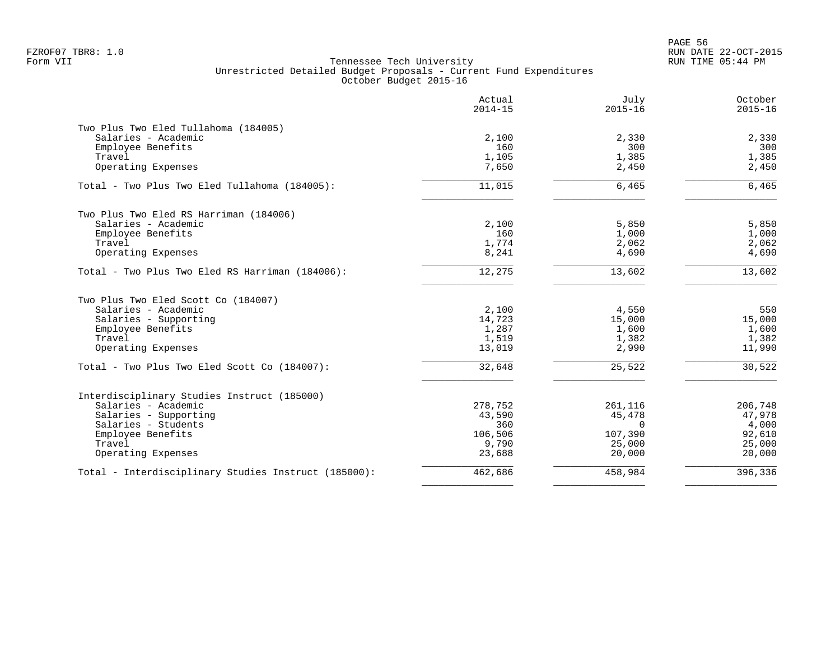|                                                      | Actual<br>$2014 - 15$ | July<br>$2015 - 16$ | October<br>$2015 - 16$ |
|------------------------------------------------------|-----------------------|---------------------|------------------------|
| Two Plus Two Eled Tullahoma (184005)                 |                       |                     |                        |
| Salaries - Academic                                  | 2,100                 | 2,330               | 2,330                  |
| Employee Benefits                                    | 160                   | 300                 | 300                    |
| Travel                                               | 1,105                 | 1,385               | 1,385                  |
| Operating Expenses                                   | 7,650                 | 2,450               | 2,450                  |
| Total - Two Plus Two Eled Tullahoma (184005):        | 11,015                | 6,465               | 6,465                  |
| Two Plus Two Eled RS Harriman (184006)               |                       |                     |                        |
| Salaries - Academic                                  | 2,100                 | 5,850               | 5,850                  |
| Employee Benefits                                    | 160                   | 1,000               | 1,000                  |
| Travel                                               | 1,774                 | 2,062               | 2,062                  |
| Operating Expenses                                   | 8,241                 | 4,690               | 4,690                  |
| Total - Two Plus Two Eled RS Harriman (184006):      | 12,275                | 13,602              | 13,602                 |
| Two Plus Two Eled Scott Co (184007)                  |                       |                     |                        |
| Salaries - Academic                                  | 2,100                 | 4,550               | 550                    |
| Salaries - Supporting                                | 14,723                | 15,000              | 15,000                 |
| Employee Benefits                                    | 1,287                 | 1,600               | 1,600                  |
| Travel                                               | 1,519                 | 1,382               | 1,382                  |
| Operating Expenses                                   | 13,019                | 2,990               | 11,990                 |
| Total - Two Plus Two Eled Scott Co (184007):         | 32,648                | 25,522              | 30,522                 |
| Interdisciplinary Studies Instruct (185000)          |                       |                     |                        |
| Salaries - Academic                                  | 278,752               | 261,116             | 206,748                |
| Salaries - Supporting                                | 43,590                | 45,478              | 47,978                 |
| Salaries - Students                                  | 360                   | $\Omega$            | 4,000                  |
| Employee Benefits                                    | 106,506               | 107,390             | 92,610                 |
| Travel                                               | 9,790                 | 25,000              | 25,000                 |
| Operating Expenses                                   | 23,688                | 20,000              | 20,000                 |
| Total - Interdisciplinary Studies Instruct (185000): | 462,686               | 458,984             | 396,336                |
|                                                      |                       |                     |                        |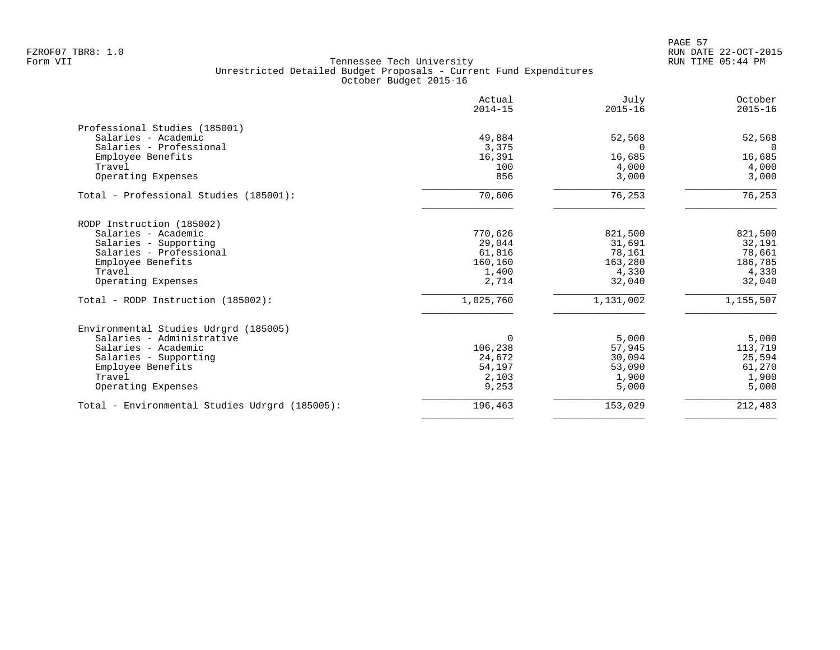|                                                | Actual<br>$2014 - 15$ | July<br>$2015 - 16$ | October<br>$2015 - 16$ |
|------------------------------------------------|-----------------------|---------------------|------------------------|
| Professional Studies (185001)                  |                       |                     |                        |
| Salaries - Academic                            | 49,884                | 52,568              | 52,568                 |
| Salaries - Professional                        | 3,375                 | $\Omega$            | $\Omega$               |
| Employee Benefits                              | 16,391                | 16,685              | 16,685                 |
| Travel                                         | 100                   | 4,000               | 4,000                  |
| Operating Expenses                             | 856                   | 3,000               | 3,000                  |
| Total - Professional Studies (185001):         | 70,606                | 76,253              | 76,253                 |
| RODP Instruction (185002)                      |                       |                     |                        |
| Salaries - Academic                            | 770,626               | 821,500             | 821,500                |
| Salaries - Supporting                          | 29,044                | 31,691              | 32,191                 |
| Salaries - Professional                        | 61,816                | 78,161              | 78,661                 |
| Employee Benefits                              | 160,160               | 163,280             | 186,785                |
| Travel                                         | 1,400                 | 4,330               | 4,330                  |
| Operating Expenses                             | 2,714                 | 32,040              | 32,040                 |
| Total - RODP Instruction (185002):             | 1,025,760             | 1,131,002           | 1,155,507              |
| Environmental Studies Udrgrd (185005)          |                       |                     |                        |
| Salaries - Administrative                      | $\Omega$              | 5,000               | 5,000                  |
| Salaries - Academic                            | 106,238               | 57,945              | 113,719                |
| Salaries - Supporting                          | 24,672                | 30,094              | 25,594                 |
| Employee Benefits                              | 54,197                | 53,090              | 61,270                 |
| Travel                                         | 2,103                 | 1,900               | 1,900                  |
| Operating Expenses                             | 9,253                 | 5,000               | 5,000                  |
| Total - Environmental Studies Udrgrd (185005): | 196,463               | 153,029             | 212,483                |
|                                                |                       |                     |                        |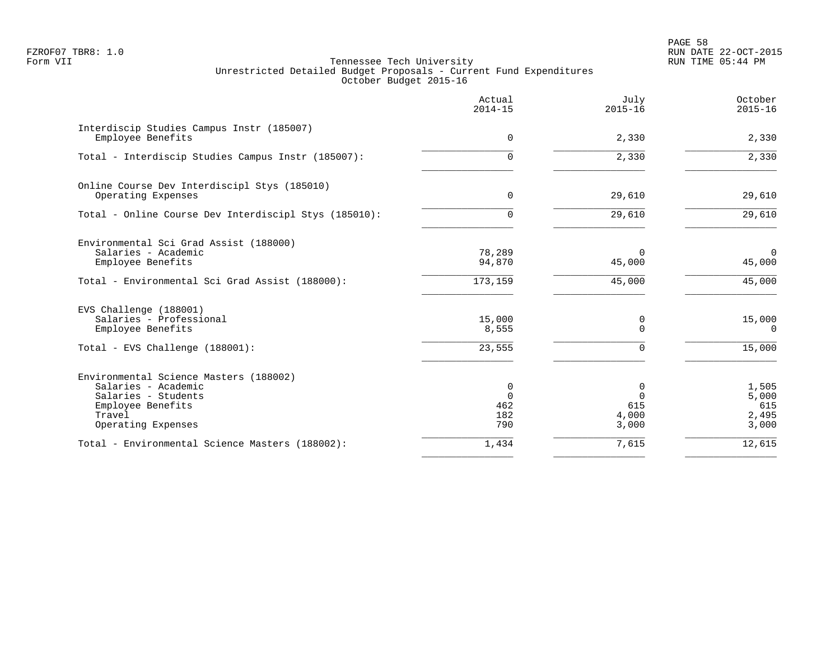PAGE 58 FZROF07 TBR8: 1.0 RUN DATE 22-OCT-2015

|                                                                                                                                           | Actual<br>$2014 - 15$              | July<br>$2015 - 16$                    | October<br>$2015 - 16$                  |
|-------------------------------------------------------------------------------------------------------------------------------------------|------------------------------------|----------------------------------------|-----------------------------------------|
| Interdiscip Studies Campus Instr (185007)<br>Employee Benefits                                                                            | $\Omega$                           | 2,330                                  | 2,330                                   |
| Total - Interdiscip Studies Campus Instr (185007):                                                                                        | 0                                  | 2,330                                  | 2,330                                   |
| Online Course Dev Interdiscipl Stys (185010)<br>Operating Expenses                                                                        | $\mathbf 0$                        | 29,610                                 | 29,610                                  |
| Total - Online Course Dev Interdiscipl Stys (185010):                                                                                     | $\Omega$                           | 29,610                                 | 29,610                                  |
| Environmental Sci Grad Assist (188000)<br>Salaries - Academic<br>Employee Benefits<br>Total - Environmental Sci Grad Assist (188000):     | 78,289<br>94,870<br>173,159        | 0<br>45,000<br>45,000                  | $\mathbf 0$<br>45,000<br>45,000         |
| EVS Challenge (188001)<br>Salaries - Professional<br>Employee Benefits                                                                    | 15,000<br>8,555                    | 0<br>$\Omega$                          | 15,000<br>$\Omega$                      |
| Total - EVS Challenge (188001):                                                                                                           | 23,555                             | $\Omega$                               | 15,000                                  |
| Environmental Science Masters (188002)<br>Salaries - Academic<br>Salaries - Students<br>Employee Benefits<br>Travel<br>Operating Expenses | 0<br>$\Omega$<br>462<br>182<br>790 | 0<br>$\Omega$<br>615<br>4,000<br>3,000 | 1,505<br>5,000<br>615<br>2,495<br>3,000 |
| Total - Environmental Science Masters (188002):                                                                                           | 1,434                              | 7,615                                  | 12,615                                  |
|                                                                                                                                           |                                    |                                        |                                         |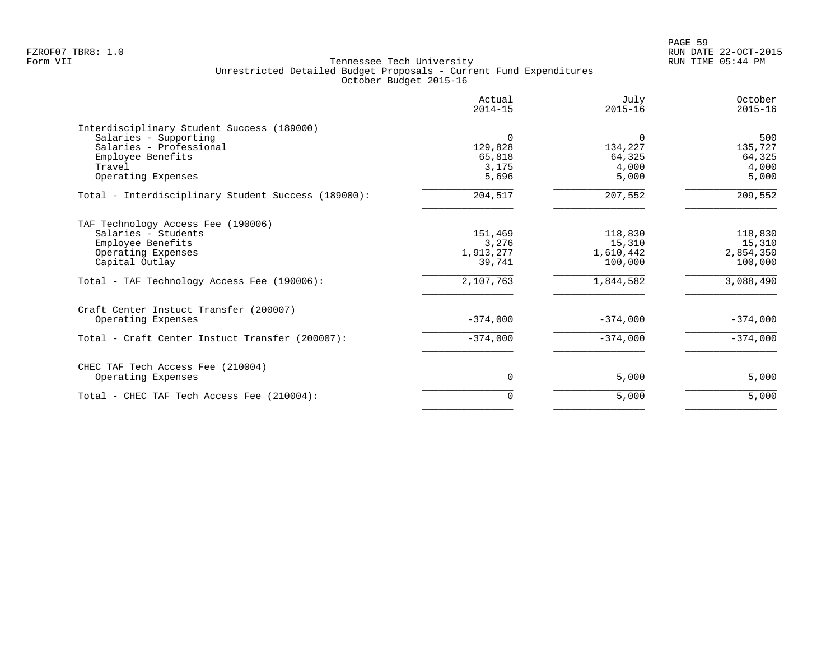|                                                     | Actual<br>$2014 - 15$ | July<br>$2015 - 16$ | October<br>$2015 - 16$ |
|-----------------------------------------------------|-----------------------|---------------------|------------------------|
| Interdisciplinary Student Success (189000)          |                       |                     |                        |
| Salaries - Supporting                               | $\Omega$              | $\Omega$            | 500                    |
| Salaries - Professional                             | 129,828               | 134,227             | 135,727                |
| Employee Benefits                                   | 65,818                | 64,325              | 64,325                 |
| Travel                                              | 3,175                 | 4,000               | 4,000                  |
| Operating Expenses                                  | 5,696                 | 5,000               | 5,000                  |
| Total - Interdisciplinary Student Success (189000): | 204,517               | 207,552             | 209,552                |
| TAF Technology Access Fee (190006)                  |                       |                     |                        |
| Salaries - Students                                 | 151,469               | 118,830             | 118,830                |
| Employee Benefits                                   | 3,276                 | 15,310              | 15,310                 |
| Operating Expenses                                  | 1,913,277             | 1,610,442           | 2,854,350              |
| Capital Outlay                                      | 39,741                | 100,000             | 100,000                |
| Total - TAF Technology Access Fee (190006):         | 2,107,763             | 1,844,582           | 3,088,490              |
| Craft Center Instuct Transfer (200007)              |                       |                     |                        |
| Operating Expenses                                  | $-374,000$            | $-374,000$          | $-374,000$             |
| Total - Craft Center Instuct Transfer (200007):     | $-374,000$            | $-374,000$          | $-374,000$             |
| CHEC TAF Tech Access Fee (210004)                   |                       |                     |                        |
| Operating Expenses                                  | 0                     | 5,000               | 5,000                  |
| Total - CHEC TAF Tech Access Fee (210004):          | 0                     | 5,000               | 5,000                  |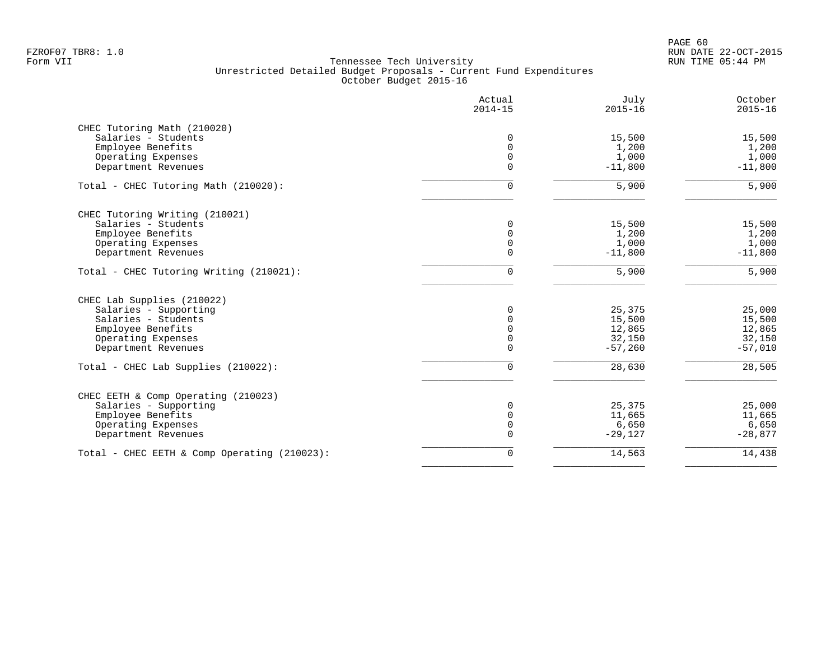PAGE 60 FZROF07 TBR8: 1.0 RUN DATE 22-OCT-2015

|                                              | Actual<br>$2014 - 15$ | July<br>$2015 - 16$ | October<br>$2015 - 16$ |
|----------------------------------------------|-----------------------|---------------------|------------------------|
| CHEC Tutoring Math (210020)                  |                       |                     |                        |
| Salaries - Students                          | $\Omega$              | 15,500              | 15,500                 |
| Employee Benefits                            | $\Omega$              | 1,200               | 1,200                  |
| Operating Expenses                           | $\Omega$              | 1,000               | 1,000                  |
| Department Revenues                          | $\Omega$              | $-11,800$           | $-11,800$              |
| Total - CHEC Tutoring Math (210020):         | $\Omega$              | 5,900               | 5,900                  |
| CHEC Tutoring Writing (210021)               |                       |                     |                        |
| Salaries - Students                          | 0                     | 15,500              | 15,500                 |
| Employee Benefits                            | $\Omega$              | 1,200               | 1,200                  |
| Operating Expenses                           | 0                     | 1,000               | 1,000                  |
| Department Revenues                          | $\Omega$              | $-11,800$           | $-11,800$              |
| Total - CHEC Tutoring Writing (210021):      | 0                     | 5,900               | 5,900                  |
| CHEC Lab Supplies (210022)                   |                       |                     |                        |
| Salaries - Supporting                        | $\Omega$              | 25,375              | 25,000                 |
| Salaries - Students                          | $\Omega$              | 15,500              | 15,500                 |
| Employee Benefits                            | $\Omega$              | 12,865              | 12,865                 |
| Operating Expenses                           | $\Omega$              | 32,150              | 32,150                 |
| Department Revenues                          | 0                     | $-57,260$           | $-57,010$              |
| Total - CHEC Lab Supplies (210022):          | 0                     | 28,630              | 28,505                 |
| CHEC EETH & Comp Operating (210023)          |                       |                     |                        |
| Salaries - Supporting                        | 0                     | 25,375              | 25,000                 |
| Employee Benefits                            | 0                     | 11,665              | 11,665                 |
| Operating Expenses                           | $\mathbf 0$           | 6,650               | 6,650                  |
| Department Revenues                          | 0                     | $-29,127$           | $-28,877$              |
| Total - CHEC EETH & Comp Operating (210023): | 0                     | 14,563              | 14,438                 |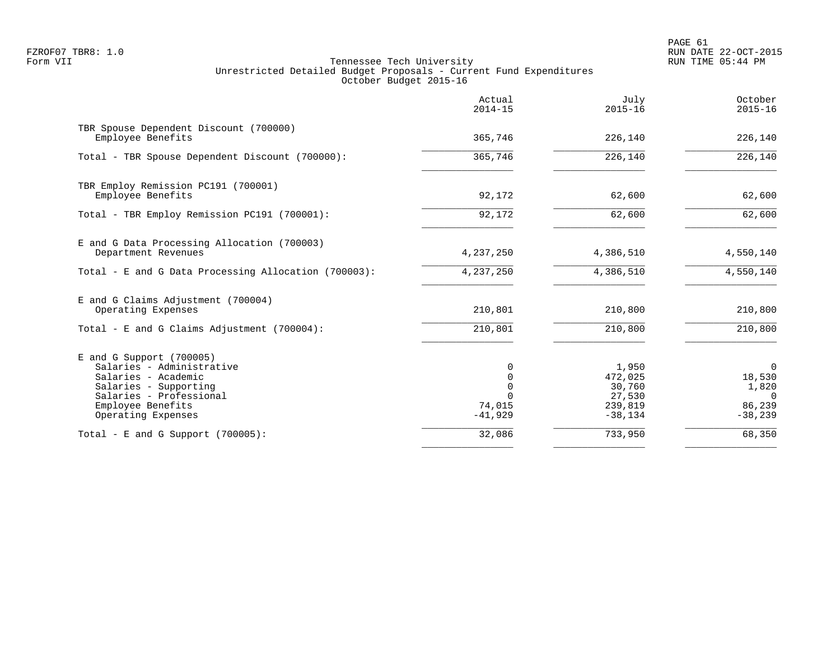|                                                                                                                                                                               | Actual<br>$2014 - 15$              | July<br>$2015 - 16$                                          | October<br>$2015 - 16$                                               |
|-------------------------------------------------------------------------------------------------------------------------------------------------------------------------------|------------------------------------|--------------------------------------------------------------|----------------------------------------------------------------------|
| TBR Spouse Dependent Discount (700000)<br>Employee Benefits                                                                                                                   | 365,746                            | 226,140                                                      | 226,140                                                              |
| Total - TBR Spouse Dependent Discount (700000):                                                                                                                               | 365,746                            | 226,140                                                      | 226,140                                                              |
| TBR Employ Remission PC191 (700001)<br>Employee Benefits                                                                                                                      | 92,172                             | 62,600                                                       | 62,600                                                               |
| Total - TBR Employ Remission PC191 (700001):                                                                                                                                  | 92,172                             | 62,600                                                       | 62,600                                                               |
| E and G Data Processing Allocation (700003)<br>Department Revenues                                                                                                            | 4,237,250                          | 4,386,510                                                    | 4,550,140                                                            |
| Total - E and G Data Processing Allocation (700003):                                                                                                                          | 4, 237, 250                        | 4,386,510                                                    | 4,550,140                                                            |
| E and G Claims Adjustment (700004)<br>Operating Expenses                                                                                                                      | 210,801                            | 210,800                                                      | 210,800                                                              |
| Total - E and G Claims Adjustment $(700004)$ :                                                                                                                                | 210,801                            | 210,800                                                      | 210,800                                                              |
| $E$ and G Support (700005)<br>Salaries - Administrative<br>Salaries - Academic<br>Salaries - Supporting<br>Salaries - Professional<br>Employee Benefits<br>Operating Expenses | 0<br>0<br>0<br>74,015<br>$-41,929$ | 1,950<br>472,025<br>30,760<br>27,530<br>239,819<br>$-38,134$ | $\overline{0}$<br>18,530<br>1,820<br>$\Omega$<br>86,239<br>$-38,239$ |
| Total - E and G Support $(700005)$ :                                                                                                                                          | 32,086                             | 733,950                                                      | 68,350                                                               |
|                                                                                                                                                                               |                                    |                                                              |                                                                      |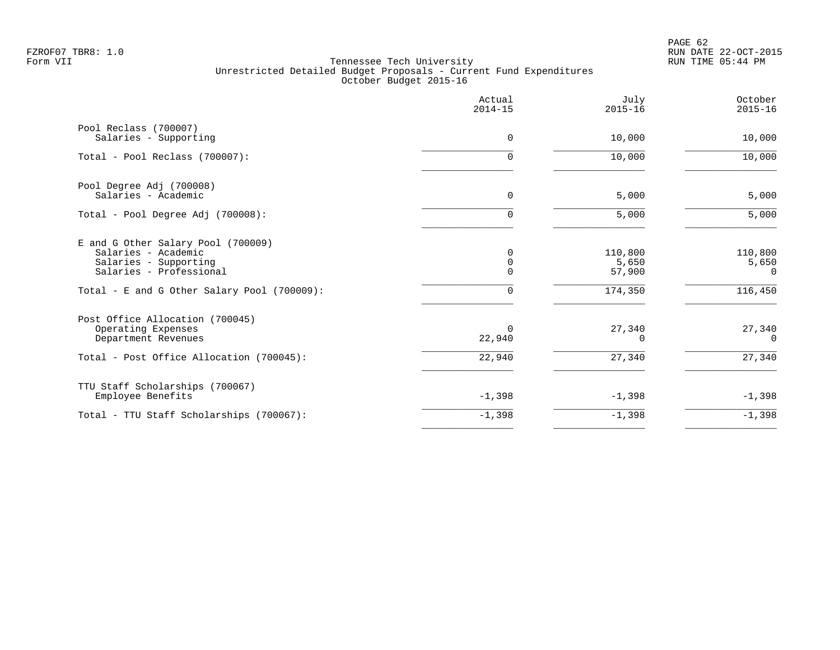PAGE 62 FZROF07 TBR8: 1.0 RUN DATE 22-OCT-2015

|                                                                                                                                                              | Actual<br>$2014 - 15$      | July<br>$2015 - 16$                   | October<br>$2015 - 16$           |
|--------------------------------------------------------------------------------------------------------------------------------------------------------------|----------------------------|---------------------------------------|----------------------------------|
| Pool Reclass (700007)<br>Salaries - Supporting                                                                                                               | 0                          | 10,000                                | 10,000                           |
| Total - Pool Reclass (700007):                                                                                                                               | 0                          | 10,000                                | 10,000                           |
| Pool Degree Adj (700008)<br>Salaries - Academic                                                                                                              | $\mathbf 0$                | 5,000                                 | 5,000                            |
| Total - Pool Degree Adj (700008):                                                                                                                            | 0                          | 5,000                                 | 5,000                            |
| E and G Other Salary Pool (700009)<br>Salaries - Academic<br>Salaries - Supporting<br>Salaries - Professional<br>Total - E and G Other Salary Pool (700009): | 0<br>0<br>0<br>$\mathbf 0$ | 110,800<br>5,650<br>57,900<br>174,350 | 110,800<br>5,650<br>0<br>116,450 |
| Post Office Allocation (700045)<br>Operating Expenses<br>Department Revenues                                                                                 | $\Omega$<br>22,940         | 27,340<br>∩                           | 27,340<br>$\Omega$               |
| Total - Post Office Allocation (700045):                                                                                                                     | 22,940                     | 27,340                                | 27,340                           |
| TTU Staff Scholarships (700067)<br>Employee Benefits                                                                                                         | $-1,398$                   | $-1,398$                              | $-1,398$                         |
| Total - TTU Staff Scholarships (700067):                                                                                                                     | $-1,398$                   | $-1,398$                              | $-1,398$                         |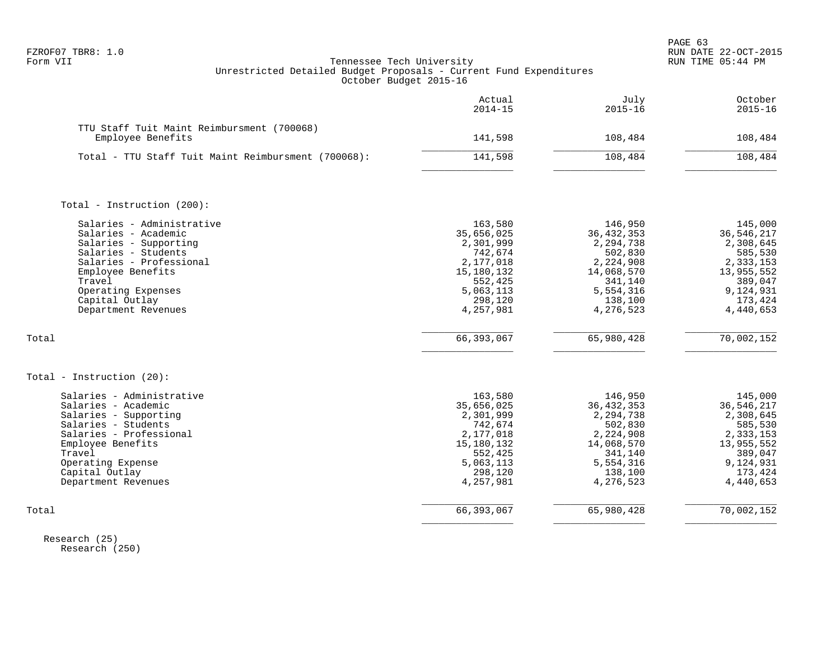|                                                                                                                                                                                                                           | Actual<br>$2014 - 15$                                                                                                    | July<br>$2015 - 16$                                                                                                        | October<br>$2015 - 16$                                                                                                   |
|---------------------------------------------------------------------------------------------------------------------------------------------------------------------------------------------------------------------------|--------------------------------------------------------------------------------------------------------------------------|----------------------------------------------------------------------------------------------------------------------------|--------------------------------------------------------------------------------------------------------------------------|
| TTU Staff Tuit Maint Reimbursment (700068)<br>Employee Benefits                                                                                                                                                           | 141,598                                                                                                                  | 108,484                                                                                                                    | 108,484                                                                                                                  |
| Total - TTU Staff Tuit Maint Reimbursment (700068):                                                                                                                                                                       | 141,598                                                                                                                  | 108,484                                                                                                                    | 108,484                                                                                                                  |
| Total - Instruction (200):                                                                                                                                                                                                |                                                                                                                          |                                                                                                                            |                                                                                                                          |
| Salaries - Administrative<br>Salaries - Academic<br>Salaries - Supporting<br>Salaries - Students<br>Salaries - Professional<br>Employee Benefits<br>Travel<br>Operating Expenses<br>Capital Outlay<br>Department Revenues | 163,580<br>35,656,025<br>2,301,999<br>742,674<br>2,177,018<br>15,180,132<br>552,425<br>5,063,113<br>298,120<br>4,257,981 | 146,950<br>36, 432, 353<br>2,294,738<br>502,830<br>2,224,908<br>14,068,570<br>341,140<br>5,554,316<br>138,100<br>4,276,523 | 145,000<br>36,546,217<br>2,308,645<br>585,530<br>2,333,153<br>13,955,552<br>389,047<br>9,124,931<br>173,424<br>4,440,653 |
| Total                                                                                                                                                                                                                     | 66,393,067                                                                                                               | 65,980,428                                                                                                                 | 70,002,152                                                                                                               |
| Total - Instruction (20):                                                                                                                                                                                                 |                                                                                                                          |                                                                                                                            |                                                                                                                          |
| Salaries - Administrative<br>Salaries - Academic<br>Salaries - Supporting<br>Salaries - Students<br>Salaries - Professional<br>Employee Benefits<br>Travel<br>Operating Expense<br>Capital Outlay<br>Department Revenues  | 163,580<br>35,656,025<br>2,301,999<br>742,674<br>2,177,018<br>15,180,132<br>552,425<br>5,063,113<br>298,120<br>4,257,981 | 146,950<br>36, 432, 353<br>2,294,738<br>502,830<br>2,224,908<br>14,068,570<br>341,140<br>5,554,316<br>138,100<br>4,276,523 | 145,000<br>36,546,217<br>2,308,645<br>585,530<br>2,333,153<br>13,955,552<br>389,047<br>9,124,931<br>173,424<br>4,440,653 |
| Total                                                                                                                                                                                                                     | 66, 393, 067                                                                                                             | 65,980,428                                                                                                                 | 70,002,152                                                                                                               |

 Research (25) Research (250)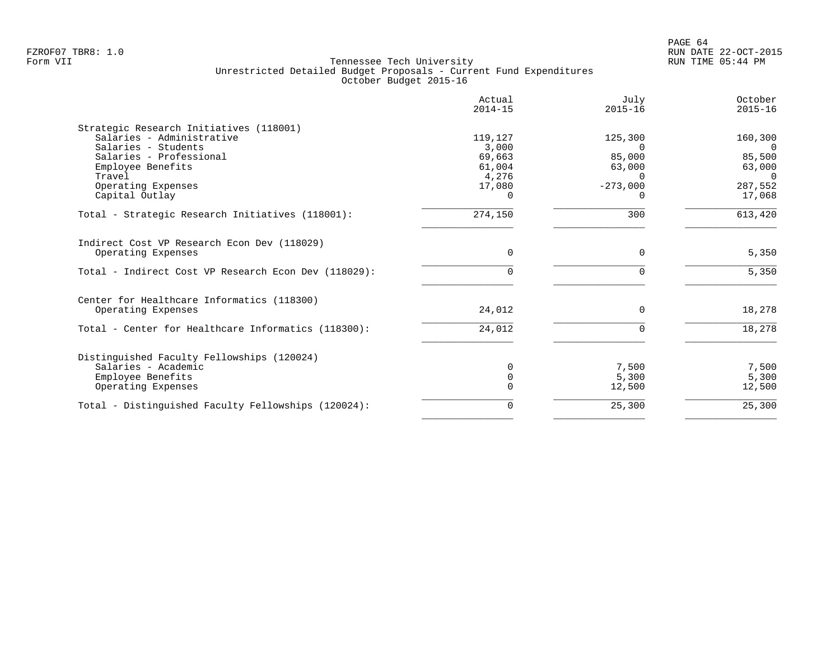| Actual<br>$2014 - 15$ | July<br>$2015 - 16$                                | October<br>$2015 - 16$              |
|-----------------------|----------------------------------------------------|-------------------------------------|
|                       |                                                    |                                     |
| 119,127               | 125,300                                            | 160,300                             |
| 3,000                 | $\Omega$                                           | $\Omega$                            |
|                       |                                                    | 85,500                              |
|                       |                                                    | 63,000                              |
|                       |                                                    | $\Omega$                            |
|                       |                                                    | 287,552                             |
|                       |                                                    | 17,068                              |
| 274,150               | 300                                                | 613,420                             |
|                       |                                                    |                                     |
| 0                     | $\Omega$                                           | 5,350                               |
| U                     |                                                    | 5,350                               |
|                       |                                                    |                                     |
|                       |                                                    | 18,278                              |
|                       |                                                    |                                     |
| 24,012                | $\Omega$                                           | 18,278                              |
|                       |                                                    |                                     |
| $\Omega$              | 7,500                                              | 7,500                               |
| $\Omega$              | 5,300                                              | 5,300                               |
| $\Omega$              | 12,500                                             | 12,500                              |
| 0                     | 25,300                                             | 25,300                              |
|                       | 69,663<br>61,004<br>4,276<br>17,080<br>0<br>24,012 | 85,000<br>63,000<br>$-273,000$<br>0 |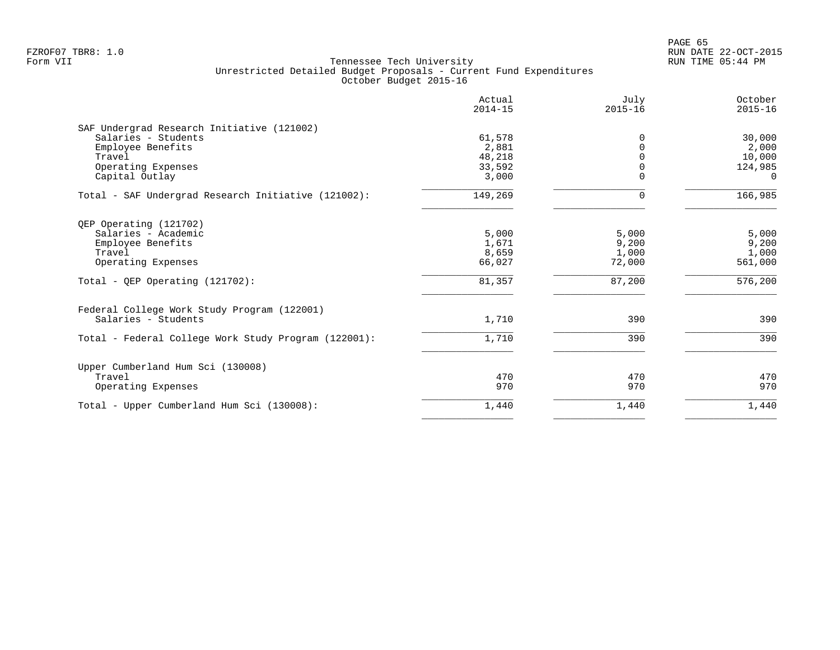|                                                      | Actual<br>$2014 - 15$ | July<br>$2015 - 16$ | October<br>$2015 - 16$ |
|------------------------------------------------------|-----------------------|---------------------|------------------------|
| SAF Undergrad Research Initiative (121002)           |                       |                     |                        |
| Salaries - Students                                  | 61,578                | 0                   | 30,000                 |
| Employee Benefits                                    | 2,881                 | $\Omega$            | 2,000                  |
| Travel                                               | 48,218                | $\Omega$            | 10,000                 |
| Operating Expenses                                   | 33,592                | $\Omega$            | 124,985                |
| Capital Outlay                                       | 3,000                 | $\Omega$            | $\Omega$               |
| Total - SAF Undergrad Research Initiative (121002):  | 149,269               | 0                   | 166,985                |
| QEP Operating (121702)                               |                       |                     |                        |
| Salaries - Academic                                  | 5,000                 | 5,000               | 5,000                  |
| Employee Benefits                                    | 1,671                 | 9,200               | 9,200                  |
| Travel                                               | 8,659                 | 1,000               | 1,000                  |
| Operating Expenses                                   | 66,027                | 72,000              | 561,000                |
| Total - QEP Operating $(121702)$ :                   | 81,357                | 87,200              | 576,200                |
| Federal College Work Study Program (122001)          |                       |                     |                        |
| Salaries - Students                                  | 1,710                 | 390                 | 390                    |
| Total - Federal College Work Study Program (122001): | 1,710                 | 390                 | 390                    |
| Upper Cumberland Hum Sci (130008)                    |                       |                     |                        |
| Travel                                               | 470                   | 470                 | 470                    |
| Operating Expenses                                   | 970                   | 970                 | 970                    |
| Total - Upper Cumberland Hum Sci (130008):           | 1,440                 | 1,440               | 1,440                  |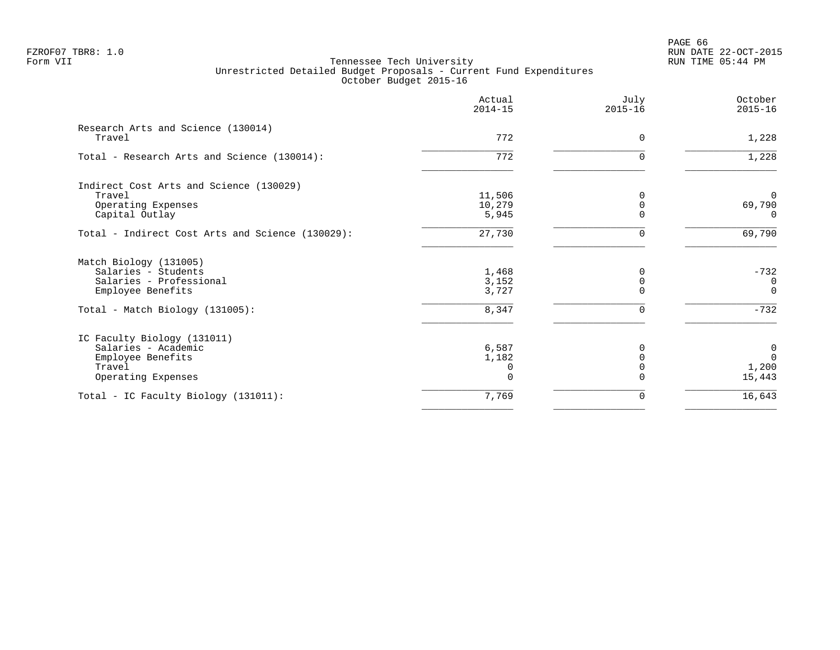PAGE 66 FZROF07 TBR8: 1.0 RUN DATE 22-OCT-2015

|                                                  | Actual<br>$2014 - 15$ | July<br>$2015 - 16$ | October<br>$2015 - 16$ |
|--------------------------------------------------|-----------------------|---------------------|------------------------|
| Research Arts and Science (130014)               |                       |                     |                        |
| Travel                                           | 772                   | $\Omega$            | 1,228                  |
| Total - Research Arts and Science (130014):      | 772                   |                     | 1,228                  |
| Indirect Cost Arts and Science (130029)          |                       |                     |                        |
| Travel                                           | 11,506                | 0                   | $\Omega$               |
| Operating Expenses                               | 10,279                |                     | 69,790                 |
| Capital Outlay                                   | 5,945                 |                     | $\Omega$               |
| Total - Indirect Cost Arts and Science (130029): | 27,730                | U                   | 69,790                 |
| Match Biology (131005)                           |                       |                     |                        |
| Salaries - Students                              | 1,468                 | O                   | $-732$                 |
| Salaries - Professional                          | 3,152                 |                     | $\overline{0}$         |
| Employee Benefits                                | 3,727                 |                     | $\Omega$               |
| Total - Match Biology (131005):                  | 8,347                 | 0                   | $-732$                 |
| IC Faculty Biology (131011)                      |                       |                     |                        |
| Salaries - Academic                              | 6,587                 |                     | $\mathbf 0$            |
| Employee Benefits                                | 1,182                 |                     | $\Omega$               |
| Travel                                           | 0                     |                     | 1,200                  |
| Operating Expenses                               |                       |                     | 15,443                 |
| Total - IC Faculty Biology (131011):             | 7,769                 | 0                   | 16,643                 |
|                                                  |                       |                     |                        |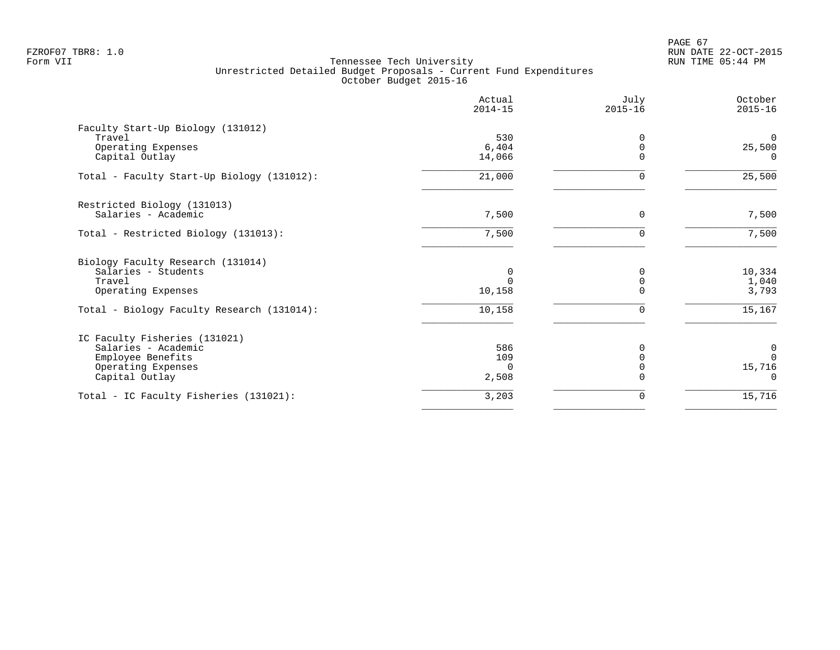PAGE 67 FZROF07 TBR8: 1.0 RUN DATE 22-OCT-2015

|                                            | Actual<br>$2014 - 15$ | July<br>$2015 - 16$ | October<br>$2015 - 16$ |
|--------------------------------------------|-----------------------|---------------------|------------------------|
| Faculty Start-Up Biology (131012)          |                       |                     |                        |
| Travel                                     | 530                   | 0                   | $\overline{0}$         |
| Operating Expenses                         | 6,404                 | $\Omega$            | 25,500                 |
| Capital Outlay                             | 14,066                |                     | $\Omega$               |
| Total - Faculty Start-Up Biology (131012): | 21,000                | 0                   | 25,500                 |
| Restricted Biology (131013)                |                       |                     |                        |
| Salaries - Academic                        | 7,500                 | $\Omega$            | 7,500                  |
| Total - Restricted Biology (131013):       | 7,500                 |                     | 7,500                  |
| Biology Faculty Research (131014)          |                       |                     |                        |
| Salaries - Students                        | 0                     | O                   | 10,334                 |
| Travel                                     |                       |                     | 1,040                  |
| Operating Expenses                         | 10,158                |                     | 3,793                  |
| Total - Biology Faculty Research (131014): | 10,158                |                     | 15,167                 |
| IC Faculty Fisheries (131021)              |                       |                     |                        |
| Salaries - Academic                        | 586                   |                     | $\mathbf 0$            |
| Employee Benefits                          | 109                   |                     | $\Omega$               |
| Operating Expenses                         | $\Omega$              |                     | 15,716                 |
| Capital Outlay                             | 2,508                 |                     | $\Omega$               |
| Total - IC Faculty Fisheries (131021):     | 3,203                 |                     | 15,716                 |
|                                            |                       |                     |                        |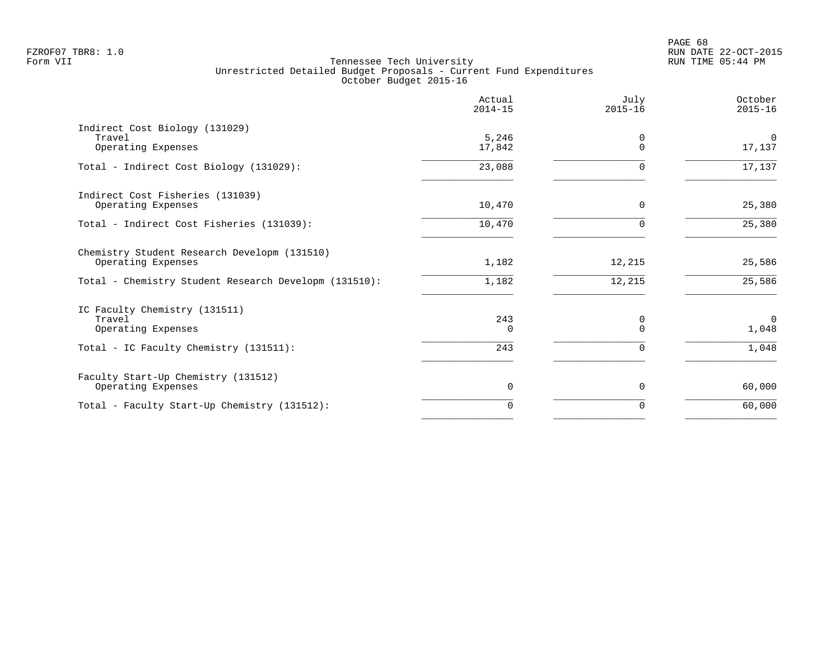|                                                                    | Actual<br>$2014 - 15$ | July<br>$2015 - 16$  | October<br>$2015 - 16$   |
|--------------------------------------------------------------------|-----------------------|----------------------|--------------------------|
| Indirect Cost Biology (131029)<br>Travel<br>Operating Expenses     | 5,246<br>17,842       | $\Omega$<br>$\Omega$ | $\overline{0}$<br>17,137 |
| Total - Indirect Cost Biology (131029):                            | 23,088                | $\Omega$             | 17,137                   |
| Indirect Cost Fisheries (131039)<br>Operating Expenses             | 10,470                | $\mathbf 0$          | 25,380                   |
| Total - Indirect Cost Fisheries (131039):                          | 10,470                | $\Omega$             | 25,380                   |
| Chemistry Student Research Developm (131510)<br>Operating Expenses | 1,182                 | 12,215               | 25,586                   |
| Total - Chemistry Student Research Developm (131510):              | 1,182                 | 12,215               | 25,586                   |
| IC Faculty Chemistry (131511)<br>Travel<br>Operating Expenses      | 243<br>$\Omega$       | 0<br>$\Omega$        | $\mathbf 0$<br>1,048     |
| Total - IC Faculty Chemistry (131511):                             | 243                   | $\Omega$             | 1,048                    |
| Faculty Start-Up Chemistry (131512)<br>Operating Expenses          | 0                     | 0                    | 60,000                   |
| Total - Faculty Start-Up Chemistry (131512):                       | 0                     | $\mathbf 0$          | 60,000                   |
|                                                                    |                       |                      |                          |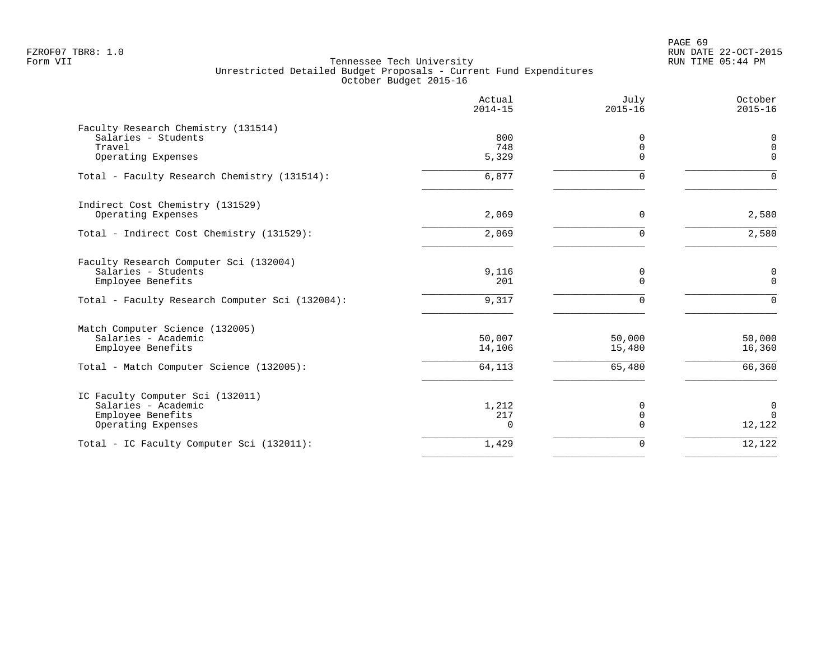|                                                            | Actual<br>$2014 - 15$ | July<br>$2015 - 16$ | October<br>$2015 - 16$ |
|------------------------------------------------------------|-----------------------|---------------------|------------------------|
| Faculty Research Chemistry (131514)<br>Salaries - Students | 800                   |                     |                        |
| Travel                                                     | 748                   | 0<br>$\overline{0}$ | 0<br>$\mathsf{O}$      |
| Operating Expenses                                         | 5,329                 | $\Omega$            | $\Omega$               |
| Total - Faculty Research Chemistry (131514):               | 6,877                 | $\Omega$            | $\Omega$               |
| Indirect Cost Chemistry (131529)                           |                       |                     |                        |
| Operating Expenses                                         | 2,069                 | $\Omega$            | 2,580                  |
| Total - Indirect Cost Chemistry (131529):                  | 2,069                 | $\Omega$            | 2,580                  |
| Faculty Research Computer Sci (132004)                     |                       |                     |                        |
| Salaries - Students<br>Employee Benefits                   | 9,116<br>201          | 0<br>$\mathbf 0$    | 0<br>$\Omega$          |
|                                                            |                       |                     |                        |
| Total - Faculty Research Computer Sci (132004):            | 9,317                 | $\Omega$            | $\Omega$               |
| Match Computer Science (132005)                            |                       |                     |                        |
| Salaries - Academic<br>Employee Benefits                   | 50,007<br>14,106      | 50,000<br>15,480    | 50,000<br>16,360       |
| Total - Match Computer Science (132005):                   | 64,113                | 65,480              | 66,360                 |
|                                                            |                       |                     |                        |
| IC Faculty Computer Sci (132011)<br>Salaries - Academic    | 1,212                 | 0                   | 0                      |
| Employee Benefits                                          | 217                   | $\mathbf 0$         | $\Omega$               |
| Operating Expenses                                         | $\Omega$              | $\Omega$            | 12,122                 |
| Total - IC Faculty Computer Sci (132011):                  | 1,429                 | 0                   | 12,122                 |
|                                                            |                       |                     |                        |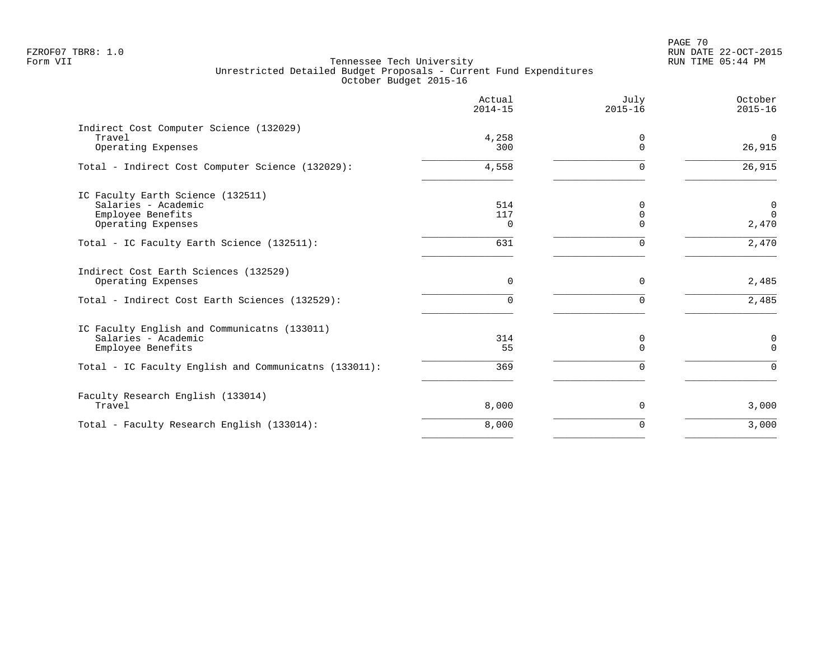|                                                       | Actual<br>$2014 - 15$ | July<br>$2015 - 16$ | October<br>$2015 - 16$ |
|-------------------------------------------------------|-----------------------|---------------------|------------------------|
| Indirect Cost Computer Science (132029)               |                       |                     |                        |
| Travel                                                | 4,258                 | 0                   | $\overline{0}$         |
| Operating Expenses                                    | 300                   | $\Omega$            | 26,915                 |
| Total - Indirect Cost Computer Science (132029):      | 4,558                 | $\Omega$            | 26,915                 |
| IC Faculty Earth Science (132511)                     |                       |                     |                        |
| Salaries - Academic                                   | 514                   | $\Omega$            | $\mathbf 0$            |
| Employee Benefits                                     | 117                   | $\mathbf 0$         | $\Omega$               |
| Operating Expenses                                    | $\Omega$              | $\Omega$            | 2,470                  |
| Total - IC Faculty Earth Science (132511):            | 631                   | $\Omega$            | 2,470                  |
| Indirect Cost Earth Sciences (132529)                 |                       |                     |                        |
| Operating Expenses                                    | $\Omega$              | $\Omega$            | 2,485                  |
| Total - Indirect Cost Earth Sciences (132529):        | 0                     | $\Omega$            | 2,485                  |
| IC Faculty English and Communicatns (133011)          |                       |                     |                        |
| Salaries - Academic                                   | 314                   | 0                   | 0                      |
| Employee Benefits                                     | 55                    | $\Omega$            | $\Omega$               |
| Total - IC Faculty English and Communicatns (133011): | 369                   | $\Omega$            | $\Omega$               |
| Faculty Research English (133014)                     |                       |                     |                        |
| Travel                                                | 8,000                 | 0                   | 3,000                  |
| Total - Faculty Research English (133014):            | 8,000                 | $\Omega$            | 3,000                  |
|                                                       |                       |                     |                        |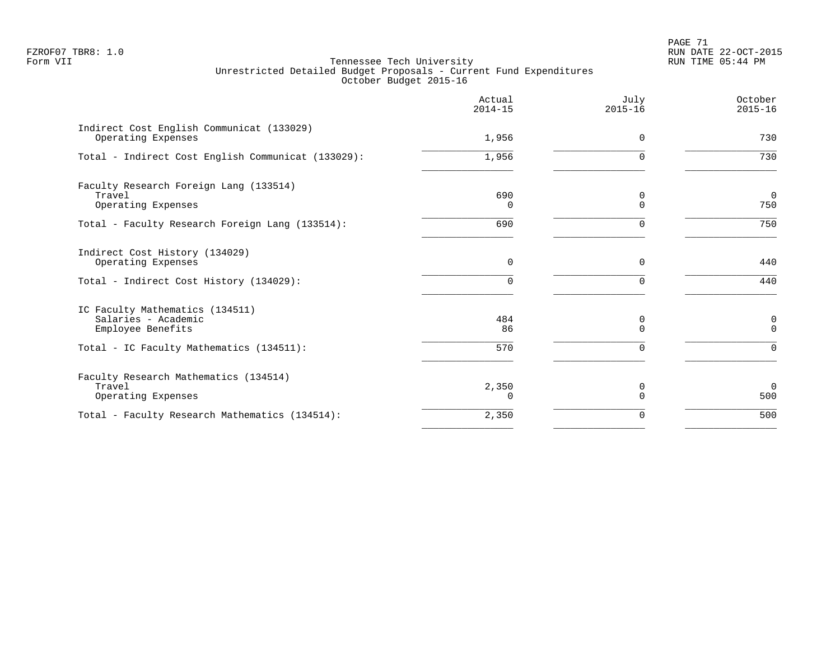PAGE 71 FZROF07 TBR8: 1.0 RUN DATE 22-OCT-2015

|                                                                             | Actual<br>$2014 - 15$ | July<br>$2015 - 16$ | October<br>$2015 - 16$ |
|-----------------------------------------------------------------------------|-----------------------|---------------------|------------------------|
| Indirect Cost English Communicat (133029)<br>Operating Expenses             | 1,956                 | $\Omega$            | 730                    |
| Total - Indirect Cost English Communicat (133029):                          | 1,956                 | $\Omega$            | 730                    |
| Faculty Research Foreign Lang (133514)<br>Travel<br>Operating Expenses      | 690<br>$\Omega$       | 0<br>$\Omega$       | $\overline{0}$<br>750  |
| Total - Faculty Research Foreign Lang (133514):                             | 690                   | ∩                   | 750                    |
| Indirect Cost History (134029)<br>Operating Expenses                        | $\mathbf 0$           | 0                   | 440                    |
| Total - Indirect Cost History (134029):                                     | $\Omega$              | $\Omega$            | 440                    |
| IC Faculty Mathematics (134511)<br>Salaries - Academic<br>Employee Benefits | 484<br>86             | 0<br>$\Omega$       | 0<br>$\Omega$          |
| Total - IC Faculty Mathematics (134511):                                    | 570                   | $\Omega$            | $\Omega$               |
| Faculty Research Mathematics (134514)<br>Travel<br>Operating Expenses       | 2,350<br>O            | 0<br>$\Omega$       | $\overline{0}$<br>500  |
| Total - Faculty Research Mathematics (134514):                              | 2,350                 | 0                   | 500                    |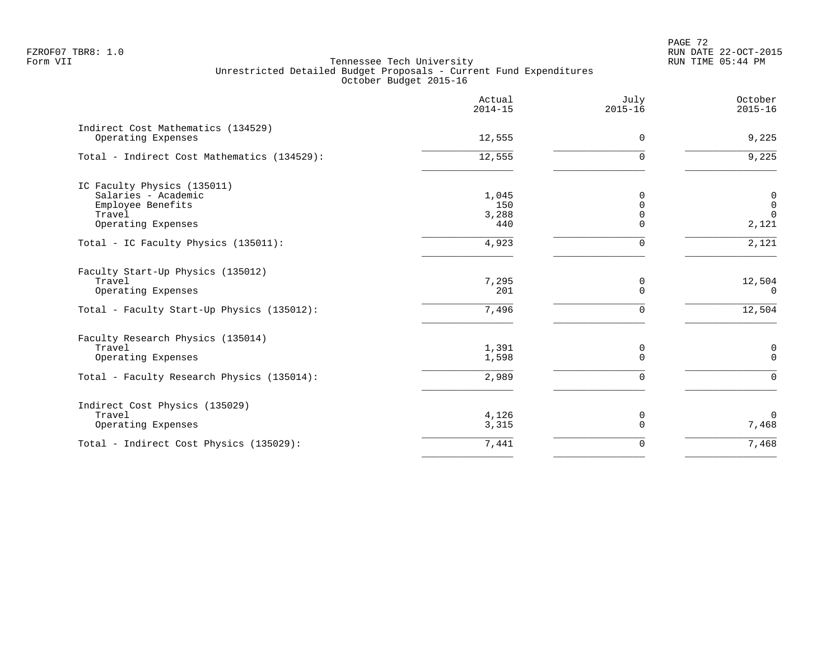|                                                          | Actual<br>$2014 - 15$ | July<br>$2015 - 16$ | October<br>$2015 - 16$ |
|----------------------------------------------------------|-----------------------|---------------------|------------------------|
| Indirect Cost Mathematics (134529)<br>Operating Expenses | 12,555                | $\Omega$            | 9,225                  |
| Total - Indirect Cost Mathematics (134529):              | 12,555                |                     | 9,225                  |
| IC Faculty Physics (135011)                              |                       |                     |                        |
| Salaries - Academic                                      | 1,045                 | $\Omega$            | $\mathsf{O}$           |
| Employee Benefits                                        | 150                   | $\Omega$            | $\mathsf 0$            |
| Travel                                                   | 3,288                 | $\Omega$            | $\Omega$               |
| Operating Expenses                                       | 440                   | $\Omega$            | 2,121                  |
| Total - IC Faculty Physics (135011):                     | 4,923                 | $\Omega$            | 2,121                  |
| Faculty Start-Up Physics (135012)                        |                       |                     |                        |
| Travel                                                   | 7,295                 | 0                   | 12,504                 |
| Operating Expenses                                       | 201                   | $\Omega$            | $\Omega$               |
| Total - Faculty Start-Up Physics (135012):               | 7,496                 | $\Omega$            | 12,504                 |
| Faculty Research Physics (135014)                        |                       |                     |                        |
| Travel                                                   | 1,391                 | 0                   | 0                      |
| Operating Expenses                                       | 1,598                 | $\Omega$            | $\Omega$               |
| Total - Faculty Research Physics (135014):               | 2,989                 | $\Omega$            | $\Omega$               |
| Indirect Cost Physics (135029)                           |                       |                     |                        |
| Travel                                                   | 4,126                 | 0                   | $\Omega$               |
| Operating Expenses                                       | 3,315                 | $\Omega$            | 7,468                  |
| Total - Indirect Cost Physics (135029):                  | 7,441                 | $\Omega$            | 7,468                  |
|                                                          |                       |                     |                        |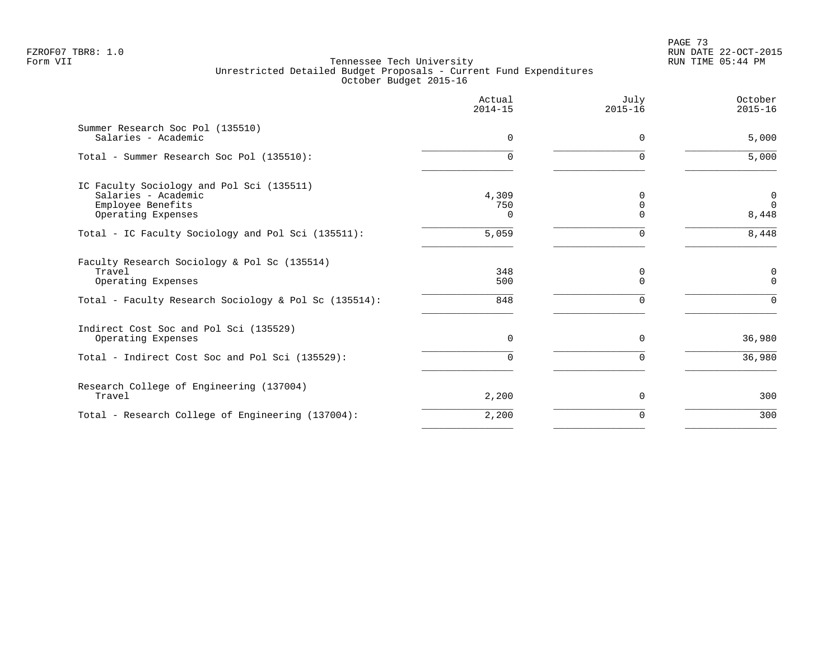PAGE 73 FZROF07 TBR8: 1.0 RUN DATE 22-OCT-2015

|                                                                                                                                       | Actual<br>$2014 - 15$    | July<br>$2015 - 16$       | October<br>$2015 - 16$                 |
|---------------------------------------------------------------------------------------------------------------------------------------|--------------------------|---------------------------|----------------------------------------|
| Summer Research Soc Pol (135510)<br>Salaries - Academic                                                                               | 0                        | $\Omega$                  | 5,000                                  |
| Total - Summer Research Soc Pol (135510):                                                                                             | $\Omega$                 | $\Omega$                  | 5,000                                  |
| IC Faculty Sociology and Pol Sci (135511)<br>Salaries - Academic<br>Employee Benefits<br>Operating Expenses                           | 4,309<br>750<br>$\Omega$ | $\Omega$<br>$\Omega$      | $\overline{0}$<br>$\Omega$<br>8,448    |
| Total - IC Faculty Sociology and Pol Sci (135511):                                                                                    | 5,059                    |                           | 8,448                                  |
| Faculty Research Sociology & Pol Sc (135514)<br>Travel<br>Operating Expenses<br>Total - Faculty Research Sociology & Pol Sc (135514): | 348<br>500<br>848        | 0<br>$\Omega$<br>$\Omega$ | $\mathbf 0$<br>$\mathbf 0$<br>$\Omega$ |
| Indirect Cost Soc and Pol Sci (135529)<br>Operating Expenses                                                                          | $\Omega$                 | $\Omega$                  | 36,980                                 |
| Total - Indirect Cost Soc and Pol Sci (135529):                                                                                       | $\Omega$                 |                           | 36,980                                 |
| Research College of Engineering (137004)<br>Travel                                                                                    | 2,200                    | 0                         | 300                                    |
| Total - Research College of Engineering (137004):                                                                                     | 2,200                    | $\Omega$                  | 300                                    |
|                                                                                                                                       |                          |                           |                                        |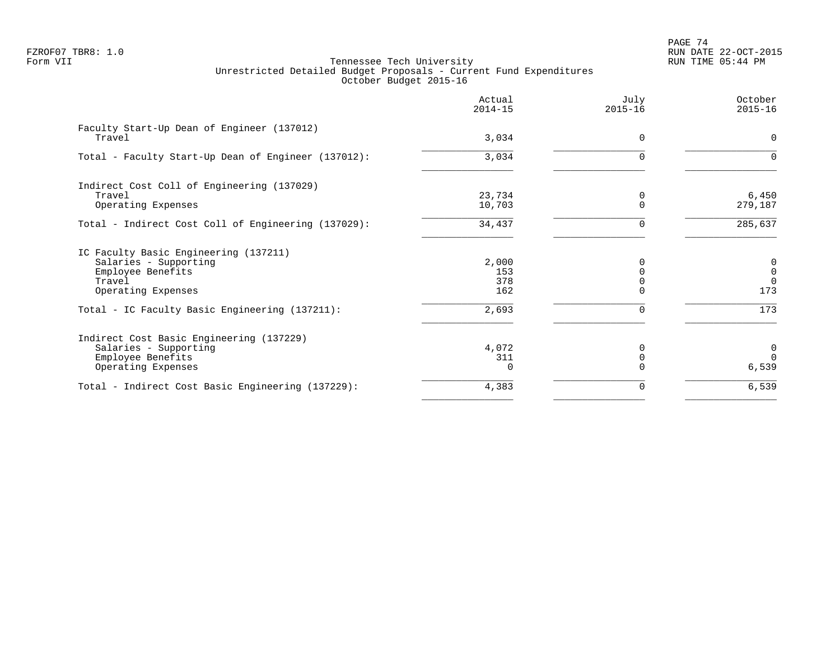PAGE 74 FZROF07 TBR8: 1.0 RUN DATE 22-OCT-2015

|                                                      | Actual<br>$2014 - 15$ | July<br>$2015 - 16$ | October<br>$2015 - 16$ |
|------------------------------------------------------|-----------------------|---------------------|------------------------|
| Faculty Start-Up Dean of Engineer (137012)<br>Travel | 3,034                 | $\Omega$            | $\Omega$               |
|                                                      |                       |                     |                        |
| Total - Faculty Start-Up Dean of Engineer (137012):  | 3,034                 | $\Omega$            | $\Omega$               |
| Indirect Cost Coll of Engineering (137029)           |                       |                     |                        |
| Travel                                               | 23,734                | $\Omega$            | 6,450                  |
| Operating Expenses                                   | 10,703                | $\cap$              | 279,187                |
| Total - Indirect Cost Coll of Engineering (137029):  | 34,437                | 0                   | 285,637                |
| IC Faculty Basic Engineering (137211)                |                       |                     |                        |
| Salaries - Supporting                                | 2,000                 |                     | 0                      |
| Employee Benefits                                    | 153                   |                     | $\mathbf 0$            |
| Travel                                               | 378                   |                     | $\overline{0}$         |
| Operating Expenses                                   | 162                   | $\Omega$            | 173                    |
| Total - IC Faculty Basic Engineering (137211):       | 2,693                 | $\Omega$            | 173                    |
| Indirect Cost Basic Engineering (137229)             |                       |                     |                        |
| Salaries - Supporting                                | 4,072                 | $\Omega$            | 0                      |
| Employee Benefits                                    | 311                   |                     | $\Omega$               |
| Operating Expenses                                   | 0                     |                     | 6,539                  |
| Total - Indirect Cost Basic Engineering (137229):    | 4,383                 | 0                   | 6,539                  |
|                                                      |                       |                     |                        |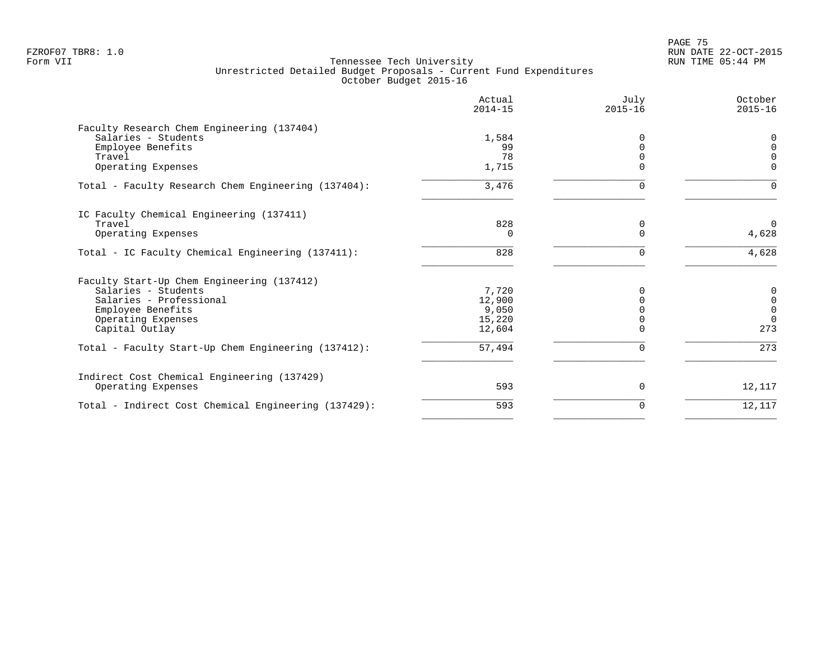|                                                      | Actual<br>$2014 - 15$ | July<br>$2015 - 16$ | October<br>$2015 - 16$ |
|------------------------------------------------------|-----------------------|---------------------|------------------------|
| Faculty Research Chem Engineering (137404)           |                       |                     |                        |
| Salaries - Students                                  | 1,584                 | 0                   | $\Omega$               |
| Employee Benefits                                    | 99                    | $\Omega$            | $\Omega$               |
| Travel                                               | 78                    | $\Omega$            | $\Omega$               |
| Operating Expenses                                   | 1,715                 | ∩                   | $\Omega$               |
| Total - Faculty Research Chem Engineering (137404):  | 3,476                 | $\Omega$            | $\Omega$               |
| IC Faculty Chemical Engineering (137411)             |                       |                     |                        |
| Travel                                               | 828                   | 0                   | $\Omega$               |
| Operating Expenses                                   | 0                     | $\Omega$            | 4,628                  |
| Total - IC Faculty Chemical Engineering (137411):    | 828                   | $\Omega$            | 4,628                  |
| Faculty Start-Up Chem Engineering (137412)           |                       |                     |                        |
| Salaries - Students                                  | 7,720                 | 0                   | 0                      |
| Salaries - Professional                              | 12,900                | $\Omega$            | $\mathbf 0$            |
| Employee Benefits                                    | 9,050                 |                     | $\mathbf 0$            |
| Operating Expenses                                   | 15,220                |                     | $\Omega$               |
| Capital Outlay                                       | 12,604                | $\Omega$            | 273                    |
| Total - Faculty Start-Up Chem Engineering (137412):  | 57,494                | $\Omega$            | 273                    |
| Indirect Cost Chemical Engineering (137429)          |                       |                     |                        |
| Operating Expenses                                   | 593                   | 0                   | 12,117                 |
| Total - Indirect Cost Chemical Engineering (137429): | 593                   | $\Omega$            | 12,117                 |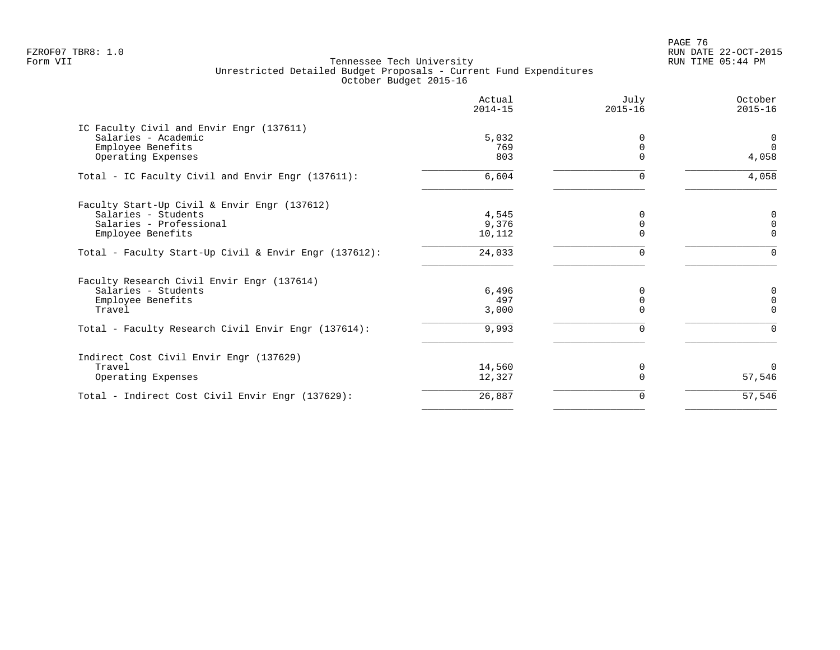en and the set of the set of the set of the set of the set of the set of the set of the set of the set of the set of the set of the set of the set of the set of the set of the set of the set of the set of the set of the se FZROF07 TBR8: 1.0 RUN DATE 22-OCT-2015

|                                                       | Actual<br>$2014 - 15$ | July<br>$2015 - 16$ | October<br>$2015 - 16$ |
|-------------------------------------------------------|-----------------------|---------------------|------------------------|
| IC Faculty Civil and Envir Engr (137611)              |                       |                     |                        |
| Salaries - Academic                                   | 5,032                 |                     | 0                      |
| Employee Benefits                                     | 769                   |                     | $\Omega$               |
| Operating Expenses                                    | 803                   |                     | 4,058                  |
| Total - IC Faculty Civil and Envir Engr (137611):     | 6,604                 | 0                   | 4,058                  |
| Faculty Start-Up Civil & Envir Engr (137612)          |                       |                     |                        |
| Salaries - Students                                   | 4,545                 | 0                   | 0                      |
| Salaries - Professional                               | 9,376                 | $\Omega$            | $\Omega$               |
| Employee Benefits                                     | 10,112                |                     | $\Omega$               |
| Total - Faculty Start-Up Civil & Envir Engr (137612): | 24,033                | 0                   | $\Omega$               |
| Faculty Research Civil Envir Engr (137614)            |                       |                     |                        |
| Salaries - Students                                   | 6,496                 |                     | 0                      |
| Employee Benefits                                     | 497                   | $\Omega$            | $\Omega$               |
| Travel                                                | 3,000                 |                     | $\Omega$               |
| Total - Faculty Research Civil Envir Engr (137614):   | 9,993                 | $\mathbf 0$         | $\Omega$               |
| Indirect Cost Civil Envir Engr (137629)               |                       |                     |                        |
| Travel                                                | 14,560                | 0                   | $\Omega$               |
| Operating Expenses                                    | 12,327                | $\Omega$            | 57,546                 |
| Total - Indirect Cost Civil Envir Engr (137629):      | 26,887                | 0                   | 57,546                 |
|                                                       |                       |                     |                        |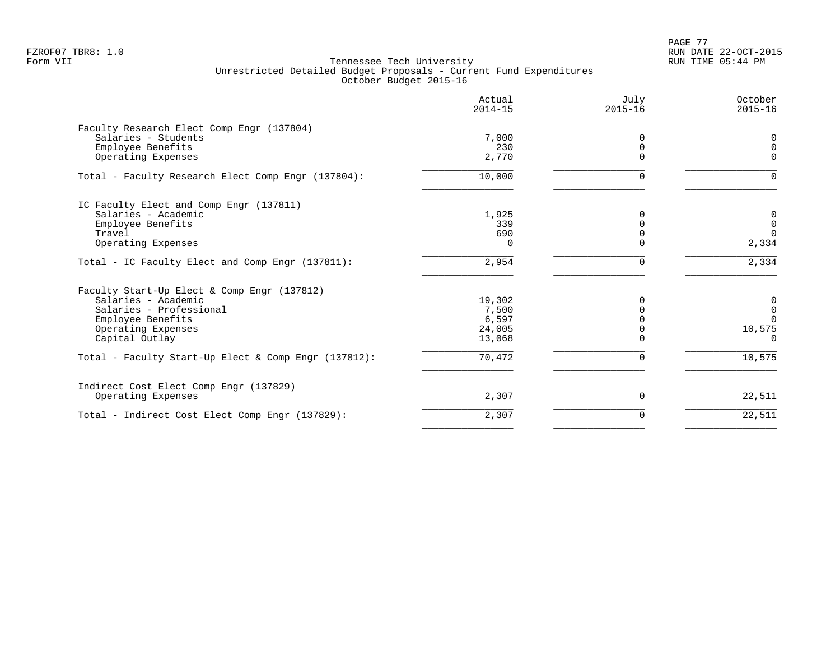PAGE 77 FZROF07 TBR8: 1.0 RUN DATE 22-OCT-2015

|                                                      | Actual<br>$2014 - 15$ | July<br>$2015 - 16$ | October<br>$2015 - 16$ |
|------------------------------------------------------|-----------------------|---------------------|------------------------|
| Faculty Research Elect Comp Engr (137804)            |                       |                     |                        |
| Salaries - Students                                  | 7,000                 | 0                   | 0                      |
| Employee Benefits                                    | 230                   | $\Omega$            | $\mathbf 0$            |
| Operating Expenses                                   | 2,770                 | $\Omega$            | $\Omega$               |
| Total - Faculty Research Elect Comp Engr (137804):   | 10,000                |                     | $\Omega$               |
| IC Faculty Elect and Comp Engr (137811)              |                       |                     |                        |
| Salaries - Academic                                  | 1,925                 | 0                   | 0                      |
| Employee Benefits                                    | 339                   |                     | $\overline{0}$         |
| Travel                                               | 690                   |                     | $\Omega$               |
| Operating Expenses                                   | $\Omega$              |                     | 2,334                  |
| Total - IC Faculty Elect and Comp Engr (137811):     | 2,954                 | 0                   | 2,334                  |
| Faculty Start-Up Elect & Comp Engr (137812)          |                       |                     |                        |
| Salaries - Academic                                  | 19,302                | 0                   | 0                      |
| Salaries - Professional                              | 7,500                 |                     | $\overline{0}$         |
| Employee Benefits                                    | 6,597                 |                     | $\Omega$               |
| Operating Expenses                                   | 24,005                |                     | 10,575                 |
| Capital Outlay                                       | 13,068                |                     | $\Omega$               |
| Total - Faculty Start-Up Elect & Comp Engr (137812): | 70,472                |                     | 10,575                 |
| Indirect Cost Elect Comp Engr (137829)               |                       |                     |                        |
| Operating Expenses                                   | 2,307                 | 0                   | 22,511                 |
| Total - Indirect Cost Elect Comp Engr (137829):      | 2,307                 | $\Omega$            | 22,511                 |
|                                                      |                       |                     |                        |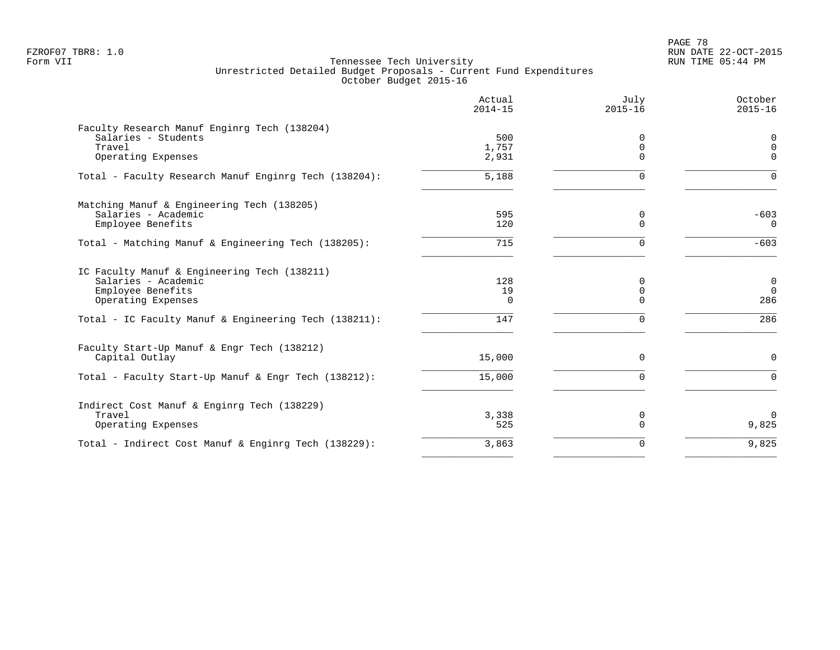|                                                                                                                                                                         | Actual<br>$2014 - 15$        | July<br>$2015 - 16$                      | October<br>$2015 - 16$                      |
|-------------------------------------------------------------------------------------------------------------------------------------------------------------------------|------------------------------|------------------------------------------|---------------------------------------------|
| Faculty Research Manuf Enginrg Tech (138204)<br>Salaries - Students<br>Travel<br>Operating Expenses                                                                     | 500<br>1,757<br>2,931        | $\Omega$<br>$\mathbf 0$<br>$\Omega$      | 0<br>0<br>$\Omega$                          |
| Total - Faculty Research Manuf Enginrg Tech (138204):                                                                                                                   | 5,188                        | $\Omega$                                 | <sup>n</sup>                                |
| Matching Manuf & Engineering Tech (138205)<br>Salaries - Academic<br>Employee Benefits                                                                                  | 595<br>120                   | 0<br>$\Omega$                            | $-603$<br>$\Omega$                          |
| Total - Matching Manuf & Engineering Tech (138205):                                                                                                                     | 715                          | $\Omega$                                 | $-603$                                      |
| IC Faculty Manuf & Engineering Tech (138211)<br>Salaries - Academic<br>Employee Benefits<br>Operating Expenses<br>Total - IC Faculty Manuf & Engineering Tech (138211): | 128<br>19<br>$\Omega$<br>147 | 0<br>$\mathbf 0$<br>$\Omega$<br>$\Omega$ | $\mathbf 0$<br>$\overline{0}$<br>286<br>286 |
| Faculty Start-Up Manuf & Engr Tech (138212)<br>Capital Outlay<br>Total - Faculty Start-Up Manuf & Engr Tech (138212):                                                   | 15,000<br>15,000             | $\Omega$<br>$\Omega$                     | $\Omega$<br>$\Omega$                        |
| Indirect Cost Manuf & Enginrg Tech (138229)<br>Travel<br>Operating Expenses                                                                                             | 3,338<br>525                 | 0<br>$\Omega$                            | $\Omega$<br>9,825                           |
| Total - Indirect Cost Manuf & Enginrg Tech (138229):                                                                                                                    | 3,863                        | $\Omega$                                 | 9,825                                       |
|                                                                                                                                                                         |                              |                                          |                                             |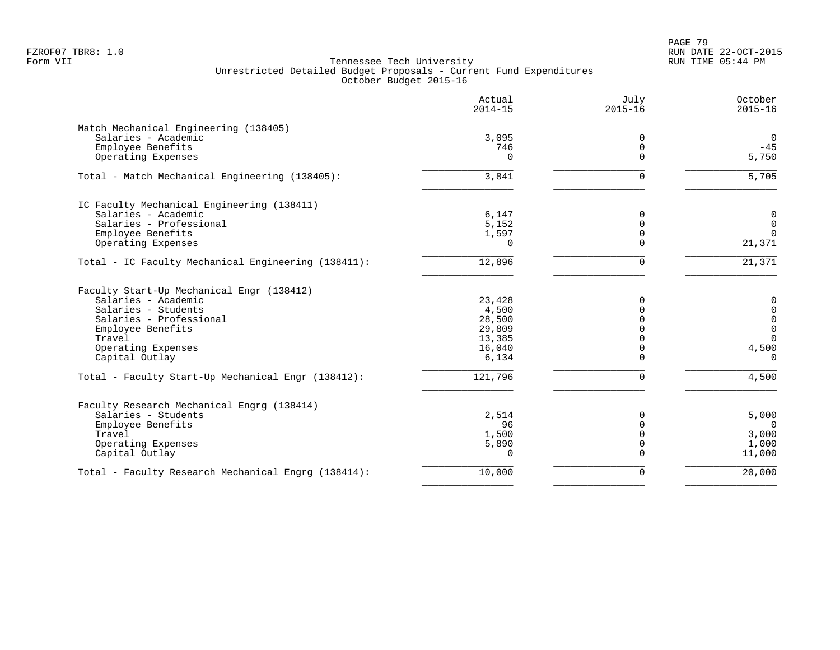|                                                     | Actual<br>$2014 - 15$ | July<br>$2015 - 16$ | October<br>$2015 - 16$ |
|-----------------------------------------------------|-----------------------|---------------------|------------------------|
| Match Mechanical Engineering (138405)               |                       |                     |                        |
| Salaries - Academic                                 | 3,095                 | 0                   | $\overline{0}$         |
| Employee Benefits                                   | 746                   | $\mathbf 0$         | $-45$                  |
| Operating Expenses                                  | $\Omega$              | $\Omega$            | 5,750                  |
| Total - Match Mechanical Engineering (138405):      | 3,841                 | 0                   | 5,705                  |
| IC Faculty Mechanical Engineering (138411)          |                       |                     |                        |
| Salaries - Academic                                 | 6,147                 | 0                   |                        |
| Salaries - Professional                             |                       | $\mathbf 0$         | 0<br>$\mathbf 0$       |
|                                                     | 5,152                 |                     | $\Omega$               |
| Employee Benefits                                   | 1,597                 | $\mathbf 0$         |                        |
| Operating Expenses                                  | $\Omega$              | $\Omega$            | 21,371                 |
| Total - IC Faculty Mechanical Engineering (138411): | 12,896                | $\Omega$            | 21,371                 |
| Faculty Start-Up Mechanical Engr (138412)           |                       |                     |                        |
| Salaries - Academic                                 | 23,428                | 0                   | 0                      |
| Salaries - Students                                 | 4,500                 | $\Omega$            | $\mathbf 0$            |
| Salaries - Professional                             | 28,500                | $\Omega$            | $\mathsf 0$            |
| Employee Benefits                                   | 29,809                | $\Omega$            | $\mathsf{O}\xspace$    |
| Travel                                              | 13,385                | $\Omega$            | $\Omega$               |
| Operating Expenses                                  | 16,040                | $\mathbf 0$         | 4,500                  |
| Capital Outlay                                      | 6,134                 | $\Omega$            | $\Omega$               |
| Total - Faculty Start-Up Mechanical Engr (138412):  | 121,796               | 0                   | 4,500                  |
|                                                     |                       |                     |                        |
| Faculty Research Mechanical Engrg (138414)          |                       |                     |                        |
| Salaries - Students                                 | 2,514                 | 0                   | 5,000                  |
| Employee Benefits                                   | 96                    | $\mathbf 0$         | $\Omega$               |
| Travel                                              | 1,500                 | $\overline{0}$      | 3,000                  |
| Operating Expenses                                  | 5,890                 | 0                   | 1,000                  |
| Capital Outlay                                      | 0                     | $\Omega$            | 11,000                 |
| Total - Faculty Research Mechanical Engrg (138414): | 10,000                | $\Omega$            | 20,000                 |
|                                                     |                       |                     |                        |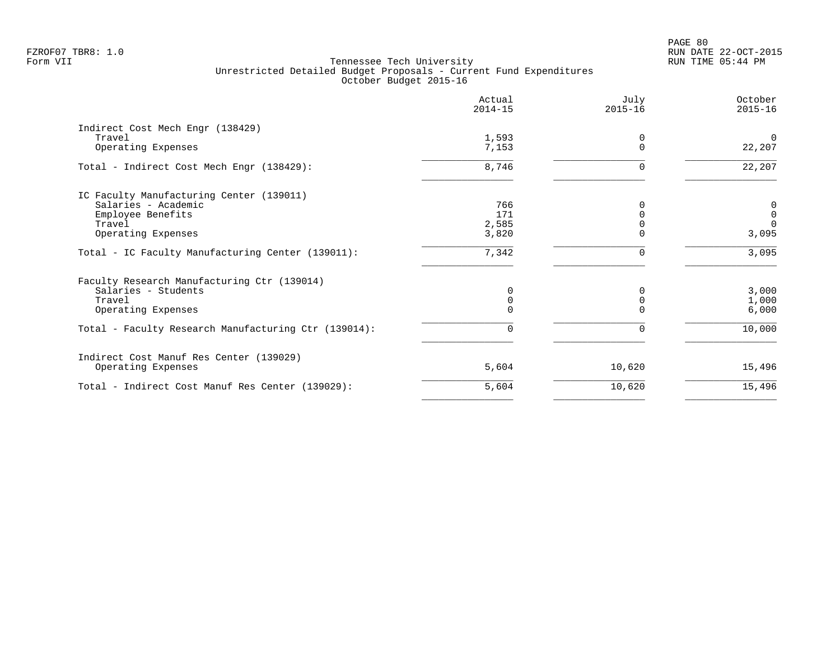|                                                      | Actual<br>$2014 - 15$ | July<br>$2015 - 16$  | October<br>$2015 - 16$ |
|------------------------------------------------------|-----------------------|----------------------|------------------------|
| Indirect Cost Mech Engr (138429)                     |                       |                      |                        |
| Travel<br>Operating Expenses                         | 1,593<br>7,153        | $\Omega$<br>$\Omega$ | $\Omega$<br>22,207     |
| Total - Indirect Cost Mech Engr (138429):            | 8,746                 | $\Omega$             | 22,207                 |
| IC Faculty Manufacturing Center (139011)             |                       |                      |                        |
| Salaries - Academic                                  | 766                   | O                    | 0                      |
| Employee Benefits                                    | 171                   |                      | $\mathbf 0$            |
| Travel                                               | 2,585                 |                      | $\Omega$               |
| Operating Expenses                                   | 3,820                 | ∩                    | 3,095                  |
| Total - IC Faculty Manufacturing Center (139011):    | 7,342                 | ∩                    | 3,095                  |
| Faculty Research Manufacturing Ctr (139014)          |                       |                      |                        |
| Salaries - Students                                  | $\Omega$              | $\Omega$             | 3,000                  |
| Travel                                               | $\Omega$              |                      | 1,000                  |
| Operating Expenses                                   | 0                     |                      | 6,000                  |
| Total - Faculty Research Manufacturing Ctr (139014): | 0                     | 0                    | 10,000                 |
| Indirect Cost Manuf Res Center (139029)              |                       |                      |                        |
| Operating Expenses                                   | 5,604                 | 10,620               | 15,496                 |
| Total - Indirect Cost Manuf Res Center (139029):     | 5,604                 | 10,620               | 15,496                 |
|                                                      |                       |                      |                        |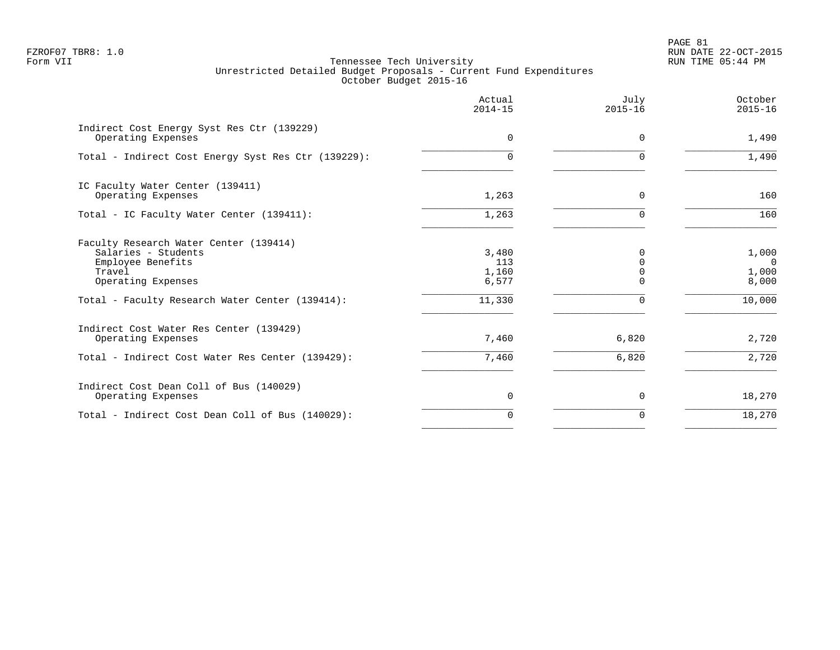PAGE 81 FZROF07 TBR8: 1.0 RUN DATE 22-OCT-2015

|                                                                                                                    | Actual<br>$2014 - 15$          | July<br>$2015 - 16$ | October<br>$2015 - 16$                    |
|--------------------------------------------------------------------------------------------------------------------|--------------------------------|---------------------|-------------------------------------------|
| Indirect Cost Energy Syst Res Ctr (139229)<br>Operating Expenses                                                   | $\mathbf 0$                    | 0                   | 1,490                                     |
| Total - Indirect Cost Energy Syst Res Ctr (139229):                                                                | $\Omega$                       | $\Omega$            | 1,490                                     |
| IC Faculty Water Center (139411)<br>Operating Expenses                                                             | 1,263                          | $\Omega$            | 160                                       |
| Total - IC Faculty Water Center (139411):                                                                          | 1,263                          |                     | 160                                       |
| Faculty Research Water Center (139414)<br>Salaries - Students<br>Employee Benefits<br>Travel<br>Operating Expenses | 3,480<br>113<br>1,160<br>6,577 | 0                   | 1,000<br>$\overline{0}$<br>1,000<br>8,000 |
| Total - Faculty Research Water Center (139414):                                                                    | 11,330                         | $\Omega$            | 10,000                                    |
| Indirect Cost Water Res Center (139429)<br>Operating Expenses                                                      | 7,460                          | 6,820               | 2,720                                     |
| Total - Indirect Cost Water Res Center (139429):                                                                   | 7,460                          | 6,820               | 2,720                                     |
| Indirect Cost Dean Coll of Bus (140029)<br>Operating Expenses                                                      | 0                              | 0                   | 18,270                                    |
| Total - Indirect Cost Dean Coll of Bus (140029):                                                                   | $\Omega$                       | $\Omega$            | 18,270                                    |
|                                                                                                                    |                                |                     |                                           |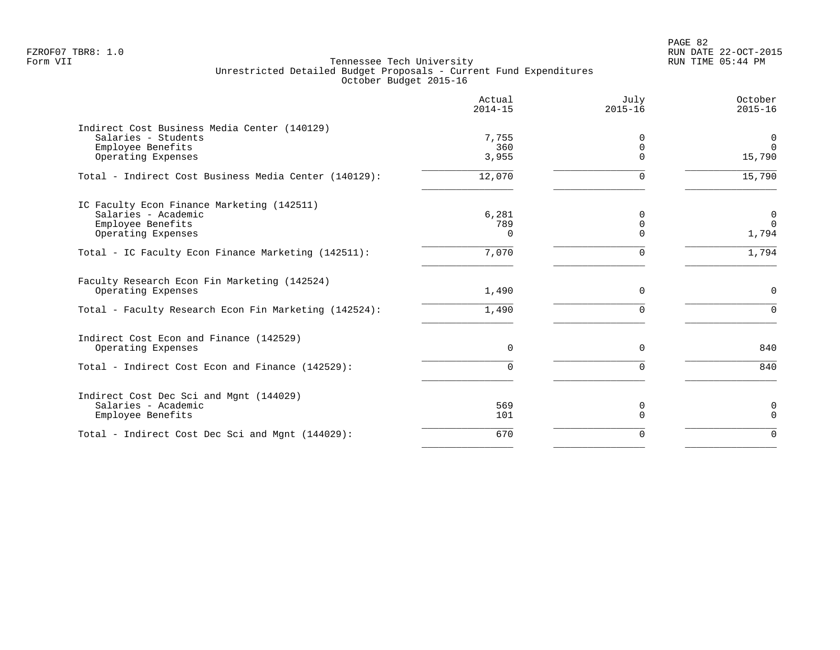PAGE 82 FZROF07 TBR8: 1.0 RUN DATE 22-OCT-2015

|                                                       | Actual<br>$2014 - 15$ | July<br>$2015 - 16$ | October<br>$2015 - 16$ |
|-------------------------------------------------------|-----------------------|---------------------|------------------------|
| Indirect Cost Business Media Center (140129)          |                       |                     |                        |
| Salaries - Students                                   | 7,755                 | $\Omega$            | $\mathbf 0$            |
| Employee Benefits                                     | 360                   | 0                   | $\Omega$               |
| Operating Expenses                                    | 3,955                 | $\Omega$            | 15,790                 |
| Total - Indirect Cost Business Media Center (140129): | 12,070                | 0                   | 15,790                 |
| IC Faculty Econ Finance Marketing (142511)            |                       |                     |                        |
| Salaries - Academic                                   | 6,281                 | $\Omega$            | $\mathbf 0$            |
| Employee Benefits                                     | 789                   | $\Omega$            | $\Omega$               |
| Operating Expenses                                    | $\Omega$              | $\Omega$            | 1,794                  |
| Total - IC Faculty Econ Finance Marketing (142511):   | 7,070                 | 0                   | 1,794                  |
| Faculty Research Econ Fin Marketing (142524)          |                       |                     |                        |
| Operating Expenses                                    | 1,490                 | 0                   | $\mathbf 0$            |
| Total - Faculty Research Econ Fin Marketing (142524): | 1,490                 | $\Omega$            | $\Omega$               |
| Indirect Cost Econ and Finance (142529)               |                       |                     |                        |
| Operating Expenses                                    | $\mathbf 0$           | 0                   | 840                    |
| Total - Indirect Cost Econ and Finance (142529):      | $\Omega$              | $\Omega$            | 840                    |
| Indirect Cost Dec Sci and Mgnt (144029)               |                       |                     |                        |
| Salaries - Academic                                   | 569                   | 0                   | $\mathbf 0$            |
| Employee Benefits                                     | 101                   | $\Omega$            | $\Omega$               |
| Total - Indirect Cost Dec Sci and Mgnt (144029):      | 670                   | $\mathbf 0$         | $\Omega$               |
|                                                       |                       |                     |                        |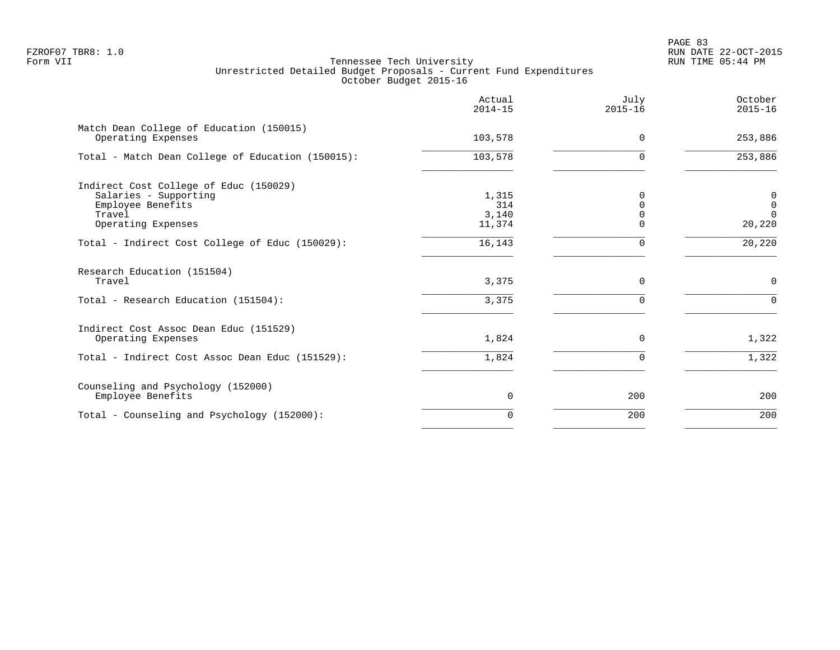PAGE 83 FZROF07 TBR8: 1.0 RUN DATE 22-OCT-2015

|                                                                                                | Actual<br>$2014 - 15$ | July<br>$2015 - 16$ | October<br>$2015 - 16$                       |
|------------------------------------------------------------------------------------------------|-----------------------|---------------------|----------------------------------------------|
| Match Dean College of Education (150015)<br>Operating Expenses                                 | 103,578               | $\Omega$            | 253,886                                      |
| Total - Match Dean College of Education (150015):                                              | 103,578               | $\Omega$            | 253,886                                      |
| Indirect Cost College of Educ (150029)<br>Salaries - Supporting<br>Employee Benefits<br>Travel | 1,315<br>314<br>3,140 | $\Omega$<br>O       | $\overline{0}$<br>$\overline{0}$<br>$\Omega$ |
| Operating Expenses                                                                             | 11,374                |                     | 20,220                                       |
| Total - Indirect Cost College of Educ (150029):                                                | 16,143                |                     | 20,220                                       |
| Research Education (151504)<br>Travel                                                          | 3,375                 | $\Omega$            | $\mathbf 0$                                  |
| Total - Research Education (151504):                                                           | 3,375                 | $\Omega$            | $\Omega$                                     |
| Indirect Cost Assoc Dean Educ (151529)<br>Operating Expenses                                   | 1,824                 | $\Omega$            | 1,322                                        |
| Total - Indirect Cost Assoc Dean Educ (151529):                                                | 1,824                 | $\Omega$            | 1,322                                        |
| Counseling and Psychology (152000)<br>Employee Benefits                                        | $\Omega$              | 200                 | 200                                          |
| Total - Counseling and Psychology (152000):                                                    | $\Omega$              | 200                 | 200                                          |
|                                                                                                |                       |                     |                                              |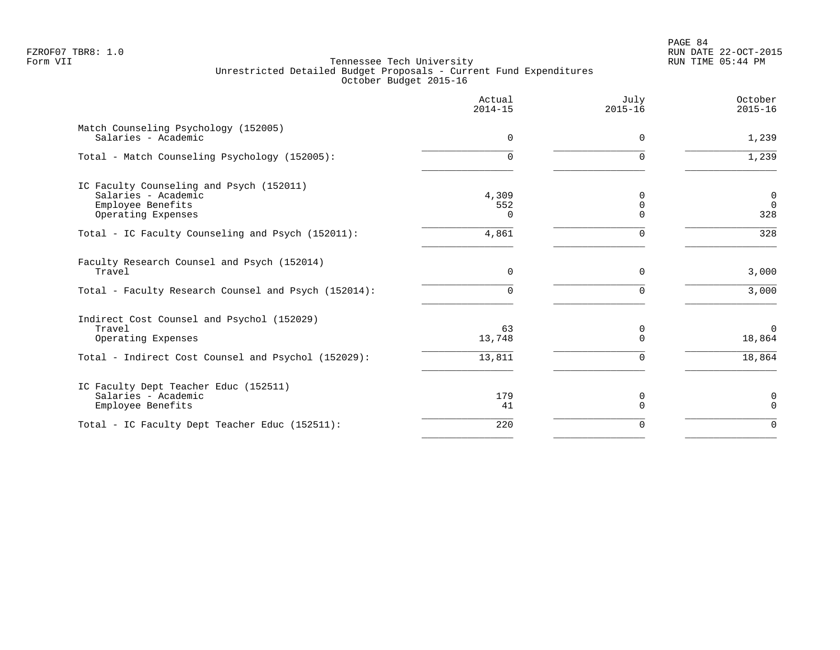PAGE 84 FZROF07 TBR8: 1.0 RUN DATE 22-OCT-2015

|                                                                                                            | Actual<br>$2014 - 15$    | July<br>$2015 - 16$              | October<br>$2015 - 16$         |
|------------------------------------------------------------------------------------------------------------|--------------------------|----------------------------------|--------------------------------|
| Match Counseling Psychology (152005)<br>Salaries - Academic                                                | $\Omega$                 | $\Omega$                         | 1,239                          |
| Total - Match Counseling Psychology (152005):                                                              | $\Omega$                 | $\Omega$                         | 1,239                          |
| IC Faculty Counseling and Psych (152011)<br>Salaries - Academic<br>Employee Benefits<br>Operating Expenses | 4,309<br>552<br>$\Omega$ | $\Omega$<br>$\Omega$<br>$\Omega$ | $\mathbf 0$<br>$\Omega$<br>328 |
| Total - IC Faculty Counseling and Psych (152011):                                                          | 4,861                    | $\Omega$                         | 328                            |
| Faculty Research Counsel and Psych (152014)<br>Travel                                                      | $\Omega$                 | $\Omega$                         | 3,000                          |
| Total - Faculty Research Counsel and Psych (152014):                                                       | 0                        | $\Omega$                         | 3,000                          |
| Indirect Cost Counsel and Psychol (152029)<br>Travel<br>Operating Expenses                                 | 63<br>13,748             | 0<br>$\Omega$                    | $\Omega$<br>18,864             |
| Total - Indirect Cost Counsel and Psychol (152029):                                                        | 13,811                   | $\Omega$                         | 18,864                         |
| IC Faculty Dept Teacher Educ (152511)<br>Salaries - Academic<br>Employee Benefits                          | 179<br>41                | 0<br>$\Omega$                    | 0<br>$\Omega$                  |
| Total - IC Faculty Dept Teacher Educ (152511):                                                             | 220                      | $\Omega$                         | $\Omega$                       |
|                                                                                                            |                          |                                  |                                |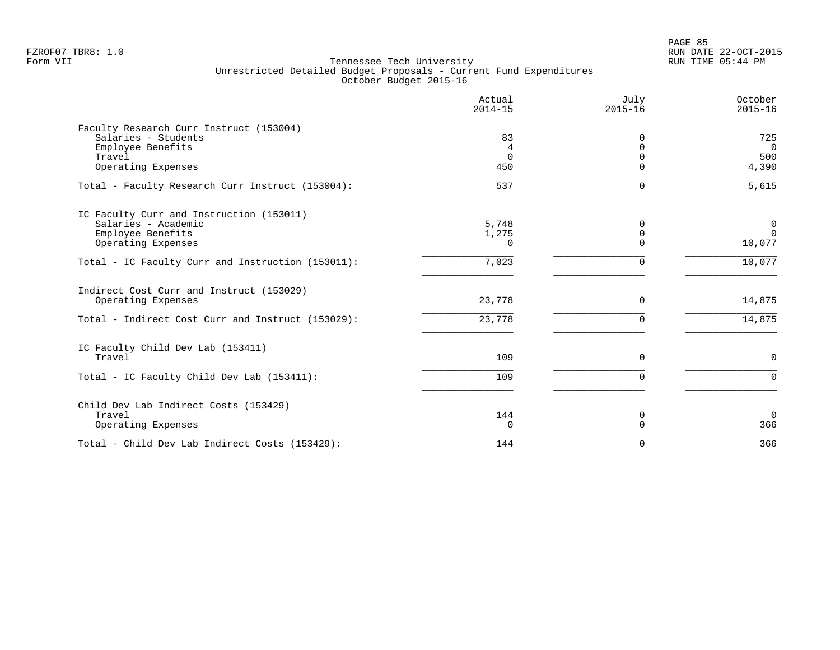|                                                   | Actual<br>$2014 - 15$ | July<br>$2015 - 16$ | October<br>$2015 - 16$ |
|---------------------------------------------------|-----------------------|---------------------|------------------------|
| Faculty Research Curr Instruct (153004)           |                       |                     |                        |
| Salaries - Students                               | 83                    | 0                   | 725                    |
| Employee Benefits                                 | 4                     | $\Omega$            | $\overline{0}$         |
| Travel                                            | $\Omega$              | $\Omega$            | 500                    |
| Operating Expenses                                | 450                   | $\Omega$            | 4,390                  |
| Total - Faculty Research Curr Instruct (153004):  | 537                   | $\Omega$            | 5,615                  |
| IC Faculty Curr and Instruction (153011)          |                       |                     |                        |
| Salaries - Academic                               | 5,748                 | 0                   | 0                      |
| Employee Benefits                                 | 1,275                 | 0                   | $\mathbf{0}$           |
| Operating Expenses                                | $\Omega$              | $\Omega$            | 10,077                 |
| Total - IC Faculty Curr and Instruction (153011): | 7,023                 | $\Omega$            | 10,077                 |
| Indirect Cost Curr and Instruct (153029)          |                       |                     |                        |
| Operating Expenses                                | 23,778                | $\mathbf 0$         | 14,875                 |
| Total - Indirect Cost Curr and Instruct (153029): | 23,778                | $\Omega$            | 14,875                 |
| IC Faculty Child Dev Lab (153411)                 |                       |                     |                        |
| Travel                                            | 109                   | $\Omega$            | $\Omega$               |
| Total - IC Faculty Child Dev Lab (153411):        | 109                   | $\Omega$            | $\Omega$               |
| Child Dev Lab Indirect Costs (153429)             |                       |                     |                        |
| Travel                                            | 144                   | 0                   | $\mathbf 0$            |
| Operating Expenses                                | $\mathbf 0$           | $\Omega$            | 366                    |
| Total - Child Dev Lab Indirect Costs (153429):    | 144                   | $\mathbf 0$         | 366                    |
|                                                   |                       |                     |                        |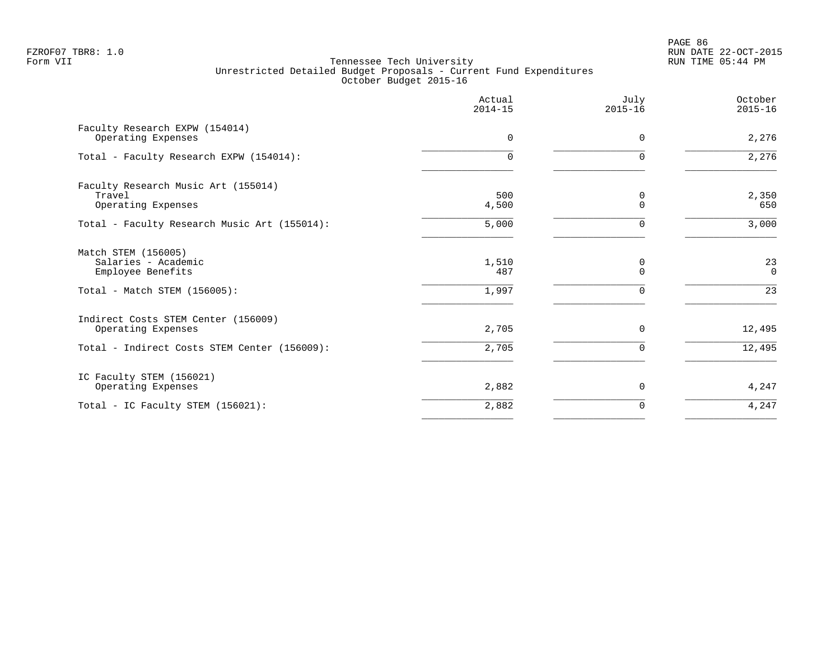PAGE 86 FZROF07 TBR8: 1.0 RUN DATE 22-OCT-2015

|                                                                                                           | Actual<br>$2014 - 15$ | July<br>$2015 - 16$ | October<br>$2015 - 16$ |
|-----------------------------------------------------------------------------------------------------------|-----------------------|---------------------|------------------------|
| Faculty Research EXPW (154014)<br>Operating Expenses                                                      | 0                     | 0                   | 2,276                  |
| Total - Faculty Research EXPW (154014):                                                                   | $\Omega$              | $\Omega$            | 2,276                  |
| Faculty Research Music Art (155014)<br>Travel<br>Operating Expenses                                       | 500<br>4,500          | 0<br>$\Omega$       | 2,350<br>650           |
| Total - Faculty Research Music Art (155014):                                                              | 5,000                 | $\Omega$            | 3,000                  |
| Match STEM (156005)<br>Salaries - Academic<br>Employee Benefits<br>Total - Match STEM (156005):           | 1,510<br>487<br>1,997 | 0<br>$\Omega$<br>∩  | 23<br>$\Omega$<br>23   |
| Indirect Costs STEM Center (156009)<br>Operating Expenses<br>Total - Indirect Costs STEM Center (156009): | 2,705<br>2,705        | 0<br>$\Omega$       | 12,495<br>12,495       |
| IC Faculty STEM (156021)<br>Operating Expenses                                                            | 2,882                 | 0                   | 4,247                  |
| Total - IC Faculty STEM (156021):                                                                         | 2,882                 | $\Omega$            | 4,247                  |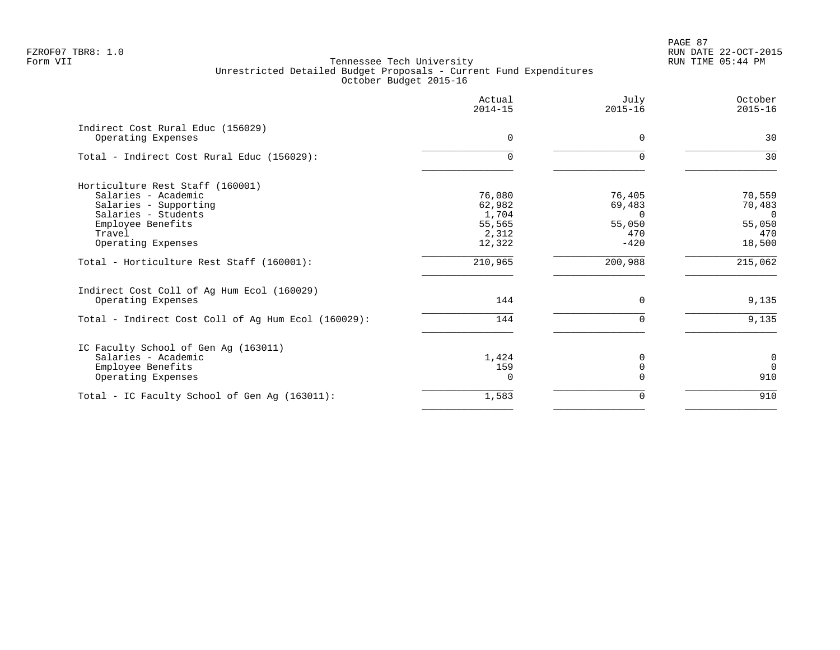|                                                         | Actual<br>$2014 - 15$ | July<br>$2015 - 16$ | October<br>$2015 - 16$ |
|---------------------------------------------------------|-----------------------|---------------------|------------------------|
| Indirect Cost Rural Educ (156029)<br>Operating Expenses | $\Omega$              | $\mathbf 0$         | 30                     |
| Total - Indirect Cost Rural Educ (156029):              | O.                    | <sup>n</sup>        | 30                     |
| Horticulture Rest Staff (160001)                        |                       |                     |                        |
| Salaries - Academic                                     | 76,080                | 76,405              | 70,559                 |
| Salaries - Supporting                                   | 62,982                | 69,483              | 70,483                 |
| Salaries - Students                                     | 1,704                 | $\Omega$            | $\Omega$               |
| Employee Benefits                                       | 55,565                | 55,050              | 55,050                 |
| Travel                                                  | 2,312                 | 470                 | 470                    |
| Operating Expenses                                      | 12,322                | $-420$              | 18,500                 |
| Total - Horticulture Rest Staff (160001):               | 210,965               | 200,988             | 215,062                |
| Indirect Cost Coll of Ag Hum Ecol (160029)              |                       |                     |                        |
| Operating Expenses                                      | 144                   | $\Omega$            | 9,135                  |
| Total - Indirect Cost Coll of Ag Hum Ecol (160029):     | 144                   | $\Omega$            | 9,135                  |
| IC Faculty School of Gen Aq (163011)                    |                       |                     |                        |
| Salaries - Academic                                     | 1,424                 | <sup>0</sup>        | 0                      |
| Employee Benefits                                       | 159                   | $\Omega$            | $\overline{0}$         |
| Operating Expenses                                      | $\Omega$              | $\Omega$            | 910                    |
| Total - IC Faculty School of Gen Ag (163011):           | 1,583                 | 0                   | 910                    |
|                                                         |                       |                     |                        |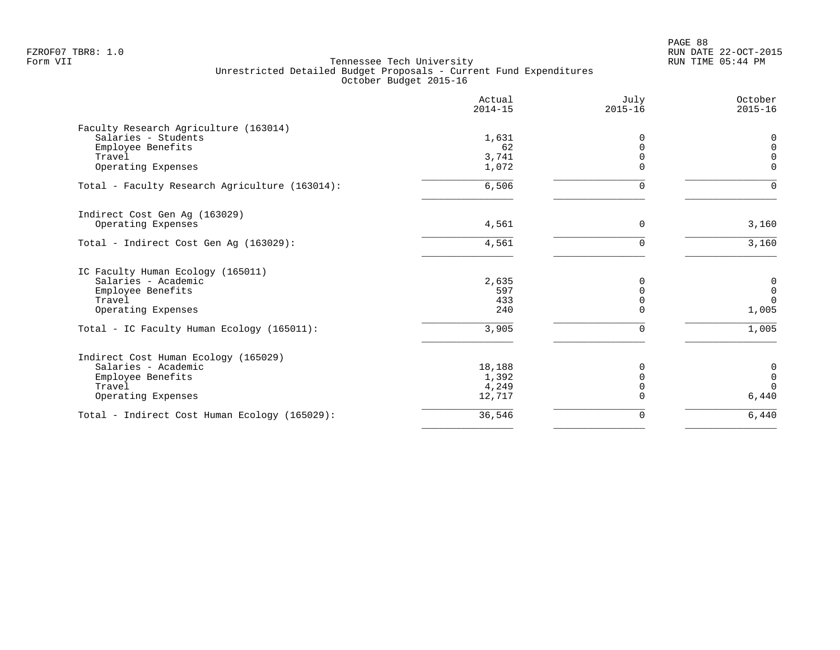|                                                | Actual<br>$2014 - 15$ | July<br>$2015 - 16$ | October<br>$2015 - 16$ |
|------------------------------------------------|-----------------------|---------------------|------------------------|
| Faculty Research Agriculture (163014)          |                       |                     |                        |
| Salaries - Students                            | 1,631                 | 0                   | 0                      |
| Employee Benefits                              | 62                    |                     | $\mathbf 0$            |
| Travel                                         | 3,741                 |                     | $\mathbf 0$            |
| Operating Expenses                             | 1,072                 | U                   | $\Omega$               |
| Total - Faculty Research Agriculture (163014): | 6,506                 |                     | $\Omega$               |
| Indirect Cost Gen Aq (163029)                  |                       |                     |                        |
| Operating Expenses                             | 4,561                 | 0                   | 3,160                  |
| Total - Indirect Cost Gen Aq (163029):         | 4,561                 | $\Omega$            | 3,160                  |
| IC Faculty Human Ecology (165011)              |                       |                     |                        |
| Salaries - Academic                            | 2,635                 | O                   | $\boldsymbol{0}$       |
| Employee Benefits                              | 597                   | U                   | $\mathsf 0$            |
| Travel                                         | 433                   |                     | $\Omega$               |
| Operating Expenses                             | 240                   |                     | 1,005                  |
| Total - IC Faculty Human Ecology (165011):     | 3,905                 | U                   | 1,005                  |
| Indirect Cost Human Ecology (165029)           |                       |                     |                        |
| Salaries - Academic                            | 18,188                |                     | $\mathsf 0$            |
| Employee Benefits                              | 1,392                 | $\Omega$            | $\mathsf 0$            |
| Travel                                         | 4,249                 | $\Omega$            | $\Omega$               |
| Operating Expenses                             | 12,717                |                     | $6,440$                |
| Total - Indirect Cost Human Ecology (165029):  | 36,546                | $\Omega$            | 6,440                  |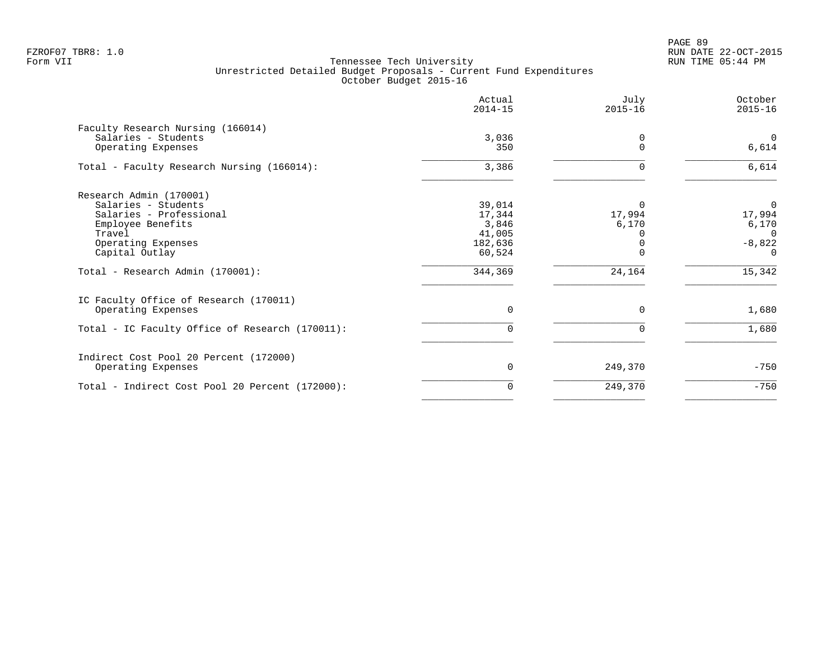|                                                 | Actual<br>$2014 - 15$ | July<br>$2015 - 16$ | October<br>$2015 - 16$  |
|-------------------------------------------------|-----------------------|---------------------|-------------------------|
| Faculty Research Nursing (166014)               |                       |                     |                         |
| Salaries - Students<br>Operating Expenses       | 3,036<br>350          | 0<br>$\mathbf 0$    | $\overline{0}$<br>6,614 |
| Total - Faculty Research Nursing (166014):      | 3,386                 | $\Omega$            | 6,614                   |
| Research Admin (170001)                         |                       |                     |                         |
| Salaries - Students                             | 39,014                | $\Omega$            | $\mathbf{0}$            |
| Salaries - Professional                         | 17,344                | 17,994              | 17,994                  |
| Employee Benefits                               | 3,846                 | 6,170               | 6,170                   |
| Travel                                          | 41,005                |                     | $\Omega$                |
| Operating Expenses                              | 182,636               |                     | $-8,822$                |
| Capital Outlay                                  | 60,524                | $\Omega$            | $\Omega$                |
| Total - Research Admin (170001):                | 344,369               | 24,164              | 15,342                  |
| IC Faculty Office of Research (170011)          |                       |                     |                         |
| Operating Expenses                              | 0                     | $\Omega$            | 1,680                   |
| Total - IC Faculty Office of Research (170011): | 0                     | $\Omega$            | 1,680                   |
| Indirect Cost Pool 20 Percent (172000)          |                       |                     |                         |
| Operating Expenses                              | $\Omega$              | 249,370             | $-750$                  |
| Total - Indirect Cost Pool 20 Percent (172000): | 0                     | 249,370             | $-750$                  |
|                                                 |                       |                     |                         |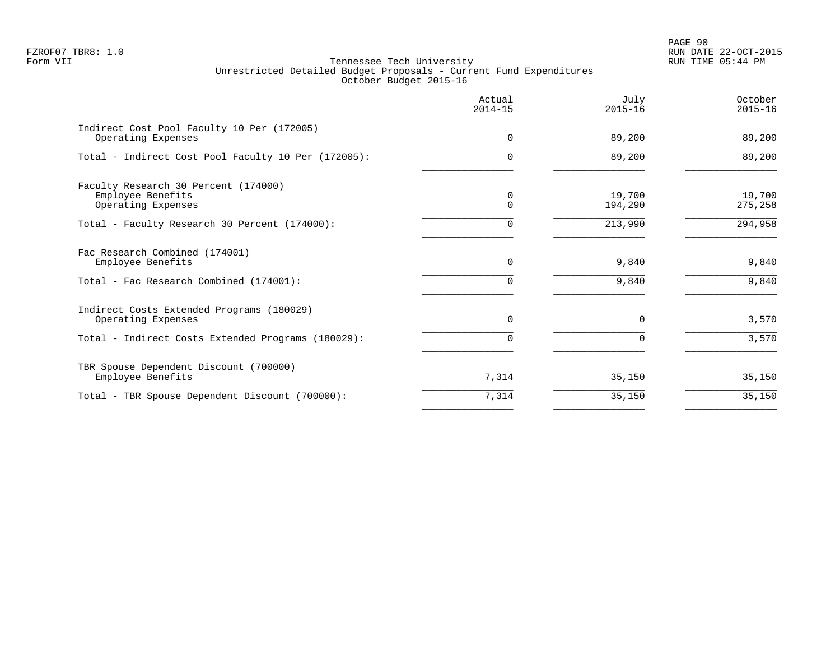PAGE 90 FZROF07 TBR8: 1.0 RUN DATE 22-OCT-2015

|                                                                  | Actual<br>$2014 - 15$ | July<br>$2015 - 16$ | October<br>$2015 - 16$ |
|------------------------------------------------------------------|-----------------------|---------------------|------------------------|
| Indirect Cost Pool Faculty 10 Per (172005)<br>Operating Expenses | $\Omega$              | 89,200              | 89,200                 |
| Total - Indirect Cost Pool Faculty 10 Per (172005):              | 0                     | 89,200              | 89,200                 |
| Faculty Research 30 Percent (174000)                             |                       |                     |                        |
| Employee Benefits<br>Operating Expenses                          | 0<br>0                | 19,700<br>194,290   | 19,700<br>275,258      |
| Total - Faculty Research 30 Percent (174000):                    | 0                     | 213,990             | 294,958                |
| Fac Research Combined (174001)<br>Employee Benefits              | 0                     | 9,840               | 9,840                  |
| Total - Fac Research Combined (174001):                          | 0                     | 9,840               | 9,840                  |
| Indirect Costs Extended Programs (180029)                        |                       |                     |                        |
| Operating Expenses                                               | $\Omega$              | $\Omega$            | 3,570                  |
| Total - Indirect Costs Extended Programs (180029):               | $\Omega$              | $\Omega$            | 3,570                  |
| TBR Spouse Dependent Discount (700000)<br>Employee Benefits      | 7,314                 | 35,150              | 35,150                 |
| Total - TBR Spouse Dependent Discount (700000):                  | 7,314                 | 35,150              | 35,150                 |
|                                                                  |                       |                     |                        |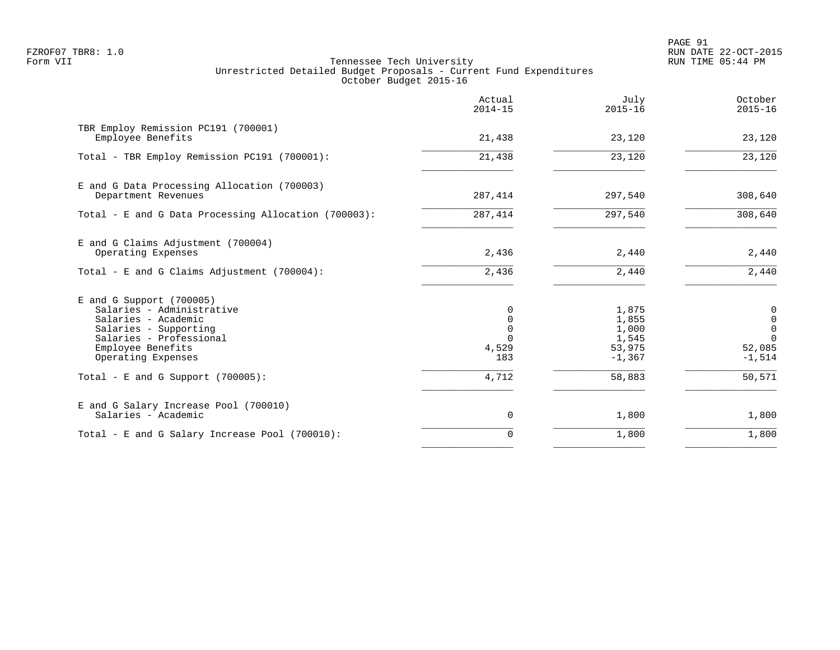PAGE 91 FZROF07 TBR8: 1.0 RUN DATE 22-OCT-2015

|                                                                                                                                                                               | Actual<br>$2014 - 15$                           | July<br>$2015 - 16$                                     | October<br>$2015 - 16$                                             |
|-------------------------------------------------------------------------------------------------------------------------------------------------------------------------------|-------------------------------------------------|---------------------------------------------------------|--------------------------------------------------------------------|
| TBR Employ Remission PC191 (700001)<br>Employee Benefits                                                                                                                      | 21,438                                          | 23,120                                                  | 23,120                                                             |
| Total - TBR Employ Remission PC191 (700001):                                                                                                                                  | 21,438                                          | 23,120                                                  | 23,120                                                             |
| E and G Data Processing Allocation (700003)<br>Department Revenues                                                                                                            | 287,414                                         | 297,540                                                 | 308,640                                                            |
| Total - E and G Data Processing Allocation (700003):                                                                                                                          | 287,414                                         | 297,540                                                 | 308,640                                                            |
| E and G Claims Adjustment (700004)<br>Operating Expenses<br>Total - E and G Claims Adjustment $(700004)$ :                                                                    | 2,436<br>2,436                                  | 2,440<br>2,440                                          | 2,440<br>2,440                                                     |
| $E$ and G Support (700005)<br>Salaries - Administrative<br>Salaries - Academic<br>Salaries - Supporting<br>Salaries - Professional<br>Employee Benefits<br>Operating Expenses | 0<br>0<br>$\mathbf 0$<br>$\cap$<br>4,529<br>183 | 1,875<br>1,855<br>1,000<br>1,545<br>53,975<br>$-1, 367$ | 0<br>$\mathbf 0$<br>$\mathsf{O}$<br>$\Omega$<br>52,085<br>$-1,514$ |
| Total - E and G Support $(700005)$ :                                                                                                                                          | 4,712                                           | 58,883                                                  | 50,571                                                             |
| E and G Salary Increase Pool (700010)<br>Salaries - Academic                                                                                                                  | $\mathbf 0$                                     | 1,800                                                   | 1,800                                                              |
| Total - E and G Salary Increase Pool (700010):                                                                                                                                | $\mathbf 0$                                     | 1,800                                                   | 1,800                                                              |
|                                                                                                                                                                               |                                                 |                                                         |                                                                    |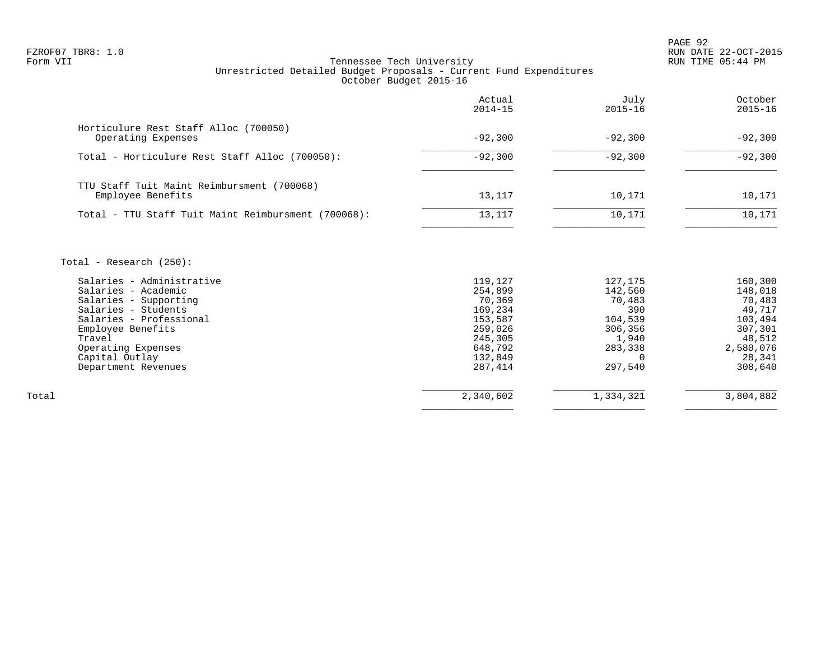PAGE 92

# FZROF07 TBR8: 1.0 RUN DATE 22-OCT-2015 Tennessee Tech University Unrestricted Detailed Budget Proposals - Current Fund Expenditures October Budget 2015-16

|                                                                                                                                                                                                                | Actual<br>$2014 - 15$                                                               | July<br>$2015 - 16$                                                                           | October<br>$2015 - 16$                                                              |
|----------------------------------------------------------------------------------------------------------------------------------------------------------------------------------------------------------------|-------------------------------------------------------------------------------------|-----------------------------------------------------------------------------------------------|-------------------------------------------------------------------------------------|
| Horticulure Rest Staff Alloc (700050)<br>Operating Expenses                                                                                                                                                    | $-92,300$                                                                           | $-92,300$                                                                                     | $-92,300$                                                                           |
| Total - Horticulure Rest Staff Alloc (700050):                                                                                                                                                                 | $-92,300$                                                                           | $-92,300$                                                                                     | $-92,300$                                                                           |
| TTU Staff Tuit Maint Reimbursment (700068)<br>Employee Benefits                                                                                                                                                | 13,117                                                                              | 10,171                                                                                        | 10,171                                                                              |
| Total - TTU Staff Tuit Maint Reimbursment (700068):                                                                                                                                                            | 13,117                                                                              | 10,171                                                                                        | 10,171                                                                              |
| Total - Research $(250)$ :<br>Salaries - Administrative<br>Salaries - Academic<br>Salaries - Supporting<br>Salaries - Students<br>Salaries - Professional<br>Employee Benefits<br>Travel<br>Operating Expenses | 119,127<br>254,899<br>70,369<br>169,234<br>153,587<br>259,026<br>245,305<br>648,792 | 127,175<br>142,560<br>70,483<br>390<br>104,539<br>306,356<br>1,940<br>283,338<br><sup>n</sup> | 160,300<br>148,018<br>70,483<br>49,717<br>103,494<br>307,301<br>48,512<br>2,580,076 |
| Capital Outlay<br>Department Revenues                                                                                                                                                                          | 132,849<br>287,414                                                                  | 297,540                                                                                       | 28,341<br>308,640                                                                   |
| Total                                                                                                                                                                                                          | 2,340,602                                                                           | 1,334,321                                                                                     | 3,804,882                                                                           |

 $\overline{\phantom{a}}$  , and the contract of the contract of the contract of the contract of the contract of the contract of the contract of the contract of the contract of the contract of the contract of the contract of the contrac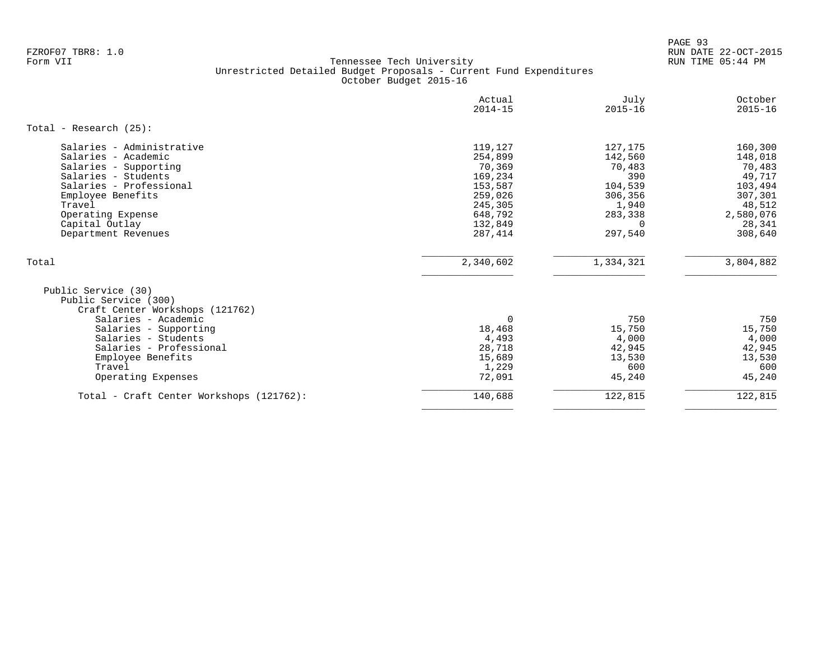PAGE 93 FZROF07 TBR8: 1.0 RUN DATE 22-OCT-2015

|                                                                                                                                                                                                                          | Actual<br>$2014 - 15$                                                                                     | July<br>$2015 - 16$                                                                                  | October<br>$2015 - 16$                                                                                   |
|--------------------------------------------------------------------------------------------------------------------------------------------------------------------------------------------------------------------------|-----------------------------------------------------------------------------------------------------------|------------------------------------------------------------------------------------------------------|----------------------------------------------------------------------------------------------------------|
| Total - Research $(25)$ :                                                                                                                                                                                                |                                                                                                           |                                                                                                      |                                                                                                          |
| Salaries - Administrative<br>Salaries - Academic<br>Salaries - Supporting<br>Salaries - Students<br>Salaries - Professional<br>Employee Benefits<br>Travel<br>Operating Expense<br>Capital Outlay<br>Department Revenues | 119,127<br>254,899<br>70,369<br>169,234<br>153,587<br>259,026<br>245,305<br>648,792<br>132,849<br>287,414 | 127,175<br>142,560<br>70,483<br>390<br>104,539<br>306,356<br>1,940<br>283,338<br>$\Omega$<br>297,540 | 160,300<br>148,018<br>70,483<br>49,717<br>103,494<br>307,301<br>48,512<br>2,580,076<br>28,341<br>308,640 |
| Total                                                                                                                                                                                                                    | 2,340,602                                                                                                 | 1,334,321                                                                                            | 3,804,882                                                                                                |
| Public Service (30)<br>Public Service (300)<br>Craft Center Workshops (121762)<br>Salaries - Academic<br>Salaries - Supporting<br>Salaries - Students<br>Salaries - Professional<br>Employee Benefits<br>Travel          | $\mathbf 0$<br>18,468<br>4,493<br>28,718<br>15,689<br>1,229                                               | 750<br>15,750<br>4,000<br>42,945<br>13,530<br>600                                                    | 750<br>15,750<br>4,000<br>42,945<br>13,530<br>600                                                        |
| Operating Expenses                                                                                                                                                                                                       | 72,091                                                                                                    | 45,240                                                                                               | 45,240                                                                                                   |
| Total - Craft Center Workshops (121762):                                                                                                                                                                                 | 140,688                                                                                                   | 122,815                                                                                              | 122,815                                                                                                  |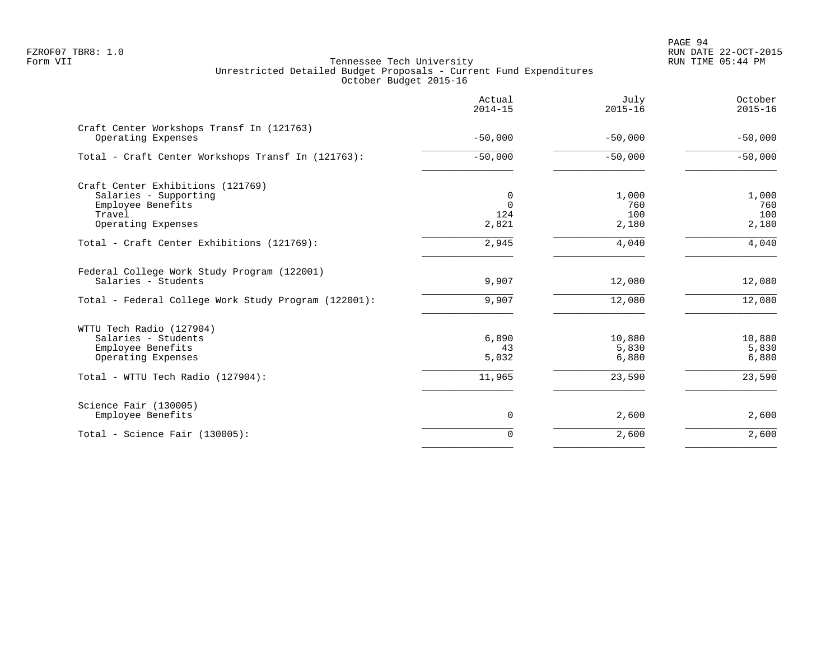PAGE 94 FZROF07 TBR8: 1.0 RUN DATE 22-OCT-2015

|                                                                    | Actual<br>$2014 - 15$ | July<br>$2015 - 16$ | October<br>$2015 - 16$ |
|--------------------------------------------------------------------|-----------------------|---------------------|------------------------|
| Craft Center Workshops Transf In (121763)<br>Operating Expenses    | $-50,000$             | $-50,000$           | $-50,000$              |
| Total - Craft Center Workshops Transf In (121763):                 | $-50,000$             | $-50,000$           | $-50,000$              |
| Craft Center Exhibitions (121769)                                  |                       |                     |                        |
| Salaries - Supporting                                              | 0                     | 1,000               | 1,000                  |
| Employee Benefits<br>Travel                                        | $\Omega$<br>124       | 760<br>100          | 760<br>100             |
| Operating Expenses                                                 | 2,821                 | 2,180               | 2,180                  |
| Total - Craft Center Exhibitions (121769):                         | 2,945                 | 4,040               | 4,040                  |
| Federal College Work Study Program (122001)<br>Salaries - Students | 9,907                 | 12,080              | 12,080                 |
| Total - Federal College Work Study Program (122001):               | 9,907                 | 12,080              | 12,080                 |
| WTTU Tech Radio (127904)                                           |                       |                     |                        |
| Salaries - Students                                                | 6,890                 | 10,880              | 10,880                 |
| Employee Benefits                                                  | 43                    | 5,830               | 5,830                  |
| Operating Expenses                                                 | 5,032                 | 6,880               | 6,880                  |
| Total - WTTU Tech Radio (127904):                                  | 11,965                | 23,590              | 23,590                 |
| Science Fair (130005)                                              |                       |                     |                        |
| Employee Benefits                                                  | $\mathbf 0$           | 2,600               | 2,600                  |
| Total - Science Fair $(130005)$ :                                  | $\Omega$              | 2,600               | 2,600                  |
|                                                                    |                       |                     |                        |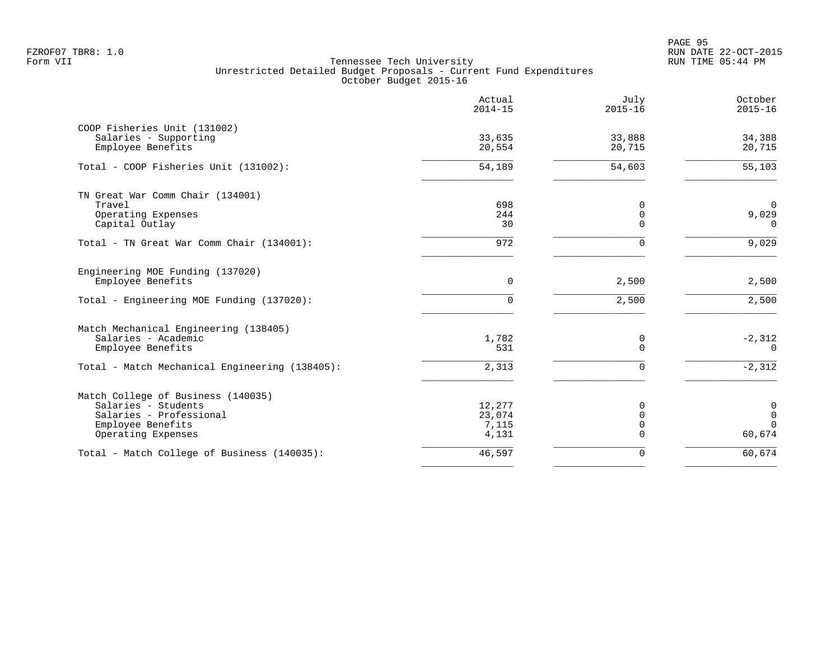|                                                                                                                                 | Actual<br>$2014 - 15$              | July<br>$2015 - 16$                      | October<br>$2015 - 16$                 |
|---------------------------------------------------------------------------------------------------------------------------------|------------------------------------|------------------------------------------|----------------------------------------|
| COOP Fisheries Unit (131002)<br>Salaries - Supporting<br>Employee Benefits                                                      | 33,635<br>20,554                   | 33,888<br>20,715                         | 34,388<br>20,715                       |
| Total - COOP Fisheries Unit (131002):                                                                                           | 54,189                             | 54,603                                   | 55,103                                 |
| TN Great War Comm Chair (134001)<br>Travel                                                                                      | 698                                | 0                                        | $\mathbf 0$                            |
| Operating Expenses<br>Capital Outlay                                                                                            | 244<br>30                          | 0<br>$\Omega$                            | 9,029<br>$\Omega$                      |
| Total - TN Great War Comm Chair (134001):                                                                                       | 972                                | $\Omega$                                 | 9,029                                  |
| Engineering MOE Funding (137020)<br>Employee Benefits                                                                           | 0                                  | 2,500                                    | 2,500                                  |
| Total - Engineering MOE Funding (137020):                                                                                       | 0                                  | 2,500                                    | 2,500                                  |
| Match Mechanical Engineering (138405)<br>Salaries - Academic<br>Employee Benefits                                               | 1,782<br>531                       | 0<br>$\Omega$                            | $-2,312$<br>$\Omega$                   |
| Total - Match Mechanical Engineering (138405):                                                                                  | 2,313                              | $\Omega$                                 | $-2,312$                               |
| Match College of Business (140035)<br>Salaries - Students<br>Salaries - Professional<br>Employee Benefits<br>Operating Expenses | 12,277<br>23,074<br>7,115<br>4,131 | 0<br>$\Omega$<br>$\mathbf 0$<br>$\Omega$ | 0<br>$\mathbf 0$<br>$\Omega$<br>60,674 |
| Total - Match College of Business (140035):                                                                                     | 46,597                             | 0                                        | 60,674                                 |
|                                                                                                                                 |                                    |                                          |                                        |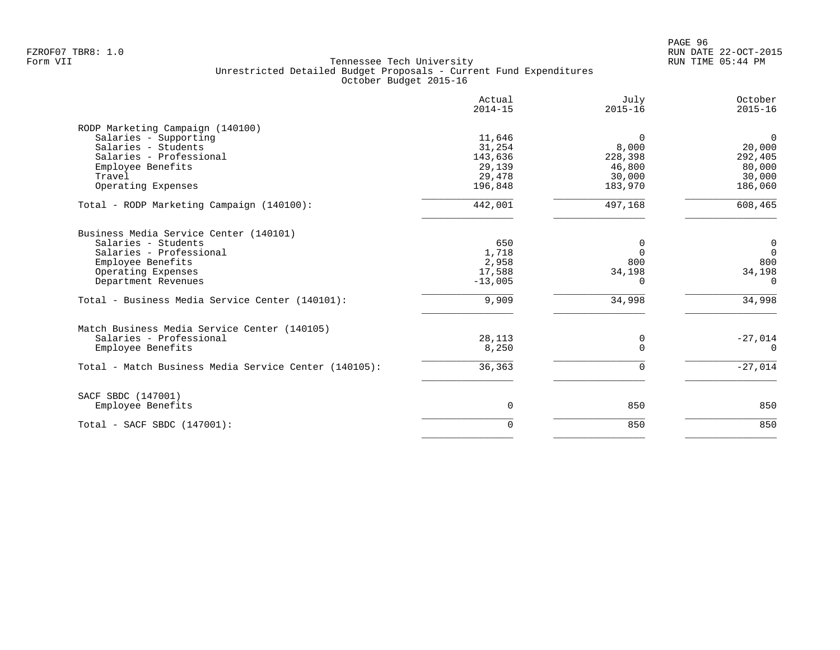|                                                       | Actual<br>$2014 - 15$ | July<br>$2015 - 16$ | October<br>$2015 - 16$ |
|-------------------------------------------------------|-----------------------|---------------------|------------------------|
| RODP Marketing Campaign (140100)                      |                       |                     |                        |
| Salaries - Supporting                                 | 11,646                | $\Omega$            | $\Omega$               |
| Salaries - Students                                   | 31,254                | 8,000               | 20,000                 |
| Salaries - Professional                               | 143,636               | 228,398             | 292,405                |
| Employee Benefits                                     | 29,139                | 46,800              | 80,000                 |
| Travel                                                | 29,478                | 30,000              | 30,000                 |
| Operating Expenses                                    | 196,848               | 183,970             | 186,060                |
| Total - RODP Marketing Campaign (140100):             | 442,001               | 497,168             | 608,465                |
| Business Media Service Center (140101)                |                       |                     |                        |
| Salaries - Students                                   | 650                   | <sup>0</sup>        | 0                      |
| Salaries - Professional                               | 1,718                 | $\Omega$            | $\overline{0}$         |
| Employee Benefits                                     | 2,958                 | 800                 | 800                    |
| Operating Expenses                                    | 17,588                | 34,198              | 34,198                 |
| Department Revenues                                   | $-13,005$             | ∩                   | $\Omega$               |
| Total - Business Media Service Center (140101):       | 9,909                 | 34,998              | 34,998                 |
| Match Business Media Service Center (140105)          |                       |                     |                        |
| Salaries - Professional                               | 28,113                | 0                   | $-27,014$              |
| Employee Benefits                                     | 8,250                 | $\Omega$            | $\Omega$               |
| Total - Match Business Media Service Center (140105): | 36,363                | 0                   | $-27,014$              |
| SACF SBDC (147001)                                    |                       |                     |                        |
| Employee Benefits                                     | $\Omega$              | 850                 | 850                    |
| Total - SACF SBDC (147001):                           | $\Omega$              | 850                 | 850                    |
|                                                       |                       |                     |                        |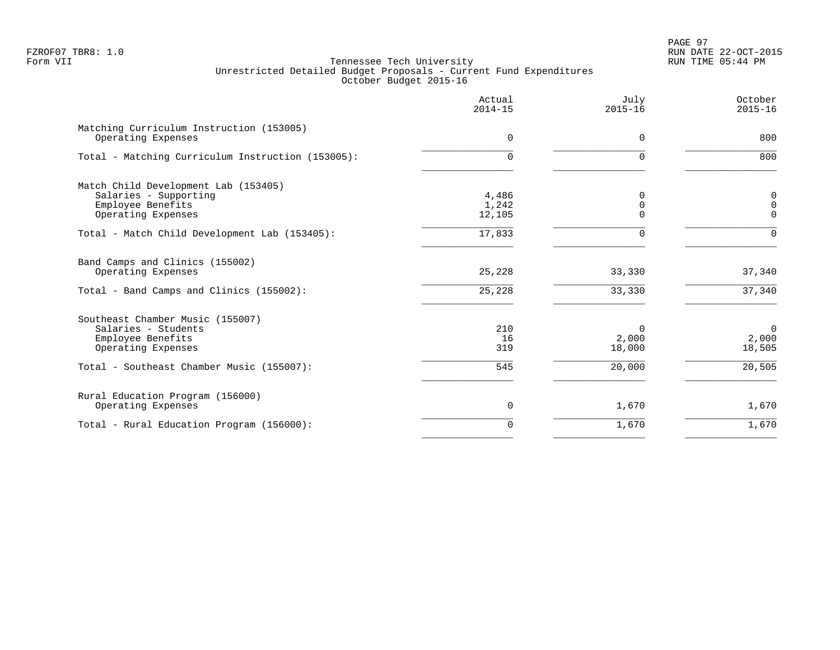PAGE 97 FZROF07 TBR8: 1.0 RUN DATE 22-OCT-2015

|                                                                                                          | Actual<br>$2014 - 15$    | July<br>$2015 - 16$                 | October<br>$2015 - 16$          |
|----------------------------------------------------------------------------------------------------------|--------------------------|-------------------------------------|---------------------------------|
| Matching Curriculum Instruction (153005)<br>Operating Expenses                                           | $\mathbf 0$              | 0                                   | 800                             |
| Total - Matching Curriculum Instruction (153005):                                                        | $\Omega$                 | $\Omega$                            | 800                             |
| Match Child Development Lab (153405)<br>Salaries - Supporting<br>Employee Benefits<br>Operating Expenses | 4,486<br>1,242<br>12,105 | $\Omega$<br>$\mathbf 0$<br>$\Omega$ | 0<br>$\mathbf 0$<br>$\mathbf 0$ |
| Total - Match Child Development Lab (153405):                                                            | 17,833                   | $\Omega$                            | $\Omega$                        |
| Band Camps and Clinics (155002)<br>Operating Expenses<br>Total - Band Camps and Clinics (155002):        | 25,228<br>25,228         | 33,330<br>33,330                    | 37,340<br>37,340                |
| Southeast Chamber Music (155007)<br>Salaries - Students<br>Employee Benefits<br>Operating Expenses       | 210<br>16<br>319         | $\Omega$<br>2,000<br>18,000         | $\mathbf 0$<br>2,000<br>18,505  |
| Total - Southeast Chamber Music (155007):                                                                | 545                      | 20,000                              | 20,505                          |
| Rural Education Program (156000)<br>Operating Expenses                                                   | $\mathbf 0$              | 1,670                               | 1,670                           |
| Total - Rural Education Program (156000):                                                                | $\mathbf 0$              | 1,670                               | 1,670                           |
|                                                                                                          |                          |                                     |                                 |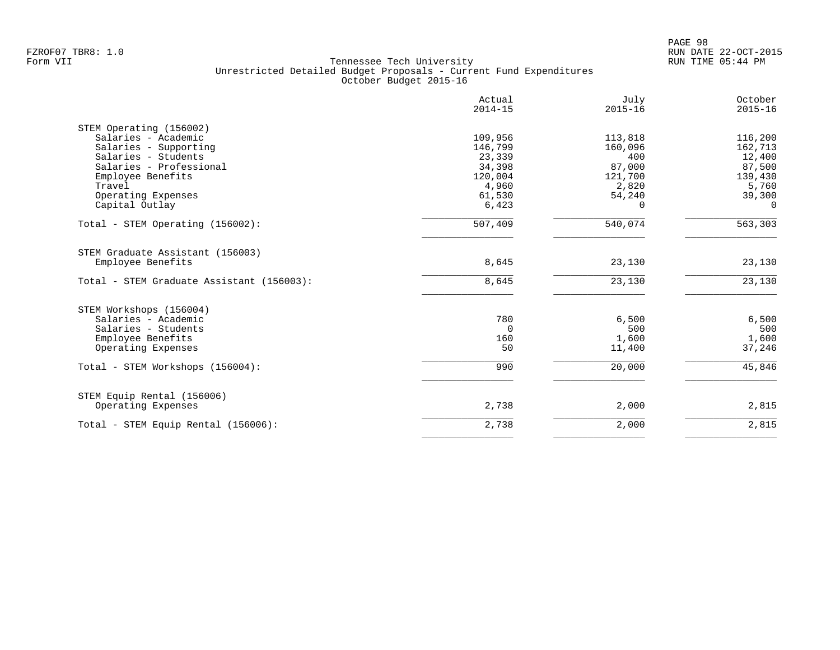|                                           | Actual<br>$2014 - 15$ | July<br>$2015 - 16$ | October<br>$2015 - 16$ |
|-------------------------------------------|-----------------------|---------------------|------------------------|
| STEM Operating (156002)                   |                       |                     |                        |
| Salaries - Academic                       | 109,956               | 113,818             | 116,200                |
| Salaries - Supporting                     | 146,799               | 160,096             | 162,713                |
| Salaries - Students                       | 23,339                | 400                 | 12,400                 |
| Salaries - Professional                   | 34,398                | 87,000              | 87,500                 |
| Employee Benefits                         | 120,004               | 121,700             | 139,430                |
| Travel                                    | 4,960                 | 2,820               | 5,760                  |
| Operating Expenses                        | 61,530                | 54,240              | 39,300                 |
| Capital Outlay                            | 6,423                 | 0                   | $\Omega$               |
| Total - STEM Operating (156002):          | 507,409               | 540,074             | 563,303                |
| STEM Graduate Assistant (156003)          |                       |                     |                        |
| Employee Benefits                         | 8,645                 | 23,130              | 23,130                 |
| Total - STEM Graduate Assistant (156003): | 8,645                 | 23,130              | 23,130                 |
| STEM Workshops (156004)                   |                       |                     |                        |
| Salaries - Academic                       | 780                   | 6,500               | 6,500                  |
| Salaries - Students                       | $\Omega$              | 500                 | 500                    |
| Employee Benefits                         | 160                   | 1,600               | 1,600                  |
| Operating Expenses                        | 50                    | 11,400              | 37,246                 |
| Total - STEM Workshops (156004):          | 990                   | 20,000              | 45,846                 |
| STEM Equip Rental (156006)                |                       |                     |                        |
| Operating Expenses                        | 2,738                 | 2,000               | 2,815                  |
| Total - STEM Equip Rental (156006):       | 2,738                 | 2,000               | 2,815                  |
|                                           |                       |                     |                        |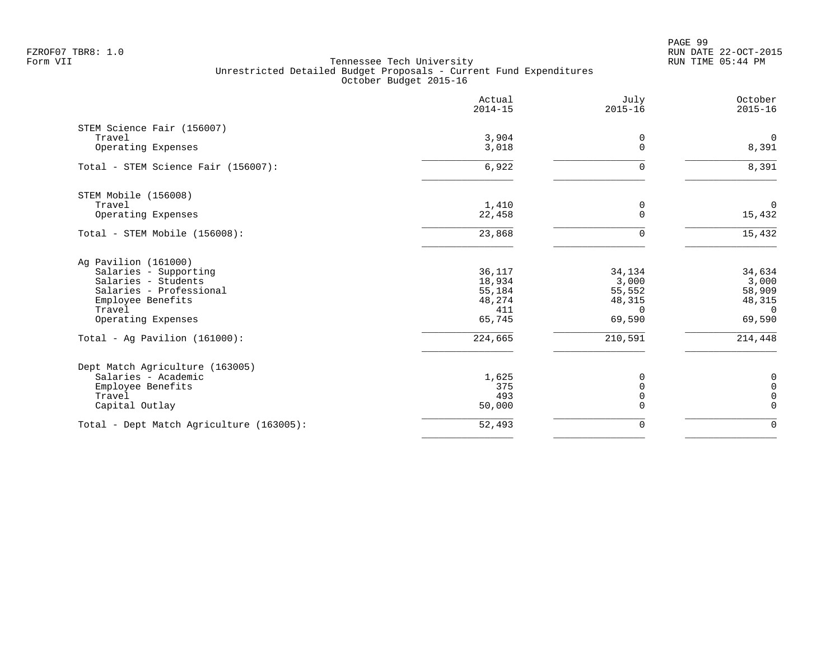PAGE 99 FZROF07 TBR8: 1.0 RUN DATE 22-OCT-2015

|                                          | Actual<br>$2014 - 15$ | July<br>$2015 - 16$ | October<br>$2015 - 16$ |
|------------------------------------------|-----------------------|---------------------|------------------------|
| STEM Science Fair (156007)               |                       |                     |                        |
| Travel                                   | 3,904                 | 0                   | $\mathbf 0$            |
| Operating Expenses                       | 3,018                 | $\overline{0}$      | 8,391                  |
| Total - STEM Science Fair (156007):      | 6,922                 | 0                   | 8,391                  |
| STEM Mobile (156008)                     |                       |                     |                        |
| Travel                                   | 1,410                 | 0                   | $\mathbf 0$            |
| Operating Expenses                       | 22,458                | $\Omega$            | 15,432                 |
| Total - STEM Mobile (156008):            | 23,868                | $\Omega$            | 15,432                 |
| Ag Pavilion (161000)                     |                       |                     |                        |
| Salaries - Supporting                    | 36,117                | 34,134              | 34,634                 |
| Salaries - Students                      | 18,934                | 3,000               | 3,000                  |
| Salaries - Professional                  | 55,184                | 55,552              | 58,909                 |
| Employee Benefits                        | 48,274                | 48,315              | 48,315                 |
| Travel                                   | 411                   | $\Omega$            | $\Omega$               |
| Operating Expenses                       | 65,745                | 69,590              | 69,590                 |
| Total - Aq Pavilion $(161000)$ :         | 224,665               | 210,591             | 214,448                |
| Dept Match Agriculture (163005)          |                       |                     |                        |
| Salaries - Academic                      | 1,625                 | 0                   | 0                      |
| Employee Benefits                        | 375                   | $\Omega$            | 0                      |
| Travel                                   | 493                   | $\Omega$            | $\mathsf{O}$           |
| Capital Outlay                           | 50,000                | $\Omega$            | $\mathbf 0$            |
| Total - Dept Match Agriculture (163005): | 52,493                | $\mathbf 0$         | $\mathbf 0$            |
|                                          |                       |                     |                        |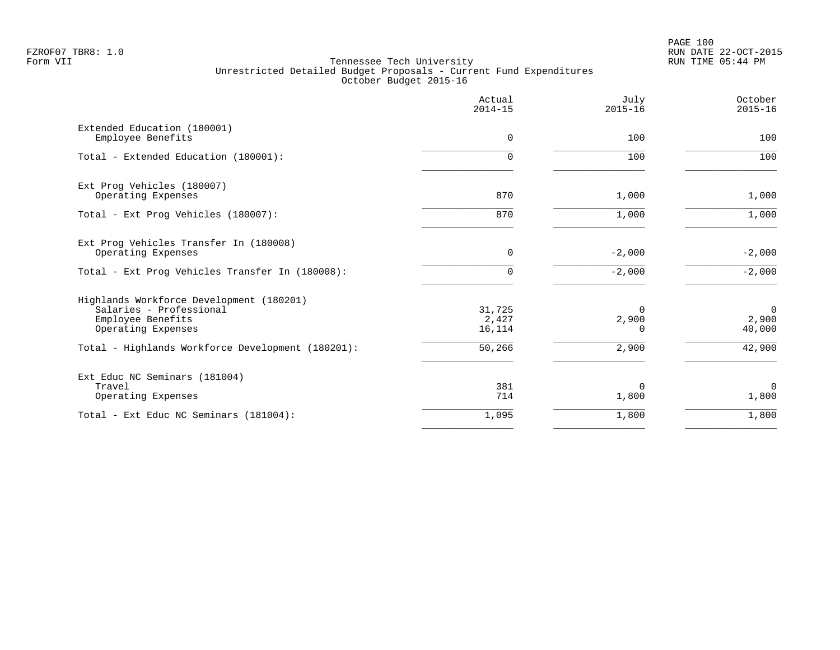|                                                                                                                 | Actual<br>$2014 - 15$   | July<br>$2015 - 16$  | October<br>$2015 - 16$  |
|-----------------------------------------------------------------------------------------------------------------|-------------------------|----------------------|-------------------------|
| Extended Education (180001)<br>Employee Benefits                                                                | $\Omega$                | 100                  | 100                     |
| Total - Extended Education (180001):                                                                            | $\Omega$                | 100                  | 100                     |
| Ext Prog Vehicles (180007)<br>Operating Expenses                                                                | 870                     | 1,000                | 1,000                   |
| Total - Ext Prog Vehicles (180007):                                                                             | 870                     | 1,000                | 1,000                   |
| Ext Prog Vehicles Transfer In (180008)<br>Operating Expenses<br>Total - Ext Prog Vehicles Transfer In (180008): | $\mathbf 0$<br>$\Omega$ | $-2,000$<br>$-2,000$ | $-2,000$<br>$-2,000$    |
| Highlands Workforce Development (180201)<br>Salaries - Professional<br>Employee Benefits                        | 31,725<br>2,427         | $\Omega$<br>2,900    | $\overline{0}$<br>2,900 |
| Operating Expenses<br>Total - Highlands Workforce Development (180201):                                         | 16,114<br>50,266        | ∩<br>2,900           | 40,000<br>42,900        |
| Ext Educ NC Seminars (181004)<br>Travel<br>Operating Expenses                                                   | 381<br>714              | 0<br>1,800           | $\mathbf 0$<br>1,800    |
| Total - Ext Educ NC Seminars (181004):                                                                          | 1,095                   | 1,800                | 1,800                   |
|                                                                                                                 |                         |                      |                         |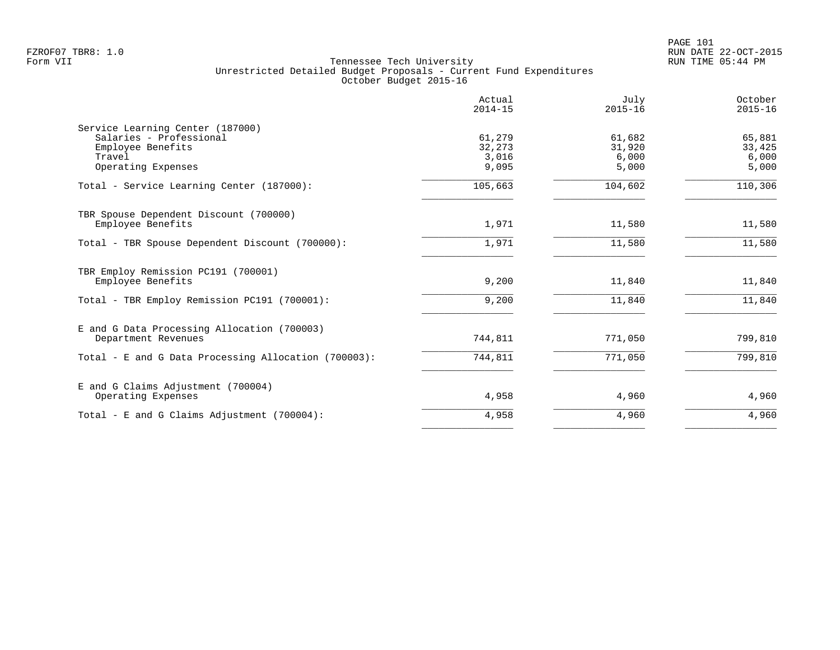|                                                      | Actual<br>$2014 - 15$ | July<br>$2015 - 16$ | October<br>$2015 - 16$ |
|------------------------------------------------------|-----------------------|---------------------|------------------------|
| Service Learning Center (187000)                     |                       |                     |                        |
| Salaries - Professional                              | 61,279                | 61,682              | 65,881                 |
| Employee Benefits                                    | 32,273                | 31,920              | 33,425                 |
| Travel                                               | 3,016                 | 6,000               | 6,000                  |
| Operating Expenses                                   | 9,095                 | 5,000               | 5,000                  |
| Total - Service Learning Center (187000):            | 105,663               | 104,602             | 110,306                |
| TBR Spouse Dependent Discount (700000)               |                       |                     |                        |
| Employee Benefits                                    | 1,971                 | 11,580              | 11,580                 |
| Total - TBR Spouse Dependent Discount (700000):      | 1,971                 | 11,580              | 11,580                 |
| TBR Employ Remission PC191 (700001)                  |                       |                     |                        |
| Employee Benefits                                    | 9,200                 | 11,840              | 11,840                 |
| Total - TBR Employ Remission PC191 (700001):         | 9,200                 | 11,840              | 11,840                 |
| E and G Data Processing Allocation (700003)          |                       |                     |                        |
| Department Revenues                                  | 744,811               | 771,050             | 799,810                |
| Total - E and G Data Processing Allocation (700003): | 744,811               | 771,050             | 799,810                |
| E and G Claims Adjustment (700004)                   |                       |                     |                        |
| Operating Expenses                                   | 4,958                 | 4,960               | 4,960                  |
| Total - E and G Claims Adjustment $(700004)$ :       | 4,958                 | 4,960               | 4,960                  |
|                                                      |                       |                     |                        |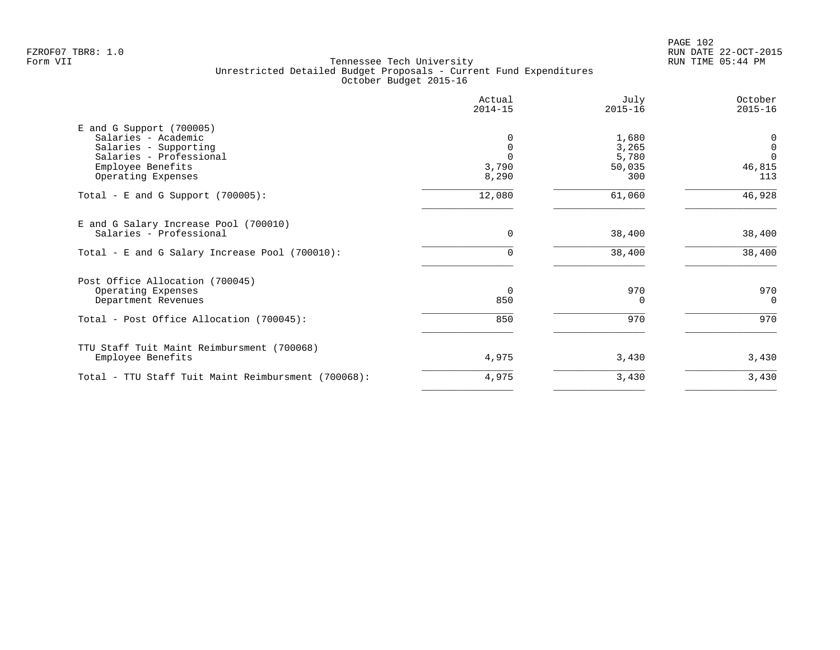PAGE 102 FZROF07 TBR8: 1.0 RUN DATE 22-OCT-2015

|                                                                                                                                                  | Actual<br>$2014 - 15$  | July<br>$2015 - 16$                      | October<br>$2015 - 16$                                |
|--------------------------------------------------------------------------------------------------------------------------------------------------|------------------------|------------------------------------------|-------------------------------------------------------|
| $E$ and G Support (700005)<br>Salaries - Academic<br>Salaries - Supporting<br>Salaries - Professional<br>Employee Benefits<br>Operating Expenses | 3,790<br>8,290         | 1,680<br>3,265<br>5,780<br>50,035<br>300 | 0<br>$\mathsf{O}\xspace$<br>$\Omega$<br>46,815<br>113 |
| Total - E and G Support $(700005)$ :                                                                                                             | 12,080                 | 61,060                                   | 46,928                                                |
| E and G Salary Increase Pool (700010)<br>Salaries - Professional                                                                                 | $\Omega$               | 38,400                                   | 38,400                                                |
| Total - E and G Salary Increase Pool (700010):                                                                                                   | $\Omega$               | 38,400                                   | 38,400                                                |
| Post Office Allocation (700045)<br>Operating Expenses<br>Department Revenues<br>Total - Post Office Allocation (700045):                         | $\Omega$<br>850<br>850 | 970<br>$\Omega$<br>970                   | 970<br>$\Omega$<br>970                                |
|                                                                                                                                                  |                        |                                          |                                                       |
| TTU Staff Tuit Maint Reimbursment (700068)<br>Employee Benefits                                                                                  | 4,975                  | 3,430                                    | 3,430                                                 |
| Total - TTU Staff Tuit Maint Reimbursment (700068):                                                                                              | 4,975                  | 3,430                                    | 3,430                                                 |
|                                                                                                                                                  |                        |                                          |                                                       |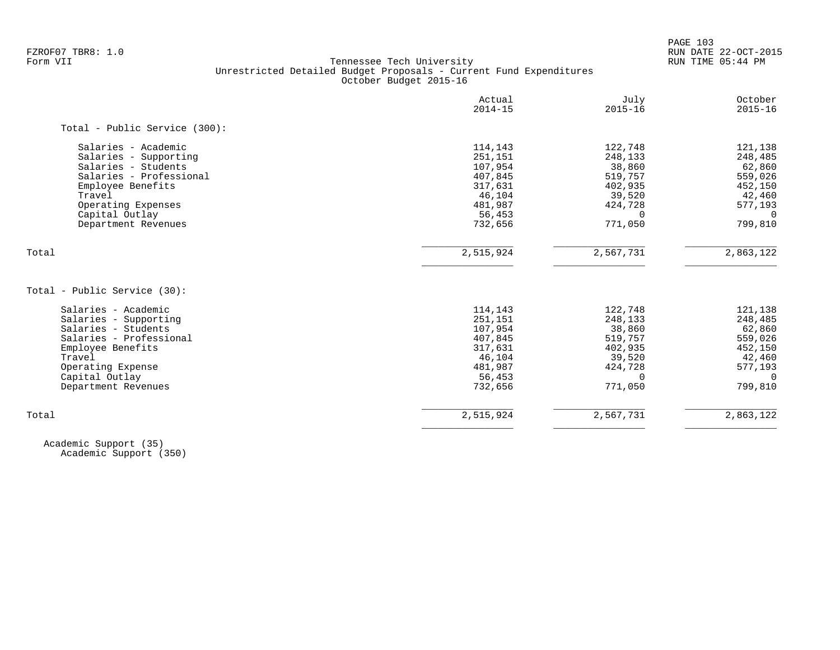|                                                     | Actual<br>$2014 - 15$ | July<br>$2015 - 16$ | October<br>$2015 - 16$ |
|-----------------------------------------------------|-----------------------|---------------------|------------------------|
| Total - Public Service (300):                       |                       |                     |                        |
| Salaries - Academic                                 | 114,143               | 122,748             | 121,138                |
| Salaries - Supporting                               | 251,151               | 248,133             | 248,485                |
| Salaries - Students                                 | 107,954               | 38,860              | 62,860                 |
| Salaries - Professional                             | 407,845               | 519,757             | 559,026                |
| Employee Benefits                                   | 317,631               | 402,935             | 452,150                |
| Travel                                              | 46,104                | 39,520              | 42,460                 |
| Operating Expenses                                  | 481,987               | 424,728             | 577,193                |
| Capital Outlay                                      | 56,453                | $\Omega$            | - 0                    |
| Department Revenues                                 | 732,656               | 771,050             | 799,810                |
| Total                                               | 2,515,924             | 2,567,731           | 2,863,122              |
| Total - Public Service (30):<br>Salaries - Academic | 114,143               | 122,748             | 121,138                |
| Salaries - Supporting                               | 251,151               | 248,133             | 248,485                |
| Salaries - Students                                 | 107,954               | 38,860              | 62,860                 |
| Salaries - Professional                             | 407,845               | 519,757             | 559,026                |
| Employee Benefits                                   | 317,631               | 402,935             | 452,150                |
| Travel                                              | 46,104                | 39,520              | 42,460                 |
| Operating Expense                                   | 481,987               | 424,728             | 577,193                |
| Capital Outlay                                      | 56,453                | $\Omega$            | $\Omega$               |
| Department Revenues                                 | 732,656               | 771,050             | 799,810                |
| Total                                               | 2,515,924             | 2,567,731           | 2,863,122              |
|                                                     |                       |                     |                        |

 Academic Support (35) Academic Support (350)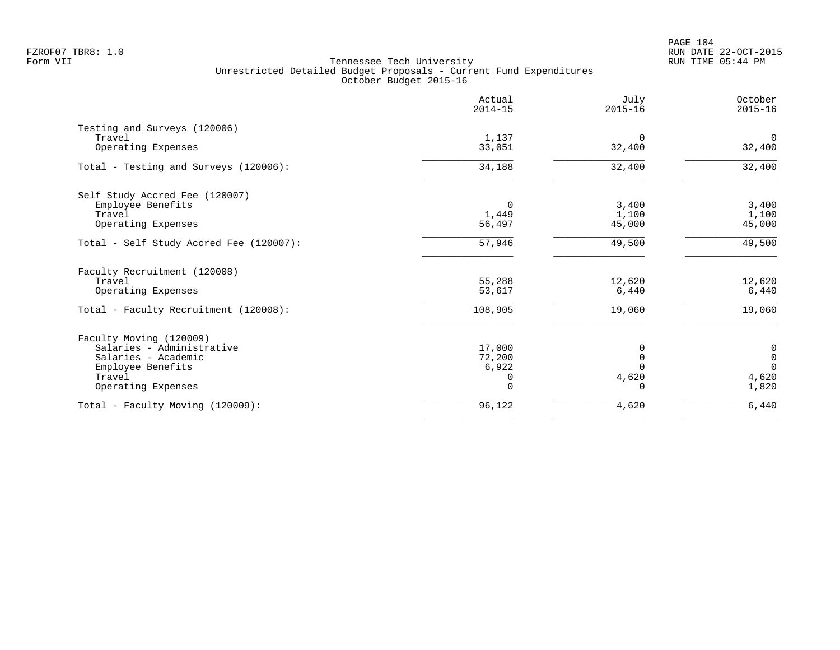PAGE 104 FZROF07 TBR8: 1.0 RUN DATE 22-OCT-2015

|                                         | Actual<br>$2014 - 15$ | July<br>$2015 - 16$ | October<br>$2015 - 16$ |
|-----------------------------------------|-----------------------|---------------------|------------------------|
| Testing and Surveys (120006)<br>Travel  | 1,137                 | $\Omega$            | $\Omega$               |
| Operating Expenses                      | 33,051                | 32,400              | 32,400                 |
| Total - Testing and Surveys (120006):   | 34,188                | 32,400              | 32,400                 |
| Self Study Accred Fee (120007)          |                       |                     |                        |
| Employee Benefits                       | 0                     | 3,400               | 3,400                  |
| Travel                                  | 1,449                 | 1,100               | 1,100                  |
| Operating Expenses                      | 56,497                | 45,000              | 45,000                 |
| Total - Self Study Accred Fee (120007): | 57,946                | 49,500              | 49,500                 |
| Faculty Recruitment (120008)            |                       |                     |                        |
| Travel                                  | 55,288                | 12,620              | 12,620                 |
| Operating Expenses                      | 53,617                | 6,440               | 6,440                  |
| Total - Faculty Recruitment (120008):   | 108,905               | 19,060              | 19,060                 |
| Faculty Moving (120009)                 |                       |                     |                        |
| Salaries - Administrative               | 17,000                | 0                   | 0                      |
| Salaries - Academic                     | 72,200                | $\Omega$            | $\mathsf 0$            |
| Employee Benefits                       | 6,922                 |                     | $\Omega$               |
| Travel                                  | 0                     | 4,620               | 4,620                  |
| Operating Expenses                      | $\Omega$              |                     | 1,820                  |
| Total - Faculty Moving (120009):        | 96,122                | 4,620               | 6,440                  |
|                                         |                       |                     |                        |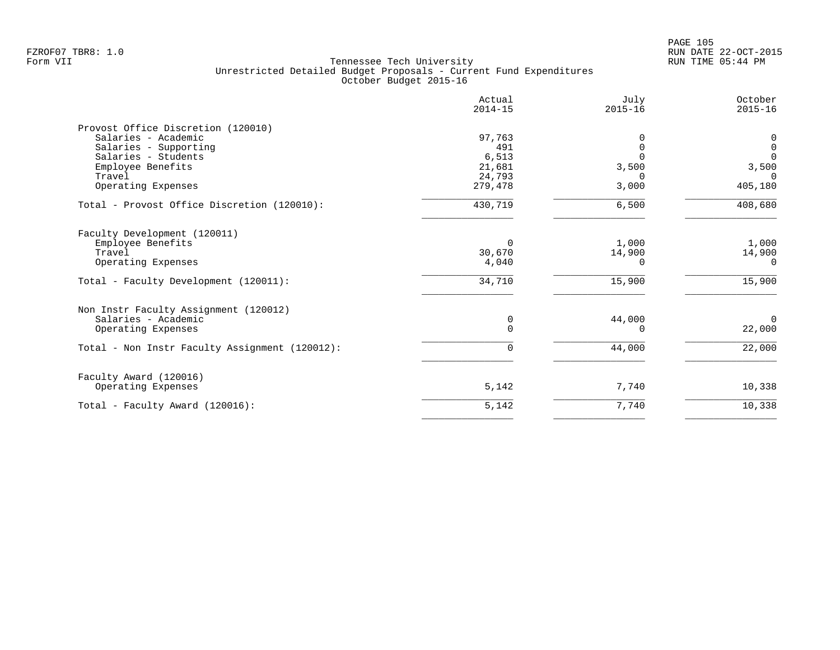|                                                | Actual<br>$2014 - 15$ | July<br>$2015 - 16$ | October<br>$2015 - 16$ |
|------------------------------------------------|-----------------------|---------------------|------------------------|
| Provost Office Discretion (120010)             |                       |                     |                        |
| Salaries - Academic                            | 97,763                | $\Omega$            | 0                      |
| Salaries - Supporting                          | 491                   | $\mathbf 0$         | $\mathbf 0$            |
| Salaries - Students                            | 6,513                 | $\Omega$            | $\Omega$               |
| Employee Benefits                              | 21,681                | 3,500               | 3,500                  |
| Travel                                         | 24,793                | ∩                   | $\Omega$               |
| Operating Expenses                             | 279,478               | 3,000               | 405,180                |
| Total - Provost Office Discretion (120010):    | 430,719               | 6,500               | 408,680                |
| Faculty Development (120011)                   |                       |                     |                        |
| Employee Benefits                              | $\Omega$              | 1,000               | 1,000                  |
| Travel                                         | 30,670                | 14,900              | 14,900                 |
| Operating Expenses                             | 4,040                 | ∩                   | $\Omega$               |
| Total - Faculty Development (120011):          | 34,710                | 15,900              | 15,900                 |
| Non Instr Faculty Assignment (120012)          |                       |                     |                        |
| Salaries - Academic                            | 0                     | 44,000              | $\mathbf{0}$           |
| Operating Expenses                             | $\Omega$              | $\Omega$            | 22,000                 |
| Total - Non Instr Faculty Assignment (120012): | $\Omega$              | 44,000              | 22,000                 |
| Faculty Award (120016)                         |                       |                     |                        |
| Operating Expenses                             | 5,142                 | 7,740               | 10,338                 |
| Total - Faculty Award (120016):                | 5,142                 | 7,740               | 10,338                 |
|                                                |                       |                     |                        |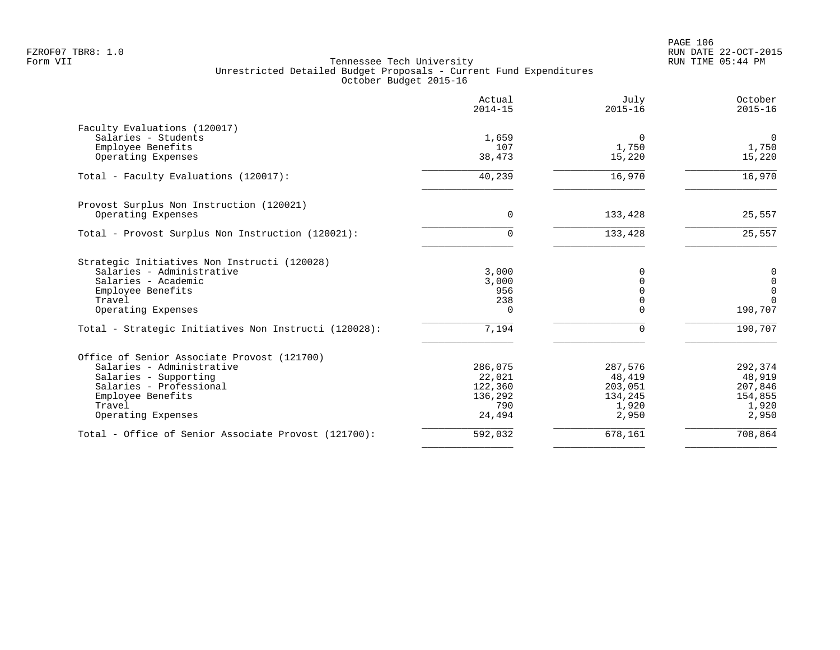PAGE 106 FZROF07 TBR8: 1.0 RUN DATE 22-OCT-2015

|                                                       | Actual<br>$2014 - 15$ | July<br>$2015 - 16$ | October<br>$2015 - 16$ |
|-------------------------------------------------------|-----------------------|---------------------|------------------------|
| Faculty Evaluations (120017)                          |                       |                     |                        |
| Salaries - Students                                   | 1,659                 | $\Omega$            | $\overline{0}$         |
| Employee Benefits                                     | 107                   | 1,750               | 1,750                  |
| Operating Expenses                                    | 38,473                | 15,220              | 15,220                 |
| Total - Faculty Evaluations (120017):                 | 40,239                | 16,970              | 16,970                 |
| Provost Surplus Non Instruction (120021)              |                       |                     |                        |
| Operating Expenses                                    | $\mathbf 0$           | 133,428             | 25,557                 |
| Total - Provost Surplus Non Instruction (120021):     | 0                     | 133,428             | 25,557                 |
| Strategic Initiatives Non Instructi (120028)          |                       |                     |                        |
| Salaries - Administrative                             | 3,000                 | 0                   | $\mathbf 0$            |
| Salaries - Academic                                   | 3,000                 | $\mathbf 0$         | $\mathbf 0$            |
| Employee Benefits                                     | 956                   | $\Omega$            | $\mathbf 0$            |
| Travel                                                | 238                   | $\mathbf 0$         | $\Omega$               |
| Operating Expenses                                    | $\Omega$              | $\Omega$            | 190,707                |
| Total - Strategic Initiatives Non Instructi (120028): | 7,194                 | $\mathbf 0$         | 190,707                |
| Office of Senior Associate Provost (121700)           |                       |                     |                        |
| Salaries - Administrative                             | 286,075               | 287,576             | 292,374                |
| Salaries - Supporting                                 | 22,021                | 48,419              | 48,919                 |
| Salaries - Professional                               | 122,360               | 203,051             | 207,846                |
| Employee Benefits                                     | 136,292               | 134,245             | 154,855                |
| Travel                                                | 790                   | 1,920               | 1,920                  |
| Operating Expenses                                    | 24,494                | 2,950               | 2,950                  |
| Total - Office of Senior Associate Provost (121700):  | 592,032               | 678,161             | 708,864                |
|                                                       |                       |                     |                        |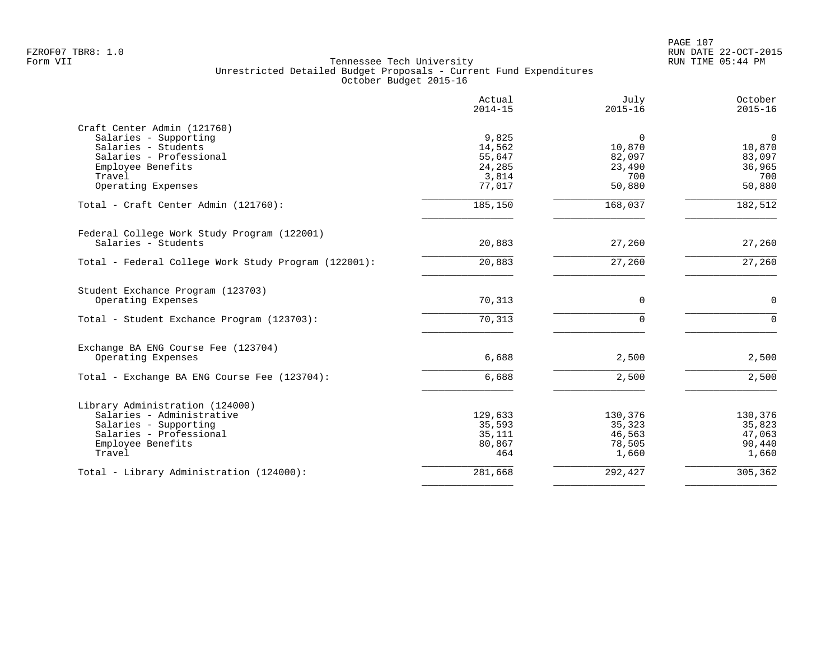|                                                      | Actual<br>$2014 - 15$ | July<br>$2015 - 16$ | October<br>$2015 - 16$ |
|------------------------------------------------------|-----------------------|---------------------|------------------------|
| Craft Center Admin (121760)                          |                       |                     |                        |
| Salaries - Supporting                                | 9,825                 | $\mathbf 0$         | $\mathbf 0$            |
| Salaries - Students                                  | 14,562                | 10,870              | 10,870                 |
| Salaries - Professional                              | 55,647                | 82,097              | 83,097                 |
| Employee Benefits                                    | 24,285                | 23,490              | 36,965                 |
| Travel                                               | 3,814                 | 700                 | 700                    |
| Operating Expenses                                   | 77,017                | 50,880              | 50,880                 |
| Total - Craft Center Admin (121760):                 | 185,150               | 168,037             | 182,512                |
| Federal College Work Study Program (122001)          |                       |                     |                        |
| Salaries - Students                                  | 20,883                | 27,260              | 27,260                 |
| Total - Federal College Work Study Program (122001): | 20,883                | 27,260              | 27,260                 |
| Student Exchance Program (123703)                    |                       |                     |                        |
| Operating Expenses                                   | 70,313                | $\mathbf 0$         | $\mathbf 0$            |
| Total - Student Exchance Program (123703):           | 70,313                | $\Omega$            | $\Omega$               |
| Exchange BA ENG Course Fee (123704)                  |                       |                     |                        |
| Operating Expenses                                   | 6,688                 | 2,500               | 2,500                  |
| Total - Exchange BA ENG Course Fee (123704):         | 6,688                 | 2,500               | 2,500                  |
| Library Administration (124000)                      |                       |                     |                        |
| Salaries - Administrative                            | 129,633               | 130,376             | 130,376                |
| Salaries - Supporting                                | 35,593                | 35,323              | 35,823                 |
| Salaries - Professional                              | 35,111                | 46,563              | 47,063                 |
| Employee Benefits                                    | 80,867                | 78,505              | 90,440                 |
| Travel                                               | 464                   | 1,660               | 1,660                  |
| Total - Library Administration (124000):             | 281,668               | 292,427             | 305,362                |
|                                                      |                       |                     |                        |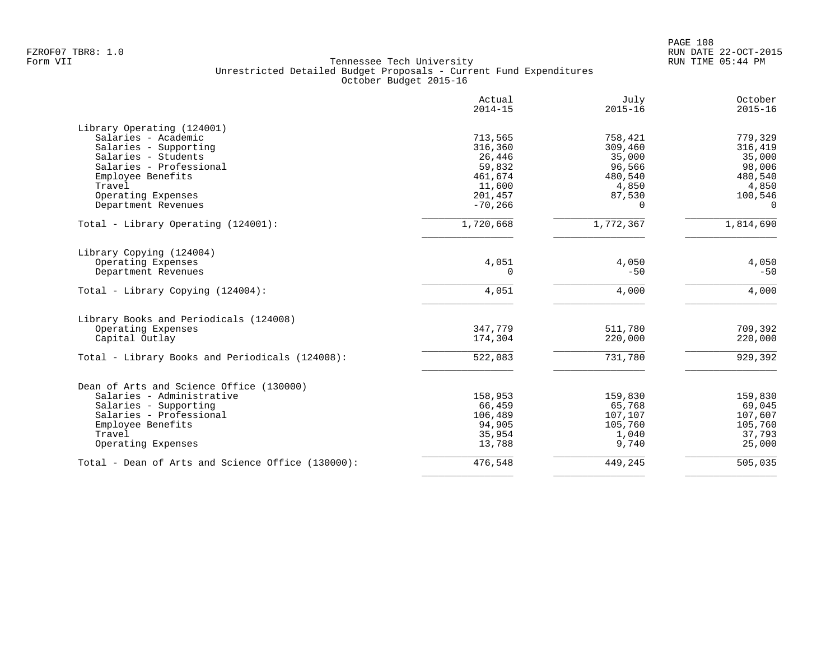|                                                   | Actual<br>$2014 - 15$ | July<br>$2015 - 16$ | October<br>$2015 - 16$ |
|---------------------------------------------------|-----------------------|---------------------|------------------------|
| Library Operating (124001)                        |                       |                     |                        |
| Salaries - Academic                               | 713,565               | 758,421             | 779,329                |
| Salaries - Supporting                             | 316,360               | 309,460             | 316,419                |
| Salaries - Students                               | 26,446                | 35,000              | 35,000                 |
| Salaries - Professional                           | 59,832                | 96,566              | 98,006                 |
| Employee Benefits                                 | 461,674               | 480,540             | 480,540                |
| Travel                                            | 11,600                | 4,850               | 4,850                  |
| Operating Expenses                                | 201,457               | 87,530              | 100,546                |
| Department Revenues                               | $-70, 266$            | $\Omega$            | $\Omega$               |
| Total - Library Operating (124001):               | 1,720,668             | 1,772,367           | 1,814,690              |
| Library Copying (124004)                          |                       |                     |                        |
| Operating Expenses                                | 4,051                 | 4,050               | 4,050                  |
| Department Revenues                               | $\Omega$              | $-50$               | $-50$                  |
| Total - Library Copying (124004):                 | 4,051                 | 4,000               | 4,000                  |
| Library Books and Periodicals (124008)            |                       |                     |                        |
| Operating Expenses                                | 347,779               | 511,780             | 709,392                |
| Capital Outlay                                    | 174,304               | 220,000             | 220,000                |
| Total - Library Books and Periodicals (124008):   | 522,083               | 731,780             | 929,392                |
| Dean of Arts and Science Office (130000)          |                       |                     |                        |
| Salaries - Administrative                         | 158,953               | 159,830             | 159,830                |
| Salaries - Supporting                             | 66,459                | 65,768              | 69,045                 |
| Salaries - Professional                           | 106,489               | 107,107             | 107,607                |
| Employee Benefits                                 | 94,905                | 105,760             | 105,760                |
| Travel                                            | 35,954                | 1,040               | 37,793                 |
| Operating Expenses                                | 13,788                | 9,740               | 25,000                 |
| Total - Dean of Arts and Science Office (130000): | 476,548               | 449,245             | 505,035                |
|                                                   |                       |                     |                        |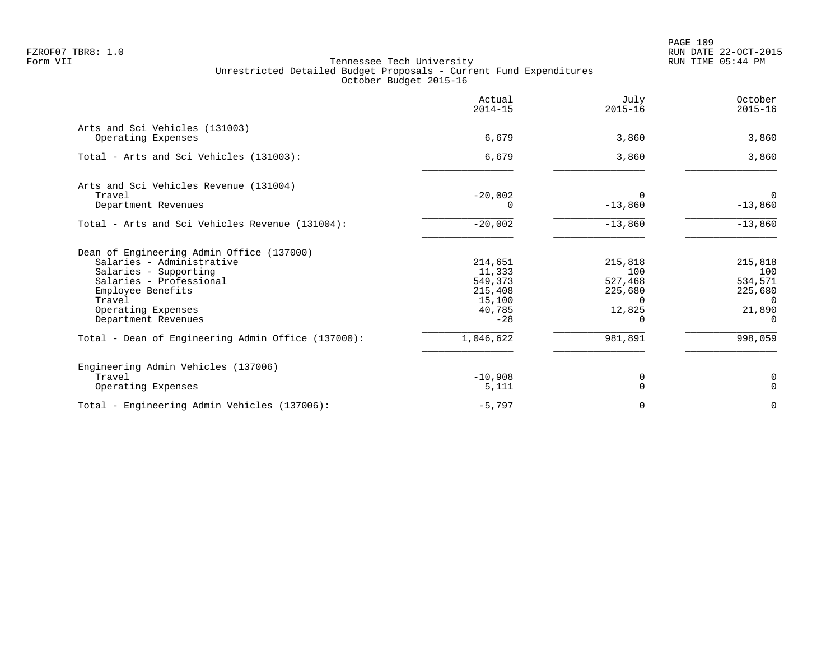PAGE 109 FZROF07 TBR8: 1.0 RUN DATE 22-OCT-2015

|                                                    | Actual<br>$2014 - 15$ | July<br>$2015 - 16$ | October<br>$2015 - 16$ |
|----------------------------------------------------|-----------------------|---------------------|------------------------|
| Arts and Sci Vehicles (131003)                     |                       |                     |                        |
| Operating Expenses                                 | 6,679                 | 3,860               | 3,860                  |
| Total - Arts and Sci Vehicles (131003):            | 6,679                 | 3,860               | 3,860                  |
| Arts and Sci Vehicles Revenue (131004)             |                       |                     |                        |
| Travel                                             | $-20,002$             | $\Omega$            | $\overline{0}$         |
| Department Revenues                                | 0                     | $-13,860$           | $-13,860$              |
| Total - Arts and Sci Vehicles Revenue (131004):    | $-20,002$             | $-13,860$           | $-13,860$              |
| Dean of Engineering Admin Office (137000)          |                       |                     |                        |
| Salaries - Administrative                          | 214,651               | 215,818             | 215,818                |
| Salaries - Supporting                              | 11,333                | 100                 | 100                    |
| Salaries - Professional                            | 549,373               | 527,468             | 534,571                |
| Employee Benefits                                  | 215,408               | 225,680             | 225,680                |
| Travel                                             | 15,100                | $\Omega$            | $\Omega$               |
| Operating Expenses<br>Department Revenues          | 40,785<br>$-28$       | 12,825<br>0         | 21,890<br>$\Omega$     |
| Total - Dean of Engineering Admin Office (137000): | 1,046,622             | 981,891             | 998,059                |
| Engineering Admin Vehicles (137006)                |                       |                     |                        |
| Travel                                             | $-10,908$             | 0                   | 0                      |
| Operating Expenses                                 | 5,111                 | $\Omega$            | $\mathbf 0$            |
| Total - Engineering Admin Vehicles (137006):       | $-5,797$              | 0                   | $\mathbf 0$            |
|                                                    |                       |                     |                        |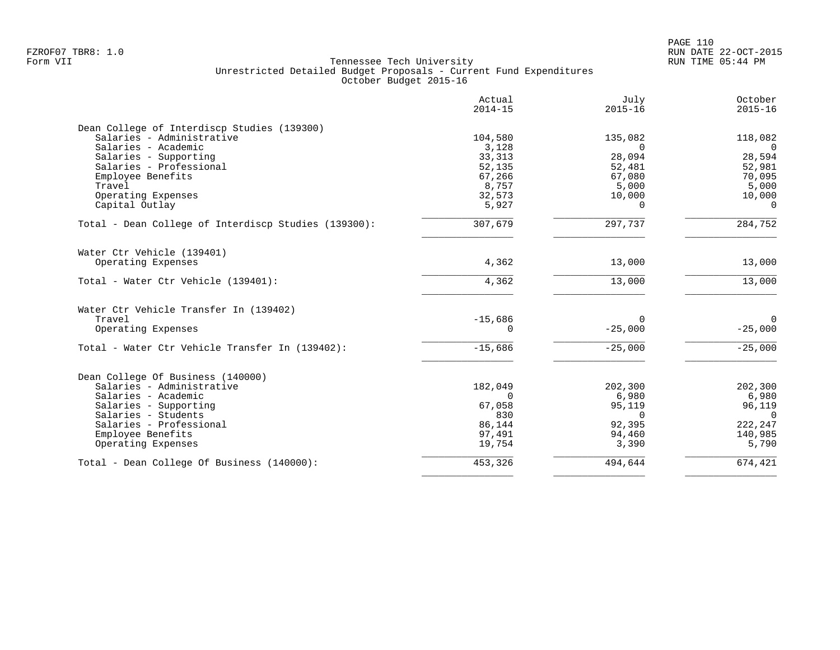|                                                      | Actual<br>$2014 - 15$ | July<br>$2015 - 16$ | October<br>$2015 - 16$ |
|------------------------------------------------------|-----------------------|---------------------|------------------------|
| Dean College of Interdiscp Studies (139300)          |                       |                     |                        |
| Salaries - Administrative                            | 104,580               | 135,082             | 118,082                |
| Salaries - Academic                                  | 3,128                 | $\Omega$            | $\Omega$               |
| Salaries - Supporting                                | 33,313                | 28,094              | 28,594                 |
| Salaries - Professional                              | 52,135                | 52,481              | 52,981                 |
| Employee Benefits                                    | 67,266                | 67,080              | 70,095                 |
| Travel                                               | 8,757                 | 5,000               | 5,000                  |
| Operating Expenses                                   | 32,573                | 10,000              | 10,000<br>$\Omega$     |
| Capital Outlay                                       | 5,927                 | $\Omega$            |                        |
| Total - Dean College of Interdiscp Studies (139300): | 307,679               | 297,737             | 284,752                |
| Water Ctr Vehicle (139401)                           |                       |                     |                        |
| Operating Expenses                                   | 4,362                 | 13,000              | 13,000                 |
| Total - Water Ctr Vehicle (139401):                  | 4,362                 | 13,000              | 13,000                 |
| Water Ctr Vehicle Transfer In (139402)               |                       |                     |                        |
| Travel                                               | $-15,686$             | $\Omega$            | $\mathbf 0$            |
| Operating Expenses                                   | 0                     | $-25,000$           | $-25,000$              |
| Total - Water Ctr Vehicle Transfer In (139402):      | $-15,686$             | $-25,000$           | $-25,000$              |
| Dean College Of Business (140000)                    |                       |                     |                        |
| Salaries - Administrative                            | 182,049               | 202,300             | 202,300                |
| Salaries - Academic                                  | 0                     | 6,980               | 6,980                  |
| Salaries - Supporting                                | 67,058                | 95,119              | 96,119                 |
| Salaries - Students                                  | 830                   | $\Omega$            | $\Omega$               |
| Salaries - Professional                              | 86,144                | 92,395              | 222,247                |
| Employee Benefits                                    | 97,491                | 94,460              | 140,985                |
| Operating Expenses                                   | 19,754                | 3,390               | 5,790                  |
| Total - Dean College Of Business (140000):           | 453,326               | 494,644             | 674,421                |
|                                                      |                       |                     |                        |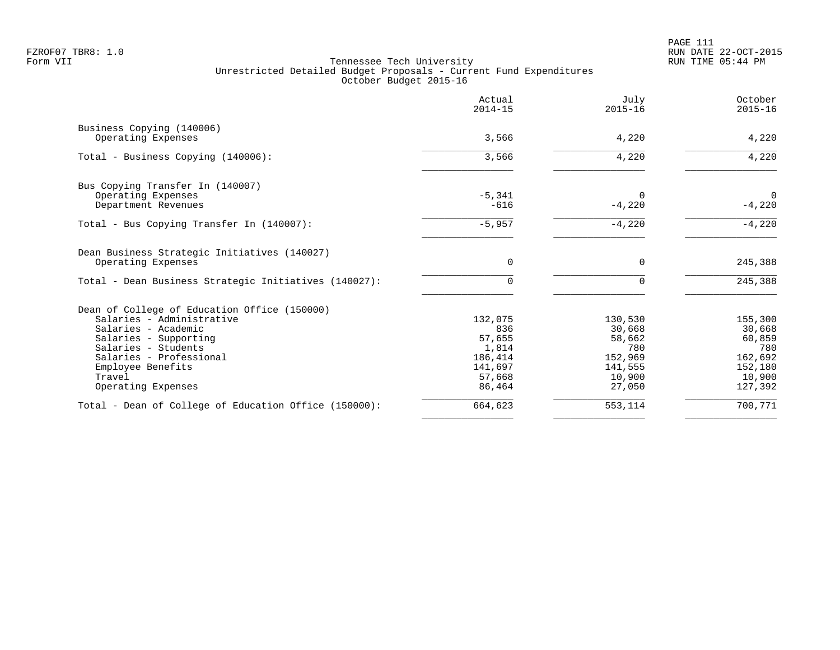|                                                                    | Actual<br>$2014 - 15$ | July<br>$2015 - 16$ | October<br>$2015 - 16$ |
|--------------------------------------------------------------------|-----------------------|---------------------|------------------------|
| Business Copying (140006)                                          | 3,566                 | 4,220               | 4,220                  |
| Operating Expenses                                                 |                       |                     |                        |
| Total - Business Copying (140006):                                 | 3,566                 | 4,220               | 4,220                  |
| Bus Copying Transfer In (140007)                                   |                       |                     |                        |
| Operating Expenses                                                 | $-5,341$              | $\Omega$            | $\Omega$               |
| Department Revenues                                                | $-616$                | $-4,220$            | $-4,220$               |
| Total - Bus Copying Transfer In (140007):                          | $-5,957$              | $-4,220$            | $-4,220$               |
| Dean Business Strategic Initiatives (140027)<br>Operating Expenses | $\Omega$              | $\Omega$            | 245,388                |
| Total - Dean Business Strategic Initiatives (140027):              |                       |                     | 245,388                |
| Dean of College of Education Office (150000)                       |                       |                     |                        |
| Salaries - Administrative                                          | 132,075               | 130,530             | 155,300                |
| Salaries - Academic                                                | 836                   | 30,668              | 30,668                 |
| Salaries - Supporting                                              | 57,655                | 58,662              | 60,859                 |
| Salaries - Students                                                | 1,814                 | 780                 | 780                    |
| Salaries - Professional                                            | 186,414               | 152,969             | 162,692                |
| Employee Benefits                                                  | 141,697               | 141,555             | 152,180                |
| Travel<br>Operating Expenses                                       | 57,668<br>86,464      | 10,900<br>27,050    | 10,900<br>127,392      |
| Total - Dean of College of Education Office (150000):              | 664,623               | 553,114             | 700,771                |
|                                                                    |                       |                     |                        |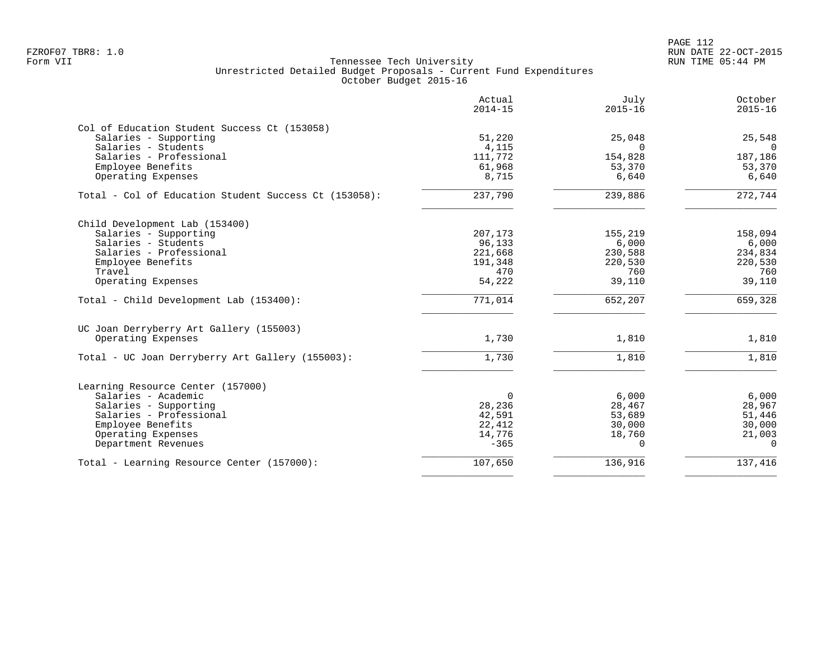|                                                       | Actual<br>$2014 - 15$ | July<br>$2015 - 16$ | October<br>$2015 - 16$ |
|-------------------------------------------------------|-----------------------|---------------------|------------------------|
| Col of Education Student Success Ct (153058)          |                       |                     |                        |
| Salaries - Supporting                                 | 51,220                | 25,048              | 25,548                 |
| Salaries - Students                                   | 4,115                 | $\Omega$            | $\Omega$               |
| Salaries - Professional                               | 111,772               | 154,828             | 187,186                |
| Employee Benefits                                     | 61,968                | 53,370              | 53,370                 |
| Operating Expenses                                    | 8,715                 | 6,640               | 6,640                  |
| Total - Col of Education Student Success Ct (153058): | 237,790               | 239,886             | 272,744                |
| Child Development Lab (153400)                        |                       |                     |                        |
| Salaries - Supporting                                 | 207,173               | 155,219             | 158,094                |
| Salaries - Students                                   | 96,133                | 6,000               | 6,000                  |
| Salaries - Professional                               | 221,668               | 230,588             | 234,834                |
| Employee Benefits                                     | 191,348               | 220,530             | 220,530                |
| Travel                                                | 470                   | 760                 | 760                    |
| Operating Expenses                                    | 54,222                | 39,110              | 39,110                 |
| Total - Child Development Lab (153400):               | 771,014               | 652,207             | 659,328                |
| UC Joan Derryberry Art Gallery (155003)               |                       |                     |                        |
| Operating Expenses                                    | 1,730                 | 1,810               | 1,810                  |
| Total - UC Joan Derryberry Art Gallery (155003):      | 1,730                 | 1,810               | 1,810                  |
| Learning Resource Center (157000)                     |                       |                     |                        |
| Salaries - Academic                                   | $\Omega$              | 6,000               | 6,000                  |
| Salaries - Supporting                                 | 28,236                | 28,467              | 28,967                 |
| Salaries - Professional                               | 42,591                | 53,689              | 51,446                 |
| Employee Benefits                                     | 22,412                | 30,000              | 30,000                 |
| Operating Expenses                                    | 14,776                | 18,760              | 21,003                 |
| Department Revenues                                   | $-365$                | $\Omega$            | $\Omega$               |
| Total - Learning Resource Center (157000):            | 107,650               | 136,916             | 137,416                |
|                                                       |                       |                     |                        |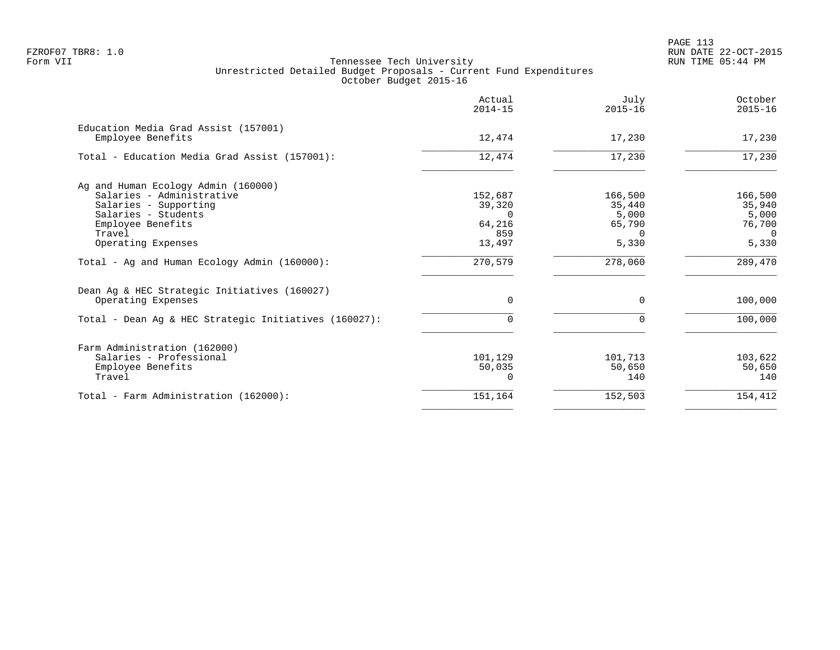PAGE 113 FZROF07 TBR8: 1.0 RUN DATE 22-OCT-2015

|                                                           | Actual<br>$2014 - 15$ | July<br>$2015 - 16$ | October<br>$2015 - 16$ |
|-----------------------------------------------------------|-----------------------|---------------------|------------------------|
| Education Media Grad Assist (157001)<br>Employee Benefits | 12,474                | 17,230              | 17,230                 |
| Total - Education Media Grad Assist (157001):             | 12,474                | 17,230              | 17,230                 |
| Ag and Human Ecology Admin (160000)                       |                       |                     |                        |
| Salaries - Administrative                                 | 152,687               | 166,500             | 166,500                |
| Salaries - Supporting                                     | 39,320                | 35,440              | 35,940                 |
| Salaries - Students                                       | $\Omega$              | 5,000               | 5,000                  |
| Employee Benefits                                         | 64,216                | 65,790              | 76,700                 |
| Travel                                                    | 859                   | $\cap$              | $\Omega$               |
| Operating Expenses                                        | 13,497                | 5,330               | 5,330                  |
| Total - Ag and Human Ecology Admin (160000):              | 270,579               | 278,060             | 289,470                |
| Dean Ag & HEC Strategic Initiatives (160027)              |                       |                     |                        |
| Operating Expenses                                        | 0                     | $\Omega$            | 100,000                |
| Total - Dean Ag & HEC Strategic Initiatives (160027):     | 0                     | $\Omega$            | 100,000                |
| Farm Administration (162000)                              |                       |                     |                        |
| Salaries - Professional                                   | 101,129               | 101,713             | 103,622                |
| Employee Benefits                                         | 50,035                | 50,650              | 50,650                 |
| Travel                                                    | O                     | 140                 | 140                    |
| Total - Farm Administration (162000):                     | 151,164               | 152,503             | 154,412                |
|                                                           |                       |                     |                        |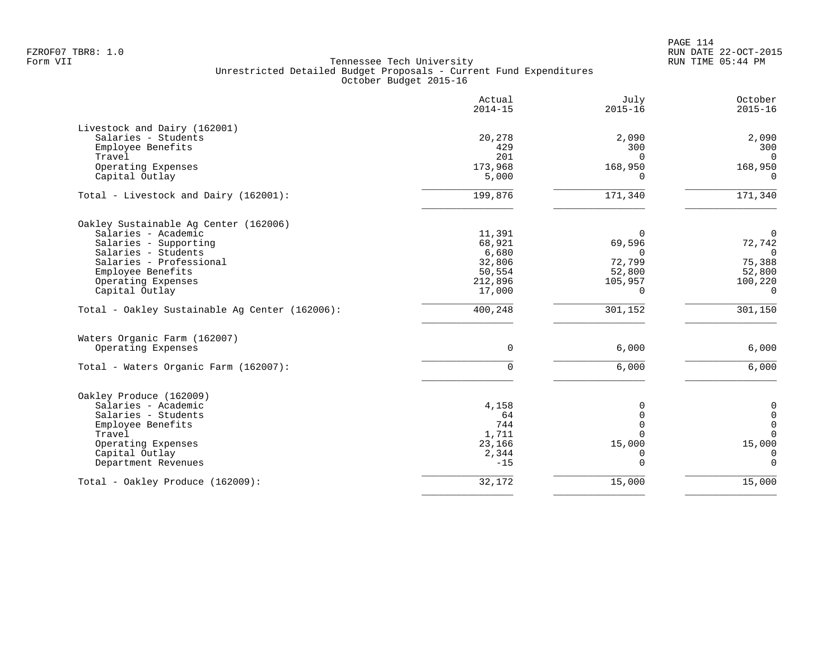|                                                | Actual<br>$2014 - 15$ | July<br>$2015 - 16$ | October<br>$2015 - 16$       |
|------------------------------------------------|-----------------------|---------------------|------------------------------|
| Livestock and Dairy (162001)                   |                       |                     |                              |
| Salaries - Students                            | 20,278                | 2,090               | 2,090                        |
| Employee Benefits                              | 429                   | 300                 | 300                          |
| Travel                                         | 201                   | $\Omega$            | $\overline{0}$               |
| Operating Expenses                             | 173,968               | 168,950             | 168,950                      |
| Capital Outlay                                 | 5,000                 |                     | $\Omega$                     |
| Total - Livestock and Dairy (162001):          | 199,876               | 171,340             | 171,340                      |
| Oakley Sustainable Aq Center (162006)          |                       |                     |                              |
| Salaries - Academic                            | 11,391                | 0                   | $\mathsf{O}$                 |
| Salaries - Supporting                          | 68,921                | 69,596              | 72,742                       |
| Salaries - Students                            | 6,680                 | $\Omega$            | $\overline{0}$               |
| Salaries - Professional                        | 32,806                | 72,799              | 75,388                       |
| Employee Benefits                              | 50,554                | 52,800              | 52,800                       |
| Operating Expenses                             | 212,896               | 105,957             | 100,220                      |
| Capital Outlay                                 | 17,000                | $\Omega$            | $\Omega$                     |
| Total - Oakley Sustainable Aq Center (162006): | 400,248               | 301,152             | 301,150                      |
| Waters Organic Farm (162007)                   |                       |                     |                              |
| Operating Expenses                             | 0                     | 6,000               | 6,000                        |
| Total - Waters Organic Farm (162007):          | $\Omega$              | 6,000               | 6,000                        |
|                                                |                       |                     |                              |
| Oakley Produce (162009)                        |                       |                     |                              |
| Salaries - Academic<br>Salaries - Students     | 4,158<br>64           |                     | 0                            |
| Employee Benefits                              | 744                   |                     | $\mathsf{O}$<br>$\mathsf{O}$ |
| Travel                                         | 1,711                 |                     | $\mathbf 0$                  |
| Operating Expenses                             | 23,166                | 15,000              | 15,000                       |
| Capital Outlay                                 | 2,344                 | 0                   | $\mathbf 0$                  |
| Department Revenues                            | $-15$                 | $\Omega$            | $\Omega$                     |
| Total - Oakley Produce (162009):               | 32,172                | 15,000              | 15,000                       |
|                                                |                       |                     |                              |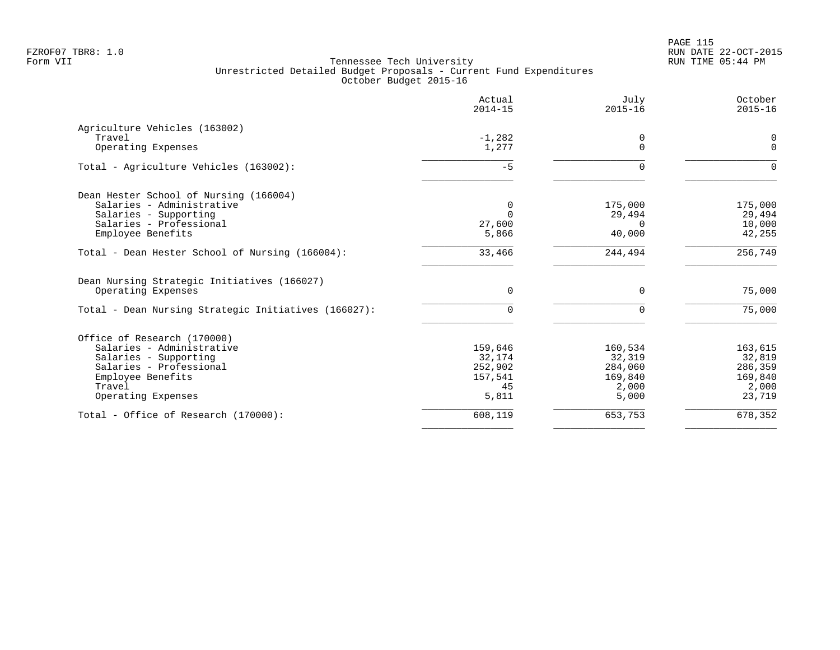|                                                                                                                                                                   | Actual<br>$2014 - 15$                                  | July<br>$2015 - 16$                                       | October<br>$2015 - 16$                                     |
|-------------------------------------------------------------------------------------------------------------------------------------------------------------------|--------------------------------------------------------|-----------------------------------------------------------|------------------------------------------------------------|
| Agriculture Vehicles (163002)<br>Travel<br>Operating Expenses                                                                                                     | $-1,282$<br>1,277                                      | 0<br>$\Omega$                                             | 0<br>$\mathbf 0$                                           |
| Total - Agriculture Vehicles (163002):                                                                                                                            | $-5$                                                   | $\Omega$                                                  | $\Omega$                                                   |
| Dean Hester School of Nursing (166004)<br>Salaries - Administrative<br>Salaries - Supporting<br>Salaries - Professional<br>Employee Benefits                      | 0<br>$\Omega$<br>27,600<br>5,866                       | 175,000<br>29,494<br>$\Omega$<br>40,000                   | 175,000<br>29,494<br>10,000<br>42,255                      |
| Total - Dean Hester School of Nursing (166004):                                                                                                                   | 33,466                                                 | 244,494                                                   | 256,749                                                    |
| Dean Nursing Strategic Initiatives (166027)<br>Operating Expenses<br>Total - Dean Nursing Strategic Initiatives (166027):                                         | $\Omega$<br>$\Omega$                                   | $\Omega$<br>$\Omega$                                      | 75,000<br>75,000                                           |
| Office of Research (170000)<br>Salaries - Administrative<br>Salaries - Supporting<br>Salaries - Professional<br>Employee Benefits<br>Travel<br>Operating Expenses | 159,646<br>32,174<br>252,902<br>157,541<br>45<br>5,811 | 160,534<br>32,319<br>284,060<br>169,840<br>2,000<br>5,000 | 163,615<br>32,819<br>286,359<br>169,840<br>2,000<br>23,719 |
| Total - Office of Research (170000):                                                                                                                              | 608,119                                                | 653,753                                                   | 678,352                                                    |
|                                                                                                                                                                   |                                                        |                                                           |                                                            |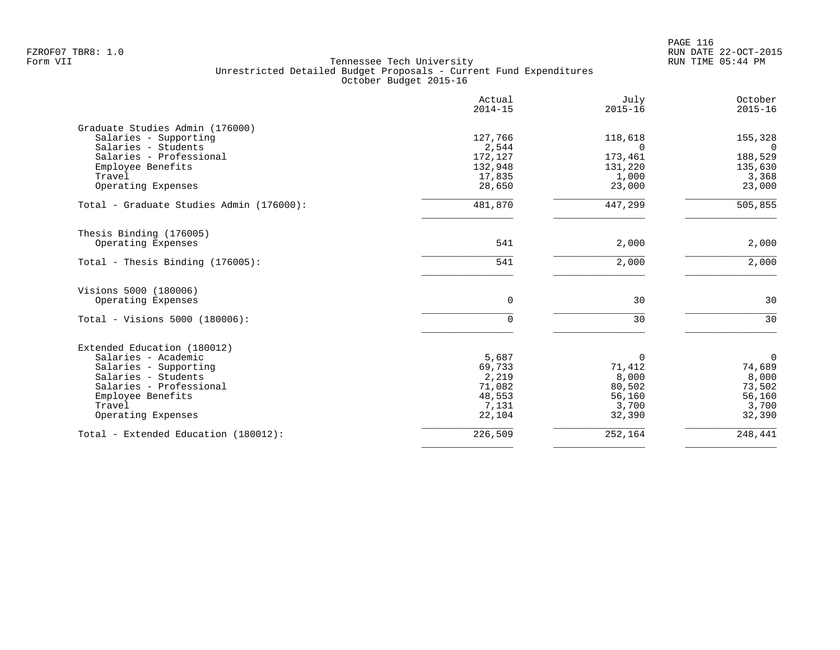| Actual<br>$2014 - 15$ | July<br>$2015 - 16$                                                                                  | October<br>$2015 - 16$                                                                           |
|-----------------------|------------------------------------------------------------------------------------------------------|--------------------------------------------------------------------------------------------------|
|                       |                                                                                                      |                                                                                                  |
| 127,766               | 118,618                                                                                              | 155,328                                                                                          |
| 2,544                 | $\Omega$                                                                                             | $\Omega$                                                                                         |
|                       |                                                                                                      | 188,529                                                                                          |
|                       |                                                                                                      | 135,630                                                                                          |
|                       |                                                                                                      | 3,368                                                                                            |
|                       |                                                                                                      | 23,000                                                                                           |
| 481,870               | 447,299                                                                                              | 505,855                                                                                          |
|                       |                                                                                                      |                                                                                                  |
| 541                   | 2,000                                                                                                | 2,000                                                                                            |
| 541                   | 2,000                                                                                                | 2,000                                                                                            |
|                       |                                                                                                      |                                                                                                  |
|                       |                                                                                                      | 30                                                                                               |
|                       |                                                                                                      |                                                                                                  |
| $\Omega$              | 30                                                                                                   | 30                                                                                               |
|                       |                                                                                                      |                                                                                                  |
|                       |                                                                                                      | $\overline{0}$                                                                                   |
|                       |                                                                                                      | 74,689                                                                                           |
|                       |                                                                                                      | 8,000                                                                                            |
|                       |                                                                                                      | 73,502                                                                                           |
|                       |                                                                                                      | 56,160                                                                                           |
|                       |                                                                                                      | 3,700                                                                                            |
| 22,104                | 32,390                                                                                               | 32,390                                                                                           |
| 226,509               | 252,164                                                                                              | 248,441                                                                                          |
|                       | 172,127<br>132,948<br>17,835<br>28,650<br>0<br>5,687<br>69,733<br>2,219<br>71,082<br>48,553<br>7,131 | 173,461<br>131,220<br>1,000<br>23,000<br>30<br>0<br>71,412<br>8,000<br>80,502<br>56,160<br>3,700 |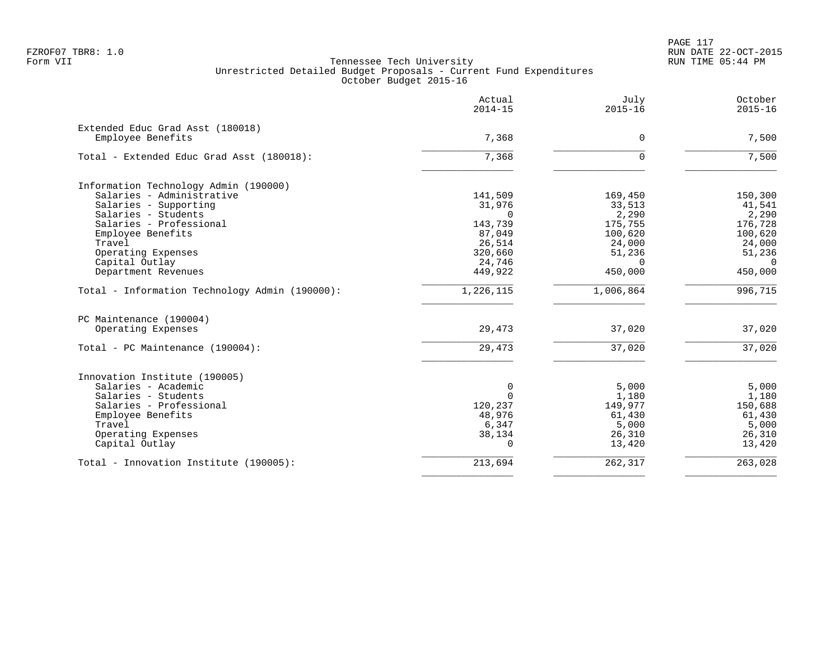PAGE 117 FZROF07 TBR8: 1.0 RUN DATE 22-OCT-2015

|                                                | Actual<br>$2014 - 15$ | July<br>$2015 - 16$ | October<br>$2015 - 16$ |
|------------------------------------------------|-----------------------|---------------------|------------------------|
| Extended Educ Grad Asst (180018)               | 7,368                 | $\mathbf 0$         |                        |
| Employee Benefits                              |                       |                     | 7,500                  |
| Total - Extended Educ Grad Asst (180018):      | 7,368                 | $\mathbf 0$         | 7,500                  |
| Information Technology Admin (190000)          |                       |                     |                        |
| Salaries - Administrative                      | 141,509               | 169,450             | 150,300                |
| Salaries - Supporting                          | 31,976                | 33,513              | 41,541                 |
| Salaries - Students                            | $\Omega$              | 2,290               | 2,290                  |
| Salaries - Professional                        | 143,739               | 175,755             | 176,728                |
| Employee Benefits                              | 87,049                | 100,620             | 100,620                |
| Travel                                         | 26,514                | 24,000              | 24,000                 |
| Operating Expenses                             | 320,660               | 51,236              | 51,236                 |
| Capital Outlay                                 | 24,746                | $\Omega$            | $\Omega$               |
| Department Revenues                            | 449,922               | 450,000             | 450,000                |
| Total - Information Technology Admin (190000): | 1,226,115             | 1,006,864           | 996, 715               |
| PC Maintenance (190004)                        |                       |                     |                        |
| Operating Expenses                             | 29,473                | 37,020              | 37,020                 |
| Total - PC Maintenance (190004):               | 29,473                | 37,020              | 37,020                 |
| Innovation Institute (190005)                  |                       |                     |                        |
| Salaries - Academic                            | 0                     | 5,000               | 5,000                  |
| Salaries - Students                            | $\Omega$              | 1,180               | 1,180                  |
| Salaries - Professional                        | 120,237               | 149,977             | 150,688                |
| Employee Benefits                              | 48,976                | 61,430              | 61,430                 |
| Travel                                         | 6,347                 | 5,000               | 5,000                  |
| Operating Expenses                             | 38,134                | 26,310              | 26,310                 |
| Capital Outlay                                 | $\Omega$              | 13,420              | 13,420                 |
| Total - Innovation Institute (190005):         | 213,694               | 262,317             | 263,028                |
|                                                |                       |                     |                        |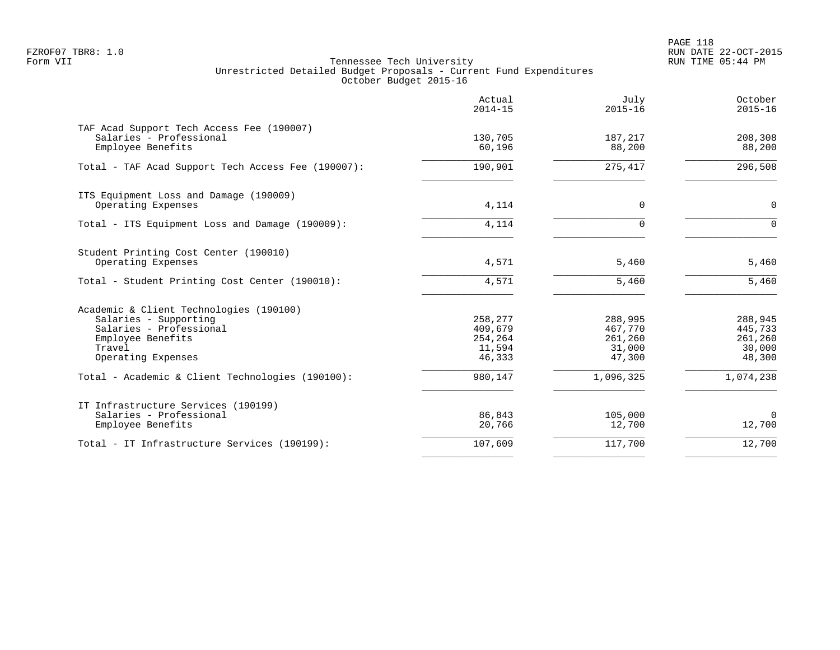PAGE 118 FZROF07 TBR8: 1.0 RUN DATE 22-OCT-2015

|                                                                                                                                                  | Actual<br>$2014 - 15$                             | July<br>$2015 - 16$                               | October<br>$2015 - 16$                            |
|--------------------------------------------------------------------------------------------------------------------------------------------------|---------------------------------------------------|---------------------------------------------------|---------------------------------------------------|
| TAF Acad Support Tech Access Fee (190007)<br>Salaries - Professional<br>Employee Benefits                                                        | 130,705<br>60,196                                 | 187,217<br>88,200                                 | 208,308<br>88,200                                 |
| Total - TAF Acad Support Tech Access Fee (190007):                                                                                               | 190,901                                           | 275,417                                           | 296,508                                           |
| ITS Equipment Loss and Damage (190009)<br>Operating Expenses                                                                                     | 4,114                                             | $\mathbf 0$                                       | $\mathbf 0$                                       |
| Total - ITS Equipment Loss and Damage (190009):                                                                                                  | 4,114                                             | $\Omega$                                          | $\Omega$                                          |
| Student Printing Cost Center (190010)<br>Operating Expenses                                                                                      | 4,571                                             | 5,460                                             | 5,460                                             |
| Total - Student Printing Cost Center (190010):                                                                                                   | 4,571                                             | 5,460                                             | 5,460                                             |
| Academic & Client Technologies (190100)<br>Salaries - Supporting<br>Salaries - Professional<br>Employee Benefits<br>Travel<br>Operating Expenses | 258,277<br>409,679<br>254,264<br>11,594<br>46,333 | 288,995<br>467,770<br>261,260<br>31,000<br>47,300 | 288,945<br>445,733<br>261,260<br>30,000<br>48,300 |
| Total - Academic & Client Technologies (190100):                                                                                                 | 980,147                                           | 1,096,325                                         | 1,074,238                                         |
| IT Infrastructure Services (190199)<br>Salaries - Professional<br>Employee Benefits                                                              | 86,843<br>20,766                                  | 105,000<br>12,700                                 | $\mathbf 0$<br>12,700                             |
| Total - IT Infrastructure Services (190199):                                                                                                     | 107,609                                           | 117,700                                           | 12,700                                            |
|                                                                                                                                                  |                                                   |                                                   |                                                   |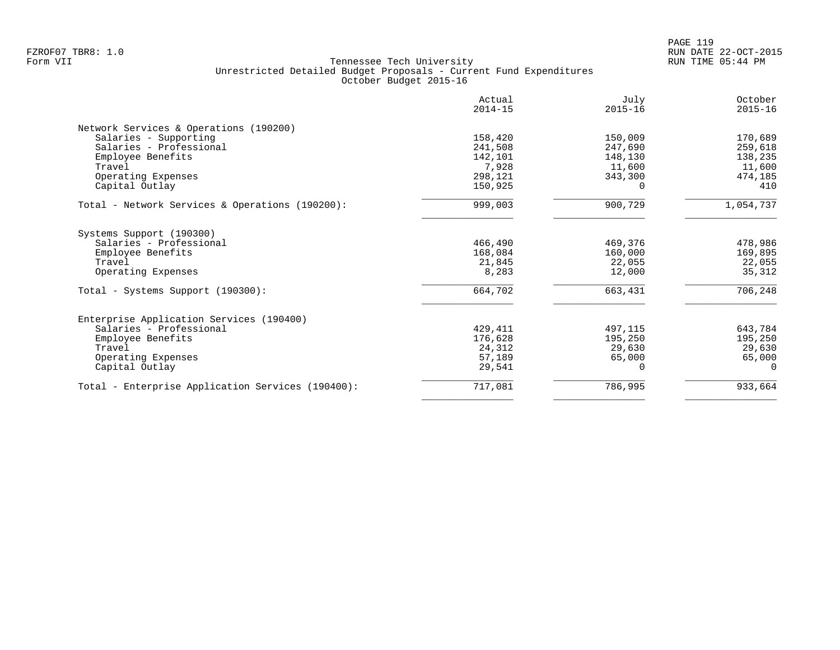|                                                   | Actual<br>$2014 - 15$ | July<br>$2015 - 16$ | October<br>$2015 - 16$ |
|---------------------------------------------------|-----------------------|---------------------|------------------------|
| Network Services & Operations (190200)            |                       |                     |                        |
| Salaries - Supporting                             | 158,420               | 150,009             | 170,689                |
| Salaries - Professional                           | 241,508               | 247,690             | 259,618                |
| Employee Benefits                                 | 142,101               | 148,130             | 138,235                |
| Travel                                            | 7,928                 | 11,600              | 11,600                 |
| Operating Expenses                                | 298,121               | 343,300             | 474,185                |
| Capital Outlay                                    | 150,925               | O.                  | 410                    |
| Total - Network Services & Operations (190200):   | 999,003               | 900,729             | 1,054,737              |
| Systems Support (190300)                          |                       |                     |                        |
| Salaries - Professional                           | 466,490               | 469,376             | 478,986                |
| Employee Benefits                                 | 168,084               | 160,000             | 169,895                |
| Travel                                            | 21,845                | 22,055              | 22,055                 |
| Operating Expenses                                | 8,283                 | 12,000              | 35,312                 |
| Total - Systems Support (190300):                 | 664,702               | 663,431             | 706,248                |
| Enterprise Application Services (190400)          |                       |                     |                        |
| Salaries - Professional                           | 429, 411              | 497,115             | 643,784                |
| Employee Benefits                                 | 176,628               | 195,250             | 195,250                |
| Travel                                            | 24,312                | 29,630              | 29,630                 |
| Operating Expenses                                | 57,189                | 65,000              | 65,000                 |
| Capital Outlay                                    | 29,541                | ∩                   | $\Omega$               |
| Total - Enterprise Application Services (190400): | 717,081               | 786,995             | 933,664                |
|                                                   |                       |                     |                        |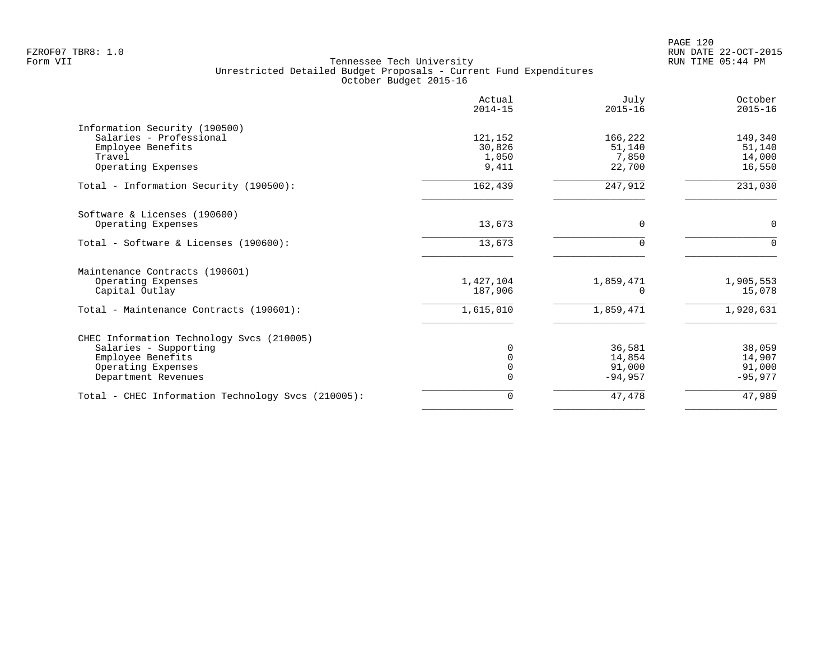| Actual<br>$2014 - 15$ | July<br>$2015 - 16$ | October<br>$2015 - 16$ |
|-----------------------|---------------------|------------------------|
|                       |                     |                        |
| 121,152               | 166,222             | 149,340                |
| 30,826                | 51,140              | 51,140                 |
| 1,050                 | 7,850               | 14,000                 |
| 9,411                 | 22,700              | 16,550                 |
| 162,439               | 247,912             | 231,030                |
|                       |                     |                        |
| 13,673                | $\Omega$            | $\mathbf 0$            |
| 13,673                | $\Omega$            | $\Omega$               |
|                       |                     |                        |
|                       |                     | 1,905,553              |
| 187,906               | ∩                   | 15,078                 |
| 1,615,010             | 1,859,471           | 1,920,631              |
|                       |                     |                        |
| 0                     | 36,581              | 38,059                 |
|                       | 14,854              | 14,907                 |
|                       | 91,000              | 91,000                 |
| O                     | $-94,957$           | $-95,977$              |
| 0                     | 47,478              | 47,989                 |
|                       | 1,427,104           | 1,859,471              |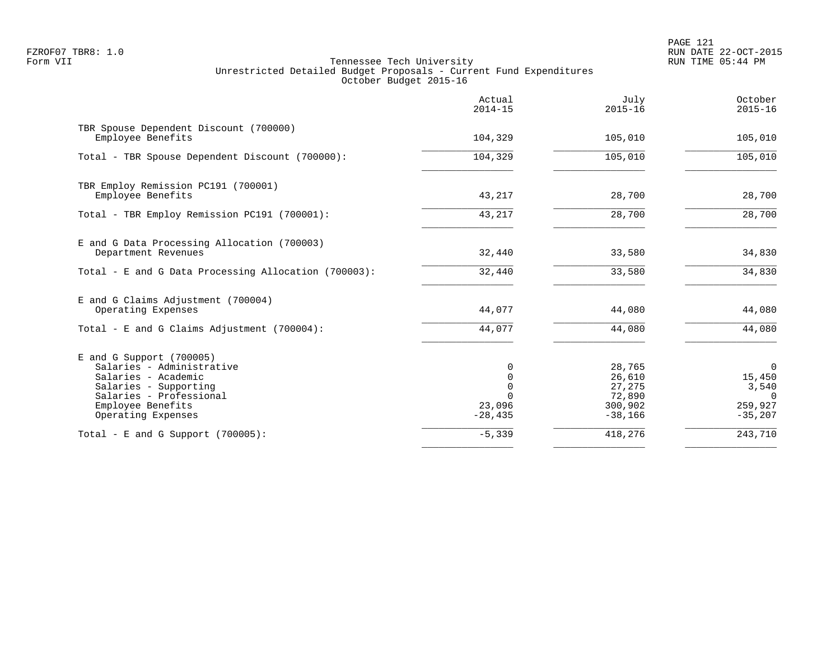PAGE 121 FZROF07 TBR8: 1.0 RUN DATE 22-OCT-2015

|                                                                                                                                                                               | Actual<br>$2014 - 15$                                            | July<br>$2015 - 16$                                          | October<br>$2015 - 16$                                                      |
|-------------------------------------------------------------------------------------------------------------------------------------------------------------------------------|------------------------------------------------------------------|--------------------------------------------------------------|-----------------------------------------------------------------------------|
| TBR Spouse Dependent Discount (700000)<br>Employee Benefits                                                                                                                   | 104,329                                                          | 105,010                                                      | 105,010                                                                     |
| Total - TBR Spouse Dependent Discount (700000):                                                                                                                               | 104,329                                                          | 105,010                                                      | 105,010                                                                     |
| TBR Employ Remission PC191 (700001)<br>Employee Benefits                                                                                                                      | 43,217                                                           | 28,700                                                       | 28,700                                                                      |
| Total - TBR Employ Remission PC191 (700001):                                                                                                                                  | 43,217                                                           | 28,700                                                       | 28,700                                                                      |
| E and G Data Processing Allocation (700003)<br>Department Revenues                                                                                                            | 32,440                                                           | 33,580                                                       | 34,830                                                                      |
| Total - E and G Data Processing Allocation (700003):                                                                                                                          | 32,440                                                           | 33,580                                                       | 34,830                                                                      |
| E and G Claims Adjustment (700004)<br>Operating Expenses                                                                                                                      | 44,077                                                           | 44,080                                                       | 44,080                                                                      |
| Total - E and G Claims Adjustment $(700004)$ :                                                                                                                                | 44,077                                                           | 44,080                                                       | 44,080                                                                      |
| $E$ and G Support (700005)<br>Salaries - Administrative<br>Salaries - Academic<br>Salaries - Supporting<br>Salaries - Professional<br>Employee Benefits<br>Operating Expenses | 0<br>$\mathbf 0$<br>$\Omega$<br>$\Omega$<br>23,096<br>$-28, 435$ | 28,765<br>26,610<br>27,275<br>72,890<br>300,902<br>$-38,166$ | $\overline{0}$<br>15,450<br>3,540<br>$\overline{0}$<br>259,927<br>$-35,207$ |
| Total - E and G Support $(700005)$ :                                                                                                                                          | $-5,339$                                                         | 418,276                                                      | 243,710                                                                     |
|                                                                                                                                                                               |                                                                  |                                                              |                                                                             |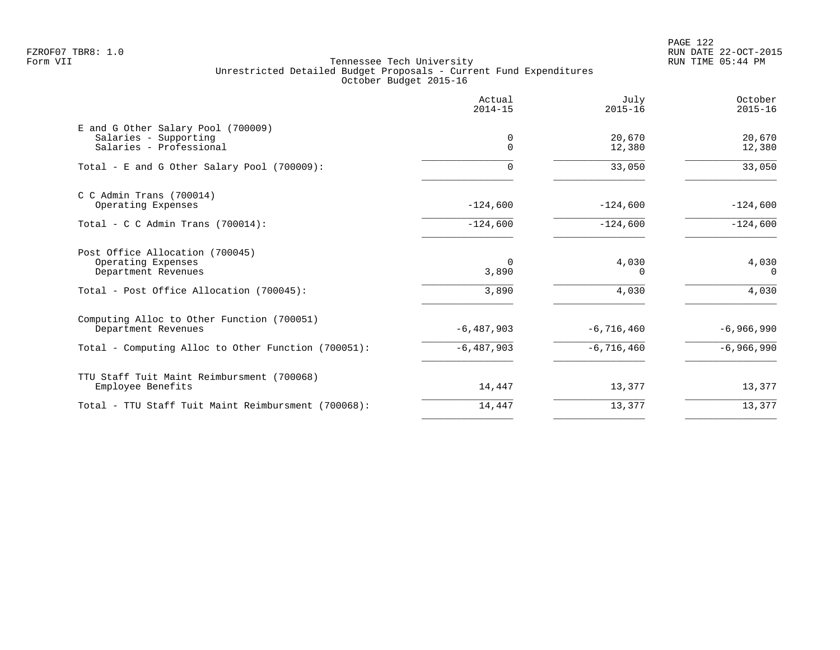PAGE 122 FZROF07 TBR8: 1.0 RUN DATE 22-OCT-2015

|                                                                                                                          | Actual<br>$2014 - 15$        | July<br>$2015 - 16$            | October<br>$2015 - 16$       |
|--------------------------------------------------------------------------------------------------------------------------|------------------------------|--------------------------------|------------------------------|
| E and G Other Salary Pool (700009)<br>Salaries - Supporting<br>Salaries - Professional                                   | 0<br>$\Omega$                | 20,670<br>12,380               | 20,670<br>12,380             |
| Total - E and G Other Salary Pool (700009):                                                                              | 0                            | 33,050                         | 33,050                       |
| $C$ C Admin Trans (700014)<br>Operating Expenses                                                                         | $-124,600$                   | $-124,600$                     | $-124,600$                   |
| Total - C C Admin Trans $(700014)$ :                                                                                     | $-124,600$                   | $-124,600$                     | $-124,600$                   |
| Post Office Allocation (700045)<br>Operating Expenses<br>Department Revenues<br>Total - Post Office Allocation (700045): | $\Omega$<br>3,890<br>3,890   | 4,030<br>$\Omega$<br>4,030     | 4,030<br>$\Omega$<br>4,030   |
| Computing Alloc to Other Function (700051)<br>Department Revenues<br>Total - Computing Alloc to Other Function (700051): | $-6,487,903$<br>$-6,487,903$ | $-6, 716, 460$<br>$-6,716,460$ | $-6,966,990$<br>$-6,966,990$ |
| TTU Staff Tuit Maint Reimbursment (700068)<br>Employee Benefits                                                          | 14,447                       | 13,377                         | 13,377                       |
| Total - TTU Staff Tuit Maint Reimbursment (700068):                                                                      | 14,447                       | 13,377                         | 13,377                       |
|                                                                                                                          |                              |                                |                              |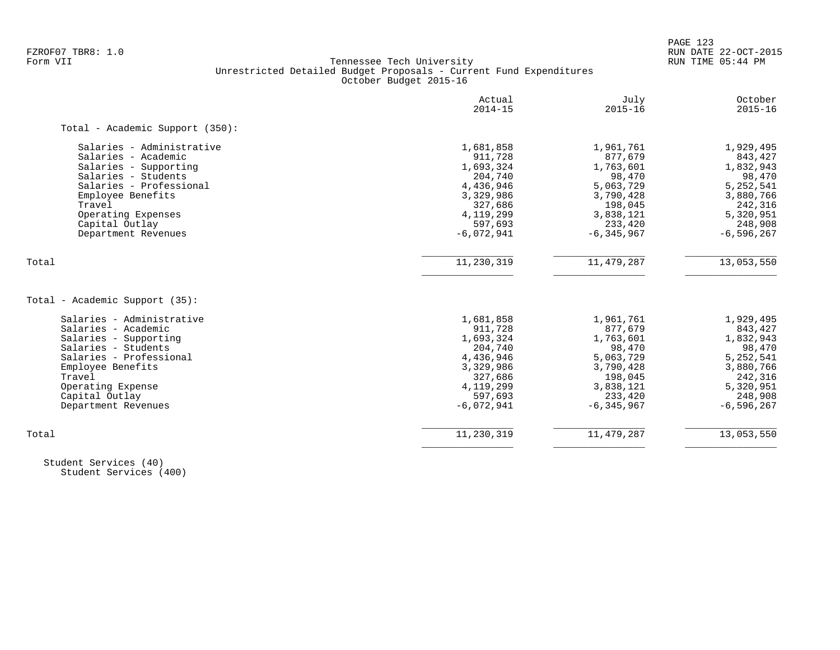PAGE 123

# FZROF07 TBR8: 1.0 RUN DATE 22-OCT-2015 Tennessee Tech University Unrestricted Detailed Budget Proposals - Current Fund Expenditures October Budget 2015-16

|                                       | Actual<br>$2014 - 15$   | July<br>$2015 - 16$       | October<br>$2015 - 16$    |
|---------------------------------------|-------------------------|---------------------------|---------------------------|
| Total - Academic Support (350):       |                         |                           |                           |
| Salaries - Administrative             | 1,681,858               | 1,961,761                 | 1,929,495                 |
| Salaries - Academic                   | 911,728                 | 877,679                   | 843,427                   |
| Salaries - Supporting                 | 1,693,324               | 1,763,601                 | 1,832,943                 |
| Salaries - Students                   | 204,740                 | 98,470                    | 98,470                    |
| Salaries - Professional               | 4,436,946               | 5,063,729                 | 5,252,541                 |
| Employee Benefits                     | 3,329,986               | 3,790,428                 | 3,880,766                 |
| Travel                                | 327,686                 | 198,045                   | 242,316                   |
| Operating Expenses                    | 4, 119, 299             | 3,838,121                 | 5,320,951                 |
| Capital Outlay                        | 597,693                 | 233,420                   | 248,908                   |
| Department Revenues                   | $-6,072,941$            | $-6, 345, 967$            | $-6, 596, 267$            |
| Total                                 | 11,230,319              | 11, 479, 287              | 13,053,550                |
| Total - Academic Support (35):        |                         |                           |                           |
| Salaries - Administrative             | 1,681,858               | 1,961,761                 | 1,929,495                 |
| Salaries - Academic                   | 911,728                 | 877,679                   | 843,427                   |
| Salaries - Supporting                 | 1,693,324               | 1,763,601                 | 1,832,943                 |
| Salaries - Students                   | 204,740                 | 98,470                    | 98,470                    |
| Salaries - Professional               | 4,436,946               | 5,063,729                 | 5, 252, 541               |
| Employee Benefits                     | 3,329,986               | 3,790,428                 | 3,880,766                 |
| Travel                                | 327,686                 | 198,045                   | 242,316                   |
| Operating Expense                     | 4, 119, 299             | 3,838,121                 | 5,320,951                 |
|                                       |                         |                           |                           |
|                                       |                         |                           |                           |
| Capital Outlay<br>Department Revenues | 597,693<br>$-6,072,941$ | 233,420<br>$-6, 345, 967$ | 248,908<br>$-6, 596, 267$ |

 Student Services (40) Student Services (400)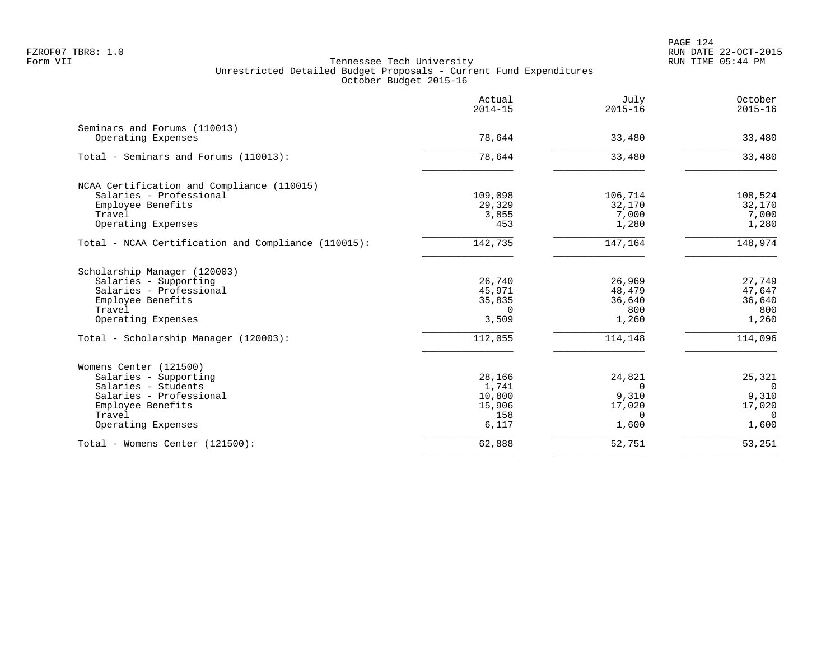|                                                     | Actual<br>$2014 - 15$ | July<br>$2015 - 16$ | October<br>$2015 - 16$ |
|-----------------------------------------------------|-----------------------|---------------------|------------------------|
| Seminars and Forums (110013)                        |                       |                     |                        |
| Operating Expenses                                  | 78,644                | 33,480              | 33,480                 |
| Total - Seminars and Forums (110013):               | 78,644                | 33,480              | 33,480                 |
| NCAA Certification and Compliance (110015)          |                       |                     |                        |
| Salaries - Professional                             | 109,098               | 106,714             | 108,524                |
| Employee Benefits                                   | 29,329                | 32,170              | 32,170                 |
| Travel                                              | 3,855                 | 7,000               | 7,000                  |
| Operating Expenses                                  | 453                   | 1,280               | 1,280                  |
| Total - NCAA Certification and Compliance (110015): | 142,735               | 147,164             | 148,974                |
| Scholarship Manager (120003)                        |                       |                     |                        |
| Salaries - Supporting                               | 26,740                | 26,969              | 27,749                 |
| Salaries - Professional                             | 45,971                | 48,479              | 47,647                 |
| Employee Benefits                                   | 35,835                | 36,640              | 36,640                 |
| Travel                                              | $\Omega$              | 800                 | 800                    |
| Operating Expenses                                  | 3,509                 | 1,260               | 1,260                  |
| Total - Scholarship Manager (120003):               | 112,055               | 114,148             | 114,096                |
| Womens Center (121500)                              |                       |                     |                        |
| Salaries - Supporting                               | 28,166                | 24,821              | 25,321                 |
| Salaries - Students                                 | 1,741                 | $\Omega$            | $\Omega$               |
| Salaries - Professional                             | 10,800                | 9,310               | 9,310                  |
| Employee Benefits                                   | 15,906                | 17,020              | 17,020                 |
| Travel                                              | 158                   | $\Omega$            | $\Omega$               |
| Operating Expenses                                  | 6,117                 | 1,600               | 1,600                  |
| Total - Womens Center (121500):                     | 62,888                | 52,751              | 53,251                 |
|                                                     |                       |                     |                        |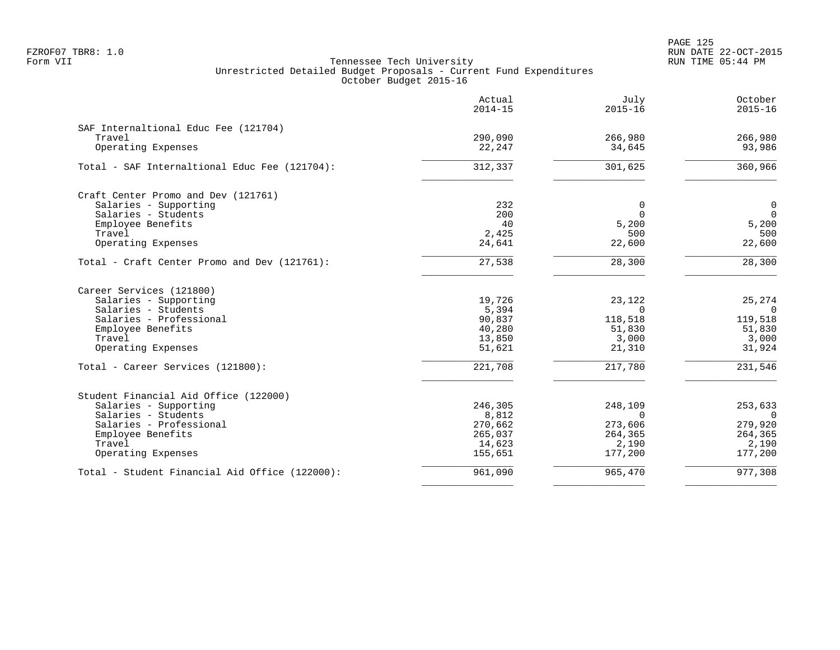PAGE 125 FZROF07 TBR8: 1.0 RUN DATE 22-OCT-2015

|                                                | Actual<br>$2014 - 15$ | July<br>$2015 - 16$ | October<br>$2015 - 16$ |
|------------------------------------------------|-----------------------|---------------------|------------------------|
| SAF Internaltional Educ Fee (121704)           |                       |                     |                        |
| Travel                                         | 290,090               | 266,980             | 266,980                |
| Operating Expenses                             | 22,247                | 34,645              | 93,986                 |
| Total - SAF Internaltional Educ Fee (121704):  | 312,337               | 301,625             | 360,966                |
| Craft Center Promo and Dev (121761)            |                       |                     |                        |
| Salaries - Supporting                          | 232                   | 0                   | 0                      |
| Salaries - Students                            | 200                   | $\Omega$            | $\Omega$               |
| Employee Benefits                              | 40                    | 5,200               | 5,200                  |
| Travel                                         | 2,425                 | 500                 | 500                    |
| Operating Expenses                             | 24,641                | 22,600              | 22,600                 |
| Total - Craft Center Promo and Dev (121761):   | 27,538                | 28,300              | 28,300                 |
| Career Services (121800)                       |                       |                     |                        |
| Salaries - Supporting                          | 19,726                | 23,122              | 25,274                 |
| Salaries - Students                            | 5,394                 | $\Omega$            | $\Omega$               |
| Salaries - Professional                        | 90,837                | 118,518             | 119,518                |
| Employee Benefits                              | 40,280                | 51,830              | 51,830                 |
| Travel                                         | 13,850                | 3,000               | 3,000                  |
| Operating Expenses                             | 51,621                | 21,310              | 31,924                 |
| Total - Career Services (121800):              | 221,708               | 217,780             | 231,546                |
| Student Financial Aid Office (122000)          |                       |                     |                        |
| Salaries - Supporting                          | 246,305               | 248,109             | 253,633                |
| Salaries - Students                            | 8,812                 | $\Omega$            | $\Omega$               |
| Salaries - Professional                        | 270,662               | 273,606             | 279,920                |
| Employee Benefits                              | 265,037               | 264,365             | 264,365                |
| Travel                                         | 14,623                | 2,190               | 2,190                  |
| Operating Expenses                             | 155,651               | 177,200             | 177,200                |
| Total - Student Financial Aid Office (122000): | 961,090               | 965,470             | 977,308                |
|                                                |                       |                     |                        |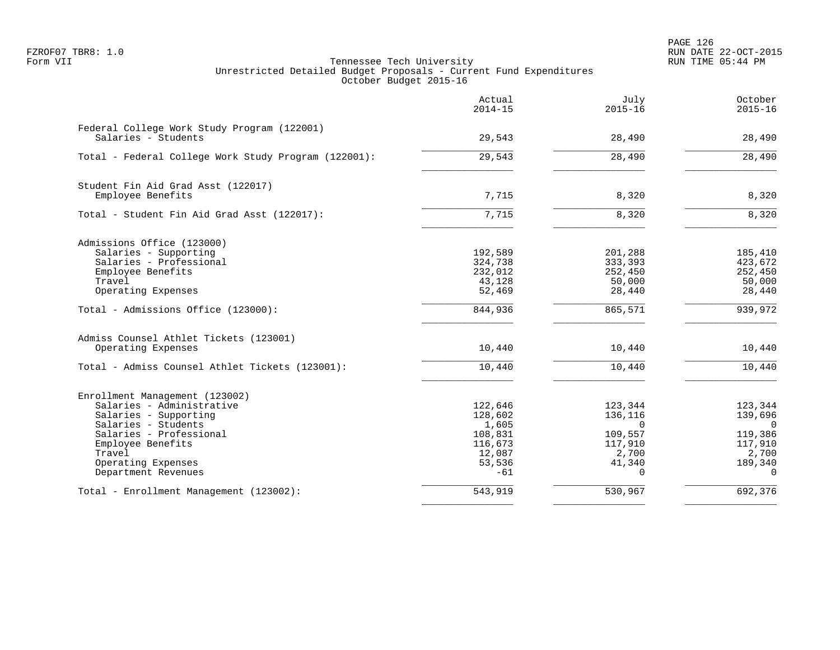PAGE 126 FZROF07 TBR8: 1.0 RUN DATE 22-OCT-2015

|                                                                    | Actual<br>$2014 - 15$ | July<br>$2015 - 16$ | October<br>$2015 - 16$ |
|--------------------------------------------------------------------|-----------------------|---------------------|------------------------|
| Federal College Work Study Program (122001)<br>Salaries - Students | 29,543                | 28,490              | 28,490                 |
| Total - Federal College Work Study Program (122001):               | 29,543                | 28,490              | 28,490                 |
| Student Fin Aid Grad Asst (122017)                                 |                       |                     |                        |
| Employee Benefits                                                  | 7,715                 | 8,320               | 8,320                  |
| Total - Student Fin Aid Grad Asst (122017):                        | 7,715                 | 8,320               | 8,320                  |
| Admissions Office (123000)                                         |                       |                     |                        |
| Salaries - Supporting                                              | 192,589               | 201,288             | 185,410                |
| Salaries - Professional                                            | 324,738               | 333,393             | 423,672                |
| Employee Benefits                                                  | 232,012               | 252,450             | 252,450                |
| Travel<br>Operating Expenses                                       | 43,128<br>52,469      | 50,000<br>28,440    | 50,000<br>28,440       |
|                                                                    |                       |                     |                        |
| Total - Admissions Office (123000):                                | 844,936               | 865,571             | 939,972                |
| Admiss Counsel Athlet Tickets (123001)                             |                       |                     |                        |
| Operating Expenses                                                 | 10,440                | 10,440              | 10,440                 |
| Total - Admiss Counsel Athlet Tickets (123001):                    | 10,440                | 10,440              | 10,440                 |
| Enrollment Management (123002)                                     |                       |                     |                        |
| Salaries - Administrative                                          | 122,646               | 123,344             | 123,344                |
| Salaries - Supporting                                              | 128,602               | 136,116             | 139,696                |
| Salaries - Students<br>Salaries - Professional                     | 1,605<br>108,831      | $\Omega$<br>109,557 | $\mathbf{0}$           |
| Employee Benefits                                                  | 116,673               | 117,910             | 119,386<br>117,910     |
| Travel                                                             | 12,087                | 2,700               | 2,700                  |
| Operating Expenses                                                 | 53,536                | 41,340              | 189,340                |
| Department Revenues                                                | $-61$                 | $\Omega$            | $\Omega$               |
| Total - Enrollment Management (123002):                            | 543,919               | 530,967             | 692,376                |
|                                                                    |                       |                     |                        |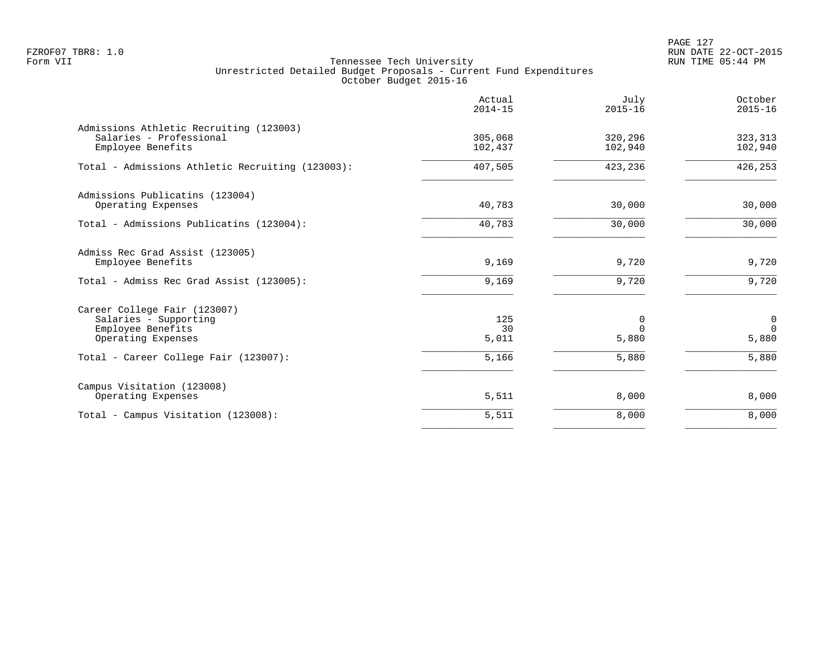PAGE 127 FZROF07 TBR8: 1.0 RUN DATE 22-OCT-2015

|                                                                                                  | Actual<br>$2014 - 15$ | July<br>$2015 - 16$    | October<br>$2015 - 16$           |
|--------------------------------------------------------------------------------------------------|-----------------------|------------------------|----------------------------------|
| Admissions Athletic Recruiting (123003)<br>Salaries - Professional<br>Employee Benefits          | 305,068<br>102,437    | 320,296<br>102,940     | 323,313<br>102,940               |
| Total - Admissions Athletic Recruiting (123003):                                                 | 407,505               | 423,236                | 426, 253                         |
| Admissions Publicatins (123004)<br>Operating Expenses                                            | 40,783                | 30,000                 | 30,000                           |
| Total - Admissions Publicatins (123004):                                                         | 40,783                | 30,000                 | 30,000                           |
| Admiss Rec Grad Assist (123005)<br>Employee Benefits                                             | 9,169                 | 9,720                  | 9,720                            |
| Total - Admiss Rec Grad Assist (123005):                                                         | 9,169                 | 9,720                  | 9,720                            |
| Career College Fair (123007)<br>Salaries - Supporting<br>Employee Benefits<br>Operating Expenses | 125<br>30<br>5,011    | 0<br>$\Omega$<br>5,880 | $\mathbf 0$<br>$\Omega$<br>5,880 |
| Total - Career College Fair (123007):                                                            | 5,166                 | 5,880                  | 5,880                            |
| Campus Visitation (123008)<br>Operating Expenses                                                 | 5,511                 | 8,000                  | 8,000                            |
| Total - Campus Visitation (123008):                                                              | 5,511                 | 8,000                  | 8,000                            |
|                                                                                                  |                       |                        |                                  |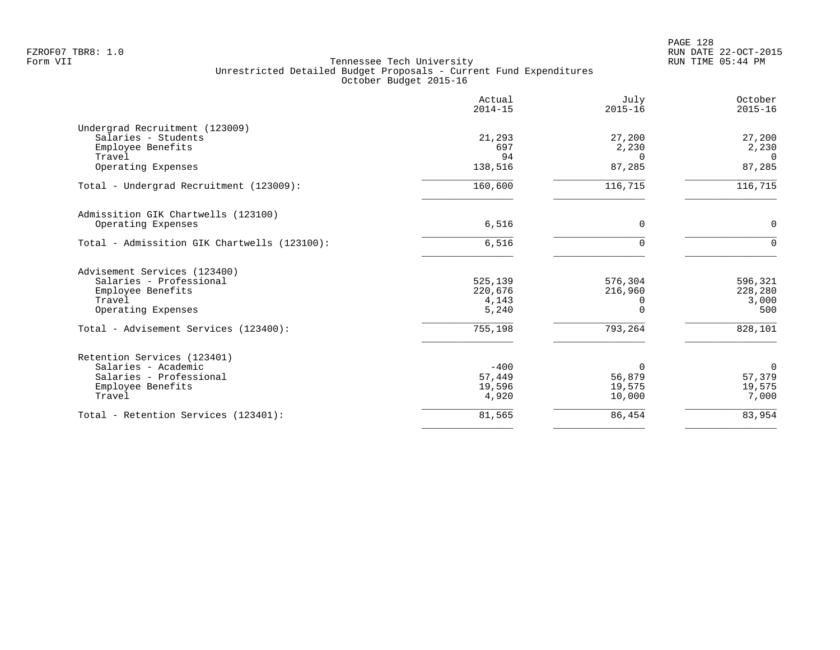|                                              | Actual<br>$2014 - 15$ | July<br>$2015 - 16$ | October<br>$2015 - 16$ |
|----------------------------------------------|-----------------------|---------------------|------------------------|
| Undergrad Recruitment (123009)               |                       |                     |                        |
| Salaries - Students                          | 21,293                | 27,200              | 27,200                 |
| Employee Benefits                            | 697                   | 2,230               | 2,230                  |
| Travel                                       | 94                    | $\Omega$            | $\Omega$               |
| Operating Expenses                           | 138,516               | 87,285              | 87,285                 |
| Total - Undergrad Recruitment (123009):      | 160,600               | 116,715             | 116,715                |
| Admissition GIK Chartwells (123100)          |                       |                     |                        |
| Operating Expenses                           | 6,516                 | $\Omega$            | $\mathbf 0$            |
| Total - Admissition GIK Chartwells (123100): | 6,516                 | 0                   | $\Omega$               |
| Advisement Services (123400)                 |                       |                     |                        |
| Salaries - Professional                      | 525,139               | 576,304             | 596,321                |
| Employee Benefits                            | 220,676               | 216,960             | 228,280                |
| Travel                                       | 4,143                 | O                   | 3,000                  |
| Operating Expenses                           | 5,240                 | $\Omega$            | 500                    |
| Total - Advisement Services (123400):        | 755,198               | 793,264             | 828,101                |
| Retention Services (123401)                  |                       |                     |                        |
| Salaries - Academic                          | $-400$                | $\Omega$            | $\mathbf{0}$           |
| Salaries - Professional                      | 57,449                | 56,879              | 57,379                 |
| Employee Benefits                            | 19,596                | 19,575              | 19,575                 |
| Travel                                       | 4,920                 | 10,000              | 7,000                  |
| Total - Retention Services (123401):         | 81,565                | 86,454              | 83,954                 |
|                                              |                       |                     |                        |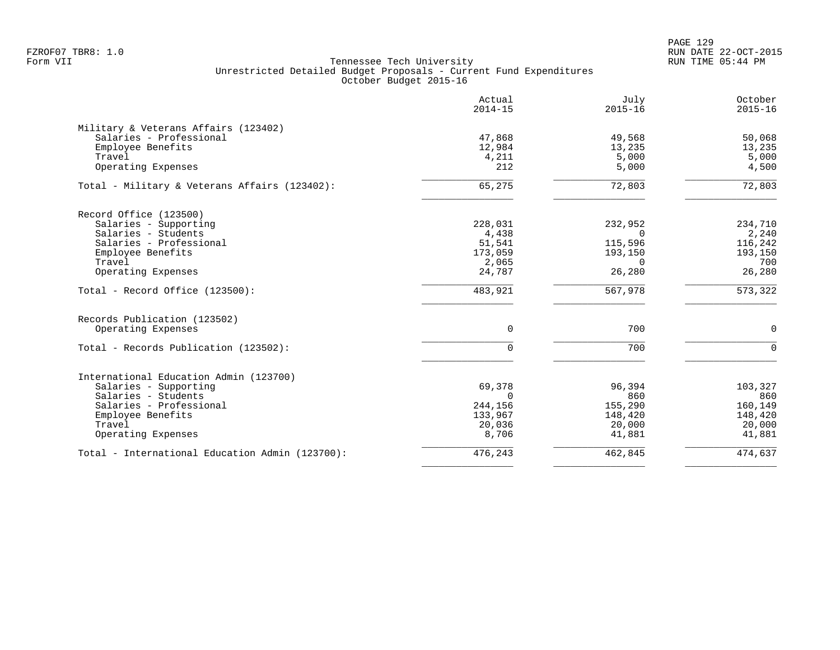PAGE 129 FZROF07 TBR8: 1.0 RUN DATE 22-OCT-2015

|                                                 | Actual<br>$2014 - 15$ | July<br>$2015 - 16$ | October<br>$2015 - 16$ |
|-------------------------------------------------|-----------------------|---------------------|------------------------|
| Military & Veterans Affairs (123402)            |                       |                     |                        |
| Salaries - Professional                         | 47,868                | 49,568              | 50,068                 |
| Employee Benefits                               | 12,984                | 13,235              | 13,235                 |
| Travel                                          | 4,211                 | 5,000               | 5,000                  |
| Operating Expenses                              | 212                   | 5,000               | 4,500                  |
| Total - Military & Veterans Affairs (123402):   | 65,275                | 72,803              | 72,803                 |
| Record Office (123500)                          |                       |                     |                        |
| Salaries - Supporting                           | 228,031               | 232,952             | 234,710                |
| Salaries - Students                             | 4,438                 | $\Omega$            | 2,240                  |
| Salaries - Professional                         | 51,541                | 115,596             | 116,242                |
| Employee Benefits                               | 173,059               | 193,150             | 193,150                |
| Travel                                          | 2,065                 | $\Omega$            | 700                    |
| Operating Expenses                              | 24,787                | 26,280              | 26,280                 |
| Total - Record Office (123500):                 | 483,921               | 567,978             | 573,322                |
| Records Publication (123502)                    |                       |                     |                        |
| Operating Expenses                              | 0                     | 700                 | $\mathbf 0$            |
| Total - Records Publication (123502):           | 0                     | 700                 | $\Omega$               |
| International Education Admin (123700)          |                       |                     |                        |
| Salaries - Supporting                           | 69,378                | 96,394              | 103,327                |
| Salaries - Students                             | $\Omega$              | 860                 | 860                    |
| Salaries - Professional                         | 244,156               | 155,290             | 160,149                |
| Employee Benefits                               | 133,967               | 148,420             | 148,420                |
| Travel                                          | 20,036                | 20,000              | 20,000                 |
| Operating Expenses                              | 8,706                 | 41,881              | 41,881                 |
| Total - International Education Admin (123700): | 476,243               | 462,845             | 474,637                |
|                                                 |                       |                     |                        |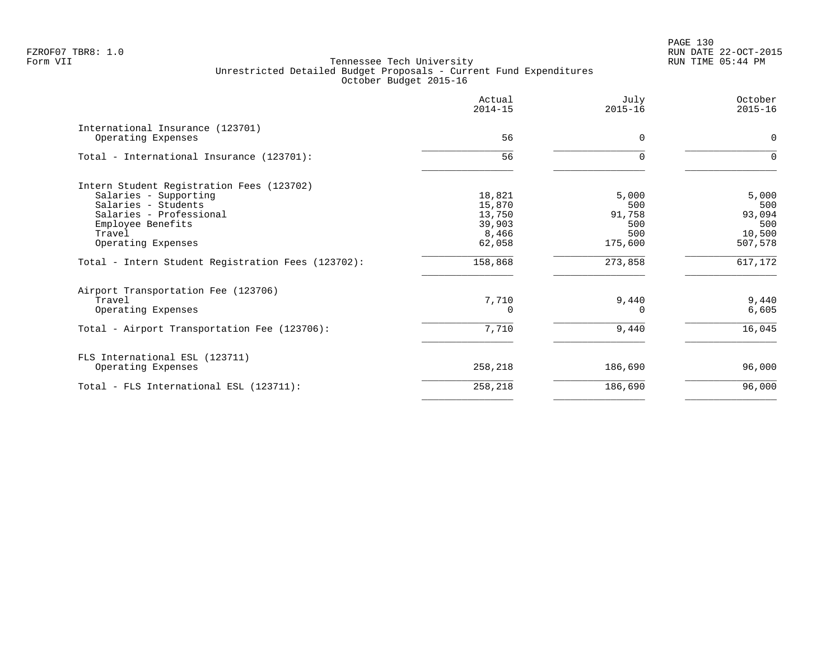PAGE 130 FZROF07 TBR8: 1.0 RUN DATE 22-OCT-2015

|                                                        | Actual<br>$2014 - 15$ | July<br>$2015 - 16$ | October<br>$2015 - 16$ |
|--------------------------------------------------------|-----------------------|---------------------|------------------------|
| International Insurance (123701)<br>Operating Expenses | 56                    | $\Omega$            | $\mathbf 0$            |
| Total - International Insurance (123701):              | 56                    | $\Omega$            | $\Omega$               |
| Intern Student Registration Fees (123702)              |                       |                     |                        |
| Salaries - Supporting                                  | 18,821                | 5,000               | 5,000                  |
| Salaries - Students                                    | 15,870                | 500                 | 500                    |
| Salaries - Professional                                | 13,750                | 91,758              | 93,094                 |
| Employee Benefits                                      | 39,903                | 500                 | 500                    |
| Travel                                                 | 8,466                 | 500                 | 10,500                 |
| Operating Expenses                                     | 62,058                | 175,600             | 507,578                |
| Total - Intern Student Registration Fees (123702):     | 158,868               | 273,858             | 617,172                |
| Airport Transportation Fee (123706)                    |                       |                     |                        |
| Travel                                                 | 7,710                 | 9,440               | 9,440                  |
| Operating Expenses                                     | U                     | O                   | 6,605                  |
| Total - Airport Transportation Fee (123706):           | 7,710                 | 9,440               | 16,045                 |
| FLS International ESL (123711)                         |                       |                     |                        |
| Operating Expenses                                     | 258,218               | 186,690             | 96,000                 |
| Total - FLS International ESL (123711):                | 258,218               | 186,690             | 96,000                 |
|                                                        |                       |                     |                        |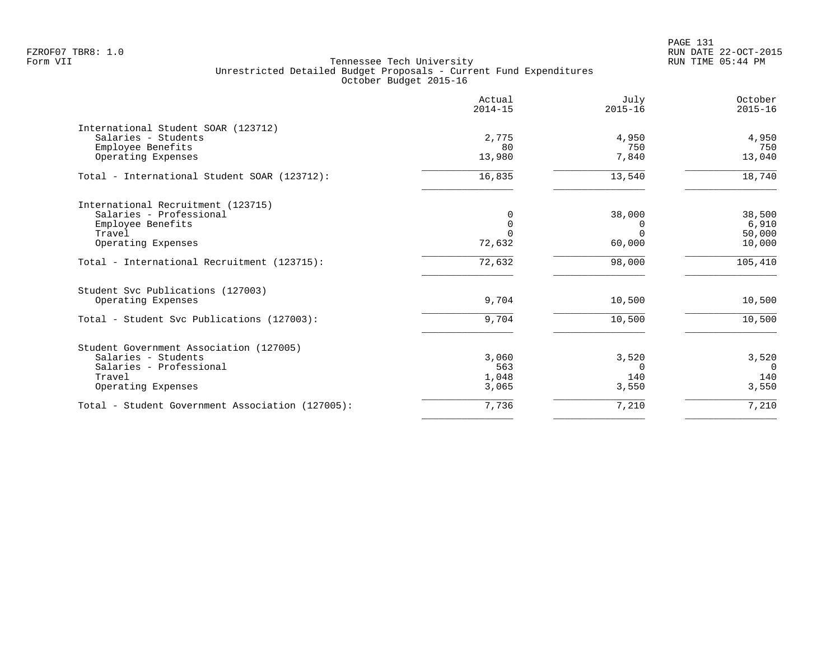|                                                  | Actual<br>$2014 - 15$ | July<br>$2015 - 16$ | October<br>$2015 - 16$ |
|--------------------------------------------------|-----------------------|---------------------|------------------------|
| International Student SOAR (123712)              |                       |                     |                        |
| Salaries - Students                              | 2,775                 | 4,950               | 4,950                  |
| Employee Benefits                                | 80                    | 750                 | 750                    |
| Operating Expenses                               | 13,980                | 7,840               | 13,040                 |
| Total - International Student SOAR (123712):     | 16,835                | 13,540              | 18,740                 |
| International Recruitment (123715)               |                       |                     |                        |
| Salaries - Professional                          | $\Omega$              | 38,000              | 38,500                 |
| Employee Benefits                                | $\Omega$              | $\Omega$            | 6,910                  |
| Travel                                           | 0                     | $\Omega$            | 50,000                 |
| Operating Expenses                               | 72,632                | 60,000              | 10,000                 |
| Total - International Recruitment (123715):      | 72,632                | 98,000              | 105,410                |
| Student Svc Publications (127003)                |                       |                     |                        |
| Operating Expenses                               | 9,704                 | 10,500              | 10,500                 |
| Total - Student Svc Publications (127003):       | 9,704                 | 10,500              | 10,500                 |
| Student Government Association (127005)          |                       |                     |                        |
| Salaries - Students                              | 3,060                 | 3,520               | 3,520                  |
| Salaries - Professional                          | 563                   | $\Omega$            | $\Omega$               |
| Travel                                           | 1,048                 | 140                 | 140                    |
| Operating Expenses                               | 3,065                 | 3,550               | 3,550                  |
| Total - Student Government Association (127005): | 7,736                 | 7,210               | 7,210                  |
|                                                  |                       |                     |                        |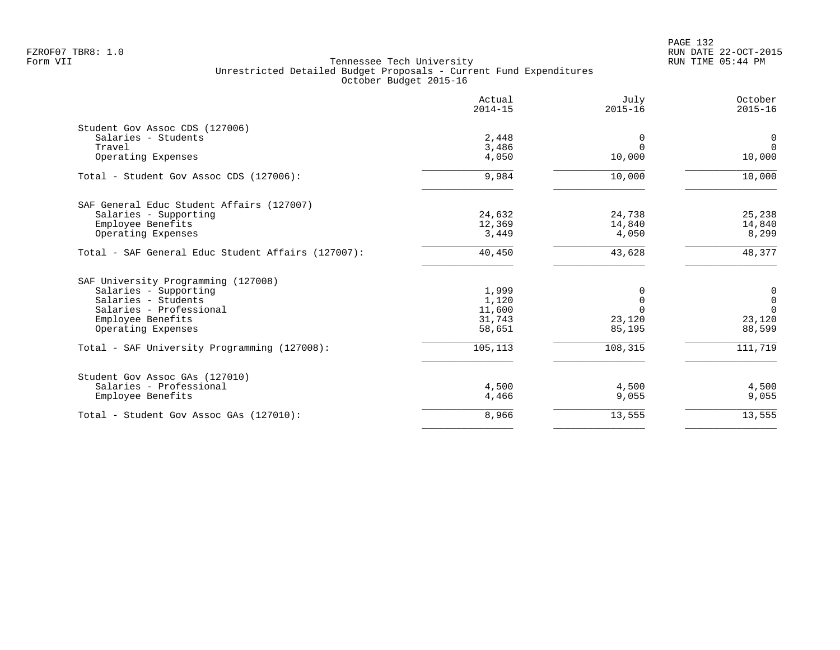|                                                    | Actual<br>$2014 - 15$ | July<br>$2015 - 16$ | October<br>$2015 - 16$ |
|----------------------------------------------------|-----------------------|---------------------|------------------------|
| Student Gov Assoc CDS (127006)                     |                       |                     |                        |
| Salaries - Students                                | 2,448                 | 0                   | 0                      |
| Travel                                             | 3,486                 | $\Omega$            | $\Omega$               |
| Operating Expenses                                 | 4,050                 | 10,000              | 10,000                 |
| Total - Student Gov Assoc CDS (127006):            | 9,984                 | 10,000              | 10,000                 |
| SAF General Educ Student Affairs (127007)          |                       |                     |                        |
| Salaries - Supporting                              | 24,632                | 24,738              | 25,238                 |
| Employee Benefits                                  | 12,369                | 14,840              | 14,840                 |
| Operating Expenses                                 | 3,449                 | 4,050               | 8,299                  |
| Total - SAF General Educ Student Affairs (127007): | 40,450                | 43,628              | 48,377                 |
| SAF University Programming (127008)                |                       |                     |                        |
| Salaries - Supporting                              | 1,999                 | 0                   | 0                      |
| Salaries - Students                                | 1,120                 | $\Omega$            | $\mathbf 0$            |
| Salaries - Professional                            | 11,600                | $\Omega$            | $\Omega$               |
| Employee Benefits                                  | 31,743                | 23,120              | 23,120                 |
| Operating Expenses                                 | 58,651                | 85,195              | 88,599                 |
| Total - SAF University Programming (127008):       | 105,113               | 108,315             | 111,719                |
| Student Gov Assoc GAs (127010)                     |                       |                     |                        |
| Salaries - Professional                            | 4,500                 | 4,500               | 4,500                  |
| Employee Benefits                                  | 4,466                 | 9,055               | 9,055                  |
| Total - Student Gov Assoc GAs (127010):            | 8,966                 | 13,555              | 13,555                 |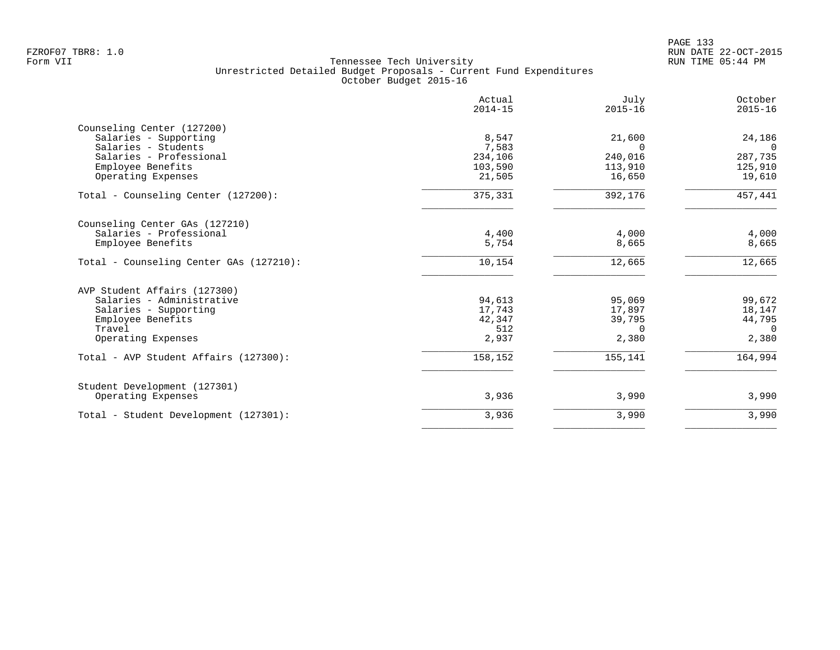|                                                | Actual<br>$2014 - 15$ | July<br>$2015 - 16$ | October<br>$2015 - 16$ |
|------------------------------------------------|-----------------------|---------------------|------------------------|
| Counseling Center (127200)                     |                       |                     |                        |
| Salaries - Supporting                          | 8,547                 | 21,600<br>$\Omega$  | 24,186<br>$\Omega$     |
| Salaries - Students<br>Salaries - Professional | 7,583<br>234,106      | 240,016             | 287,735                |
| Employee Benefits                              | 103,590               | 113,910             | 125,910                |
| Operating Expenses                             | 21,505                | 16,650              | 19,610                 |
| Total - Counseling Center (127200):            | 375,331               | 392,176             | 457,441                |
| Counseling Center GAs (127210)                 |                       |                     |                        |
| Salaries - Professional                        | 4,400                 | 4,000               | 4,000                  |
| Employee Benefits                              | 5,754                 | 8,665               | 8,665                  |
| Total - Counseling Center GAs (127210):        | 10,154                | 12,665              | 12,665                 |
| AVP Student Affairs (127300)                   |                       |                     |                        |
| Salaries - Administrative                      | 94,613                | 95,069              | 99,672                 |
| Salaries - Supporting                          | 17,743                | 17,897              | 18,147                 |
| Employee Benefits                              | 42,347                | 39,795              | 44,795                 |
| Travel<br>Operating Expenses                   | 512<br>2,937          | $\Omega$<br>2,380   | $\Omega$<br>2,380      |
|                                                |                       |                     |                        |
| Total - AVP Student Affairs (127300):          | 158,152               | 155,141             | 164,994                |
| Student Development (127301)                   |                       |                     |                        |
| Operating Expenses                             | 3,936                 | 3,990               | 3,990                  |
| Total - Student Development (127301):          | 3,936                 | 3,990               | 3,990                  |
|                                                |                       |                     |                        |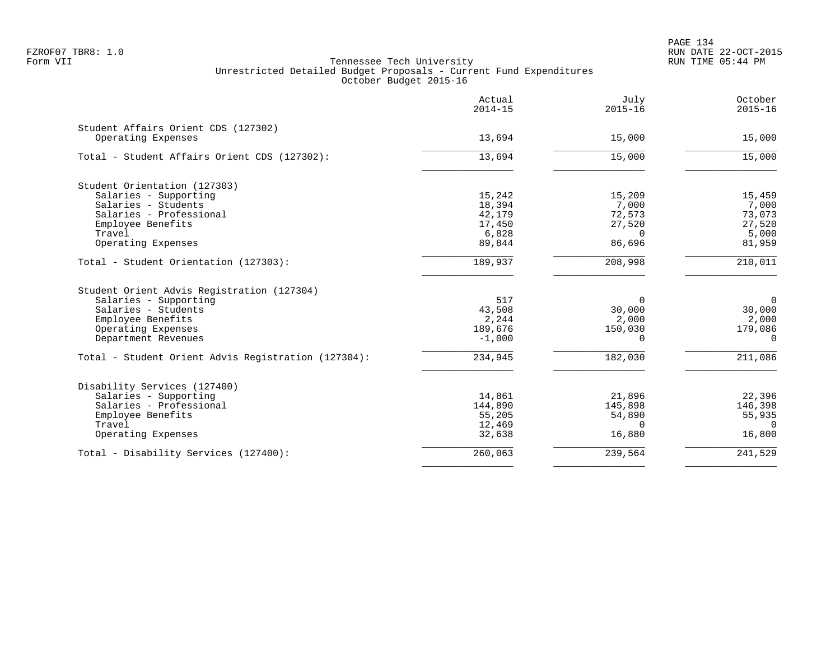PAGE 134 FZROF07 TBR8: 1.0 RUN DATE 22-OCT-2015

| Actual<br>$2014 - 15$ | July<br>$2015 - 16$                                                | October<br>$2015 - 16$                         |
|-----------------------|--------------------------------------------------------------------|------------------------------------------------|
|                       |                                                                    |                                                |
| 13,694                | 15,000                                                             | 15,000                                         |
| 13,694                | 15,000                                                             | 15,000                                         |
|                       |                                                                    |                                                |
|                       |                                                                    | 15,459                                         |
|                       |                                                                    | 7,000                                          |
| 42,179                | 72,573                                                             | 73,073                                         |
|                       |                                                                    | 27,520                                         |
|                       | $\Omega$                                                           | 5,000                                          |
| 89,844                | 86,696                                                             | 81,959                                         |
| 189,937               | 208,998                                                            | $\overline{210,011}$                           |
|                       |                                                                    |                                                |
| 517                   | $\Omega$                                                           | $\overline{0}$                                 |
| 43,508                | 30,000                                                             | 30,000                                         |
| 2,244                 | 2,000                                                              | 2,000                                          |
| 189,676               | 150,030                                                            | 179,086                                        |
| $-1,000$              | $\Omega$                                                           | $\Omega$                                       |
| 234,945               | 182,030                                                            | 211,086                                        |
|                       |                                                                    |                                                |
|                       |                                                                    | 22,396                                         |
|                       |                                                                    | 146,398                                        |
|                       | 54,890                                                             | 55,935                                         |
| 12,469                | $\Omega$                                                           | $\Omega$                                       |
| 32,638                | 16,880                                                             | 16,800                                         |
|                       |                                                                    |                                                |
|                       | 15,242<br>18,394<br>17,450<br>6,828<br>14,861<br>144,890<br>55,205 | 15,209<br>7,000<br>27,520<br>21,896<br>145,898 |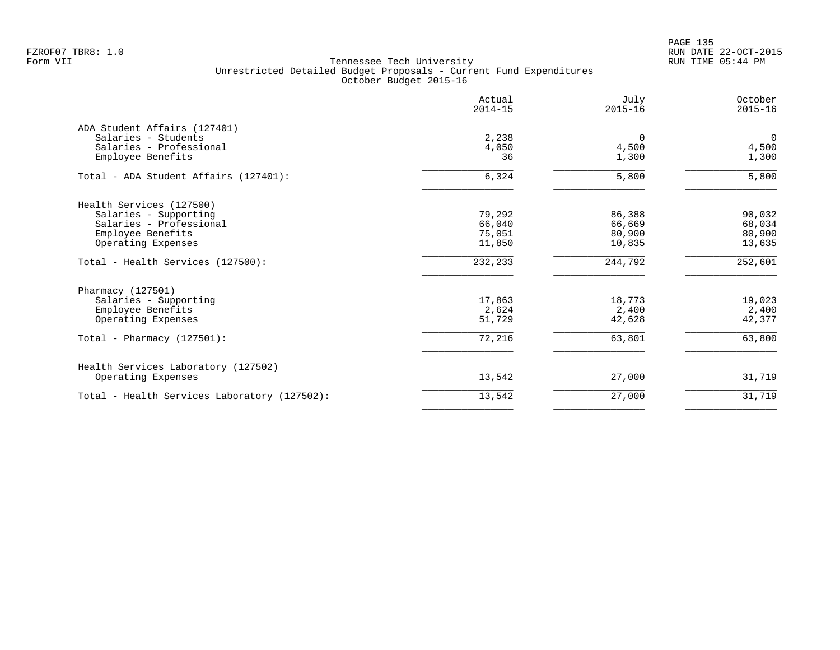PAGE 135 FZROF07 TBR8: 1.0 RUN DATE 22-OCT-2015

| 2,238   |          |          |
|---------|----------|----------|
|         |          |          |
|         | $\Omega$ | $\Omega$ |
| 4,050   | 4,500    | 4,500    |
| 36      | 1,300    | 1,300    |
| 6,324   | 5,800    | 5,800    |
|         |          |          |
| 79,292  | 86,388   | 90,032   |
| 66,040  | 66,669   | 68,034   |
| 75,051  | 80,900   | 80,900   |
| 11,850  | 10,835   | 13,635   |
| 232,233 | 244,792  | 252,601  |
|         |          |          |
| 17,863  | 18,773   | 19,023   |
| 2,624   | 2,400    | 2,400    |
| 51,729  | 42,628   | 42,377   |
| 72,216  | 63,801   | 63,800   |
|         |          |          |
| 13,542  | 27,000   | 31,719   |
| 13,542  | 27,000   | 31,719   |
|         |          |          |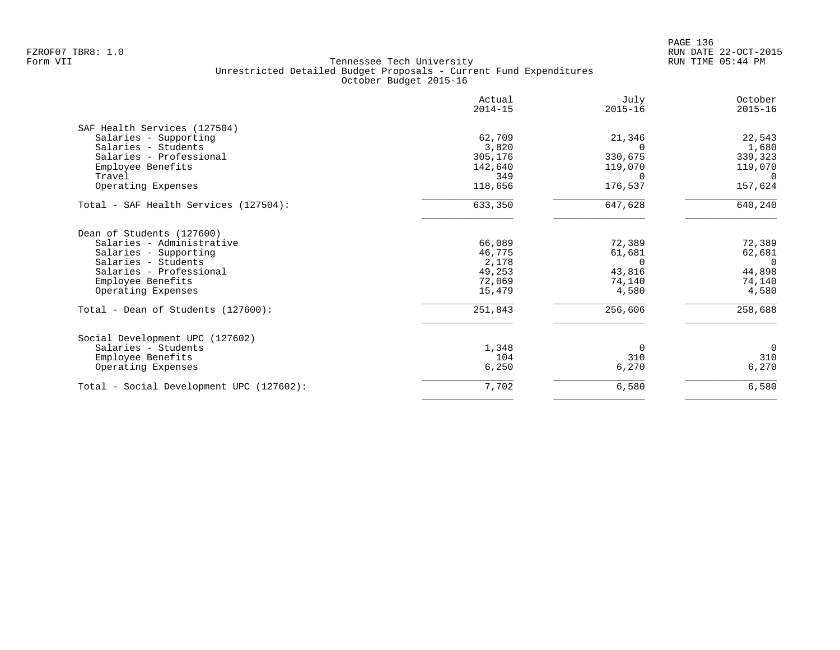| Actual<br>$2014 - 15$ | July<br>$2015 - 16$                 | October<br>$2015 - 16$    |
|-----------------------|-------------------------------------|---------------------------|
|                       |                                     |                           |
| 62,709                | 21,346                              | 22,543                    |
| 3,820                 |                                     | 1,680                     |
| 305,176               | 330,675                             | 339,323                   |
| 142,640               | 119,070                             | 119,070                   |
| 349                   | $\Omega$                            | $\Omega$                  |
| 118,656               | 176,537                             | 157,624                   |
| 633,350               | 647,628                             | 640,240                   |
|                       |                                     |                           |
| 66,089                | 72,389                              | 72,389                    |
| 46,775                | 61,681                              | 62,681                    |
|                       | $\Omega$                            | $\Omega$                  |
|                       |                                     | 44,898                    |
|                       |                                     | 74,140                    |
|                       |                                     | 4,580                     |
| 251,843               | 256,606                             | 258,688                   |
|                       |                                     |                           |
| 1,348                 | $\Omega$                            | $\Omega$                  |
| 104                   | 310                                 | 310                       |
| 6,250                 | 6,270                               | 6,270                     |
| 7,702                 | 6,580                               | 6,580                     |
|                       | 2,178<br>49,253<br>72,069<br>15,479 | 43,816<br>74,140<br>4,580 |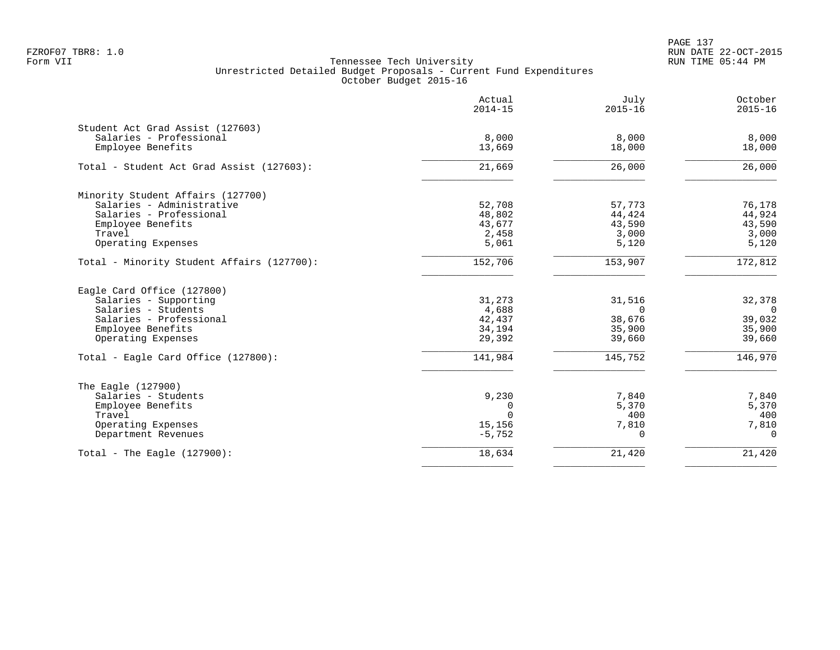PAGE 137 FZROF07 TBR8: 1.0 RUN DATE 22-OCT-2015

|                                            | Actual<br>$2014 - 15$ | July<br>$2015 - 16$ | October<br>$2015 - 16$ |
|--------------------------------------------|-----------------------|---------------------|------------------------|
| Student Act Grad Assist (127603)           |                       |                     |                        |
| Salaries - Professional                    | 8,000                 | 8,000               | 8,000                  |
| Employee Benefits                          | 13,669                | 18,000              | 18,000                 |
| Total - Student Act Grad Assist (127603):  | 21,669                | 26,000              | 26,000                 |
| Minority Student Affairs (127700)          |                       |                     |                        |
| Salaries - Administrative                  | 52,708                | 57,773              | 76,178                 |
| Salaries - Professional                    | 48,802                | 44,424              | 44,924                 |
| Employee Benefits                          | 43,677                | 43,590              | 43,590                 |
| Travel                                     | 2,458                 | 3,000               | 3,000                  |
| Operating Expenses                         | 5,061                 | 5,120               | 5,120                  |
| Total - Minority Student Affairs (127700): | 152,706               | 153,907             | 172,812                |
| Eagle Card Office (127800)                 |                       |                     |                        |
| Salaries - Supporting                      | 31,273                | 31,516              | 32,378                 |
| Salaries - Students                        | 4,688                 | $\Omega$            | $\Omega$               |
| Salaries - Professional                    | 42,437                | 38,676              | 39,032                 |
| Employee Benefits                          | 34,194                | 35,900              | 35,900                 |
| Operating Expenses                         | 29,392                | 39,660              | 39,660                 |
| Total - Eagle Card Office (127800):        | 141,984               | 145,752             | 146,970                |
| The Eagle (127900)                         |                       |                     |                        |
| Salaries - Students                        | 9,230                 | 7,840               | 7,840                  |
| Employee Benefits                          | 0                     | 5,370               | 5,370                  |
|                                            | U                     |                     | 400                    |
|                                            |                       |                     | 7,810                  |
| Department Revenues                        | $-5,752$              | $\Omega$            | $\Omega$               |
| Total - The Eagle $(127900)$ :             | 18,634                | 21,420              | 21,420                 |
| Travel<br>Operating Expenses               | 15,156                | 400<br>7,810        |                        |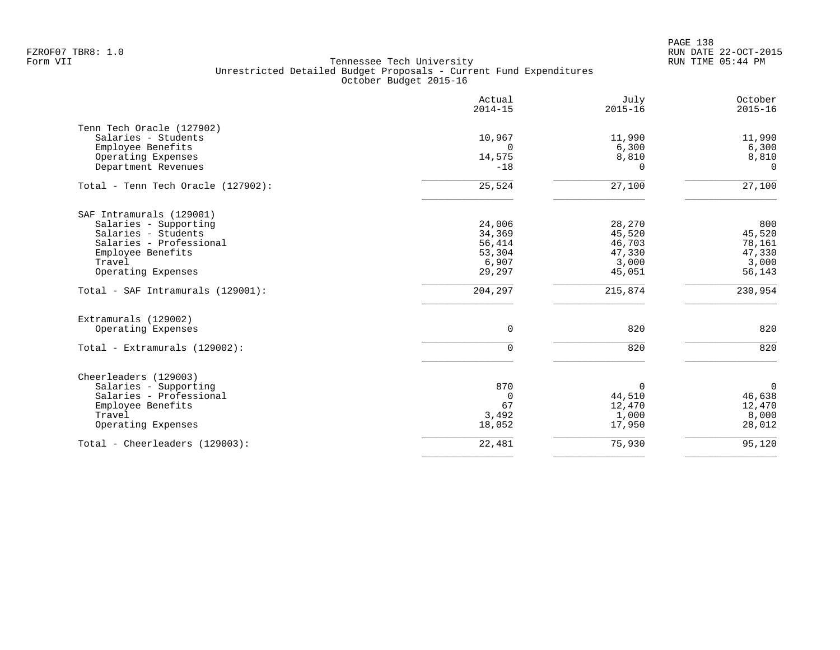PAGE 138 FZROF07 TBR8: 1.0 RUN DATE 22-OCT-2015

|                                    | Actual<br>$2014 - 15$ | July<br>$2015 - 16$ | October<br>$2015 - 16$ |
|------------------------------------|-----------------------|---------------------|------------------------|
| Tenn Tech Oracle (127902)          |                       |                     |                        |
| Salaries - Students                | 10,967                | 11,990              | 11,990                 |
| Employee Benefits                  | $\Omega$              | 6,300               | 6,300                  |
| Operating Expenses                 | 14,575                | 8,810               | 8,810                  |
| Department Revenues                | $-18$                 | $\Omega$            | $\Omega$               |
| Total - Tenn Tech Oracle (127902): | 25,524                | 27,100              | 27,100                 |
| SAF Intramurals (129001)           |                       |                     |                        |
| Salaries - Supporting              | 24,006                | 28,270              | 800                    |
| Salaries - Students                | 34,369                | 45,520              | 45,520                 |
| Salaries - Professional            | 56,414                | 46,703              | 78,161                 |
| Employee Benefits                  | 53,304                | 47,330              | 47,330                 |
| Travel                             | 6,907                 | 3,000               | 3,000                  |
| Operating Expenses                 | 29,297                | 45,051              | 56,143                 |
| Total - SAF Intramurals (129001):  | 204,297               | 215,874             | 230,954                |
| Extramurals (129002)               |                       |                     |                        |
| Operating Expenses                 | 0                     | 820                 | 820                    |
| Total - Extramurals (129002):      | 0                     | 820                 | 820                    |
| Cheerleaders (129003)              |                       |                     |                        |
| Salaries - Supporting              | 870                   | 0                   | 0                      |
| Salaries - Professional            | $\Omega$              | 44,510              | 46,638                 |
| Employee Benefits                  | 67                    | 12,470              | 12,470                 |
| Travel                             | 3,492                 | 1,000               | 8,000                  |
| Operating Expenses                 | 18,052                | 17,950              | 28,012                 |
| Total - Cheerleaders (129003):     | 22,481                | 75,930              | 95,120                 |
|                                    |                       |                     |                        |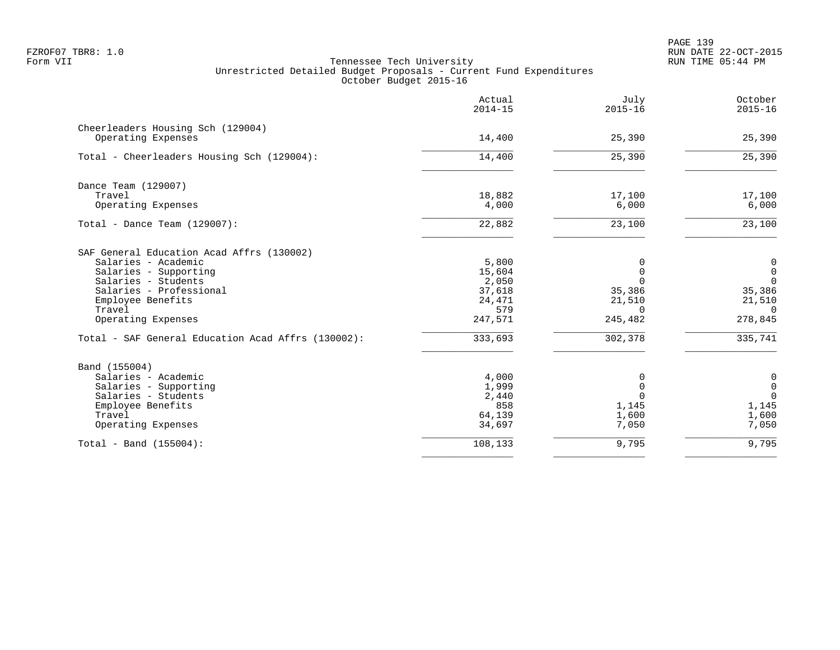PAGE 139 FZROF07 TBR8: 1.0 RUN DATE 22-OCT-2015

|                                                    | Actual<br>$2014 - 15$ | July<br>$2015 - 16$ | October<br>$2015 - 16$ |
|----------------------------------------------------|-----------------------|---------------------|------------------------|
| Cheerleaders Housing Sch (129004)                  |                       |                     |                        |
| Operating Expenses                                 | 14,400                | 25,390              | 25,390                 |
| Total - Cheerleaders Housing Sch (129004):         | 14,400                | 25,390              | 25,390                 |
| Dance Team (129007)                                |                       |                     |                        |
| Travel                                             | 18,882                | 17,100              | 17,100                 |
| Operating Expenses                                 | 4,000                 | 6,000               | 6,000                  |
| Total - Dance Team $(129007)$ :                    | 22,882                | 23,100              | 23,100                 |
| SAF General Education Acad Affrs (130002)          |                       |                     |                        |
| Salaries - Academic                                | 5,800                 | $\mathbf 0$         | 0                      |
| Salaries - Supporting                              | 15,604                | $\Omega$            | $\mathbf 0$            |
| Salaries - Students                                | 2,050                 | $\Omega$            | $\mathbf{0}$           |
| Salaries - Professional                            | 37,618                | 35,386              | 35,386                 |
| Employee Benefits<br>Travel                        | 24,471<br>579         | 21,510<br>$\Omega$  | 21,510<br>$\Omega$     |
| Operating Expenses                                 | 247,571               | 245,482             | 278,845                |
| Total - SAF General Education Acad Affrs (130002): | 333,693               | 302,378             | 335,741                |
| Band (155004)                                      |                       |                     |                        |
| Salaries - Academic                                | 4,000                 | 0                   | 0                      |
| Salaries - Supporting                              | 1,999                 | $\Omega$            | $\mathbf 0$            |
| Salaries - Students                                | 2,440                 | $\Omega$            | $\mathbf 0$            |
| Employee Benefits                                  | 858                   | 1,145               | 1,145                  |
| Travel                                             | 64,139                | 1,600               | 1,600                  |
| Operating Expenses                                 | 34,697                | 7,050               | 7,050                  |
| Total - Band $(155004)$ :                          | 108,133               | 9,795               | 9,795                  |
|                                                    |                       |                     |                        |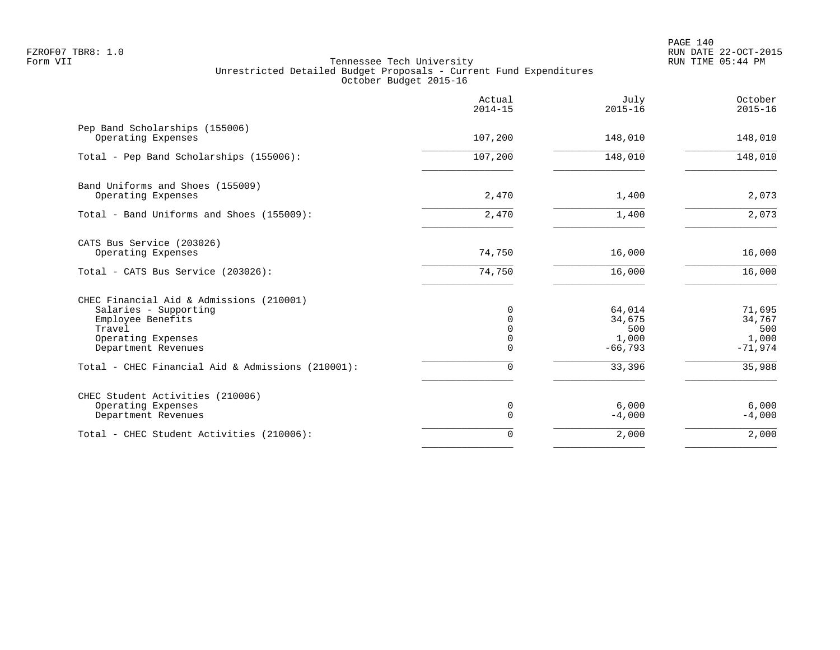| Actual<br>$2014 - 15$                             | July<br>$2015 - 16$                           | October<br>$2015 - 16$                        |
|---------------------------------------------------|-----------------------------------------------|-----------------------------------------------|
| 107,200                                           | 148,010                                       | 148,010                                       |
| 107,200                                           | 148,010                                       | 148,010                                       |
| 2,470                                             | 1,400                                         | 2,073                                         |
| 2,470                                             | 1,400                                         | 2,073                                         |
| 74,750                                            | 16,000                                        | 16,000                                        |
| 74,750                                            | 16,000                                        | 16,000                                        |
| $\Omega$<br>$\Omega$<br>$\Omega$<br>$\Omega$<br>0 | 64,014<br>34,675<br>500<br>1,000<br>$-66,793$ | 71,695<br>34,767<br>500<br>1,000<br>$-71,974$ |
| 0                                                 | 33,396                                        | 35,988                                        |
| 0<br>$\mathbf 0$                                  | 6,000<br>$-4,000$                             | 6,000<br>$-4,000$                             |
| 0                                                 | 2,000                                         | 2,000                                         |
|                                                   |                                               |                                               |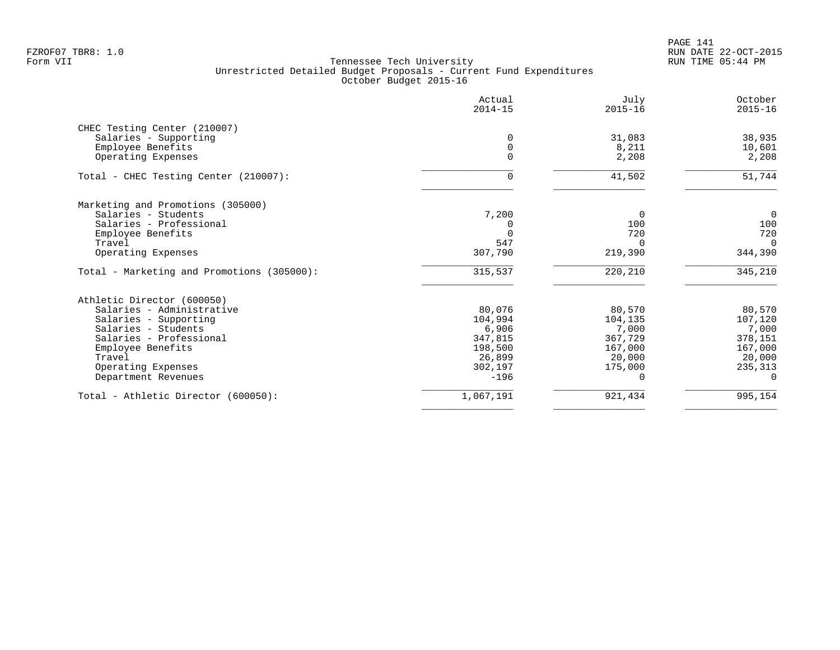PAGE 141 FZROF07 TBR8: 1.0 RUN DATE 22-OCT-2015

|                                            | Actual<br>$2014 - 15$ | July<br>$2015 - 16$ | October<br>$2015 - 16$ |
|--------------------------------------------|-----------------------|---------------------|------------------------|
| CHEC Testing Center (210007)               |                       |                     |                        |
| Salaries - Supporting                      |                       | 31,083              | 38,935                 |
| Employee Benefits                          | 0                     | 8,211               | 10,601                 |
| Operating Expenses                         | $\Omega$              | 2,208               | 2,208                  |
| Total - CHEC Testing Center (210007):      | 0                     | 41,502              | 51,744                 |
| Marketing and Promotions (305000)          |                       |                     |                        |
| Salaries - Students                        | 7,200                 | $\Omega$            | $\mathbf 0$            |
| Salaries - Professional                    |                       | 100                 | 100                    |
| Employee Benefits                          | $\Omega$              | 720                 | 720                    |
| Travel                                     | 547                   |                     | $\Omega$               |
| Operating Expenses                         | 307,790               | 219,390             | 344,390                |
| Total - Marketing and Promotions (305000): | 315,537               | 220,210             | 345,210                |
| Athletic Director (600050)                 |                       |                     |                        |
| Salaries - Administrative                  | 80,076                | 80,570              | 80,570                 |
| Salaries - Supporting                      | 104,994               | 104,135             | 107,120                |
| Salaries - Students                        | 6,906                 | 7,000               | 7,000                  |
| Salaries - Professional                    | 347,815               | 367,729             | 378,151                |
| Employee Benefits                          | 198,500               | 167,000             | 167,000                |
| Travel                                     | 26,899                | 20,000              | 20,000                 |
| Operating Expenses                         | 302,197               | 175,000             | 235,313                |
| Department Revenues                        | $-196$                |                     | $\Omega$               |
| Total - Athletic Director (600050):        | 1,067,191             | 921,434             | 995,154                |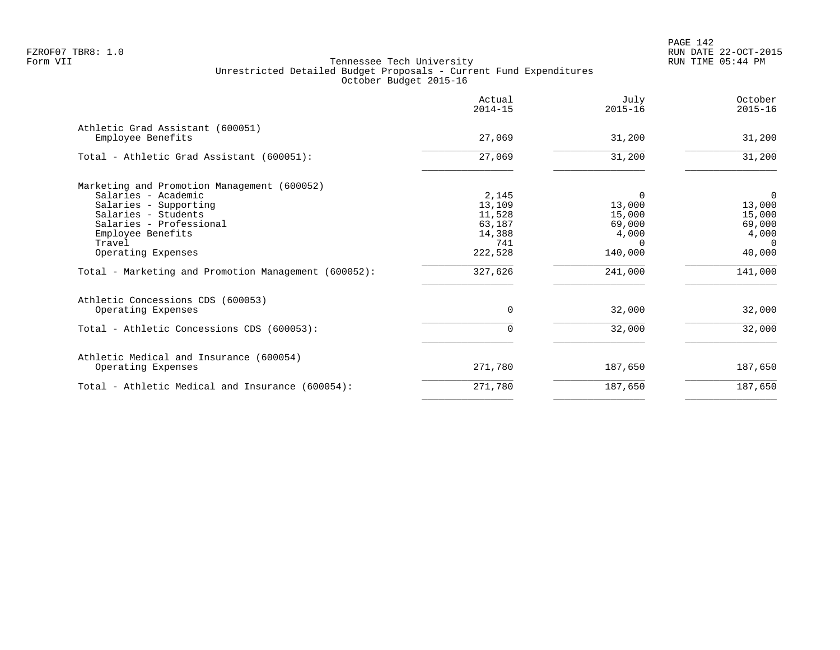|                                                       | Actual<br>$2014 - 15$ | July<br>$2015 - 16$   | October<br>$2015 - 16$  |
|-------------------------------------------------------|-----------------------|-----------------------|-------------------------|
| Athletic Grad Assistant (600051)<br>Employee Benefits | 27,069                | 31,200                | 31,200                  |
| Total - Athletic Grad Assistant (600051):             | 27,069                | 31,200                | 31,200                  |
| Marketing and Promotion Management (600052)           |                       |                       |                         |
| Salaries - Academic                                   | 2,145                 | $\Omega$              | $\overline{0}$          |
| Salaries - Supporting                                 | 13,109                | 13,000                | 13,000                  |
| Salaries - Students                                   | 11,528                | 15,000                | 15,000                  |
| Salaries - Professional                               | 63,187                | 69,000                | 69,000                  |
| Employee Benefits<br>Travel                           | 14,388<br>741         | 4,000<br><sup>n</sup> | 4,000<br>$\overline{0}$ |
| Operating Expenses                                    | 222,528               | 140,000               | 40,000                  |
| Total - Marketing and Promotion Management (600052):  | 327,626               | 241,000               | 141,000                 |
| Athletic Concessions CDS (600053)                     |                       |                       |                         |
| Operating Expenses                                    | $\Omega$              | 32,000                | 32,000                  |
| Total - Athletic Concessions CDS (600053):            |                       | 32,000                | 32,000                  |
| Athletic Medical and Insurance (600054)               |                       |                       |                         |
| Operating Expenses                                    | 271,780               | 187,650               | 187,650                 |
| Total - Athletic Medical and Insurance (600054):      | 271,780               | 187,650               | 187,650                 |
|                                                       |                       |                       |                         |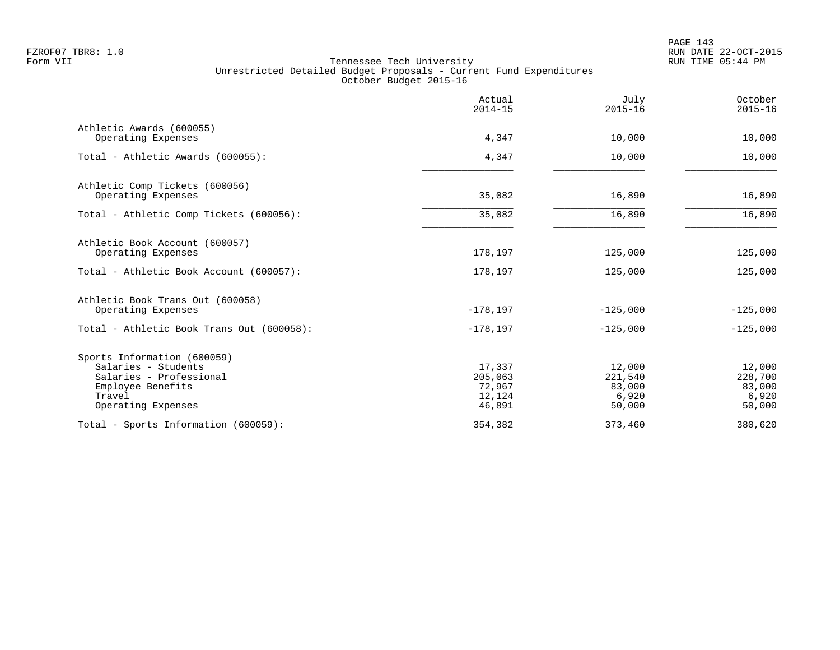PAGE 143 FZROF07 TBR8: 1.0 RUN DATE 22-OCT-2015

|                                                                                                                                    | Actual<br>$2014 - 15$                           | July<br>$2015 - 16$                            | October<br>$2015 - 16$                         |
|------------------------------------------------------------------------------------------------------------------------------------|-------------------------------------------------|------------------------------------------------|------------------------------------------------|
| Athletic Awards (600055)<br>Operating Expenses                                                                                     | 4,347                                           | 10,000                                         | 10,000                                         |
| Total - Athletic Awards (600055):                                                                                                  | 4,347                                           | 10,000                                         | 10,000                                         |
| Athletic Comp Tickets (600056)<br>Operating Expenses                                                                               | 35,082                                          | 16,890                                         | 16,890                                         |
| Total - Athletic Comp Tickets (600056):                                                                                            | 35,082                                          | 16,890                                         | 16,890                                         |
| Athletic Book Account (600057)<br>Operating Expenses                                                                               | 178,197                                         | 125,000                                        | 125,000                                        |
| Total - Athletic Book Account (600057):                                                                                            | 178,197                                         | 125,000                                        | 125,000                                        |
| Athletic Book Trans Out (600058)<br>Operating Expenses                                                                             | $-178,197$                                      | $-125,000$                                     | $-125,000$                                     |
| Total - Athletic Book Trans Out (600058):                                                                                          | $-178, 197$                                     | $-125,000$                                     | $-125,000$                                     |
| Sports Information (600059)<br>Salaries - Students<br>Salaries - Professional<br>Employee Benefits<br>Travel<br>Operating Expenses | 17,337<br>205,063<br>72,967<br>12,124<br>46,891 | 12,000<br>221,540<br>83,000<br>6,920<br>50,000 | 12,000<br>228,700<br>83,000<br>6,920<br>50,000 |
| Total - Sports Information (600059):                                                                                               | 354,382                                         | 373,460                                        | 380,620                                        |
|                                                                                                                                    |                                                 |                                                |                                                |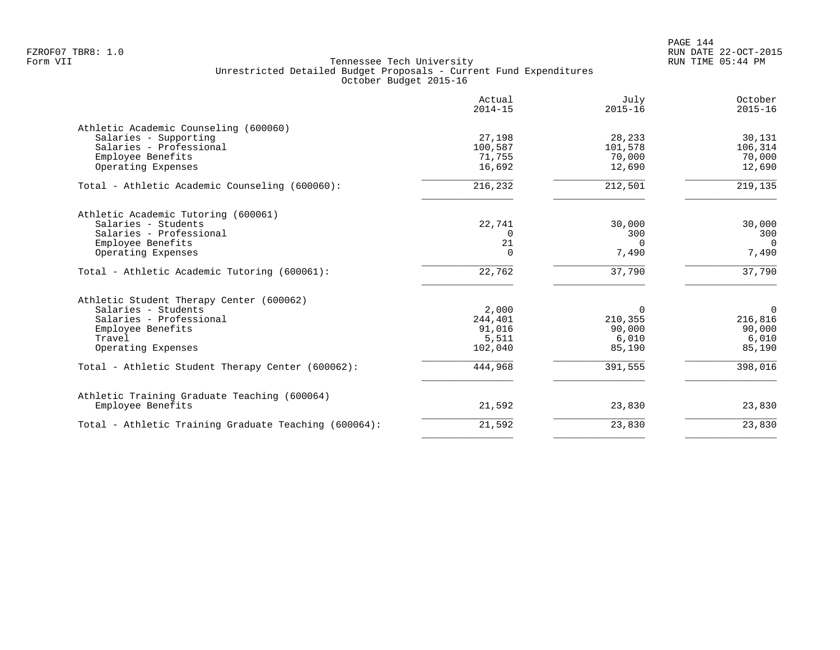|                                                       | Actual<br>$2014 - 15$ | July<br>$2015 - 16$ | October<br>$2015 - 16$ |
|-------------------------------------------------------|-----------------------|---------------------|------------------------|
| Athletic Academic Counseling (600060)                 |                       |                     |                        |
| Salaries - Supporting                                 | 27,198                | 28,233              | 30,131                 |
| Salaries - Professional                               | 100,587               | 101,578             | 106,314                |
| Employee Benefits                                     | 71,755                | 70,000              | 70,000                 |
| Operating Expenses                                    | 16,692                | 12,690              | 12,690                 |
| Total - Athletic Academic Counseling (600060):        | 216,232               | 212,501             | 219,135                |
| Athletic Academic Tutoring (600061)                   |                       |                     |                        |
| Salaries - Students                                   | 22,741                | 30,000              | 30,000                 |
| Salaries - Professional                               | $\Omega$              | 300                 | 300                    |
| Employee Benefits                                     | 21                    | $\Omega$            | $\Omega$               |
| Operating Expenses                                    | $\Omega$              | 7,490               | 7,490                  |
| Total - Athletic Academic Tutoring (600061):          | 22,762                | 37,790              | 37,790                 |
| Athletic Student Therapy Center (600062)              |                       |                     |                        |
| Salaries - Students                                   | 2,000                 | $\Omega$            | $\overline{0}$         |
| Salaries - Professional                               | 244,401               | 210,355             | 216,816                |
| Employee Benefits                                     | 91,016                | 90,000              | 90,000                 |
| Travel                                                | 5,511                 | 6,010               | 6,010                  |
| Operating Expenses                                    | 102,040               | 85,190              | 85,190                 |
| Total - Athletic Student Therapy Center (600062):     | 444,968               | 391,555             | 398,016                |
| Athletic Training Graduate Teaching (600064)          |                       |                     |                        |
| Employee Benefits                                     | 21,592                | 23,830              | 23,830                 |
| Total - Athletic Training Graduate Teaching (600064): | 21,592                | 23,830              | 23,830                 |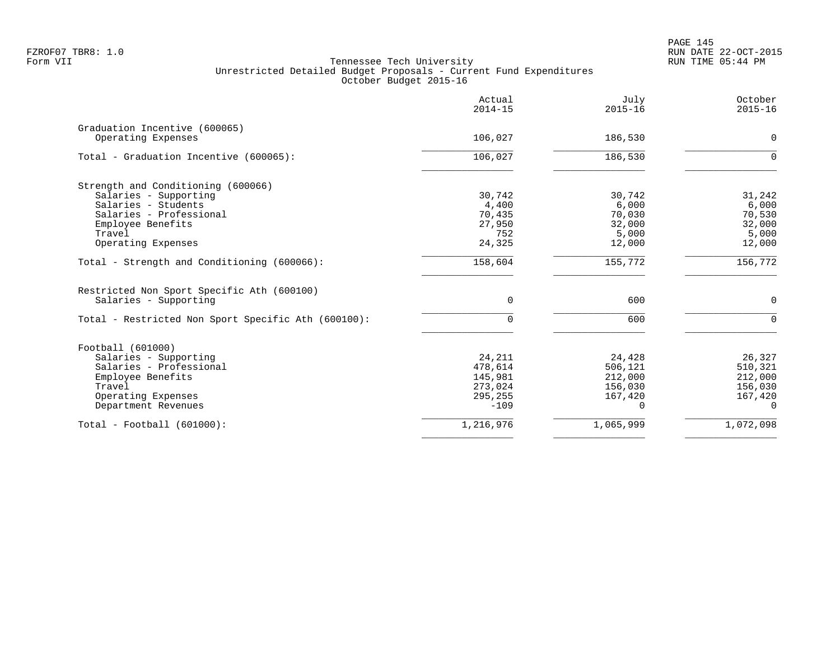|                                                     | Actual<br>$2014 - 15$ | July<br>$2015 - 16$ | October<br>$2015 - 16$ |
|-----------------------------------------------------|-----------------------|---------------------|------------------------|
| Graduation Incentive (600065)                       | 106,027               | 186,530             | $\mathsf{O}$           |
| Operating Expenses                                  |                       |                     |                        |
| Total - Graduation Incentive (600065):              | 106,027               | 186,530             | $\Omega$               |
| Strength and Conditioning (600066)                  |                       |                     |                        |
| Salaries - Supporting                               | 30,742                | 30,742              | 31,242                 |
| Salaries - Students                                 | 4,400                 | 6,000               | 6,000                  |
| Salaries - Professional                             | 70,435                | 70,030              | 70,530                 |
| Employee Benefits<br>Travel                         | 27,950<br>752         | 32,000<br>5,000     | 32,000<br>5,000        |
| Operating Expenses                                  | 24,325                | 12,000              | 12,000                 |
| Total - Strength and Conditioning (600066):         | 158,604               | 155,772             | 156, 772               |
| Restricted Non Sport Specific Ath (600100)          |                       |                     |                        |
| Salaries - Supporting                               | 0                     | 600                 | 0                      |
| Total - Restricted Non Sport Specific Ath (600100): | U                     | 600                 | $\Omega$               |
| Football (601000)                                   |                       |                     |                        |
| Salaries - Supporting                               | 24,211                | 24,428              | 26,327                 |
| Salaries - Professional                             | 478,614               | 506,121             | 510,321                |
| Employee Benefits                                   | 145,981               | 212,000             | 212,000                |
| Travel                                              | 273,024               | 156,030             | 156,030                |
| Operating Expenses<br>Department Revenues           | 295,255<br>$-109$     | 167,420<br>$\Omega$ | 167,420<br>$\Omega$    |
| $Total - Football (601000):$                        | 1,216,976             | 1,065,999           | 1,072,098              |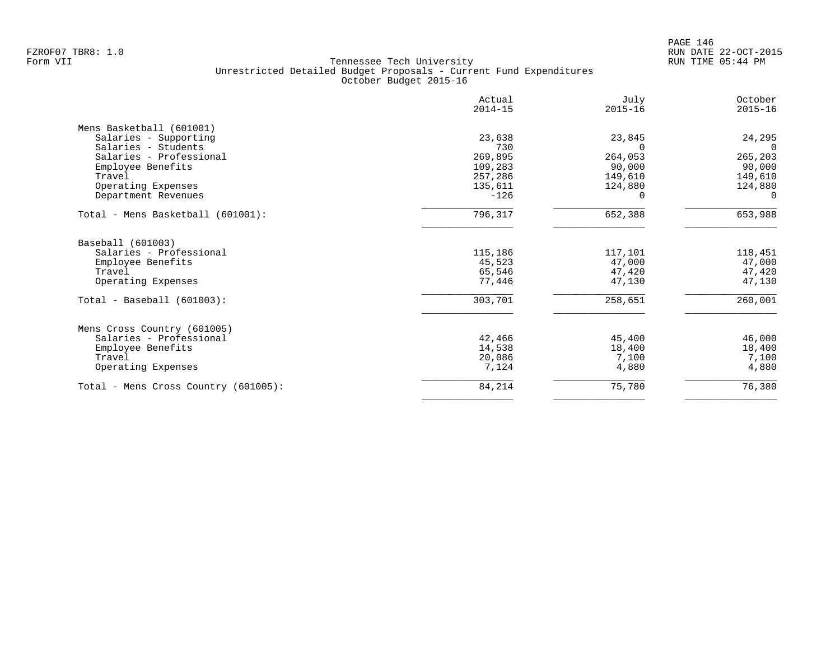|                                      | Actual<br>$2014 - 15$ | July<br>$2015 - 16$ | October<br>$2015 - 16$ |
|--------------------------------------|-----------------------|---------------------|------------------------|
| Mens Basketball (601001)             |                       |                     |                        |
| Salaries - Supporting                | 23,638                | 23,845              | 24,295                 |
| Salaries - Students                  | 730                   | $\Omega$            | $\cap$                 |
| Salaries - Professional              | 269,895               | 264,053             | 265,203                |
| Employee Benefits                    | 109,283               | 90,000              | 90,000                 |
| Travel                               | 257,286               | 149,610             | 149,610                |
| Operating Expenses                   | 135,611               | 124,880             | 124,880                |
| Department Revenues                  | $-126$                |                     | $\Omega$               |
| Total - Mens Basketball (601001):    | 796,317               | 652,388             | 653,988                |
| Baseball (601003)                    |                       |                     |                        |
| Salaries - Professional              | 115,186               | 117,101             | 118,451                |
| Employee Benefits                    | 45,523                | 47,000              | 47,000                 |
| Travel                               | 65,546                | 47,420              | 47,420                 |
| Operating Expenses                   | 77,446                | 47,130              | 47,130                 |
| $Total - Baseball (601003):$         | 303,701               | 258,651             | 260,001                |
| Mens Cross Country (601005)          |                       |                     |                        |
| Salaries - Professional              | 42,466                | 45,400              | 46,000                 |
| Employee Benefits                    | 14,538                | 18,400              | 18,400                 |
| Travel                               | 20,086                | 7,100               | 7,100                  |
| Operating Expenses                   | 7,124                 | 4,880               | 4,880                  |
| Total - Mens Cross Country (601005): | 84,214                | 75,780              | 76,380                 |
|                                      |                       |                     |                        |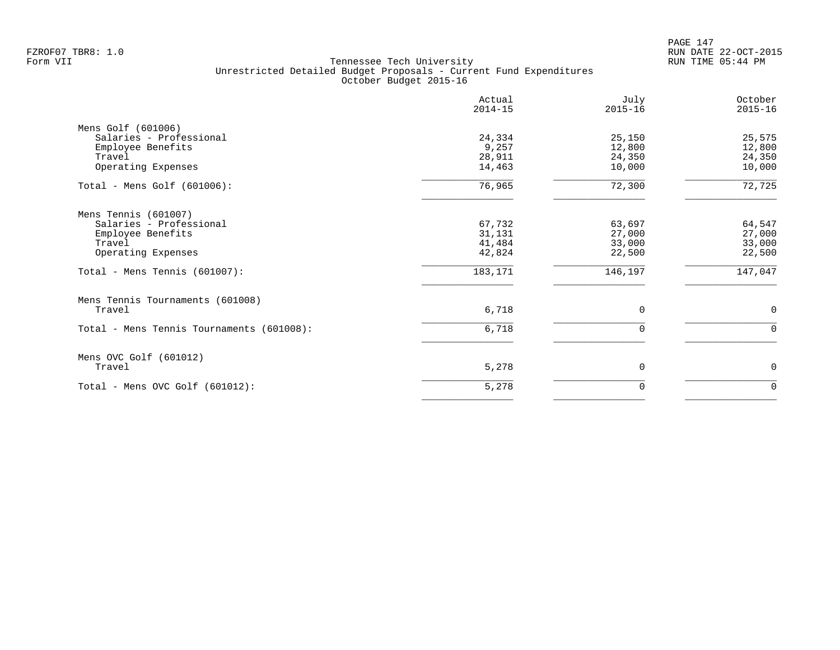PAGE 147 FZROF07 TBR8: 1.0 RUN DATE 22-OCT-2015

|                                           | Actual<br>$2014 - 15$ | July<br>$2015 - 16$ | October<br>$2015 - 16$ |
|-------------------------------------------|-----------------------|---------------------|------------------------|
| Mens Golf (601006)                        |                       |                     |                        |
| Salaries - Professional                   | 24,334                | 25,150              | 25,575                 |
| Employee Benefits                         | 9,257                 | 12,800              | 12,800                 |
| Travel                                    | 28,911                | 24,350              | 24,350                 |
| Operating Expenses                        | 14,463                | 10,000              | 10,000                 |
| Total - Mens Golf $(601006)$ :            | 76,965                | 72,300              | 72,725                 |
| Mens Tennis (601007)                      |                       |                     |                        |
| Salaries - Professional                   | 67,732                | 63,697              | 64,547                 |
| Employee Benefits                         | 31,131                | 27,000              | 27,000                 |
| Travel                                    | 41,484                | 33,000              | 33,000                 |
| Operating Expenses                        | 42,824                | 22,500              | 22,500                 |
| Total - Mens Tennis (601007):             | 183,171               | 146,197             | 147,047                |
| Mens Tennis Tournaments (601008)          |                       |                     |                        |
| Travel                                    | 6,718                 | 0                   | $\mathbf 0$            |
| Total - Mens Tennis Tournaments (601008): | 6,718                 | 0                   | $\mathbf 0$            |
| Mens OVC Golf (601012)                    |                       |                     |                        |
| Travel                                    | 5,278                 | 0                   | 0                      |
| Total - Mens OVC Golf $(601012)$ :        | 5,278                 | 0                   | $\mathbf 0$            |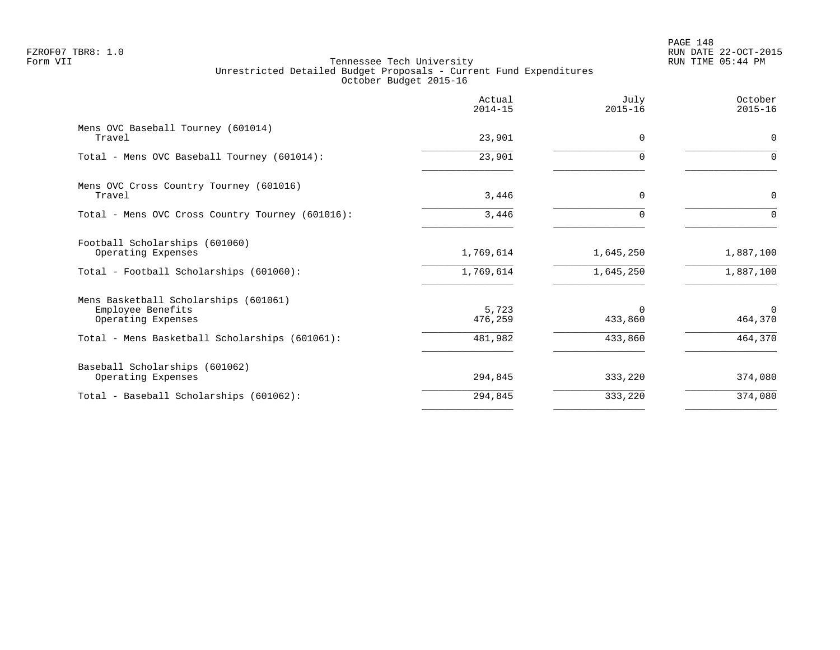# PAGE 148 FZROF07 TBR8: 1.0 RUN DATE 22-OCT-2015

|                                                                                  | Actual<br>$2014 - 15$ | July<br>$2015 - 16$ | October<br>$2015 - 16$ |
|----------------------------------------------------------------------------------|-----------------------|---------------------|------------------------|
| Mens OVC Baseball Tourney (601014)<br>Travel                                     | 23,901                | $\Omega$            | $\mathbf 0$            |
| Total - Mens OVC Baseball Tourney (601014):                                      | 23,901                |                     | $\Omega$               |
| Mens OVC Cross Country Tourney (601016)<br>Travel                                | 3,446                 | $\Omega$            | $\mathbf 0$            |
| Total - Mens OVC Cross Country Tourney (601016):                                 | 3,446                 |                     | $\Omega$               |
| Football Scholarships (601060)<br>Operating Expenses                             | 1,769,614             | 1,645,250           | 1,887,100              |
| Total - Football Scholarships (601060):                                          | 1,769,614             | 1,645,250           | 1,887,100              |
| Mens Basketball Scholarships (601061)<br>Employee Benefits<br>Operating Expenses | 5,723<br>476,259      | 0<br>433,860        | $\Omega$<br>464,370    |
| Total - Mens Basketball Scholarships (601061):                                   | 481,982               | 433,860             | 464,370                |
| Baseball Scholarships (601062)<br>Operating Expenses                             | 294,845               | 333,220             | 374,080                |
| Total - Baseball Scholarships (601062):                                          | 294,845               | 333,220             | 374,080                |
|                                                                                  |                       |                     |                        |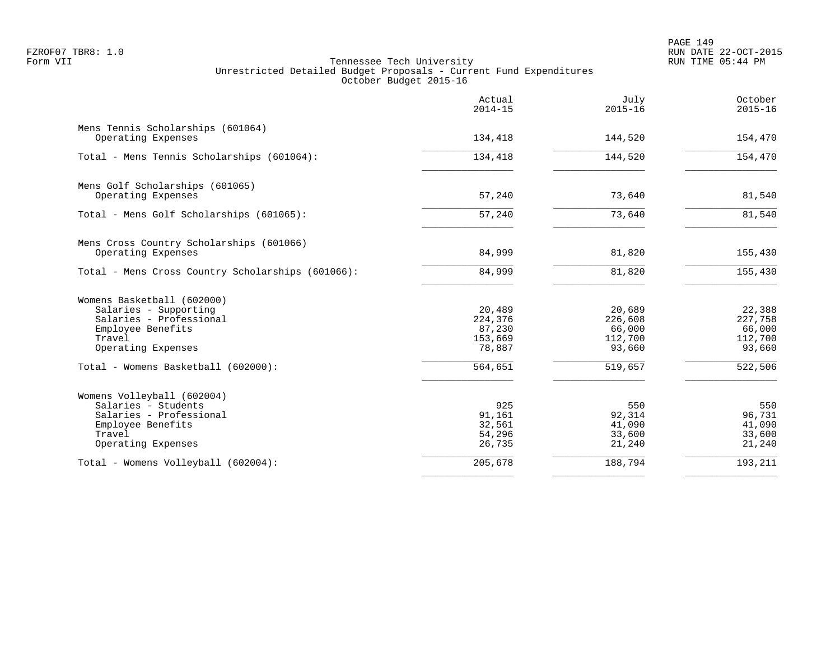|                                                         | Actual<br>$2014 - 15$ | July<br>$2015 - 16$ | October<br>$2015 - 16$ |
|---------------------------------------------------------|-----------------------|---------------------|------------------------|
| Mens Tennis Scholarships (601064)<br>Operating Expenses | 134,418               | 144,520             | 154,470                |
|                                                         |                       |                     |                        |
| Total - Mens Tennis Scholarships (601064):              | 134,418               | 144,520             | 154,470                |
| Mens Golf Scholarships (601065)                         |                       |                     |                        |
| Operating Expenses                                      | 57,240                | 73,640              | 81,540                 |
| Total - Mens Golf Scholarships (601065):                | 57,240                | 73,640              | 81,540                 |
| Mens Cross Country Scholarships (601066)                |                       |                     |                        |
| Operating Expenses                                      | 84,999                | 81,820              | 155,430                |
| Total - Mens Cross Country Scholarships (601066):       | 84,999                | 81,820              | 155,430                |
| Womens Basketball (602000)                              |                       |                     |                        |
| Salaries - Supporting                                   | 20,489                | 20,689              | 22,388                 |
| Salaries - Professional                                 | 224,376               | 226,608             | 227,758                |
| Employee Benefits                                       | 87,230                | 66,000              | 66,000                 |
| Travel<br>Operating Expenses                            | 153,669<br>78,887     | 112,700<br>93,660   | 112,700<br>93,660      |
|                                                         |                       |                     |                        |
| Total - Womens Basketball (602000):                     | 564,651               | 519,657             | 522,506                |
| Womens Volleyball (602004)                              |                       |                     |                        |
| Salaries - Students                                     | 925                   | 550                 | 550                    |
| Salaries - Professional                                 | 91,161                | 92,314              | 96,731                 |
| Employee Benefits                                       | 32,561                | 41,090              | 41,090                 |
| Travel<br>Operating Expenses                            | 54,296<br>26,735      | 33,600<br>21,240    | 33,600<br>21,240       |
|                                                         |                       |                     |                        |
| Total - Womens Volleyball (602004):                     | 205,678               | 188,794             | 193,211                |
|                                                         |                       |                     |                        |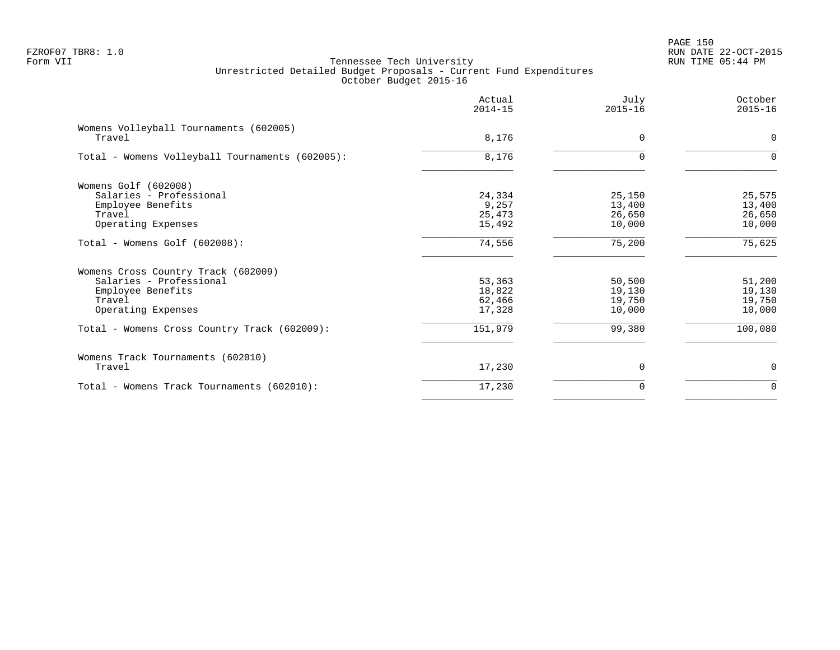|                                                  | Actual<br>$2014 - 15$ | July<br>$2015 - 16$ | October<br>$2015 - 16$ |
|--------------------------------------------------|-----------------------|---------------------|------------------------|
| Womens Volleyball Tournaments (602005)<br>Travel | 8,176                 | $\Omega$            | $\mathbf 0$            |
| Total - Womens Volleyball Tournaments (602005):  | 8,176                 |                     | $\Omega$               |
| Womens Golf (602008)                             |                       |                     |                        |
| Salaries - Professional                          | 24,334                | 25,150              | 25,575                 |
| Employee Benefits                                | 9,257                 | 13,400              | 13,400                 |
| Travel                                           | 25,473                | 26,650              | 26,650                 |
| Operating Expenses                               | 15,492                | 10,000              | 10,000                 |
| Total - Womens Golf (602008):                    | 74,556                | 75,200              | 75,625                 |
| Womens Cross Country Track (602009)              |                       |                     |                        |
| Salaries - Professional                          | 53,363                | 50,500              | 51,200                 |
| Employee Benefits                                | 18,822                | 19,130              | 19,130                 |
| Travel                                           | 62,466                | 19,750              | 19,750                 |
| Operating Expenses                               | 17,328                | 10,000              | 10,000                 |
| Total - Womens Cross Country Track (602009):     | 151,979               | 99,380              | 100,080                |
| Womens Track Tournaments (602010)                |                       |                     |                        |
| Travel                                           | 17,230                | $\Omega$            | 0                      |
| Total - Womens Track Tournaments (602010):       | 17,230                | 0                   | $\Omega$               |
|                                                  |                       |                     |                        |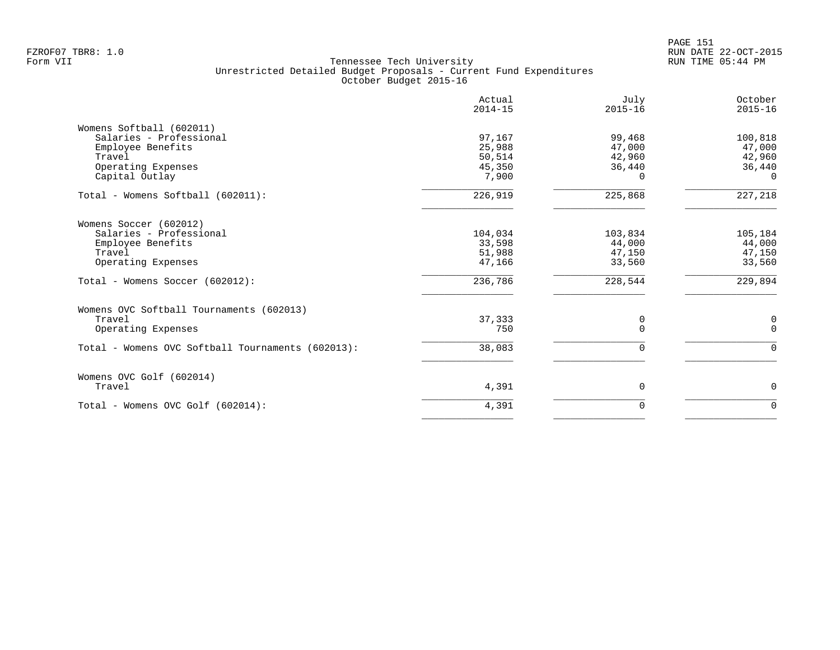|                                                                          | Actual<br>$2014 - 15$     | July<br>$2015 - 16$          | October<br>$2015 - 16$       |
|--------------------------------------------------------------------------|---------------------------|------------------------------|------------------------------|
| Womens Softball (602011)<br>Salaries - Professional<br>Employee Benefits | 97,167<br>25,988          | 99,468<br>47,000             | 100,818<br>47,000            |
| Travel<br>Operating Expenses<br>Capital Outlay                           | 50,514<br>45,350<br>7,900 | 42,960<br>36,440<br>$\Omega$ | 42,960<br>36,440<br>$\Omega$ |
| Total - Womens Softball (602011):                                        | 226,919                   | 225,868                      | 227,218                      |
| Womens Soccer (602012)<br>Salaries - Professional                        | 104,034                   | 103,834                      | 105,184                      |
| Employee Benefits<br>Travel                                              | 33,598<br>51,988          | 44,000<br>47,150             | 44,000<br>47,150             |
| Operating Expenses                                                       | 47,166                    | 33,560                       | 33,560                       |
| Total - Womens Soccer (602012):                                          | 236,786                   | 228,544                      | 229,894                      |
| Womens OVC Softball Tournaments (602013)                                 |                           |                              |                              |
| Travel<br>Operating Expenses                                             | 37,333<br>750             | 0<br>$\Omega$                | 0<br>$\Omega$                |
| Total - Womens OVC Softball Tournaments (602013):                        | 38,083                    | $\Omega$                     | $\Omega$                     |
| Womens OVC Golf (602014)                                                 |                           |                              |                              |
| Travel                                                                   | 4,391                     | 0                            | 0                            |
| Total - Womens OVC Golf (602014):                                        | 4,391                     | 0                            | $\mathbf 0$                  |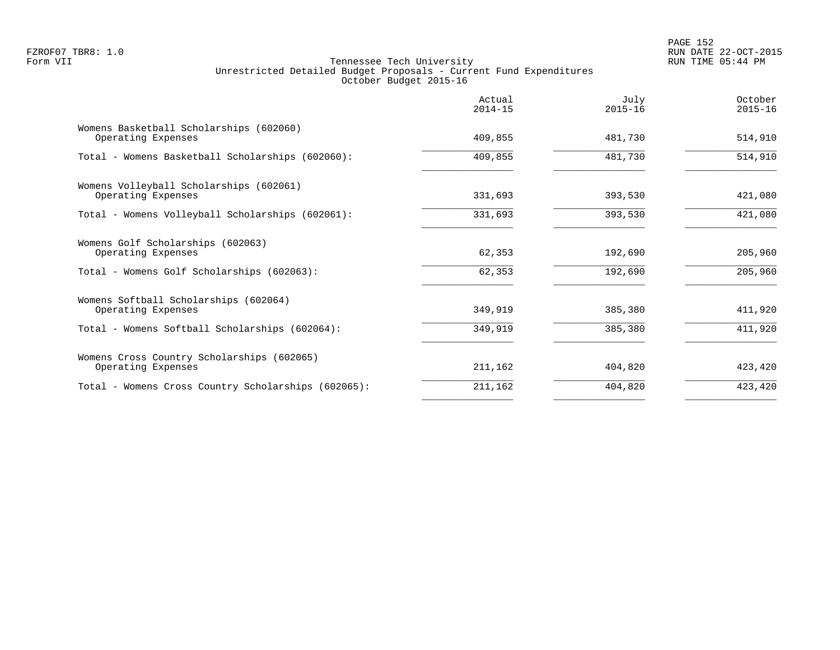PAGE 152 FZROF07 TBR8: 1.0 RUN DATE 22-OCT-2015

|                                                                  | Actual<br>$2014 - 15$ | July<br>$2015 - 16$ | October<br>$2015 - 16$ |
|------------------------------------------------------------------|-----------------------|---------------------|------------------------|
| Womens Basketball Scholarships (602060)<br>Operating Expenses    | 409,855               | 481,730             | 514,910                |
| Total - Womens Basketball Scholarships (602060):                 | 409,855               | 481,730             | 514,910                |
| Womens Volleyball Scholarships (602061)<br>Operating Expenses    | 331,693               | 393,530             | 421,080                |
| Total - Womens Volleyball Scholarships (602061):                 | 331,693               | 393,530             | 421,080                |
| Womens Golf Scholarships (602063)<br>Operating Expenses          | 62,353                | 192,690             | 205,960                |
| Total - Womens Golf Scholarships (602063):                       | 62,353                | 192,690             | 205,960                |
| Womens Softball Scholarships (602064)<br>Operating Expenses      | 349,919               | 385,380             | 411,920                |
| Total - Womens Softball Scholarships (602064):                   | 349,919               | 385,380             | 411,920                |
| Womens Cross Country Scholarships (602065)<br>Operating Expenses | 211,162               | 404,820             | 423,420                |
| Total - Womens Cross Country Scholarships (602065):              | 211,162               | 404,820             | 423,420                |
|                                                                  |                       |                     |                        |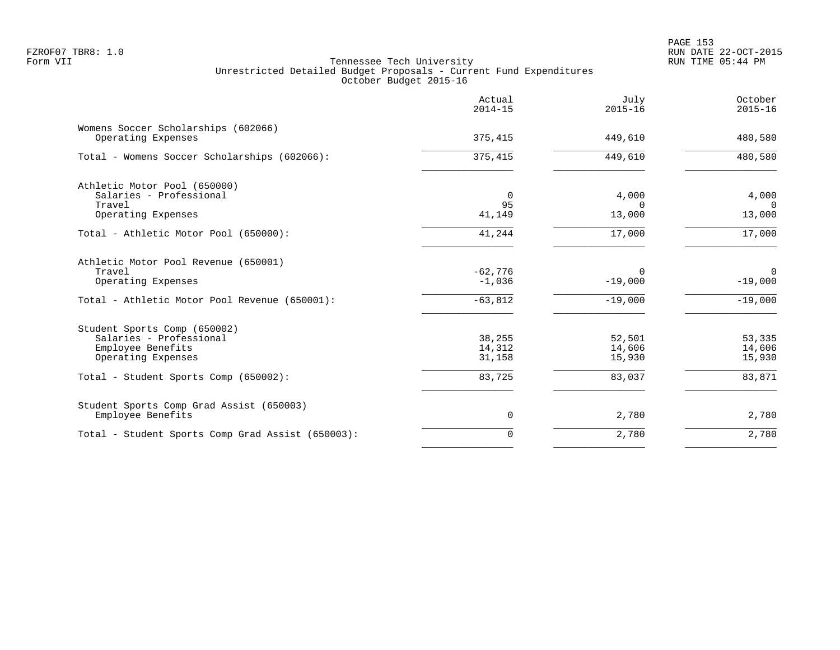PAGE 153 FZROF07 TBR8: 1.0 RUN DATE 22-OCT-2015

|                                                                                                    | Actual<br>$2014 - 15$      | July<br>$2015 - 16$        | October<br>$2015 - 16$     |
|----------------------------------------------------------------------------------------------------|----------------------------|----------------------------|----------------------------|
| Womens Soccer Scholarships (602066)<br>Operating Expenses                                          | 375,415                    | 449,610                    | 480,580                    |
| Total - Womens Soccer Scholarships (602066):                                                       | 375,415                    | 449,610                    | 480,580                    |
| Athletic Motor Pool (650000)<br>Salaries - Professional                                            | 0                          | 4,000                      | 4,000                      |
| Travel<br>Operating Expenses                                                                       | 95<br>41,149               | $\Omega$<br>13,000         | $\Omega$<br>13,000         |
| Total - Athletic Motor Pool (650000):                                                              | 41,244                     | 17,000                     | 17,000                     |
| Athletic Motor Pool Revenue (650001)<br>Travel<br>Operating Expenses                               | $-62,776$<br>$-1,036$      | $\Omega$<br>$-19,000$      | $\Omega$<br>$-19,000$      |
| Total - Athletic Motor Pool Revenue (650001):                                                      | $-63,812$                  | $-19,000$                  | $-19,000$                  |
| Student Sports Comp (650002)<br>Salaries - Professional<br>Employee Benefits<br>Operating Expenses | 38,255<br>14,312<br>31,158 | 52,501<br>14,606<br>15,930 | 53,335<br>14,606<br>15,930 |
| Total - Student Sports Comp (650002):                                                              | 83,725                     | 83,037                     | 83,871                     |
| Student Sports Comp Grad Assist (650003)<br>Employee Benefits                                      | 0                          | 2,780                      | 2,780                      |
| Total - Student Sports Comp Grad Assist (650003):                                                  | $\mathbf 0$                | 2,780                      | 2,780                      |
|                                                                                                    |                            |                            |                            |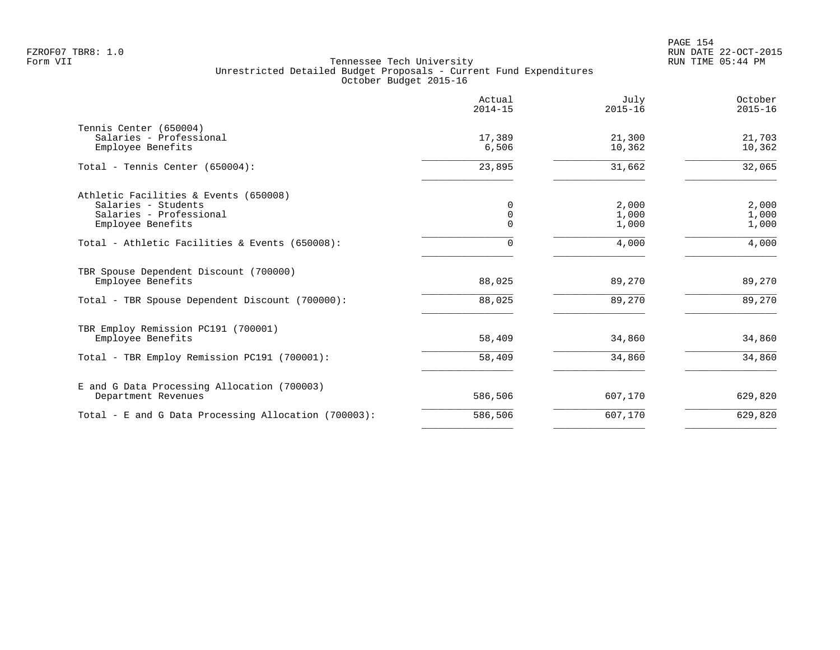|                                                                                                              | Actual<br>$2014 - 15$        | July<br>$2015 - 16$     | October<br>$2015 - 16$  |
|--------------------------------------------------------------------------------------------------------------|------------------------------|-------------------------|-------------------------|
| Tennis Center (650004)<br>Salaries - Professional<br>Employee Benefits                                       | 17,389<br>6,506              | 21,300<br>10,362        | 21,703<br>10,362        |
| Total - Tennis Center (650004):                                                                              | 23,895                       | 31,662                  | 32,065                  |
| Athletic Facilities & Events (650008)<br>Salaries - Students<br>Salaries - Professional<br>Employee Benefits | 0<br>$\mathbf 0$<br>$\Omega$ | 2,000<br>1,000<br>1,000 | 2,000<br>1,000<br>1,000 |
| Total - Athletic Facilities & Events (650008):                                                               | 0                            | 4,000                   | 4,000                   |
| TBR Spouse Dependent Discount (700000)<br>Employee Benefits                                                  | 88,025                       | 89,270                  | 89,270                  |
| Total - TBR Spouse Dependent Discount (700000):                                                              | 88,025                       | 89,270                  | 89,270                  |
| TBR Employ Remission PC191 (700001)<br>Employee Benefits                                                     | 58,409                       | 34,860                  | 34,860                  |
| Total - TBR Employ Remission PC191 (700001):                                                                 | 58,409                       | 34,860                  | 34,860                  |
| E and G Data Processing Allocation (700003)<br>Department Revenues                                           | 586,506                      | 607,170                 | 629,820                 |
| Total - E and G Data Processing Allocation (700003):                                                         | 586,506                      | 607,170                 | 629,820                 |
|                                                                                                              |                              |                         |                         |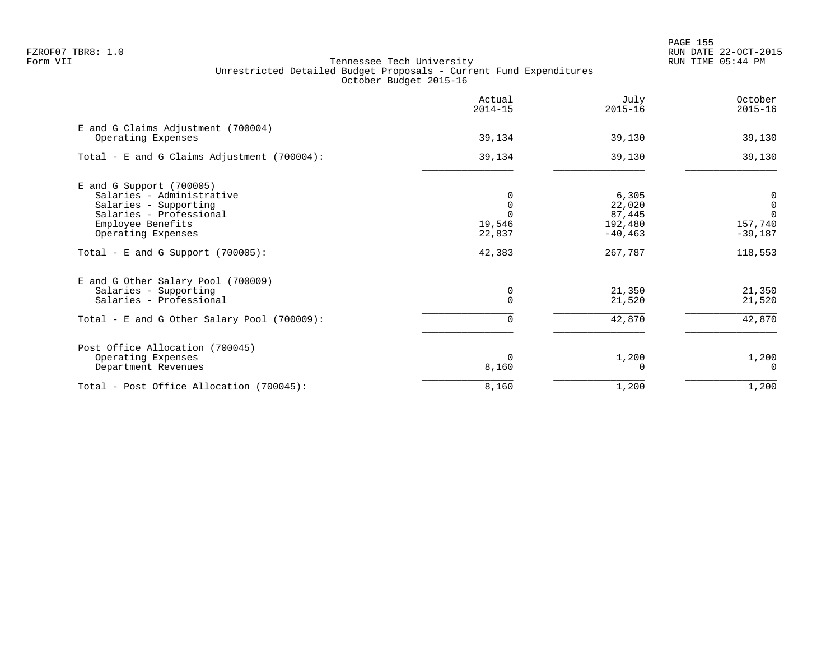|                                                                                                                                                      | Actual<br>$2014 - 15$ | July<br>$2015 - 16$                                | October<br>$2015 - 16$                                  |
|------------------------------------------------------------------------------------------------------------------------------------------------------|-----------------------|----------------------------------------------------|---------------------------------------------------------|
| E and G Claims Adjustment (700004)<br>Operating Expenses                                                                                             | 39,134                | 39,130                                             | 39,130                                                  |
| Total - E and G Claims Adjustment $(700004)$ :                                                                                                       | 39,134                | 39,130                                             | 39,130                                                  |
| E and G Support (700005)<br>Salaries - Administrative<br>Salaries - Supporting<br>Salaries - Professional<br>Employee Benefits<br>Operating Expenses | 19,546<br>22,837      | 6,305<br>22,020<br>87,445<br>192,480<br>$-40, 463$ | 0<br>$\mathbf 0$<br>$\mathbf 0$<br>157,740<br>$-39,187$ |
| Total - E and G Support $(700005)$ :                                                                                                                 | 42,383                | 267,787                                            | 118,553                                                 |
| E and G Other Salary Pool (700009)<br>Salaries - Supporting<br>Salaries - Professional<br>Total - E and G Other Salary Pool (700009):                | $\Omega$              | 21,350<br>21,520<br>42,870                         | 21,350<br>21,520<br>42,870                              |
| Post Office Allocation (700045)<br>Operating Expenses<br>Department Revenues                                                                         | 8,160                 | 1,200                                              | 1,200<br>$\Omega$                                       |
| Total - Post Office Allocation (700045):                                                                                                             | 8,160                 | 1,200                                              | 1,200                                                   |
|                                                                                                                                                      |                       |                                                    |                                                         |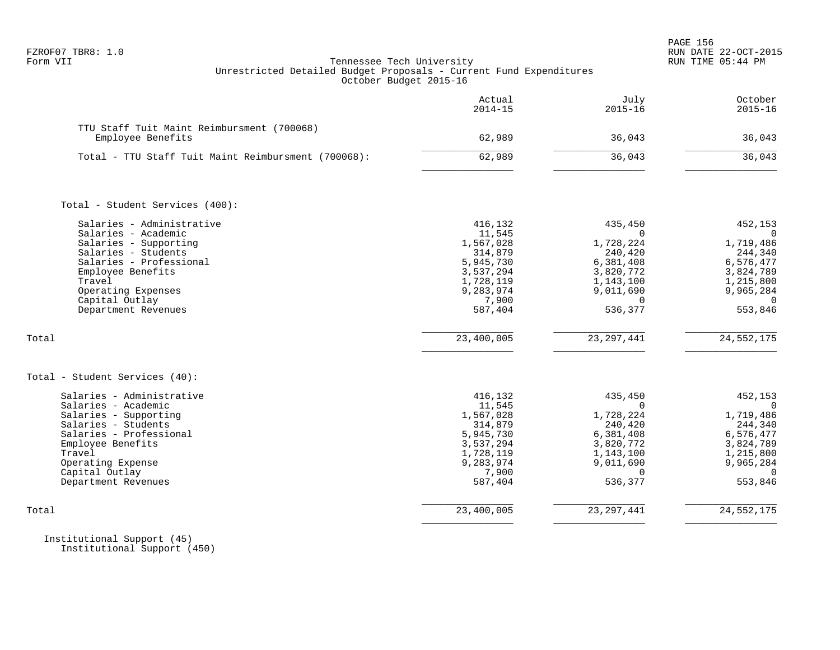| FZROF07 | TBR8: |  |
|---------|-------|--|
|---------|-------|--|

|                                                                                                                                                                                                                           | Actual<br>$2014 - 15$                                                                                             | July<br>$2015 - 16$                                                                                                    | October<br>$2015 - 16$                                                                                                 |
|---------------------------------------------------------------------------------------------------------------------------------------------------------------------------------------------------------------------------|-------------------------------------------------------------------------------------------------------------------|------------------------------------------------------------------------------------------------------------------------|------------------------------------------------------------------------------------------------------------------------|
| TTU Staff Tuit Maint Reimbursment (700068)<br>Employee Benefits                                                                                                                                                           | 62,989                                                                                                            | 36,043                                                                                                                 | 36,043                                                                                                                 |
| Total - TTU Staff Tuit Maint Reimbursment (700068):                                                                                                                                                                       | 62,989                                                                                                            | 36,043                                                                                                                 | 36,043                                                                                                                 |
| Total - Student Services (400):                                                                                                                                                                                           |                                                                                                                   |                                                                                                                        |                                                                                                                        |
| Salaries - Administrative<br>Salaries - Academic<br>Salaries - Supporting<br>Salaries - Students<br>Salaries - Professional<br>Employee Benefits<br>Travel<br>Operating Expenses<br>Capital Outlay<br>Department Revenues | 416,132<br>11,545<br>1,567,028<br>314,879<br>5,945,730<br>3,537,294<br>1,728,119<br>9,283,974<br>7,900<br>587,404 | 435,450<br>$\Omega$<br>1,728,224<br>240,420<br>6,381,408<br>3,820,772<br>1,143,100<br>9,011,690<br>$\Omega$<br>536,377 | 452,153<br>$\Omega$<br>1,719,486<br>244,340<br>6,576,477<br>3,824,789<br>1,215,800<br>9,965,284<br>$\Omega$<br>553,846 |
| Total                                                                                                                                                                                                                     | 23,400,005                                                                                                        | 23, 297, 441                                                                                                           | 24, 552, 175                                                                                                           |
| Total - Student Services (40):                                                                                                                                                                                            |                                                                                                                   |                                                                                                                        |                                                                                                                        |
| Salaries - Administrative<br>Salaries - Academic<br>Salaries - Supporting<br>Salaries - Students<br>Salaries - Professional<br>Employee Benefits<br>Travel<br>Operating Expense<br>Capital Outlay<br>Department Revenues  | 416,132<br>11,545<br>1,567,028<br>314,879<br>5,945,730<br>3,537,294<br>1,728,119<br>9,283,974<br>7,900<br>587,404 | 435,450<br>$\Omega$<br>1,728,224<br>240,420<br>6,381,408<br>3,820,772<br>1,143,100<br>9,011,690<br>$\Omega$<br>536,377 | 452,153<br>$\Omega$<br>1,719,486<br>244,340<br>6,576,477<br>3,824,789<br>1,215,800<br>9,965,284<br>$\Omega$<br>553,846 |
| Total                                                                                                                                                                                                                     | 23,400,005                                                                                                        | 23, 297, 441                                                                                                           | 24, 552, 175                                                                                                           |

 Institutional Support (45) Institutional Support (450)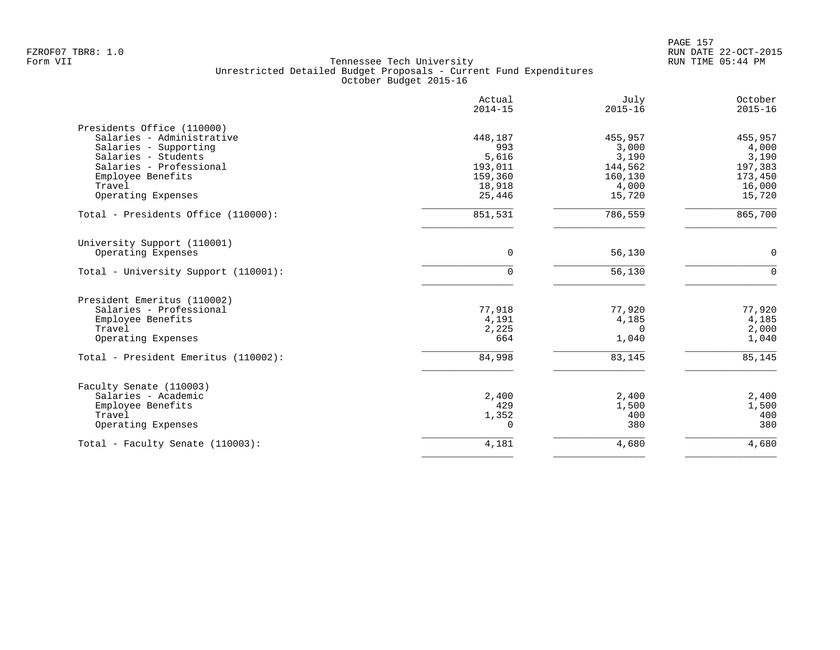|                                      | Actual<br>$2014 - 15$ | July<br>$2015 - 16$ | October<br>$2015 - 16$ |
|--------------------------------------|-----------------------|---------------------|------------------------|
| Presidents Office (110000)           |                       |                     |                        |
| Salaries - Administrative            | 448,187               | 455,957             | 455,957                |
| Salaries - Supporting                | 993                   | 3,000               | 4,000                  |
| Salaries - Students                  | 5,616                 | 3,190               | 3,190                  |
| Salaries - Professional              | 193,011               | 144,562             | 197,383                |
| Employee Benefits                    | 159,360               | 160,130             | 173,450                |
| Travel                               | 18,918                | 4,000               | 16,000                 |
| Operating Expenses                   | 25,446                | 15,720              | 15,720                 |
| Total - Presidents Office (110000):  | 851,531               | 786,559             | 865,700                |
| University Support (110001)          |                       |                     |                        |
| Operating Expenses                   | 0                     | 56,130              | $\mathbf 0$            |
| Total - University Support (110001): | $\Omega$              | 56,130              | $\Omega$               |
| President Emeritus (110002)          |                       |                     |                        |
| Salaries - Professional              | 77,918                | 77,920              | 77,920                 |
| Employee Benefits                    | 4,191                 | 4,185               | 4,185                  |
| Travel                               | 2,225                 | $\Omega$            | 2,000                  |
| Operating Expenses                   | 664                   | 1,040               | 1,040                  |
| Total - President Emeritus (110002): | 84,998                | 83,145              | 85,145                 |
| Faculty Senate (110003)              |                       |                     |                        |
| Salaries - Academic                  | 2,400                 | 2,400               | 2,400                  |
| Employee Benefits                    | 429                   | 1,500               | 1,500                  |
| Travel                               | 1,352                 | 400                 | 400                    |
| Operating Expenses                   | $\Omega$              | 380                 | 380                    |
| Total - Faculty Senate (110003):     | 4,181                 | 4,680               | 4,680                  |
|                                      |                       |                     |                        |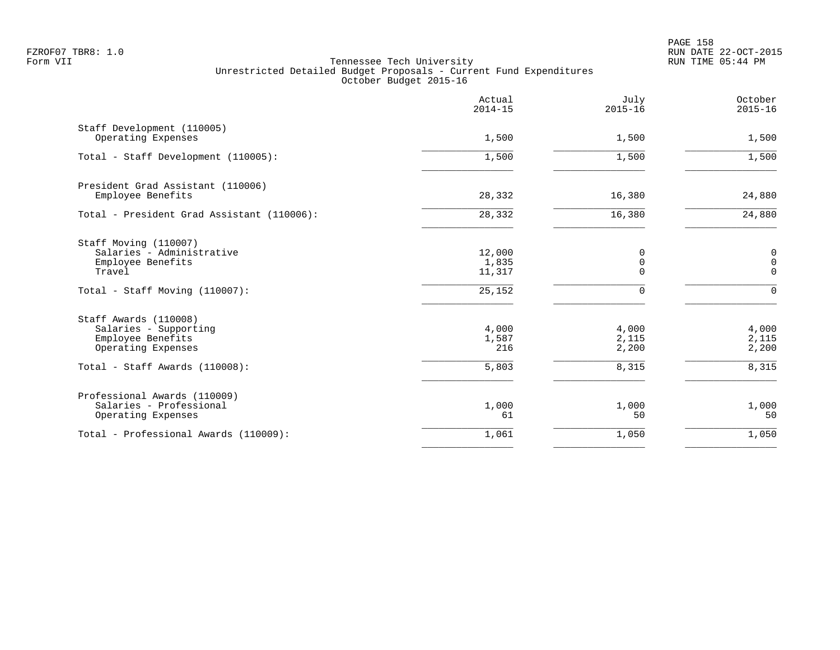PAGE 158 FZROF07 TBR8: 1.0 RUN DATE 22-OCT-2015

|                                                                                           | Actual<br>$2014 - 15$     | July<br>$2015 - 16$     | October<br>$2015 - 16$      |
|-------------------------------------------------------------------------------------------|---------------------------|-------------------------|-----------------------------|
| Staff Development (110005)<br>Operating Expenses                                          | 1,500                     | 1,500                   | 1,500                       |
| Total - Staff Development (110005):                                                       | 1,500                     | 1,500                   | 1,500                       |
| President Grad Assistant (110006)<br>Employee Benefits                                    | 28,332                    | 16,380                  | 24,880                      |
| Total - President Grad Assistant (110006):                                                | 28,332                    | 16,380                  | 24,880                      |
| Staff Moving (110007)<br>Salaries - Administrative<br>Employee Benefits<br>Travel         | 12,000<br>1,835<br>11,317 | 0<br>0<br>$\Omega$      | 0<br>$\,0\,$<br>$\mathbf 0$ |
| Total - Staff Moving (110007):                                                            | 25,152                    | $\Omega$                | $\mathbf 0$                 |
| Staff Awards (110008)<br>Salaries - Supporting<br>Employee Benefits<br>Operating Expenses | 4,000<br>1,587<br>216     | 4,000<br>2,115<br>2,200 | 4,000<br>2,115<br>2,200     |
| Total - Staff Awards (110008):                                                            | $\overline{5,803}$        | 8,315                   | 8,315                       |
| Professional Awards (110009)<br>Salaries - Professional<br>Operating Expenses             | 1,000<br>61               | 1,000<br>50             | 1,000<br>50                 |
| Total - Professional Awards (110009):                                                     | 1,061                     | 1,050                   | 1,050                       |
|                                                                                           |                           |                         |                             |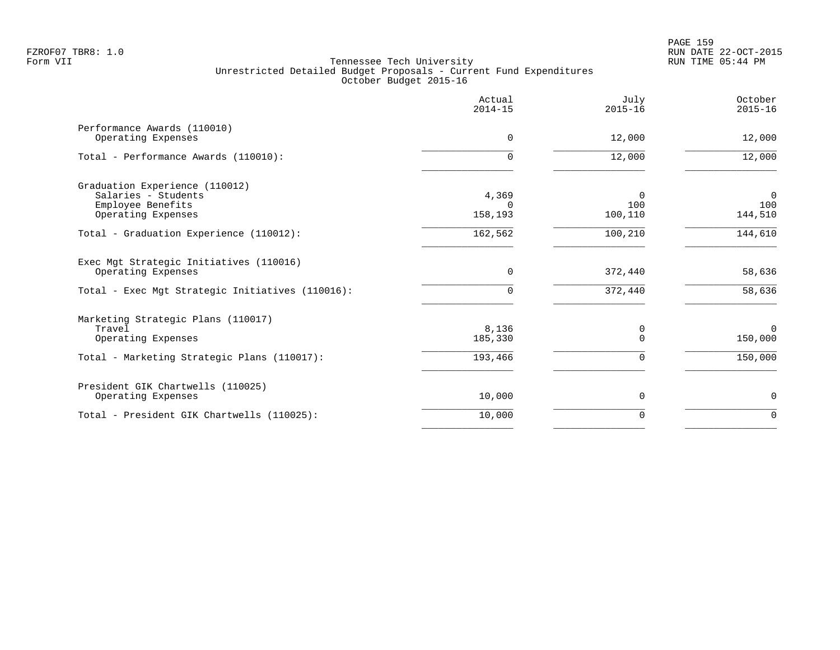|                                                                                                  | Actual<br>$2014 - 15$        | July<br>$2015 - 16$        | October<br>$2015 - 16$           |
|--------------------------------------------------------------------------------------------------|------------------------------|----------------------------|----------------------------------|
| Performance Awards (110010)<br>Operating Expenses                                                | $\mathbf 0$                  | 12,000                     | 12,000                           |
| Total - Performance Awards (110010):                                                             | $\Omega$                     | 12,000                     | 12,000                           |
| Graduation Experience (110012)<br>Salaries - Students<br>Employee Benefits<br>Operating Expenses | 4,369<br>$\Omega$<br>158,193 | $\Omega$<br>100<br>100,110 | $\overline{0}$<br>100<br>144,510 |
| Total - Graduation Experience (110012):                                                          | 162,562                      | 100,210                    | 144,610                          |
| Exec Mgt Strategic Initiatives (110016)<br>Operating Expenses                                    | $\mathbf 0$                  | 372,440                    | 58,636                           |
| Total - Exec Mgt Strategic Initiatives (110016):                                                 | $\mathbf 0$                  | 372,440                    | 58,636                           |
| Marketing Strategic Plans (110017)<br>Travel<br>Operating Expenses                               | 8,136<br>185,330             | 0<br>U                     | $\Omega$<br>150,000              |
| Total - Marketing Strategic Plans (110017):                                                      | 193,466                      | U                          | 150,000                          |
| President GIK Chartwells (110025)<br>Operating Expenses                                          | 10,000                       | 0                          | $\mathbf 0$                      |
| Total - President GIK Chartwells (110025):                                                       | 10,000                       | $\Omega$                   | $\Omega$                         |
|                                                                                                  |                              |                            |                                  |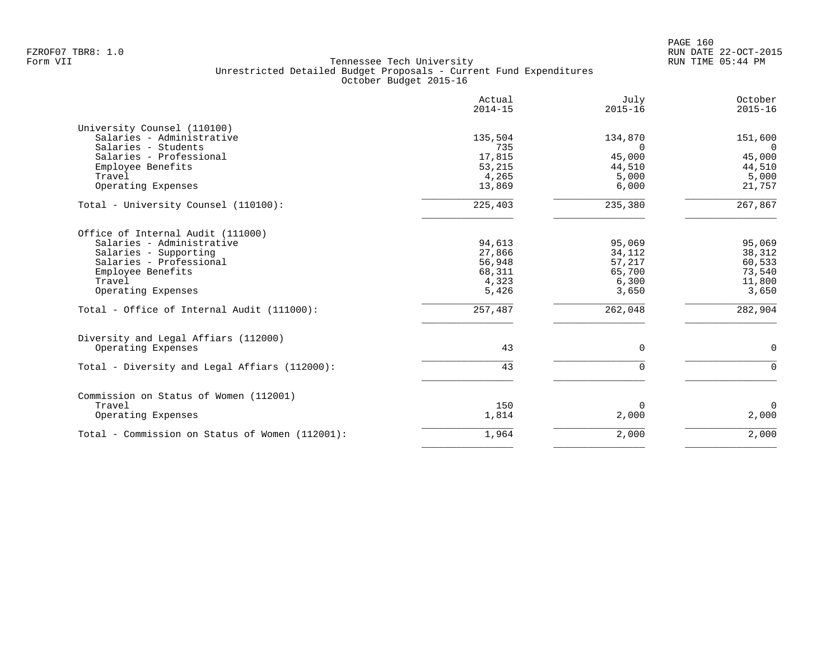|                                                          | Actual<br>$2014 - 15$ | July<br>$2015 - 16$ | October<br>$2015 - 16$ |
|----------------------------------------------------------|-----------------------|---------------------|------------------------|
| University Counsel (110100)<br>Salaries - Administrative | 135,504               | 134,870             | 151,600                |
| Salaries - Students                                      | 735                   | $\Omega$            | $\Omega$               |
| Salaries - Professional                                  | 17,815                | 45,000              | 45,000                 |
| Employee Benefits                                        | 53,215                | 44,510              | 44,510                 |
| Travel                                                   | 4,265                 | 5,000               | 5,000                  |
| Operating Expenses                                       | 13,869                | 6,000               | 21,757                 |
| Total - University Counsel (110100):                     | 225,403               | 235,380             | 267,867                |
| Office of Internal Audit (111000)                        |                       |                     |                        |
| Salaries - Administrative                                | 94,613                | 95,069              | 95,069                 |
| Salaries - Supporting                                    | 27,866                | 34,112              | 38,312                 |
| Salaries - Professional                                  | 56,948                | 57,217              | 60,533                 |
| Employee Benefits                                        | 68,311                | 65,700              | 73,540                 |
| Travel                                                   | 4,323                 | 6,300               | 11,800                 |
| Operating Expenses                                       | 5,426                 | 3,650               | 3,650                  |
| Total - Office of Internal Audit (111000):               | 257,487               | 262,048             | 282,904                |
| Diversity and Legal Affiars (112000)                     |                       |                     |                        |
| Operating Expenses                                       | 43                    | $\mathbf 0$         | $\mathbf 0$            |
| Total - Diversity and Legal Affiars (112000):            | 43                    | $\mathbf 0$         | $\mathbf 0$            |
| Commission on Status of Women (112001)                   |                       |                     |                        |
| Travel                                                   | 150                   | 0                   | $\mathbf 0$            |
| Operating Expenses                                       | 1,814                 | 2,000               | 2,000                  |
| Total - Commission on Status of Women (112001):          | 1,964                 | 2,000               | 2,000                  |
|                                                          |                       |                     |                        |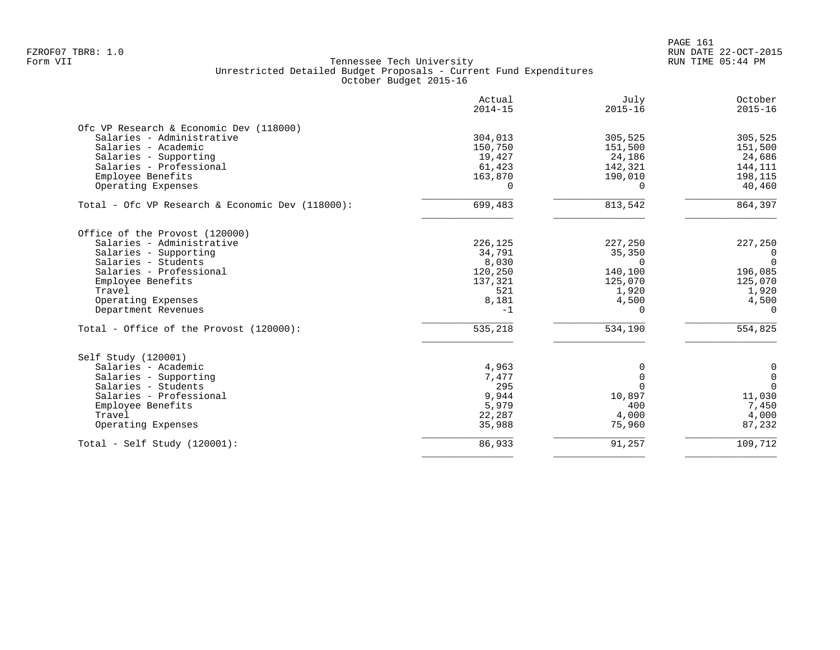| Actual<br>$2014 - 15$ | July<br>$2015 - 16$                                                                                                                        | October<br>$2015 - 16$                                                                                                                  |
|-----------------------|--------------------------------------------------------------------------------------------------------------------------------------------|-----------------------------------------------------------------------------------------------------------------------------------------|
|                       |                                                                                                                                            |                                                                                                                                         |
| 304,013               | 305,525                                                                                                                                    | 305,525                                                                                                                                 |
| 150,750               |                                                                                                                                            | 151,500                                                                                                                                 |
|                       |                                                                                                                                            | 24,686                                                                                                                                  |
| 61,423                | 142,321                                                                                                                                    | 144,111                                                                                                                                 |
|                       |                                                                                                                                            | 198,115                                                                                                                                 |
| $\Omega$              | $\Omega$                                                                                                                                   | 40,460                                                                                                                                  |
| 699,483               | 813,542                                                                                                                                    | 864,397                                                                                                                                 |
|                       |                                                                                                                                            |                                                                                                                                         |
|                       |                                                                                                                                            | 227,250                                                                                                                                 |
|                       |                                                                                                                                            | $\mathbf{0}$                                                                                                                            |
|                       |                                                                                                                                            | $\Omega$                                                                                                                                |
|                       |                                                                                                                                            | 196,085                                                                                                                                 |
|                       |                                                                                                                                            | 125,070                                                                                                                                 |
|                       |                                                                                                                                            | 1,920                                                                                                                                   |
|                       |                                                                                                                                            | 4,500                                                                                                                                   |
| $-1$                  | $\Omega$                                                                                                                                   | $\Omega$                                                                                                                                |
| 535,218               | 534,190                                                                                                                                    | 554,825                                                                                                                                 |
|                       |                                                                                                                                            |                                                                                                                                         |
|                       |                                                                                                                                            | 0                                                                                                                                       |
|                       | $\Omega$                                                                                                                                   | $\mathbf 0$                                                                                                                             |
|                       | $\Omega$                                                                                                                                   | $\Omega$                                                                                                                                |
|                       |                                                                                                                                            | 11,030                                                                                                                                  |
|                       | 400                                                                                                                                        | 7,450                                                                                                                                   |
|                       |                                                                                                                                            | 4,000                                                                                                                                   |
| 35,988                | 75,960                                                                                                                                     | 87,232                                                                                                                                  |
| 86,933                |                                                                                                                                            | 109,712                                                                                                                                 |
|                       | 19,427<br>163,870<br>226,125<br>34,791<br>8,030<br>120,250<br>137,321<br>521<br>8,181<br>4,963<br>7,477<br>295<br>9,944<br>5,979<br>22,287 | 151,500<br>24,186<br>190,010<br>227,250<br>35,350<br>$\Omega$<br>140,100<br>125,070<br>1,920<br>4,500<br>0<br>10,897<br>4,000<br>91,257 |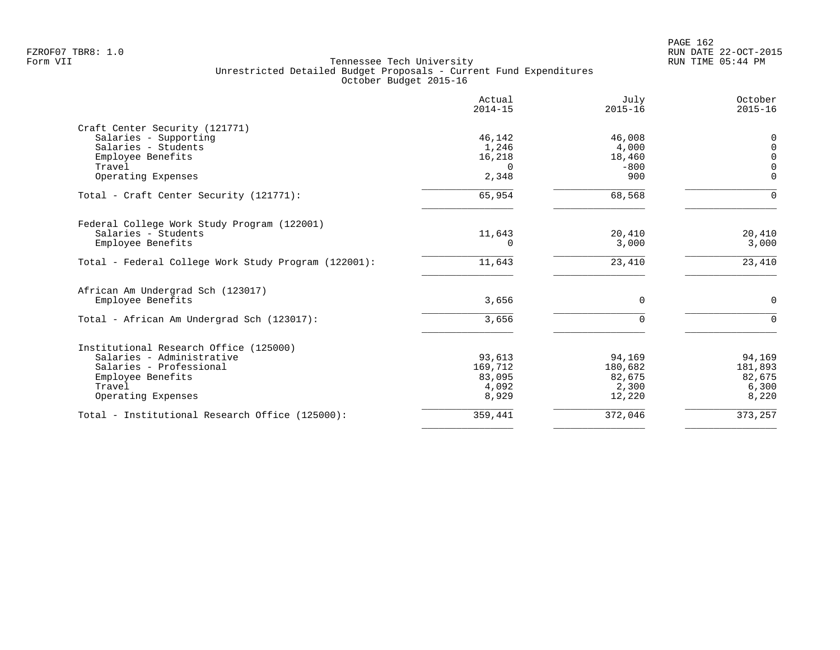| Actual<br>$2014 - 15$ | July<br>$2015 - 16$ | October<br>$2015 - 16$ |
|-----------------------|---------------------|------------------------|
|                       |                     |                        |
| 46,142                | 46,008              | 0                      |
| 1,246                 | 4,000               | $\mathbf 0$            |
| 16,218                | 18,460              | $\mathbf 0$            |
| $\Omega$              | $-800$              | $\mathbf 0$            |
| 2,348                 | 900                 | $\Omega$               |
| 65,954                | 68,568              | $\Omega$               |
|                       |                     |                        |
| 11,643                | 20,410              | 20,410                 |
| 0                     | 3,000               | 3,000                  |
| 11,643                | 23,410              | 23,410                 |
|                       |                     |                        |
| 3,656                 | $\Omega$            | $\Omega$               |
| 3,656                 | $\Omega$            | $\Omega$               |
|                       |                     |                        |
| 93,613                | 94,169              | 94,169                 |
| 169,712               | 180,682             | 181,893                |
| 83,095                | 82,675              | 82,675                 |
| 4,092                 | 2,300               | 6,300                  |
|                       |                     | 8,220                  |
| 359,441               | 372,046             | 373,257                |
|                       | 8,929               | 12,220                 |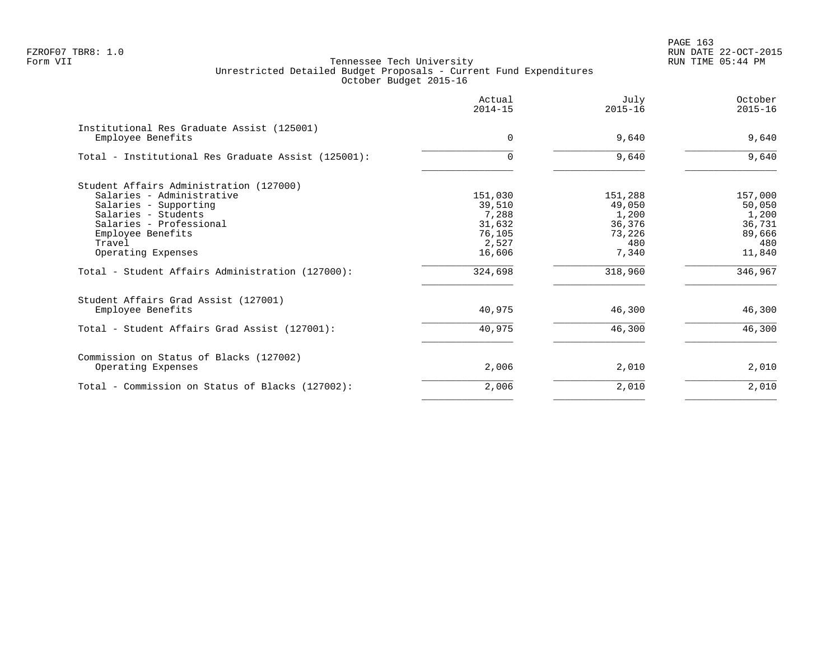PAGE 163 FZROF07 TBR8: 1.0 RUN DATE 22-OCT-2015

| Actual<br>$2014 - 15$                                             | July<br>$2015 - 16$                                            | October<br>$2015 - 16$                                          |
|-------------------------------------------------------------------|----------------------------------------------------------------|-----------------------------------------------------------------|
| $\Omega$                                                          | 9,640                                                          | 9,640                                                           |
| $\Omega$                                                          | 9,640                                                          | 9,640                                                           |
| 151,030<br>39,510<br>7,288<br>31,632<br>76,105<br>2,527<br>16,606 | 151,288<br>49,050<br>1,200<br>36,376<br>73,226<br>480<br>7,340 | 157,000<br>50,050<br>1,200<br>36,731<br>89,666<br>480<br>11,840 |
| 324,698                                                           | 318,960                                                        | 346,967                                                         |
| 40,975<br>40,975                                                  | 46,300<br>46,300                                               | 46,300<br>46,300                                                |
| 2,006                                                             | 2,010                                                          | 2,010                                                           |
| 2,006                                                             | 2,010                                                          | 2,010                                                           |
|                                                                   |                                                                |                                                                 |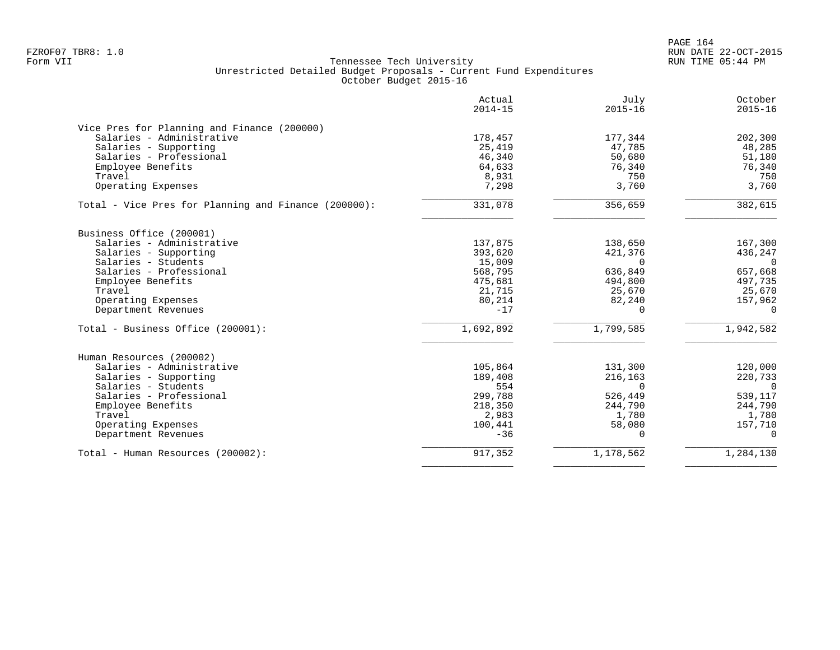| Actual<br>$2014 - 15$ | July<br>$2015 - 16$                                                                                                                           | October<br>$2015 - 16$                                                                                                                              |
|-----------------------|-----------------------------------------------------------------------------------------------------------------------------------------------|-----------------------------------------------------------------------------------------------------------------------------------------------------|
|                       |                                                                                                                                               |                                                                                                                                                     |
| 178,457               | 177,344                                                                                                                                       | 202,300                                                                                                                                             |
| 25,419                | 47,785                                                                                                                                        | 48,285                                                                                                                                              |
| 46,340                | 50,680                                                                                                                                        | 51,180                                                                                                                                              |
| 64,633                | 76,340                                                                                                                                        | 76,340                                                                                                                                              |
| 8,931                 | 750                                                                                                                                           | 750                                                                                                                                                 |
| 7,298                 | 3,760                                                                                                                                         | 3,760                                                                                                                                               |
| 331,078               | 356,659                                                                                                                                       | 382,615                                                                                                                                             |
|                       |                                                                                                                                               |                                                                                                                                                     |
|                       |                                                                                                                                               | 167,300                                                                                                                                             |
|                       |                                                                                                                                               | 436,247                                                                                                                                             |
|                       |                                                                                                                                               | $\Omega$                                                                                                                                            |
|                       |                                                                                                                                               | 657,668                                                                                                                                             |
|                       |                                                                                                                                               | 497,735                                                                                                                                             |
|                       |                                                                                                                                               | 25,670                                                                                                                                              |
|                       |                                                                                                                                               | 157,962                                                                                                                                             |
| $-17$                 | $\Omega$                                                                                                                                      | $\Omega$                                                                                                                                            |
| 1,692,892             | 1,799,585                                                                                                                                     | 1,942,582                                                                                                                                           |
|                       |                                                                                                                                               |                                                                                                                                                     |
|                       |                                                                                                                                               | 120,000                                                                                                                                             |
|                       |                                                                                                                                               | 220,733                                                                                                                                             |
|                       |                                                                                                                                               | $\Omega$                                                                                                                                            |
|                       |                                                                                                                                               | 539,117                                                                                                                                             |
|                       |                                                                                                                                               | 244,790                                                                                                                                             |
|                       |                                                                                                                                               | 1,780                                                                                                                                               |
|                       |                                                                                                                                               | 157,710                                                                                                                                             |
| $-36$                 | $\Omega$                                                                                                                                      | $\Omega$                                                                                                                                            |
| 917,352               | 1,178,562                                                                                                                                     | 1,284,130                                                                                                                                           |
|                       | 137,875<br>393,620<br>15,009<br>568,795<br>475,681<br>21,715<br>80,214<br>105,864<br>189,408<br>554<br>299,788<br>218,350<br>2,983<br>100,441 | 138,650<br>421,376<br>$\Omega$<br>636,849<br>494,800<br>25,670<br>82,240<br>131,300<br>216,163<br>$\Omega$<br>526,449<br>244,790<br>1,780<br>58,080 |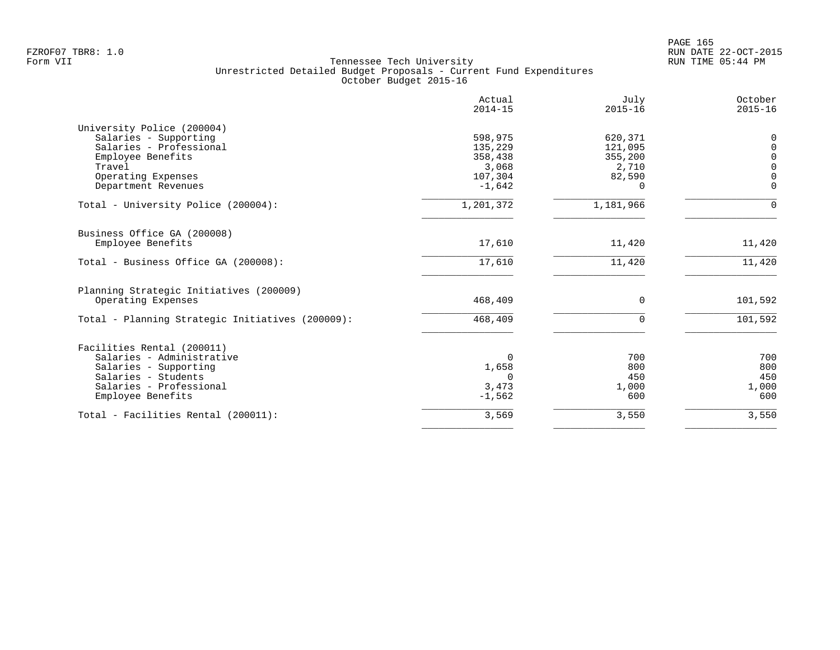PAGE 165 FZROF07 TBR8: 1.0 RUN DATE 22-OCT-2015

|                                                                                                                                                            | Actual<br>$2014 - 15$                                         | July<br>$2015 - 16$                                   | October<br>$2015 - 16$                                                    |
|------------------------------------------------------------------------------------------------------------------------------------------------------------|---------------------------------------------------------------|-------------------------------------------------------|---------------------------------------------------------------------------|
| University Police (200004)<br>Salaries - Supporting<br>Salaries - Professional<br>Employee Benefits<br>Travel<br>Operating Expenses<br>Department Revenues | 598,975<br>135,229<br>358,438<br>3,068<br>107,304<br>$-1,642$ | 620,371<br>121,095<br>355,200<br>2,710<br>82,590<br>∩ | 0<br>$\mathbf 0$<br>$\mathbf 0$<br>$\Omega$<br>$\mathbf 0$<br>$\mathbf 0$ |
| Total - University Police (200004):                                                                                                                        | 1,201,372                                                     | 1,181,966                                             | $\Omega$                                                                  |
| Business Office GA (200008)<br>Employee Benefits<br>Total - Business Office GA (200008):                                                                   | 17,610<br>17,610                                              | 11,420<br>11,420                                      | 11,420<br>11,420                                                          |
| Planning Strategic Initiatives (200009)<br>Operating Expenses<br>Total - Planning Strategic Initiatives (200009):                                          | 468,409                                                       | 0<br>$\Omega$                                         | 101,592<br>101,592                                                        |
| Facilities Rental (200011)<br>Salaries - Administrative<br>Salaries - Supporting<br>Salaries - Students<br>Salaries - Professional<br>Employee Benefits    | 468,409<br>$\Omega$<br>1,658<br>0<br>3,473<br>$-1,562$        | 700<br>800<br>450<br>1,000<br>600                     | 700<br>800<br>450<br>1,000<br>600                                         |
| Total - Facilities Rental (200011):                                                                                                                        | 3,569                                                         | 3,550                                                 | 3,550                                                                     |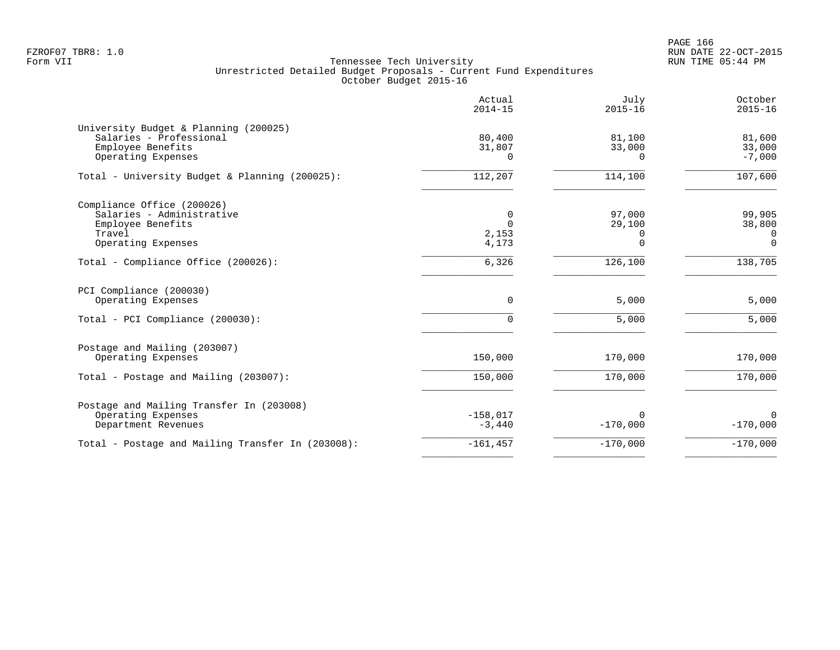PAGE 166 FZROF07 TBR8: 1.0 RUN DATE 22-OCT-2015

|                                                                                                              | Actual<br>$2014 - 15$              | July<br>$2015 - 16$                      | October<br>$2015 - 16$                   |
|--------------------------------------------------------------------------------------------------------------|------------------------------------|------------------------------------------|------------------------------------------|
| University Budget & Planning (200025)<br>Salaries - Professional<br>Employee Benefits<br>Operating Expenses  | 80,400<br>31,807<br>0              | 81,100<br>33,000<br>$\Omega$             | 81,600<br>33,000<br>$-7,000$             |
| Total - University Budget & Planning (200025):                                                               | 112,207                            | 114,100                                  | 107,600                                  |
| Compliance Office (200026)<br>Salaries - Administrative<br>Employee Benefits<br>Travel<br>Operating Expenses | 0<br>$\mathbf 0$<br>2,153<br>4,173 | 97,000<br>29,100<br>$\Omega$<br>$\Omega$ | 99,905<br>38,800<br>$\Omega$<br>$\Omega$ |
| Total - Compliance Office (200026):                                                                          | 6,326                              | 126,100                                  | 138,705                                  |
| PCI Compliance (200030)<br>Operating Expenses                                                                | $\Omega$                           | 5,000                                    | 5,000                                    |
| Total - PCI Compliance (200030):                                                                             | 0                                  | 5,000                                    | 5,000                                    |
| Postage and Mailing (203007)<br>Operating Expenses                                                           | 150,000                            | 170,000                                  | 170,000                                  |
| Total - Postage and Mailing (203007):                                                                        | 150,000                            | 170,000                                  | 170,000                                  |
| Postage and Mailing Transfer In (203008)<br>Operating Expenses<br>Department Revenues                        | $-158,017$<br>$-3,440$             | $\Omega$<br>$-170,000$                   | $\mathbf 0$<br>$-170,000$                |
| Total - Postage and Mailing Transfer In (203008):                                                            | $-161, 457$                        | $-170,000$                               | $-170,000$                               |
|                                                                                                              |                                    |                                          |                                          |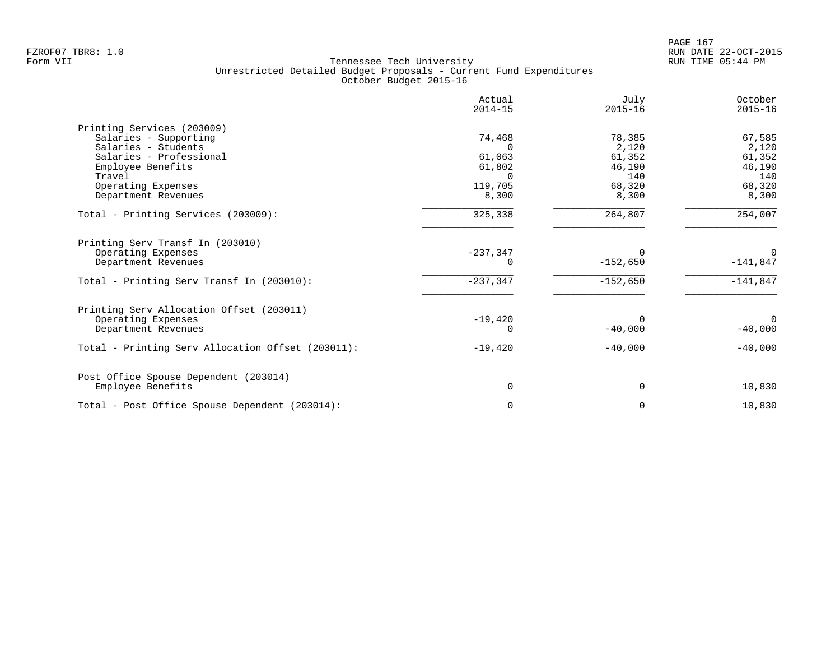|                                                   | Actual<br>$2014 - 15$ | July<br>$2015 - 16$ | October<br>$2015 - 16$ |
|---------------------------------------------------|-----------------------|---------------------|------------------------|
| Printing Services (203009)                        |                       |                     |                        |
| Salaries - Supporting                             | 74,468                | 78,385              | 67,585                 |
| Salaries - Students                               |                       | 2,120               | 2,120                  |
| Salaries - Professional                           | 61,063                | 61,352              | 61,352                 |
| Employee Benefits                                 | 61,802                | 46,190              | 46,190                 |
| Travel                                            |                       | 140                 | 140                    |
| Operating Expenses                                | 119,705               | 68,320              | 68,320                 |
| Department Revenues                               | 8,300                 | 8,300               | 8,300                  |
| Total - Printing Services (203009):               | 325,338               | 264,807             | 254,007                |
| Printing Serv Transf In (203010)                  |                       |                     |                        |
| Operating Expenses                                | $-237,347$            | $\Omega$            | $\Omega$               |
| Department Revenues                               |                       | $-152,650$          | $-141,847$             |
| Total - Printing Serv Transf In (203010):         | $-237,347$            | $-152,650$          | $-141,847$             |
| Printing Serv Allocation Offset (203011)          |                       |                     |                        |
| Operating Expenses                                | $-19,420$             | $\Omega$            | $\mathbf 0$            |
| Department Revenues                               |                       | $-40,000$           | $-40,000$              |
| Total - Printing Serv Allocation Offset (203011): | $-19,420$             | $-40,000$           | $-40,000$              |
| Post Office Spouse Dependent (203014)             |                       |                     |                        |
| Employee Benefits                                 | $\mathbf 0$           | 0                   | 10,830                 |
| Total - Post Office Spouse Dependent (203014):    |                       | $\Omega$            | 10,830                 |
|                                                   |                       |                     |                        |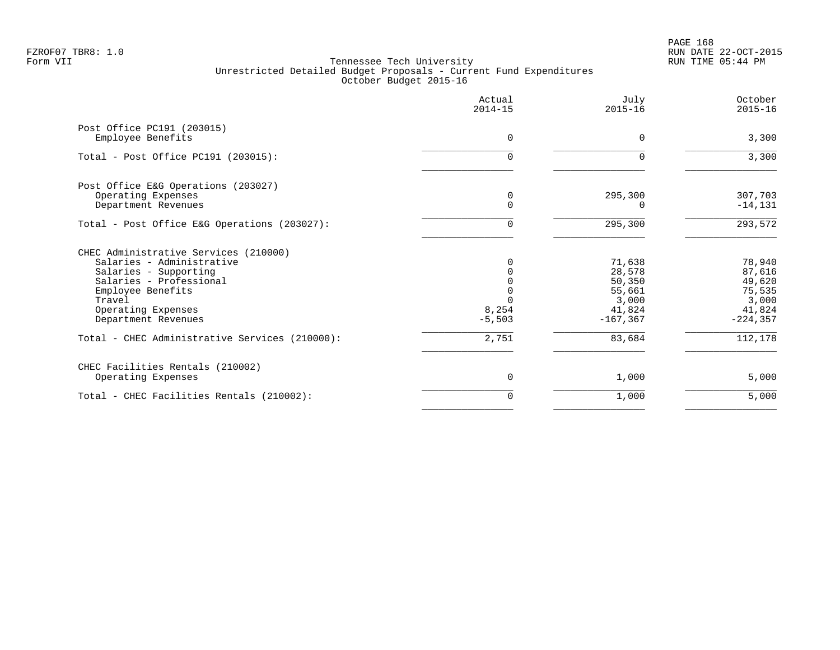PAGE 168 FZROF07 TBR8: 1.0 RUN DATE 22-OCT-2015

|                                                 | Actual<br>$2014 - 15$ | July<br>$2015 - 16$ | October<br>$2015 - 16$ |
|-------------------------------------------------|-----------------------|---------------------|------------------------|
| Post Office PC191 (203015)<br>Employee Benefits | $\Omega$              | $\Omega$            | 3,300                  |
|                                                 |                       |                     |                        |
| Total - Post Office PC191 (203015):             | 0                     | ∩                   | 3,300                  |
| Post Office E&G Operations (203027)             |                       |                     |                        |
| Operating Expenses                              | 0                     | 295,300             | 307,703                |
| Department Revenues                             | $\Omega$              | $\Omega$            | $-14,131$              |
| Total - Post Office E&G Operations (203027):    | O                     | 295,300             | 293,572                |
| CHEC Administrative Services (210000)           |                       |                     |                        |
| Salaries - Administrative                       |                       | 71,638              | 78,940                 |
| Salaries - Supporting                           |                       | 28,578              | 87,616                 |
| Salaries - Professional                         |                       | 50,350              | 49,620                 |
| Employee Benefits                               |                       | 55,661              | 75,535                 |
| Travel                                          |                       | 3,000               | 3,000                  |
| Operating Expenses                              | 8,254                 | 41,824              | 41,824                 |
| Department Revenues                             | $-5,503$              | $-167, 367$         | $-224, 357$            |
| Total - CHEC Administrative Services (210000):  | 2,751                 | 83,684              | 112,178                |
| CHEC Facilities Rentals (210002)                |                       |                     |                        |
| Operating Expenses                              | 0                     | 1,000               | 5,000                  |
| Total - CHEC Facilities Rentals (210002):       | 0                     | 1,000               | 5,000                  |
|                                                 |                       |                     |                        |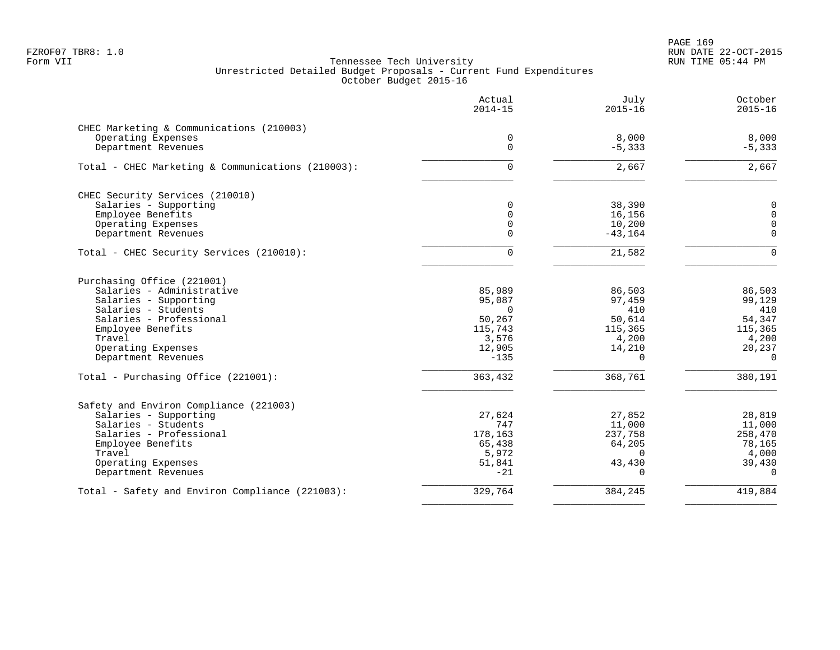| Actual<br>$2014 - 15$ | July<br>$2015 - 16$                                                                                                                      | October<br>$2015 - 16$                                                                                                                         |
|-----------------------|------------------------------------------------------------------------------------------------------------------------------------------|------------------------------------------------------------------------------------------------------------------------------------------------|
|                       |                                                                                                                                          |                                                                                                                                                |
| 0                     | 8,000                                                                                                                                    | 8,000                                                                                                                                          |
|                       |                                                                                                                                          | $-5,333$                                                                                                                                       |
| $\Omega$              | 2,667                                                                                                                                    | 2,667                                                                                                                                          |
|                       |                                                                                                                                          |                                                                                                                                                |
| 0                     | 38,390                                                                                                                                   | 0                                                                                                                                              |
|                       |                                                                                                                                          | $\mathbf 0$                                                                                                                                    |
|                       |                                                                                                                                          | $\mathbf 0$                                                                                                                                    |
|                       |                                                                                                                                          | $\mathbf 0$                                                                                                                                    |
| $\Omega$              | 21,582                                                                                                                                   | $\Omega$                                                                                                                                       |
|                       |                                                                                                                                          |                                                                                                                                                |
| 85,989                | 86,503                                                                                                                                   | 86,503                                                                                                                                         |
|                       |                                                                                                                                          | 99,129                                                                                                                                         |
|                       |                                                                                                                                          | 410                                                                                                                                            |
|                       |                                                                                                                                          | 54,347                                                                                                                                         |
|                       |                                                                                                                                          | 115,365                                                                                                                                        |
|                       |                                                                                                                                          | 4,200                                                                                                                                          |
| $-135$                | $\Omega$                                                                                                                                 | 20,237<br>$\Omega$                                                                                                                             |
| 363,432               | 368,761                                                                                                                                  | 380,191                                                                                                                                        |
|                       |                                                                                                                                          |                                                                                                                                                |
| 27,624                | 27,852                                                                                                                                   | 28,819                                                                                                                                         |
| 747                   | 11,000                                                                                                                                   | 11,000                                                                                                                                         |
|                       |                                                                                                                                          | 258,470                                                                                                                                        |
|                       |                                                                                                                                          | 78,165                                                                                                                                         |
|                       |                                                                                                                                          | 4,000                                                                                                                                          |
| $-21$                 | $\Omega$                                                                                                                                 | 39,430<br>$\Omega$                                                                                                                             |
| 329,764               | 384,245                                                                                                                                  | 419,884                                                                                                                                        |
|                       | $\mathbf 0$<br>$\mathbf 0$<br>0<br>0<br>95,087<br>$\cap$<br>50,267<br>115,743<br>3,576<br>12,905<br>178,163<br>65,438<br>5,972<br>51,841 | $-5,333$<br>16,156<br>10,200<br>$-43, 164$<br>97,459<br>410<br>50,614<br>115,365<br>4,200<br>14,210<br>237,758<br>64,205<br>$\Omega$<br>43,430 |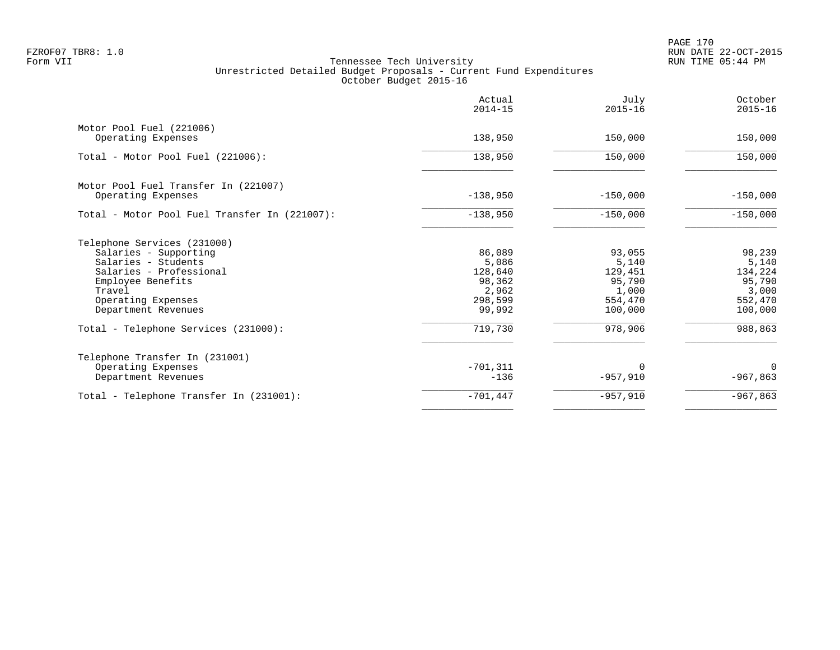PAGE 170 FZROF07 TBR8: 1.0 RUN DATE 22-OCT-2015

|                                               | Actual<br>$2014 - 15$ | July<br>$2015 - 16$ | October<br>$2015 - 16$ |
|-----------------------------------------------|-----------------------|---------------------|------------------------|
| Motor Pool Fuel (221006)                      |                       |                     |                        |
| Operating Expenses                            | 138,950               | 150,000             | 150,000                |
| Total - Motor Pool Fuel (221006):             | 138,950               | 150,000             | 150,000                |
| Motor Pool Fuel Transfer In (221007)          |                       |                     |                        |
| Operating Expenses                            | $-138,950$            | $-150,000$          | $-150,000$             |
| Total - Motor Pool Fuel Transfer In (221007): | $-138,950$            | $-150,000$          | $-150,000$             |
| Telephone Services (231000)                   |                       |                     |                        |
| Salaries - Supporting                         | 86,089                | 93,055              | 98,239                 |
| Salaries - Students                           | 5,086                 | 5,140               | 5,140                  |
| Salaries - Professional                       | 128,640               | 129,451             | 134,224                |
| Employee Benefits<br>Travel                   | 98,362<br>2,962       | 95,790<br>1,000     | 95,790<br>3,000        |
| Operating Expenses                            | 298,599               | 554,470             | 552,470                |
| Department Revenues                           | 99,992                | 100,000             | 100,000                |
| Total - Telephone Services (231000):          | 719,730               | 978,906             | 988,863                |
| Telephone Transfer In (231001)                |                       |                     |                        |
| Operating Expenses                            | $-701, 311$           | $\Omega$            | 0                      |
| Department Revenues                           | $-136$                | $-957,910$          | $-967,863$             |
| Total - Telephone Transfer In (231001):       | $-701,447$            | $-957,910$          | $-967,863$             |
|                                               |                       |                     |                        |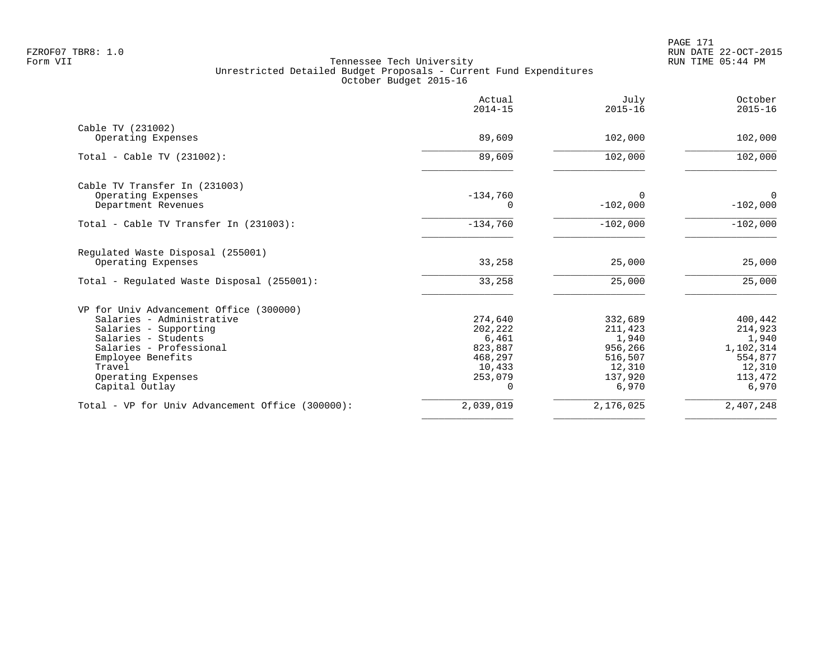|                                                  | Actual<br>$2014 - 15$ | July<br>$2015 - 16$ | October<br>$2015 - 16$ |
|--------------------------------------------------|-----------------------|---------------------|------------------------|
| Cable TV (231002)                                |                       |                     |                        |
| Operating Expenses                               | 89,609                | 102,000             | 102,000                |
| Total - Cable TV $(231002)$ :                    | 89,609                | 102,000             | 102,000                |
| Cable TV Transfer In (231003)                    |                       |                     |                        |
| Operating Expenses                               | $-134,760$            | 0                   | $\Omega$               |
| Department Revenues                              | 0                     | $-102,000$          | $-102,000$             |
| Total - Cable TV Transfer In (231003):           | $-134,760$            | $-102,000$          | $-102,000$             |
| Regulated Waste Disposal (255001)                |                       |                     |                        |
| Operating Expenses                               | 33,258                | 25,000              | 25,000                 |
| Total - Regulated Waste Disposal (255001):       | 33,258                | 25,000              | 25,000                 |
| VP for Univ Advancement Office (300000)          |                       |                     |                        |
| Salaries - Administrative                        | 274,640               | 332,689             | 400,442                |
| Salaries - Supporting                            | 202,222               | 211,423             | 214,923                |
| Salaries - Students                              | 6,461                 | 1,940               | 1,940                  |
| Salaries - Professional                          | 823,887               | 956,266             | 1,102,314              |
| Employee Benefits                                | 468,297               | 516,507             | 554,877                |
| Travel                                           | 10,433                | 12,310              | 12,310                 |
| Operating Expenses                               | 253,079               | 137,920             | 113,472                |
| Capital Outlay                                   | $\Omega$              | 6,970               | 6,970                  |
| Total - VP for Univ Advancement Office (300000): | 2,039,019             | 2,176,025           | 2,407,248              |
|                                                  |                       |                     |                        |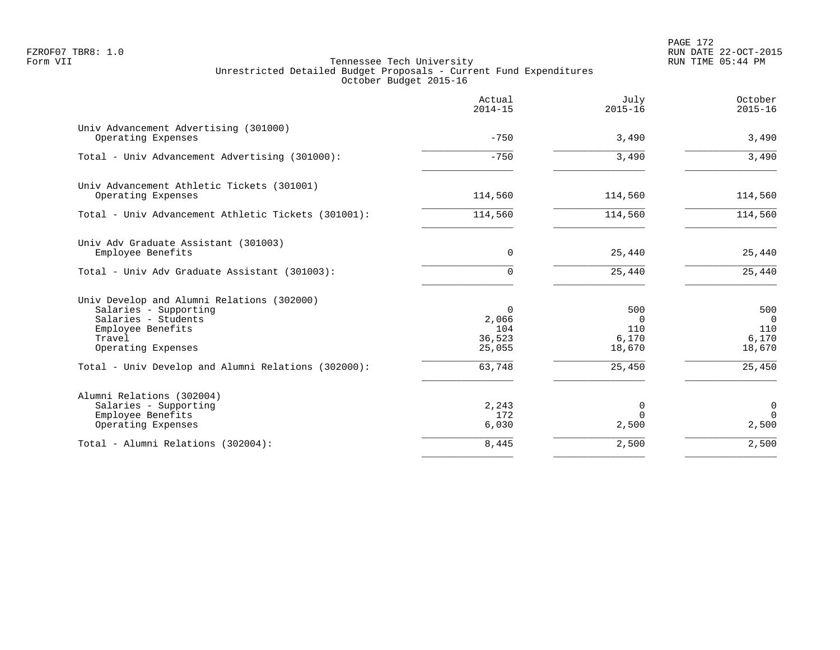PAGE 172 FZROF07 TBR8: 1.0 RUN DATE 22-OCT-2015

|                                                                                                                                                 | Actual<br>$2014 - 15$                 | July<br>$2015 - 16$                       | October<br>$2015 - 16$                          |
|-------------------------------------------------------------------------------------------------------------------------------------------------|---------------------------------------|-------------------------------------------|-------------------------------------------------|
| Univ Advancement Advertising (301000)<br>Operating Expenses                                                                                     | $-750$                                | 3,490                                     | 3,490                                           |
| Total - Univ Advancement Advertising (301000):                                                                                                  | $-750$                                | 3,490                                     | 3,490                                           |
| Univ Advancement Athletic Tickets (301001)<br>Operating Expenses                                                                                | 114,560                               | 114,560                                   | 114,560                                         |
| Total - Univ Advancement Athletic Tickets (301001):                                                                                             | 114,560                               | 114,560                                   | 114,560                                         |
| Univ Adv Graduate Assistant (301003)<br>Employee Benefits                                                                                       | $\Omega$                              | 25,440                                    | 25,440                                          |
| Total - Univ Adv Graduate Assistant (301003):                                                                                                   | $\Omega$                              | 25,440                                    | 25,440                                          |
| Univ Develop and Alumni Relations (302000)<br>Salaries - Supporting<br>Salaries - Students<br>Employee Benefits<br>Travel<br>Operating Expenses | 0<br>2,066<br>104<br>36,523<br>25,055 | 500<br>$\Omega$<br>110<br>6,170<br>18,670 | 500<br>$\overline{0}$<br>110<br>6,170<br>18,670 |
| Total - Univ Develop and Alumni Relations (302000):                                                                                             | 63,748                                | 25,450                                    | 25,450                                          |
| Alumni Relations (302004)<br>Salaries - Supporting<br>Employee Benefits<br>Operating Expenses                                                   | 2,243<br>172<br>6,030                 | 0<br>$\Omega$<br>2,500                    | $\overline{0}$<br>$\Omega$<br>2,500             |
| Total - Alumni Relations (302004):                                                                                                              | 8,445                                 | 2,500                                     | 2,500                                           |
|                                                                                                                                                 |                                       |                                           |                                                 |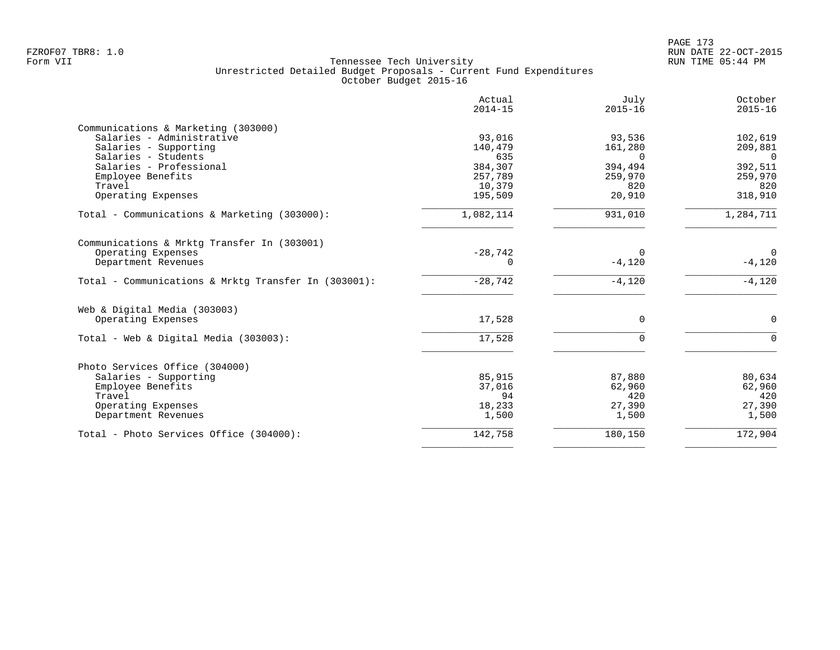|                                                      | Actual<br>$2014 - 15$ | July<br>$2015 - 16$ | October<br>$2015 - 16$ |
|------------------------------------------------------|-----------------------|---------------------|------------------------|
| Communications & Marketing (303000)                  |                       |                     |                        |
| Salaries - Administrative                            | 93,016                | 93,536              | 102,619                |
| Salaries - Supporting                                | 140,479               | 161,280             | 209,881                |
| Salaries - Students                                  | 635                   | <sup>n</sup>        | $\Omega$               |
| Salaries - Professional                              | 384,307               | 394,494             | 392,511                |
| Employee Benefits                                    | 257,789               | 259,970             | 259,970                |
| Travel                                               | 10,379                | 820                 | 820                    |
| Operating Expenses                                   | 195,509               | 20,910              | 318,910                |
| Total - Communications & Marketing (303000):         | 1,082,114             | 931,010             | 1,284,711              |
| Communications & Mrktg Transfer In (303001)          |                       |                     |                        |
| Operating Expenses                                   | $-28,742$             | $\Omega$            | $\overline{0}$         |
| Department Revenues                                  | 0                     | $-4,120$            | $-4,120$               |
|                                                      |                       |                     |                        |
| Total - Communications & Mrktq Transfer In (303001): | $-28,742$             | $-4,120$            | $-4,120$               |
| Web & Digital Media (303003)                         |                       |                     |                        |
| Operating Expenses                                   | 17,528                | $\mathbf 0$         | 0                      |
|                                                      |                       |                     |                        |
| Total - Web & Digital Media (303003):                | 17,528                | $\mathbf 0$         | $\mathbf 0$            |
| Photo Services Office (304000)                       |                       |                     |                        |
| Salaries - Supporting                                | 85,915                | 87,880              | 80,634                 |
| Employee Benefits                                    | 37,016                | 62,960              | 62,960                 |
| Travel                                               | 94                    | 420                 | 420                    |
| Operating Expenses                                   | 18,233                | 27,390              | 27,390                 |
| Department Revenues                                  | 1,500                 | 1,500               | 1,500                  |
| Total - Photo Services Office (304000):              | 142,758               | 180,150             | 172,904                |
|                                                      |                       |                     |                        |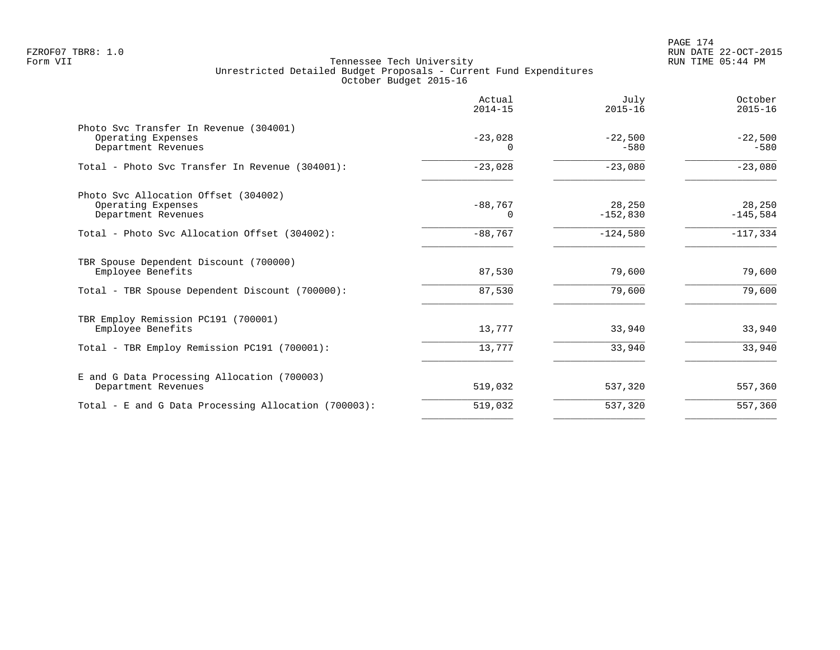|                                                                                                                | Actual<br>$2014 - 15$ | July<br>$2015 - 16$  | October<br>$2015 - 16$ |
|----------------------------------------------------------------------------------------------------------------|-----------------------|----------------------|------------------------|
| Photo Svc Transfer In Revenue (304001)<br>Operating Expenses<br>Department Revenues                            | $-23,028$<br>0        | $-22,500$<br>$-580$  | $-22,500$<br>$-580$    |
| Total - Photo Svc Transfer In Revenue (304001):                                                                | $-23,028$             | $-23,080$            | $-23,080$              |
| Photo Svc Allocation Offset (304002)<br>Operating Expenses<br>Department Revenues                              | $-88,767$<br>0        | 28,250<br>$-152,830$ | 28,250<br>$-145,584$   |
| Total - Photo Svc Allocation Offset (304002):                                                                  | $-88,767$             | $-124,580$           | $-117, 334$            |
| TBR Spouse Dependent Discount (700000)<br>Employee Benefits<br>Total - TBR Spouse Dependent Discount (700000): | 87,530<br>87,530      | 79,600<br>79,600     | 79,600<br>79,600       |
| TBR Employ Remission PC191 (700001)<br>Employee Benefits                                                       | 13,777                | 33,940               | 33,940                 |
| Total - TBR Employ Remission PC191 (700001):                                                                   | 13,777                | 33,940               | 33,940                 |
| E and G Data Processing Allocation (700003)<br>Department Revenues                                             | 519,032               | 537,320              | 557,360                |
| Total - E and G Data Processing Allocation (700003):                                                           | 519,032               | 537,320              | 557,360                |
|                                                                                                                |                       |                      |                        |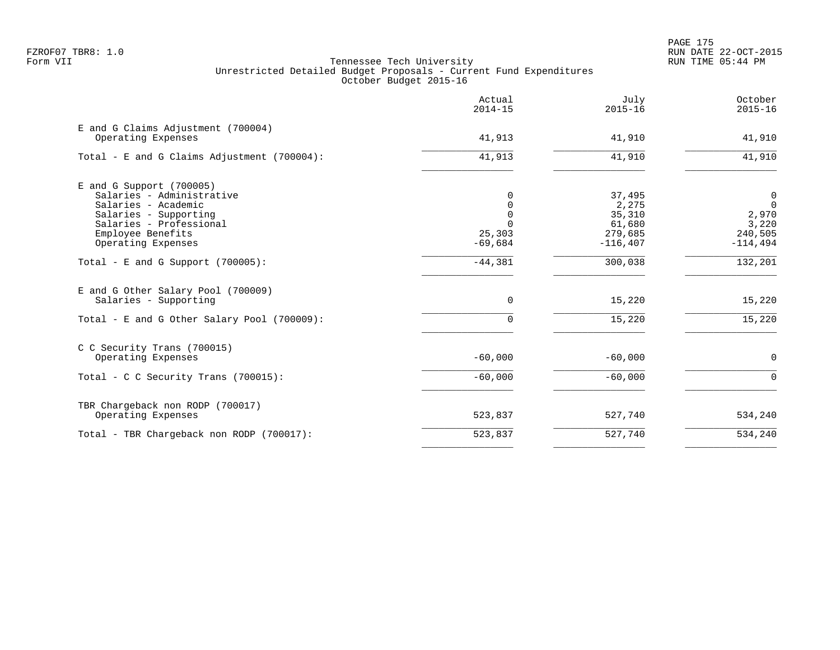|                                                             | Actual<br>$2014 - 15$ | July<br>$2015 - 16$ | October<br>$2015 - 16$ |
|-------------------------------------------------------------|-----------------------|---------------------|------------------------|
| E and G Claims Adjustment (700004)<br>Operating Expenses    | 41,913                | 41,910              | 41,910                 |
| Total - E and G Claims Adjustment (700004):                 | 41,913                | 41,910              | 41,910                 |
| $E$ and G Support (700005)<br>Salaries - Administrative     | 0                     | 37,495              | 0                      |
| Salaries - Academic                                         | $\mathbf 0$           | 2,275               | $\mathbf 0$            |
| Salaries - Supporting                                       | $\Omega$              | 35,310              | 2,970                  |
| Salaries - Professional                                     |                       | 61,680              | 3,220                  |
| Employee Benefits                                           | 25,303                | 279,685             | 240,505                |
| Operating Expenses                                          | $-69,684$             | $-116, 407$         | $-114,494$             |
| Total - E and G Support $(700005)$ :                        | $-44,381$             | 300,038             | 132,201                |
| E and G Other Salary Pool (700009)<br>Salaries - Supporting | $\mathbf 0$           | 15,220              | 15,220                 |
|                                                             |                       |                     |                        |
| Total - E and G Other Salary Pool (700009):                 | $\Omega$              | 15,220              | 15,220                 |
| C C Security Trans (700015)                                 |                       |                     |                        |
| Operating Expenses                                          | $-60,000$             | $-60,000$           | $\mathbf 0$            |
| Total - C C Security Trans (700015):                        | $-60,000$             | $-60,000$           | $\Omega$               |
| TBR Chargeback non RODP (700017)                            |                       |                     |                        |
| Operating Expenses                                          | 523,837               | 527,740             | 534,240                |
| Total - TBR Chargeback non RODP (700017):                   | 523,837               | 527,740             | 534,240                |
|                                                             |                       |                     |                        |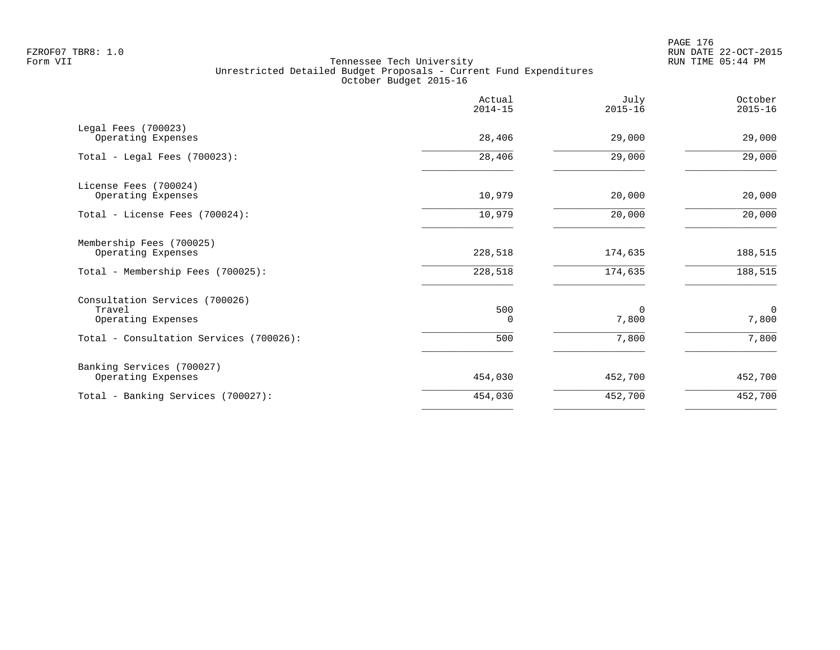PAGE 176 FZROF07 TBR8: 1.0 RUN DATE 22-OCT-2015

|                                                                | Actual<br>$2014 - 15$ | July<br>$2015 - 16$ | October<br>$2015 - 16$ |
|----------------------------------------------------------------|-----------------------|---------------------|------------------------|
| Legal Fees (700023)<br>Operating Expenses                      | 28,406                | 29,000              | 29,000                 |
| Total - Legal Fees $(700023)$ :                                | 28,406                | 29,000              | 29,000                 |
| License Fees (700024)<br>Operating Expenses                    | 10,979                | 20,000              | 20,000                 |
| Total - License Fees (700024):                                 | 10,979                | 20,000              | 20,000                 |
| Membership Fees (700025)<br>Operating Expenses                 | 228,518               | 174,635             | 188,515                |
| Total - Membership Fees (700025):                              | 228,518               | 174,635             | 188,515                |
| Consultation Services (700026)<br>Travel<br>Operating Expenses | 500<br>0              | $\Omega$<br>7,800   | $\mathbf 0$<br>7,800   |
| Total - Consultation Services (700026):                        | 500                   | 7,800               | 7,800                  |
| Banking Services (700027)<br>Operating Expenses                | 454,030               | 452,700             | 452,700                |
| Total - Banking Services (700027):                             | 454,030               | 452,700             | 452,700                |
|                                                                |                       |                     |                        |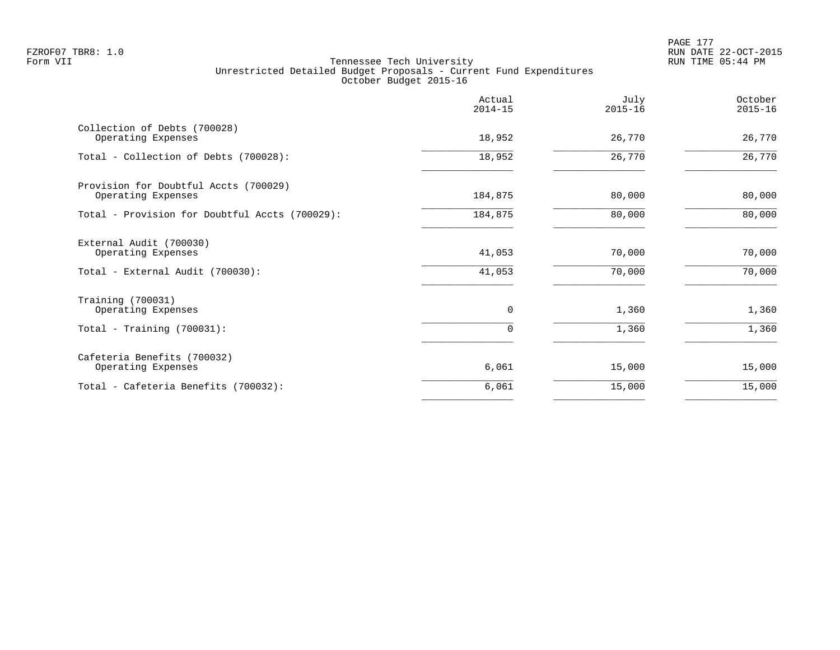PAGE 177 FZROF07 TBR8: 1.0 RUN DATE 22-OCT-2015

|                                                             | Actual<br>$2014 - 15$ | July<br>$2015 - 16$ | October<br>$2015 - 16$ |
|-------------------------------------------------------------|-----------------------|---------------------|------------------------|
| Collection of Debts (700028)<br>Operating Expenses          | 18,952                | 26,770              | 26,770                 |
| Total - Collection of Debts (700028):                       | 18,952                | 26,770              | 26,770                 |
| Provision for Doubtful Accts (700029)<br>Operating Expenses | 184,875               | 80,000              | 80,000                 |
| Total - Provision for Doubtful Accts (700029):              | 184,875               | 80,000              | 80,000                 |
| External Audit (700030)<br>Operating Expenses               | 41,053                | 70,000              | 70,000                 |
| Total - External Audit (700030):                            | 41,053                | 70,000              | 70,000                 |
| Training (700031)<br>Operating Expenses                     | 0                     | 1,360               | 1,360                  |
| Total - Training $(700031)$ :                               | 0                     | 1,360               | 1,360                  |
| Cafeteria Benefits (700032)<br>Operating Expenses           | 6,061                 | 15,000              | 15,000                 |
| Total - Cafeteria Benefits (700032):                        | 6,061                 | 15,000              | 15,000                 |
|                                                             |                       |                     |                        |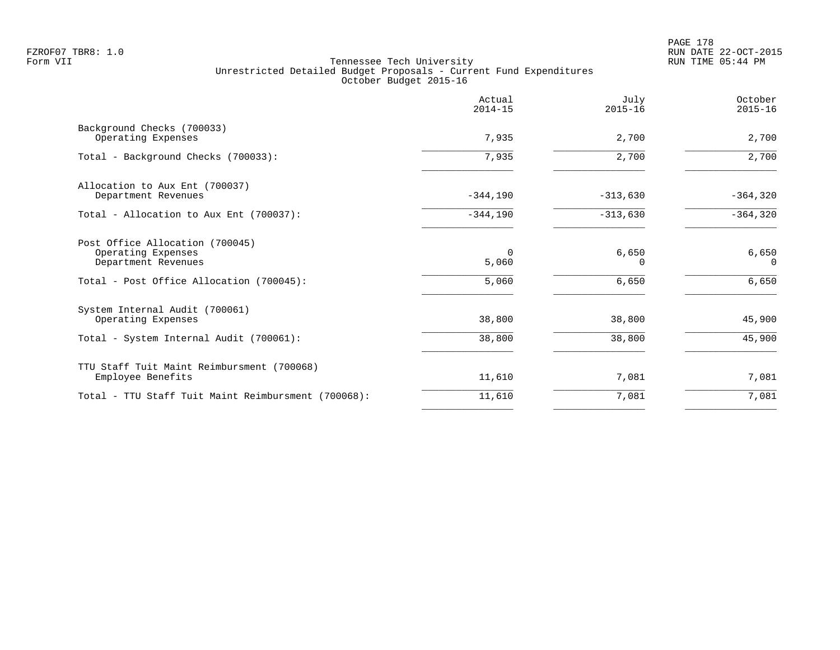|                                                                              | Actual<br>$2014 - 15$ | July<br>$2015 - 16$ | October<br>$2015 - 16$ |
|------------------------------------------------------------------------------|-----------------------|---------------------|------------------------|
| Background Checks (700033)<br>Operating Expenses                             | 7,935                 | 2,700               | 2,700                  |
| Total - Background Checks (700033):                                          | 7,935                 | 2,700               | 2,700                  |
| Allocation to Aux Ent (700037)<br>Department Revenues                        | $-344,190$            | $-313,630$          | $-364, 320$            |
| Total - Allocation to Aux Ent (700037):                                      | $-344,190$            | $-313,630$          | $-364, 320$            |
| Post Office Allocation (700045)<br>Operating Expenses<br>Department Revenues | $\Omega$<br>5,060     | 6,650<br>0          | 6,650<br>$\Omega$      |
| Total - Post Office Allocation (700045):                                     | 5,060                 | 6,650               | 6,650                  |
| System Internal Audit (700061)<br>Operating Expenses                         | 38,800                | 38,800              | 45,900                 |
| Total - System Internal Audit (700061):                                      | 38,800                | 38,800              | 45,900                 |
| TTU Staff Tuit Maint Reimbursment (700068)<br>Employee Benefits              | 11,610                | 7,081               | 7,081                  |
| Total - TTU Staff Tuit Maint Reimbursment (700068):                          | 11,610                | 7,081               | 7,081                  |
|                                                                              |                       |                     |                        |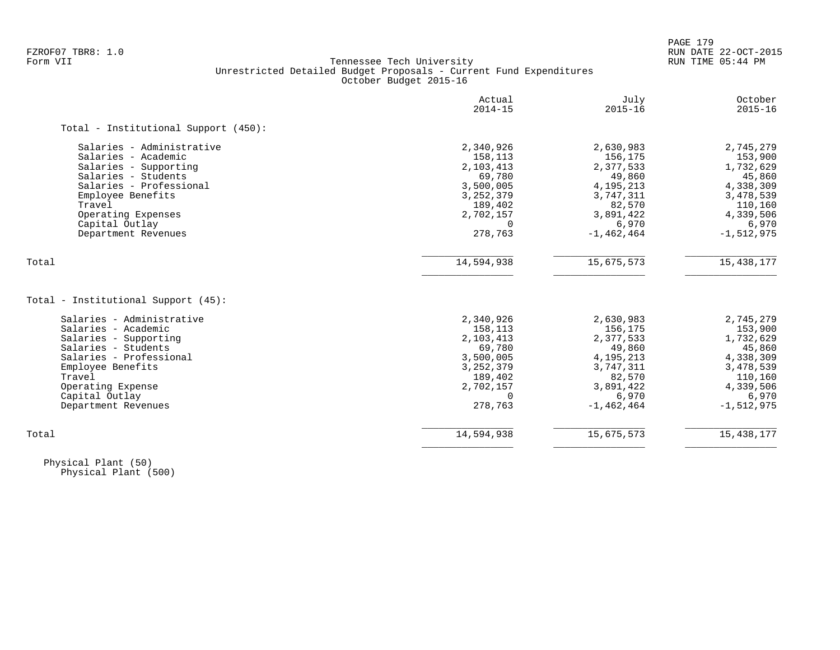# FZROF07 TBR8: 1.0 RUN DATE 22-OCT-2015 Tennessee Tech University Unrestricted Detailed Budget Proposals - Current Fund Expenditures October Budget 2015-16

|                                              | Actual<br>$2014 - 15$ | July<br>$2015 - 16$ | October<br>$2015 - 16$ |
|----------------------------------------------|-----------------------|---------------------|------------------------|
| Total - Institutional Support (450):         |                       |                     |                        |
| Salaries - Administrative                    | 2,340,926             | 2,630,983           | 2,745,279              |
| Salaries - Academic                          | 158,113               | 156,175             | 153,900                |
| Salaries - Supporting                        | 2,103,413             | 2,377,533           | 1,732,629              |
| Salaries - Students                          | 69,780                | 49,860              | 45,860                 |
| Salaries - Professional                      | 3,500,005             | 4, 195, 213         | 4,338,309              |
| Employee Benefits                            | 3, 252, 379           | 3,747,311           | 3,478,539              |
| Travel                                       | 189,402               | 82,570              | 110,160                |
| Operating Expenses                           | 2,702,157             | 3,891,422           | 4,339,506              |
| Capital Outlay                               | 0                     | 6,970               | 6,970                  |
| Department Revenues                          | 278,763               | $-1,462,464$        | $-1,512,975$           |
| Total                                        | 14,594,938            | 15,675,573          | 15, 438, 177           |
|                                              |                       |                     |                        |
| Total - Institutional Support (45):          |                       |                     |                        |
| Salaries - Administrative                    |                       |                     |                        |
| Salaries - Academic                          | 2,340,926             | 2,630,983           | 2,745,279              |
|                                              | 158,113<br>2,103,413  | 156,175             | 153,900                |
| Salaries - Supporting<br>Salaries - Students | 69,780                | 2,377,533<br>49,860 | 1,732,629<br>45,860    |
| Salaries - Professional                      | 3,500,005             | 4, 195, 213         | 4,338,309              |
| Employee Benefits                            | 3, 252, 379           | 3,747,311           | 3,478,539              |
| Travel                                       | 189,402               | 82,570              | 110,160                |
| Operating Expense                            | 2,702,157             | 3,891,422           | 4,339,506              |
| Capital Outlay                               | $\Omega$              | 6,970               | 6,970                  |
| Department Revenues                          | 278,763               | $-1,462,464$        | $-1,512,975$           |

 Physical Plant (50) Physical Plant (500)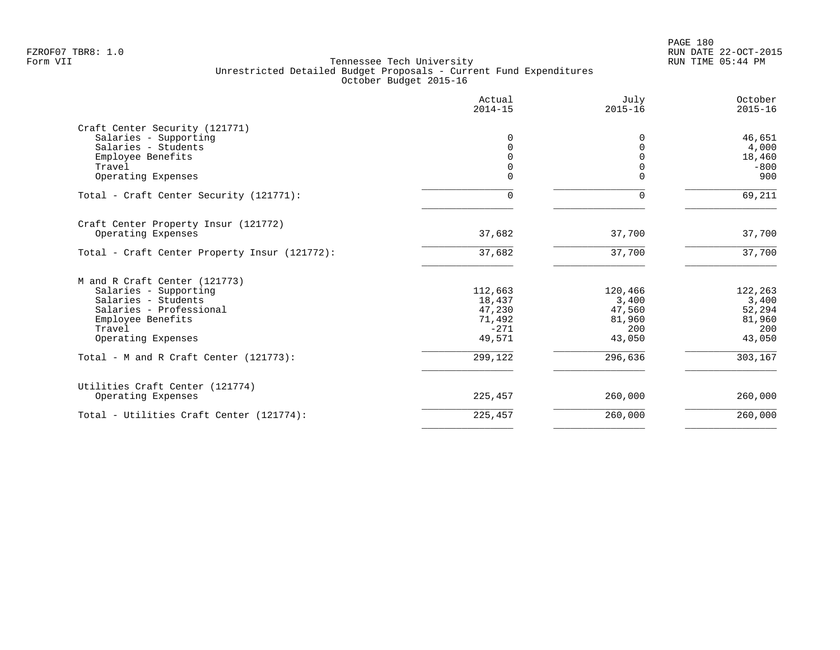|                                               | Actual<br>$2014 - 15$ | July<br>$2015 - 16$ | October<br>$2015 - 16$ |
|-----------------------------------------------|-----------------------|---------------------|------------------------|
| Craft Center Security (121771)                |                       |                     |                        |
| Salaries - Supporting                         | $\Omega$              |                     | 46,651                 |
| Salaries - Students                           |                       |                     | 4,000                  |
| Employee Benefits                             |                       |                     | 18,460                 |
| Travel                                        |                       |                     | $-800$                 |
| Operating Expenses                            | $\Omega$              | $\Omega$            | 900                    |
| Total - Craft Center Security (121771):       | $\Omega$              | U                   | 69,211                 |
| Craft Center Property Insur (121772)          |                       |                     |                        |
| Operating Expenses                            | 37,682                | 37,700              | 37,700                 |
| Total - Craft Center Property Insur (121772): | 37,682                | 37,700              | 37,700                 |
| M and R Craft Center (121773)                 |                       |                     |                        |
| Salaries - Supporting                         | 112,663               | 120,466             | 122,263                |
| Salaries - Students                           | 18,437                | 3,400               | 3,400                  |
| Salaries - Professional                       | 47,230                | 47,560              | 52,294                 |
| Employee Benefits                             | 71,492                | 81,960              | 81,960                 |
| Travel                                        | $-271$                | 200                 | 200                    |
| Operating Expenses                            | 49,571                | 43,050              | 43,050                 |
| Total - M and R Craft Center $(121773)$ :     | 299,122               | 296,636             | 303,167                |
| Utilities Craft Center (121774)               |                       |                     |                        |
| Operating Expenses                            | 225,457               | 260,000             | 260,000                |
| Total - Utilities Craft Center (121774):      | 225,457               | 260,000             | 260,000                |
|                                               |                       |                     |                        |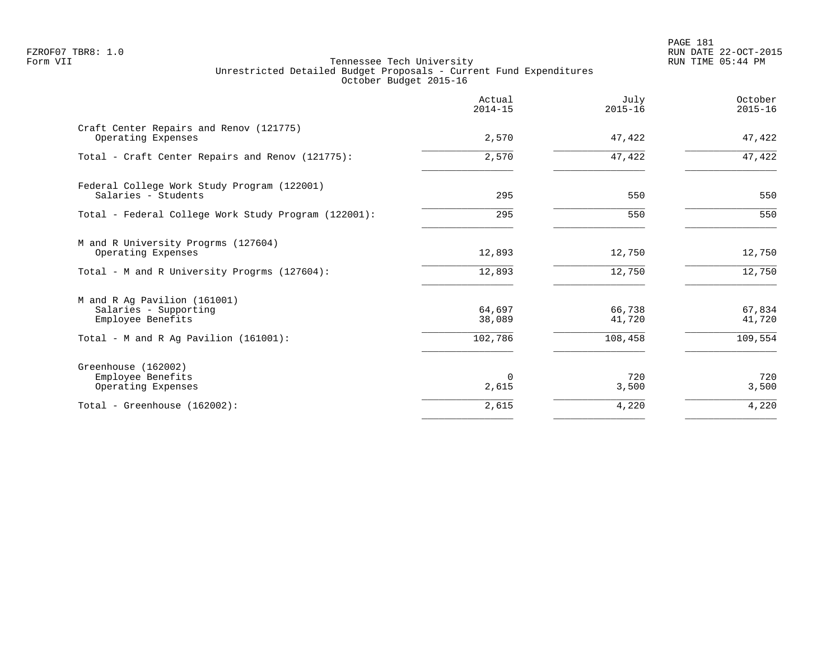PAGE 181 FZROF07 TBR8: 1.0 RUN DATE 22-OCT-2015

|                                                                                                                     | Actual<br>$2014 - 15$       | July<br>$2015 - 16$         | October<br>$2015 - 16$      |
|---------------------------------------------------------------------------------------------------------------------|-----------------------------|-----------------------------|-----------------------------|
| Craft Center Repairs and Renov (121775)<br>Operating Expenses                                                       | 2,570                       | 47,422                      | 47,422                      |
| Total - Craft Center Repairs and Renov (121775):                                                                    | 2,570                       | 47,422                      | $\overline{47,422}$         |
| Federal College Work Study Program (122001)<br>Salaries - Students                                                  | 295                         | 550                         | 550                         |
| Total - Federal College Work Study Program (122001):                                                                | 295                         | 550                         | 550                         |
| M and R University Progrms (127604)<br>Operating Expenses                                                           | 12,893                      | 12,750                      | 12,750                      |
| Total - M and R University Progrms (127604):                                                                        | 12,893                      | 12,750                      | 12,750                      |
| M and R Ag Pavilion (161001)<br>Salaries - Supporting<br>Employee Benefits<br>Total - M and R Ag Pavilion (161001): | 64,697<br>38,089<br>102,786 | 66,738<br>41,720<br>108,458 | 67,834<br>41,720<br>109,554 |
| Greenhouse (162002)<br>Employee Benefits<br>Operating Expenses                                                      | 0<br>2,615                  | 720<br>3,500                | 720<br>3,500                |
| Total - Greenhouse (162002):                                                                                        | 2,615                       | 4,220                       | 4,220                       |
|                                                                                                                     |                             |                             |                             |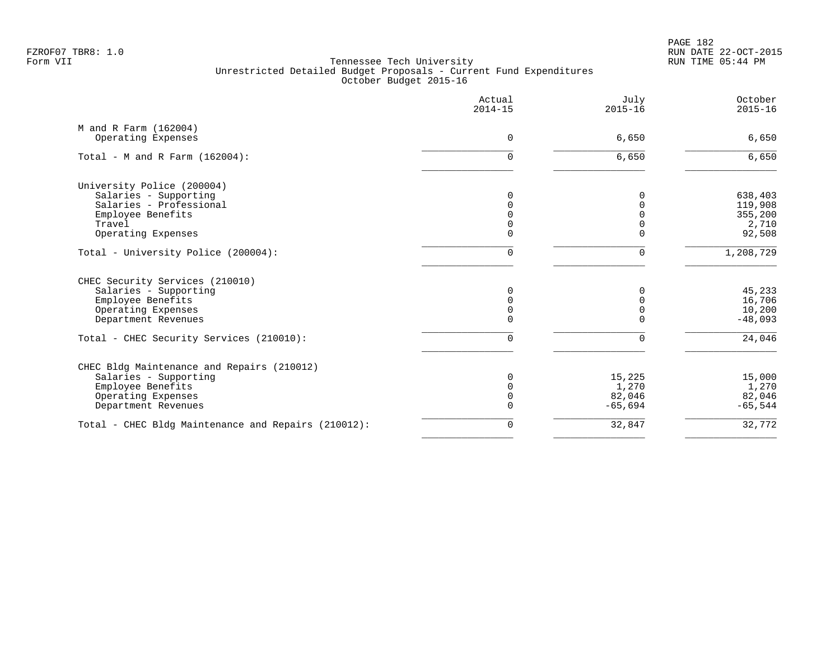|                                                     | Actual<br>$2014 - 15$ | July<br>$2015 - 16$ | October<br>$2015 - 16$ |
|-----------------------------------------------------|-----------------------|---------------------|------------------------|
| M and R Farm (162004)                               |                       |                     |                        |
| Operating Expenses                                  | $\Omega$              | 6,650               | 6,650                  |
| Total - M and R Farm $(162004)$ :                   | 0                     | $6,650$             | 6,650                  |
| University Police (200004)                          |                       |                     |                        |
| Salaries - Supporting                               |                       | $\Omega$            | 638,403                |
| Salaries - Professional                             |                       | <sup>n</sup>        | 119,908                |
| Employee Benefits                                   |                       |                     | 355,200                |
| Travel                                              |                       |                     | 2,710                  |
| Operating Expenses                                  |                       | U                   | 92,508                 |
| Total - University Police (200004):                 | ∩                     | $\Omega$            | 1,208,729              |
| CHEC Security Services (210010)                     |                       |                     |                        |
| Salaries - Supporting                               |                       | 0                   | 45,233                 |
| Employee Benefits                                   |                       | $\Omega$            | 16,706                 |
| Operating Expenses                                  |                       | $\Omega$            | 10,200                 |
| Department Revenues                                 |                       | U                   | $-48,093$              |
| Total - CHEC Security Services (210010):            |                       | 0                   | 24,046                 |
| CHEC Bldg Maintenance and Repairs (210012)          |                       |                     |                        |
| Salaries - Supporting                               |                       | 15,225              | 15,000                 |
| Employee Benefits                                   |                       | 1,270               | 1,270                  |
| Operating Expenses                                  |                       | 82,046              | 82,046                 |
| Department Revenues                                 |                       | $-65,694$           | $-65,544$              |
| Total - CHEC Bldg Maintenance and Repairs (210012): | $\mathbf 0$           | 32,847              | 32,772                 |
|                                                     |                       |                     |                        |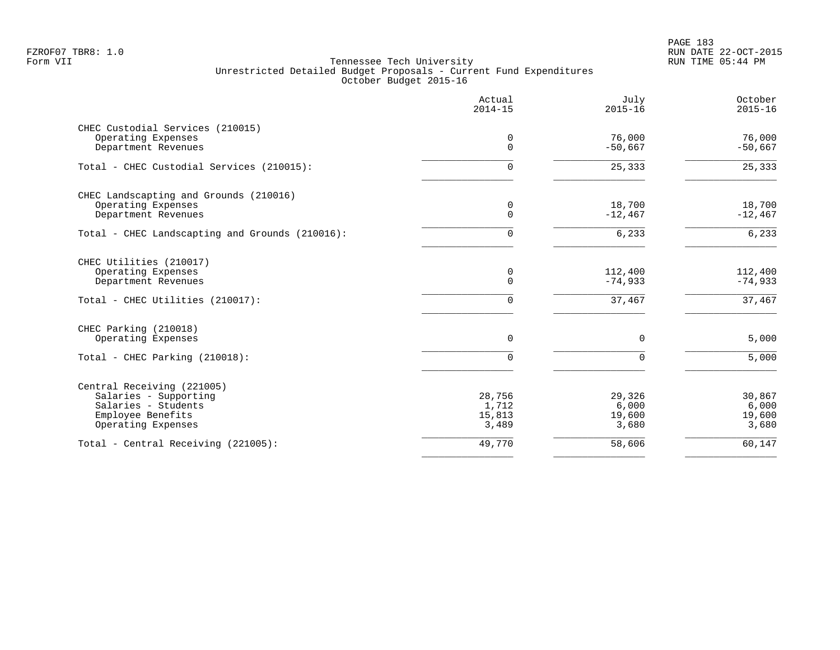|                                                 | Actual<br>$2014 - 15$ | July<br>$2015 - 16$ | October<br>$2015 - 16$ |
|-------------------------------------------------|-----------------------|---------------------|------------------------|
| CHEC Custodial Services (210015)                |                       |                     |                        |
| Operating Expenses                              | 0                     | 76,000              | 76,000                 |
| Department Revenues                             | $\Omega$              | $-50,667$           | $-50,667$              |
| Total - CHEC Custodial Services (210015):       | 0                     | 25,333              | 25,333                 |
| CHEC Landscapting and Grounds (210016)          |                       |                     |                        |
| Operating Expenses                              | 0                     | 18,700              | 18,700                 |
| Department Revenues                             | 0                     | $-12,467$           | $-12,467$              |
| Total - CHEC Landscapting and Grounds (210016): | 0                     | 6,233               | 6, 233                 |
| CHEC Utilities (210017)                         |                       |                     |                        |
| Operating Expenses                              | 0                     | 112,400             | 112,400                |
| Department Revenues                             | 0                     | $-74,933$           | $-74,933$              |
| Total - CHEC Utilities (210017):                | 0                     | 37,467              | 37,467                 |
| CHEC Parking (210018)                           |                       |                     |                        |
| Operating Expenses                              | $\Omega$              | 0                   | 5,000                  |
| Total - CHEC Parking (210018):                  | $\Omega$              | $\Omega$            | 5,000                  |
| Central Receiving (221005)                      |                       |                     |                        |
| Salaries - Supporting                           | 28,756                | 29,326              | 30,867                 |
| Salaries - Students                             | 1,712                 | 6,000               | 6,000                  |
| Employee Benefits                               | 15,813                | 19,600              | 19,600                 |
| Operating Expenses                              | 3,489                 | 3,680               | 3,680                  |
| Total - Central Receiving (221005):             | 49,770                | 58,606              | 60,147                 |
|                                                 |                       |                     |                        |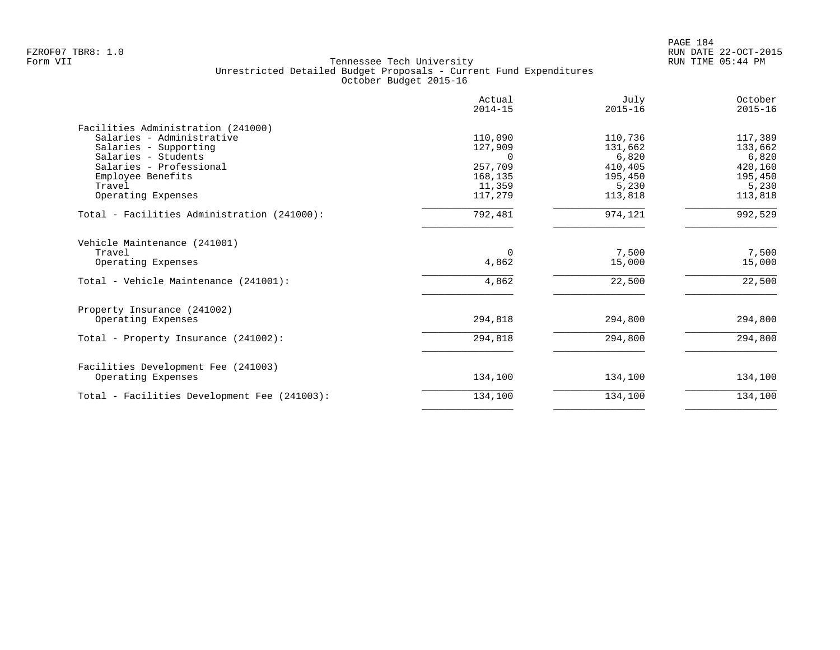|                                              | Actual<br>$2014 - 15$ | July<br>$2015 - 16$ | October<br>$2015 - 16$ |
|----------------------------------------------|-----------------------|---------------------|------------------------|
| Facilities Administration (241000)           |                       |                     |                        |
| Salaries - Administrative                    | 110,090               | 110,736             | 117,389                |
| Salaries - Supporting                        | 127,909               | 131,662             | 133,662                |
| Salaries - Students                          |                       | 6,820               | 6,820                  |
| Salaries - Professional                      | 257,709               | 410,405             | 420,160                |
| Employee Benefits                            | 168,135               | 195,450             | 195,450                |
| Travel                                       | 11,359                | 5,230               | 5,230                  |
| Operating Expenses                           | 117,279               | 113,818             | 113,818                |
| Total - Facilities Administration (241000):  | 792,481               | 974,121             | 992,529                |
| Vehicle Maintenance (241001)                 |                       |                     |                        |
| Travel                                       | 0                     | 7,500               | 7,500                  |
| Operating Expenses                           | 4,862                 | 15,000              | 15,000                 |
| Total - Vehicle Maintenance (241001):        | 4,862                 | 22,500              | 22,500                 |
| Property Insurance (241002)                  |                       |                     |                        |
| Operating Expenses                           | 294,818               | 294,800             | 294,800                |
| Total - Property Insurance (241002):         | 294,818               | 294,800             | 294,800                |
| Facilities Development Fee (241003)          |                       |                     |                        |
| Operating Expenses                           | 134,100               | 134,100             | 134,100                |
| Total - Facilities Development Fee (241003): | 134,100               | 134,100             | 134,100                |
|                                              |                       |                     |                        |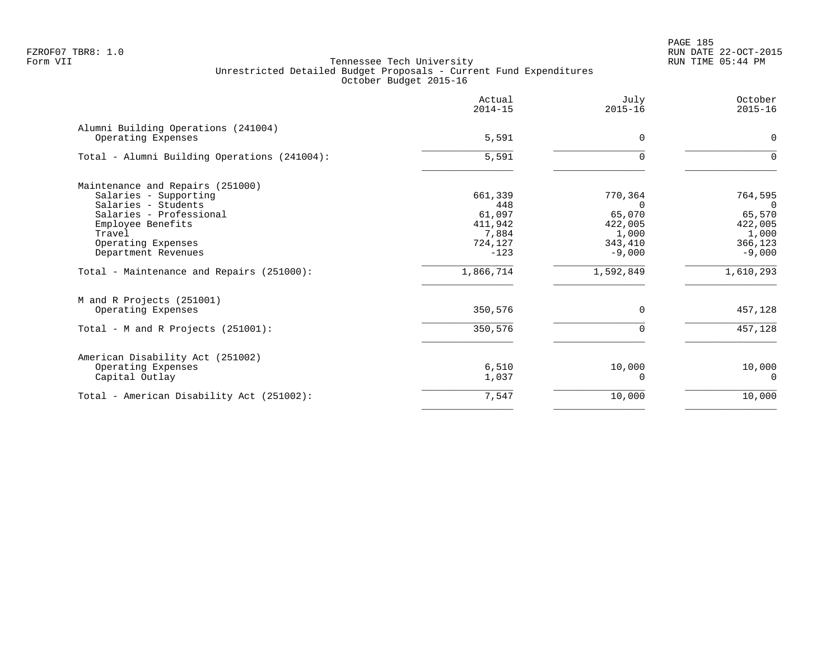|                                                           | Actual<br>$2014 - 15$ | July<br>$2015 - 16$ | October<br>$2015 - 16$ |
|-----------------------------------------------------------|-----------------------|---------------------|------------------------|
| Alumni Building Operations (241004)<br>Operating Expenses | 5,591                 | $\Omega$            | $\mathbf 0$            |
| Total - Alumni Building Operations (241004):              | 5,591                 | ∩                   | $\Omega$               |
| Maintenance and Repairs (251000)                          |                       |                     |                        |
| Salaries - Supporting                                     | 661,339               | 770,364             | 764,595                |
| Salaries - Students                                       | 448                   | $\Omega$            | $\Omega$               |
| Salaries - Professional                                   | 61,097                | 65,070              | 65,570                 |
| Employee Benefits                                         | 411,942               | 422,005             | 422,005                |
| Travel                                                    | 7,884                 | 1,000               | 1,000                  |
| Operating Expenses                                        | 724,127               | 343,410             | 366,123                |
| Department Revenues                                       | $-123$                | $-9.000$            | $-9,000$               |
| Total - Maintenance and Repairs (251000):                 | 1,866,714             | 1,592,849           | 1,610,293              |
| M and R Projects (251001)                                 |                       |                     |                        |
| Operating Expenses                                        | 350,576               | 0                   | 457,128                |
| Total - M and R Projects (251001):                        | 350,576               | 0                   | 457,128                |
| American Disability Act (251002)                          |                       |                     |                        |
| Operating Expenses                                        | 6,510                 | 10,000              | 10,000                 |
| Capital Outlay                                            | 1,037                 | $\Omega$            | $\Omega$               |
| Total - American Disability Act (251002):                 | 7,547                 | 10,000              | 10,000                 |
|                                                           |                       |                     |                        |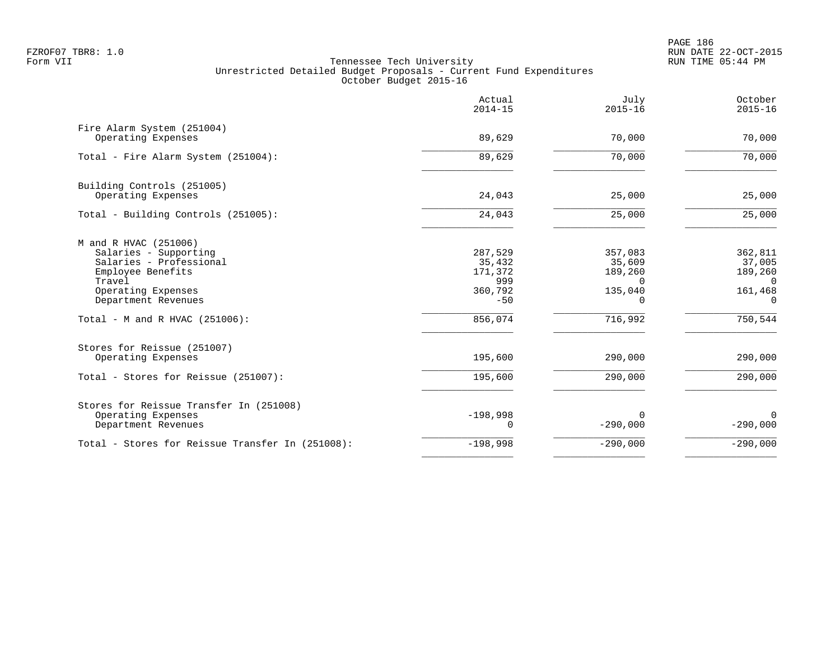PAGE 186 FZROF07 TBR8: 1.0 RUN DATE 22-OCT-2015

|                                                                                                                                                       | Actual<br>$2014 - 15$                                   | July<br>$2015 - 16$                                             | October<br>$2015 - 16$                                          |
|-------------------------------------------------------------------------------------------------------------------------------------------------------|---------------------------------------------------------|-----------------------------------------------------------------|-----------------------------------------------------------------|
| Fire Alarm System (251004)<br>Operating Expenses                                                                                                      | 89,629                                                  | 70,000                                                          | 70,000                                                          |
| Total - Fire Alarm System (251004):                                                                                                                   | 89,629                                                  | 70,000                                                          | 70,000                                                          |
| Building Controls (251005)<br>Operating Expenses                                                                                                      | 24,043                                                  | 25,000                                                          | 25,000                                                          |
| Total - Building Controls (251005):                                                                                                                   | 24,043                                                  | 25,000                                                          | 25,000                                                          |
| M and R HVAC (251006)<br>Salaries - Supporting<br>Salaries - Professional<br>Employee Benefits<br>Travel<br>Operating Expenses<br>Department Revenues | 287,529<br>35,432<br>171,372<br>999<br>360,792<br>$-50$ | 357,083<br>35,609<br>189,260<br>$\Omega$<br>135,040<br>$\Omega$ | 362,811<br>37,005<br>189,260<br>$\Omega$<br>161,468<br>$\Omega$ |
| Total - M and R HVAC (251006):                                                                                                                        | 856,074                                                 | 716,992                                                         | 750,544                                                         |
| Stores for Reissue (251007)<br>Operating Expenses                                                                                                     | 195,600                                                 | 290,000                                                         | 290,000                                                         |
| Total - Stores for Reissue (251007):                                                                                                                  | 195,600                                                 | 290,000                                                         | 290,000                                                         |
| Stores for Reissue Transfer In (251008)<br>Operating Expenses<br>Department Revenues                                                                  | $-198,998$<br>$\Omega$                                  | $\Omega$<br>$-290,000$                                          | $\mathbf 0$<br>$-290,000$                                       |
| Total - Stores for Reissue Transfer In (251008):                                                                                                      | $-198,998$                                              | $-290,000$                                                      | $-290,000$                                                      |
|                                                                                                                                                       |                                                         |                                                                 |                                                                 |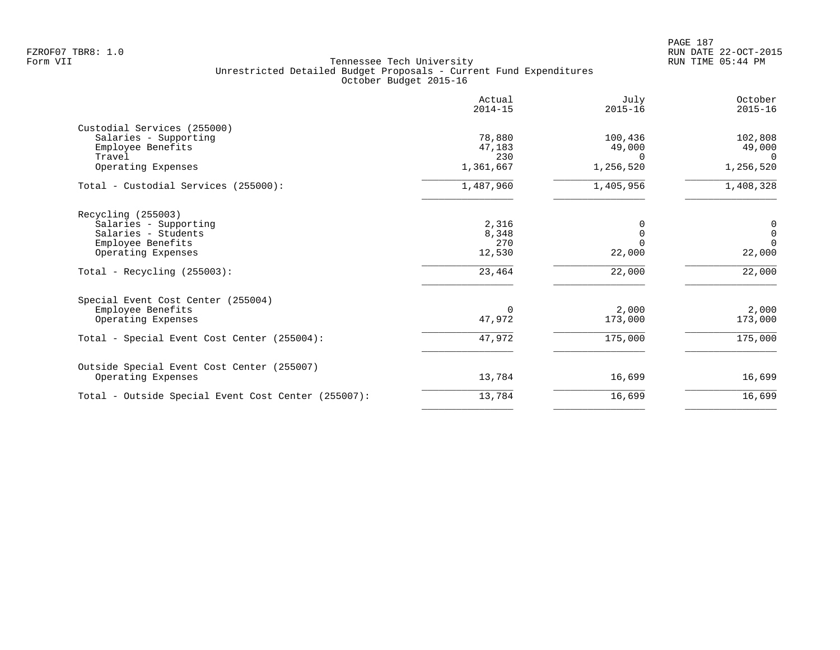PAGE 187 FZROF07 TBR8: 1.0 RUN DATE 22-OCT-2015

|                                                     | Actual<br>$2014 - 15$ | July<br>$2015 - 16$ | October<br>$2015 - 16$ |
|-----------------------------------------------------|-----------------------|---------------------|------------------------|
| Custodial Services (255000)                         |                       |                     |                        |
| Salaries - Supporting                               | 78,880                | 100,436             | 102,808                |
| Employee Benefits                                   | 47,183                | 49,000              | 49,000                 |
| Travel                                              | 230                   | <sup>n</sup>        | $\Omega$               |
| Operating Expenses                                  | 1,361,667             | 1,256,520           | 1,256,520              |
| Total - Custodial Services (255000):                | 1,487,960             | 1,405,956           | 1,408,328              |
| Recycling (255003)                                  |                       |                     |                        |
| Salaries - Supporting                               | 2,316                 |                     | $\mathbf 0$            |
| Salaries - Students                                 | 8,348                 | $\Omega$            | $\mathbf 0$            |
| Employee Benefits                                   | 270                   |                     | $\Omega$               |
| Operating Expenses                                  | 12,530                | 22,000              | 22,000                 |
| Total - Recycling $(255003)$ :                      | 23,464                | 22,000              | 22,000                 |
| Special Event Cost Center (255004)                  |                       |                     |                        |
| Employee Benefits                                   | $\Omega$              | 2,000               | 2,000                  |
| Operating Expenses                                  | 47,972                | 173,000             | 173,000                |
| Total - Special Event Cost Center (255004):         | 47,972                | 175,000             | 175,000                |
| Outside Special Event Cost Center (255007)          |                       |                     |                        |
| Operating Expenses                                  | 13,784                | 16,699              | 16,699                 |
| Total - Outside Special Event Cost Center (255007): | 13,784                | 16,699              | 16,699                 |
|                                                     |                       |                     |                        |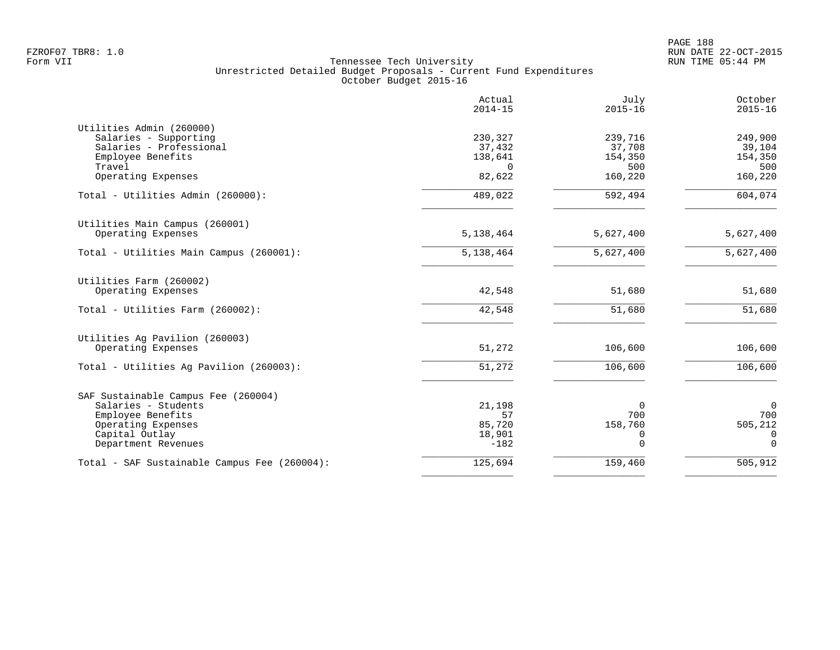PAGE 188 FZROF07 TBR8: 1.0 RUN DATE 22-OCT-2015

|                                              | Actual<br>$2014 - 15$ | July<br>$2015 - 16$ | October<br>$2015 - 16$ |
|----------------------------------------------|-----------------------|---------------------|------------------------|
| Utilities Admin (260000)                     |                       |                     |                        |
| Salaries - Supporting                        | 230,327               | 239,716             | 249,900                |
| Salaries - Professional                      | 37,432                | 37,708              | 39,104                 |
| Employee Benefits                            | 138,641               | 154,350             | 154,350                |
| Travel                                       | $\Omega$              | 500                 | 500                    |
| Operating Expenses                           | 82,622                | 160,220             | 160,220                |
| Total - Utilities Admin (260000):            | 489,022               | 592,494             | 604,074                |
| Utilities Main Campus (260001)               |                       |                     |                        |
| Operating Expenses                           | 5,138,464             | 5,627,400           | 5,627,400              |
| Total - Utilities Main Campus (260001):      | 5,138,464             | 5,627,400           | 5,627,400              |
| Utilities Farm (260002)                      |                       |                     |                        |
| Operating Expenses                           | 42,548                | 51,680              | 51,680                 |
| Total - Utilities Farm (260002):             | 42,548                | 51,680              | 51,680                 |
| Utilities Ag Pavilion (260003)               |                       |                     |                        |
| Operating Expenses                           | 51,272                | 106,600             | 106,600                |
| Total - Utilities Ag Pavilion (260003):      | 51,272                | 106,600             | 106,600                |
| SAF Sustainable Campus Fee (260004)          |                       |                     |                        |
| Salaries - Students                          | 21,198                | $\mathbf 0$         | $\overline{0}$         |
| Employee Benefits                            | 57                    | 700                 | 700                    |
| Operating Expenses                           | 85,720                | 158,760             | 505,212                |
| Capital Outlay                               | 18,901                | 0                   | $\overline{0}$         |
| Department Revenues                          | $-182$                | $\Omega$            | $\Omega$               |
| Total - SAF Sustainable Campus Fee (260004): | 125,694               | 159,460             | 505,912                |
|                                              |                       |                     |                        |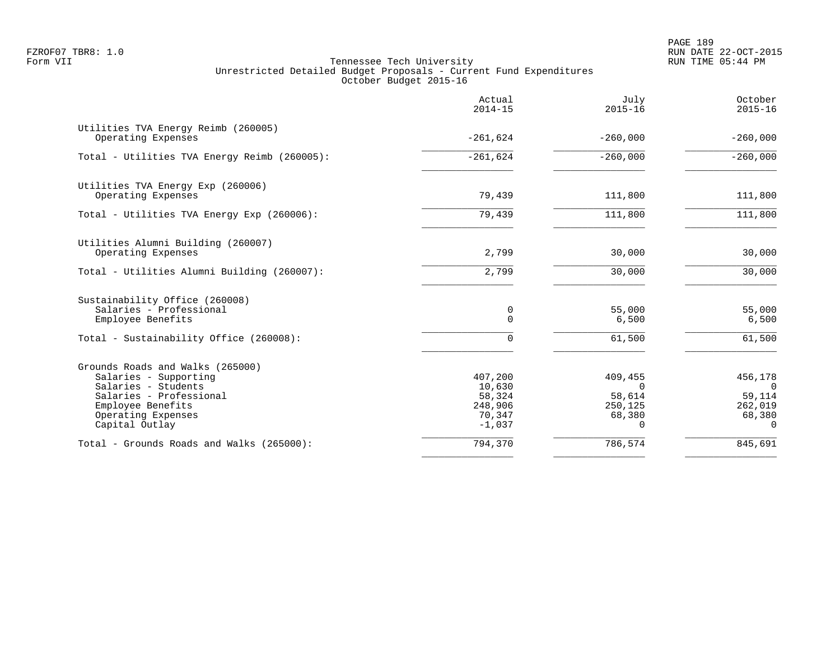|                                                                                                                                                                          | Actual<br>$2014 - 15$                                        | July<br>$2015 - 16$                                            | October<br>$2015 - 16$                                         |
|--------------------------------------------------------------------------------------------------------------------------------------------------------------------------|--------------------------------------------------------------|----------------------------------------------------------------|----------------------------------------------------------------|
| Utilities TVA Energy Reimb (260005)<br>Operating Expenses                                                                                                                | $-261,624$                                                   | $-260,000$                                                     | $-260,000$                                                     |
| Total - Utilities TVA Energy Reimb (260005):                                                                                                                             | $-261,624$                                                   | $-260,000$                                                     | $-260,000$                                                     |
| Utilities TVA Energy Exp (260006)<br>Operating Expenses                                                                                                                  | 79,439                                                       | 111,800                                                        | 111,800                                                        |
| Total - Utilities TVA Energy Exp (260006):                                                                                                                               | 79,439                                                       | 111,800                                                        | 111,800                                                        |
| Utilities Alumni Building (260007)<br>Operating Expenses                                                                                                                 | 2,799                                                        | 30,000                                                         | 30,000                                                         |
| Total - Utilities Alumni Building (260007):                                                                                                                              | 2,799                                                        | 30,000                                                         | 30,000                                                         |
| Sustainability Office (260008)<br>Salaries - Professional<br>Employee Benefits<br>Total - Sustainability Office (260008):                                                | 0<br>0<br>$\Omega$                                           | 55,000<br>6,500<br>61,500                                      | 55,000<br>6,500<br>61,500                                      |
| Grounds Roads and Walks (265000)<br>Salaries - Supporting<br>Salaries - Students<br>Salaries - Professional<br>Employee Benefits<br>Operating Expenses<br>Capital Outlay | 407,200<br>10,630<br>58,324<br>248,906<br>70,347<br>$-1,037$ | 409,455<br>$\Omega$<br>58,614<br>250,125<br>68,380<br>$\Omega$ | 456,178<br>$\Omega$<br>59,114<br>262,019<br>68,380<br>$\Omega$ |
| Total - Grounds Roads and Walks (265000):                                                                                                                                | 794,370                                                      | 786,574                                                        | 845,691                                                        |
|                                                                                                                                                                          |                                                              |                                                                |                                                                |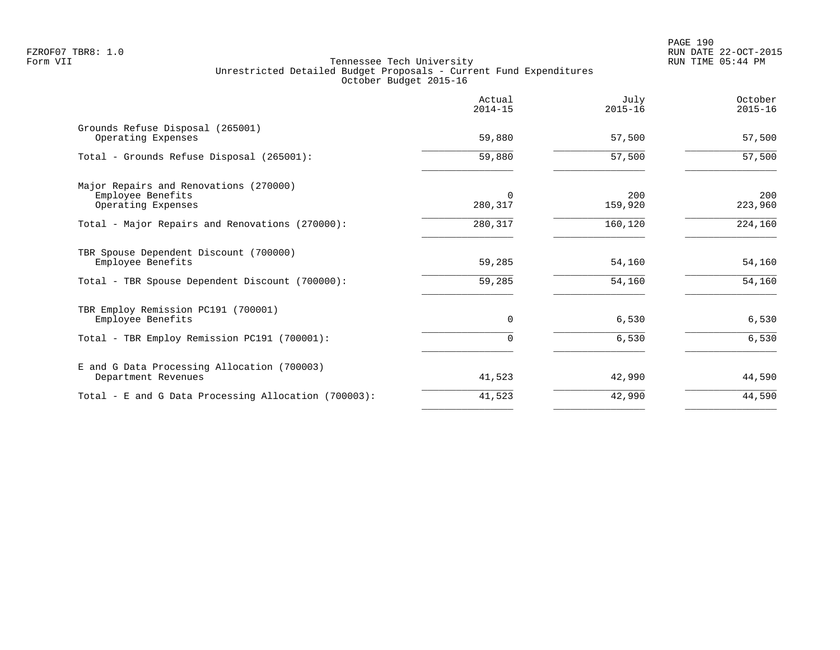|                                                                    | Actual<br>$2014 - 15$ | July<br>$2015 - 16$ | October<br>$2015 - 16$ |
|--------------------------------------------------------------------|-----------------------|---------------------|------------------------|
| Grounds Refuse Disposal (265001)<br>Operating Expenses             | 59,880                | 57,500              | 57,500                 |
| Total - Grounds Refuse Disposal (265001):                          | 59,880                | 57,500              | 57,500                 |
| Major Repairs and Renovations (270000)                             |                       |                     |                        |
| Employee Benefits<br>Operating Expenses                            | 0<br>280,317          | 200<br>159,920      | 200<br>223,960         |
| Total - Major Repairs and Renovations (270000):                    | 280,317               | 160,120             | 224,160                |
| TBR Spouse Dependent Discount (700000)<br>Employee Benefits        | 59,285                | 54,160              | 54,160                 |
| Total - TBR Spouse Dependent Discount (700000):                    | 59,285                | 54,160              | 54,160                 |
| TBR Employ Remission PC191 (700001)<br>Employee Benefits           | 0                     | 6,530               | 6,530                  |
| Total - TBR Employ Remission PC191 (700001):                       | $\Omega$              | 6,530               | 6,530                  |
| E and G Data Processing Allocation (700003)<br>Department Revenues | 41,523                | 42,990              | 44,590                 |
| Total - E and G Data Processing Allocation (700003):               | 41,523                | 42,990              | 44,590                 |
|                                                                    |                       |                     |                        |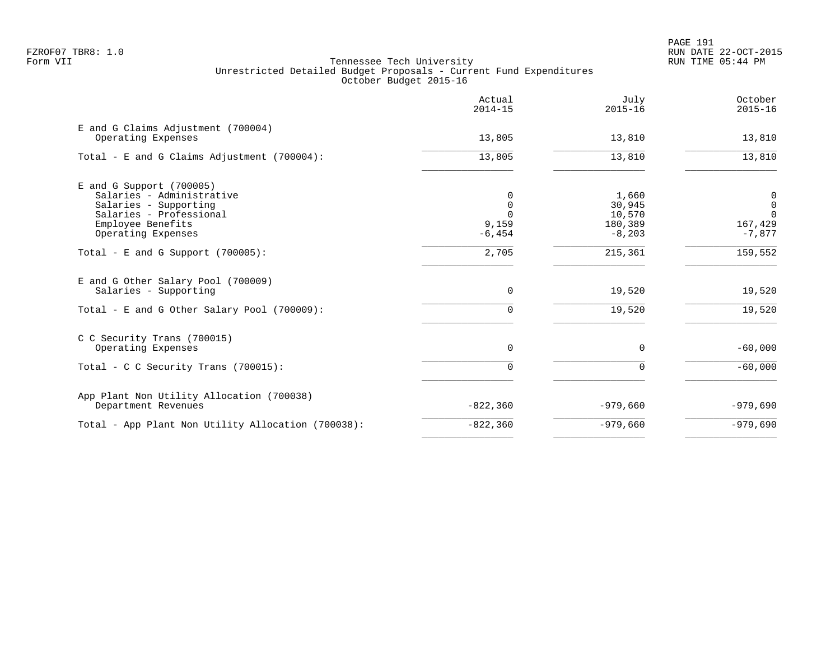|                                                                                                                                                      | Actual<br>$2014 - 15$                           | July<br>$2015 - 16$                              | October<br>$2015 - 16$                              |
|------------------------------------------------------------------------------------------------------------------------------------------------------|-------------------------------------------------|--------------------------------------------------|-----------------------------------------------------|
| E and G Claims Adjustment (700004)<br>Operating Expenses                                                                                             | 13,805                                          | 13,810                                           | 13,810                                              |
| Total - E and G Claims Adjustment (700004):                                                                                                          | 13,805                                          | 13,810                                           | 13,810                                              |
| E and G Support (700005)<br>Salaries - Administrative<br>Salaries - Supporting<br>Salaries - Professional<br>Employee Benefits<br>Operating Expenses | 0<br>$\Omega$<br>$\Omega$<br>9,159<br>$-6, 454$ | 1,660<br>30,945<br>10,570<br>180,389<br>$-8,203$ | 0<br>$\mathbf 0$<br>$\Omega$<br>167,429<br>$-7,877$ |
| Total - E and G Support $(700005)$ :                                                                                                                 | 2,705                                           | 215,361                                          | 159,552                                             |
| E and G Other Salary Pool (700009)<br>Salaries - Supporting<br>Total - E and G Other Salary Pool (700009):                                           | $\mathbf 0$<br>$\Omega$                         | 19,520<br>19,520                                 | 19,520<br>19,520                                    |
| C C Security Trans (700015)<br>Operating Expenses                                                                                                    | $\Omega$                                        | $\Omega$                                         | $-60,000$                                           |
| Total - C C Security Trans (700015):                                                                                                                 | $\Omega$                                        | 0                                                | $-60,000$                                           |
| App Plant Non Utility Allocation (700038)<br>Department Revenues                                                                                     | $-822, 360$                                     | $-979,660$                                       | $-979,690$                                          |
| Total - App Plant Non Utility Allocation (700038):                                                                                                   | $-822,360$                                      | $-979,660$                                       | $-979,690$                                          |
|                                                                                                                                                      |                                                 |                                                  |                                                     |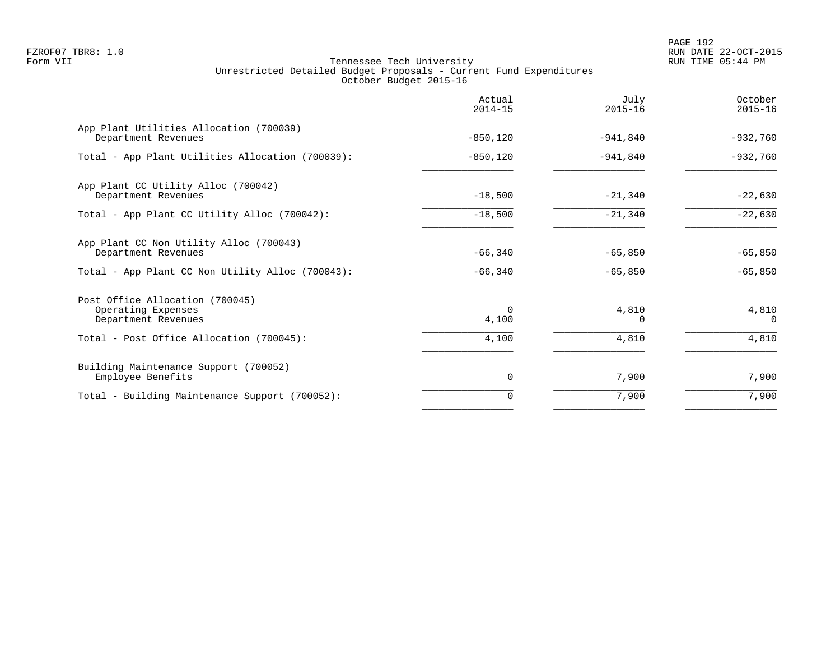PAGE 192 FZROF07 TBR8: 1.0 RUN DATE 22-OCT-2015

|                                                                              | Actual<br>$2014 - 15$ | July<br>$2015 - 16$ | October<br>$2015 - 16$ |
|------------------------------------------------------------------------------|-----------------------|---------------------|------------------------|
| App Plant Utilities Allocation (700039)<br>Department Revenues               | $-850, 120$           | $-941,840$          | $-932,760$             |
| Total - App Plant Utilities Allocation (700039):                             | $-850, 120$           | $-941,840$          | $-932,760$             |
| App Plant CC Utility Alloc (700042)<br>Department Revenues                   | $-18,500$             | $-21,340$           | $-22,630$              |
| Total - App Plant CC Utility Alloc (700042):                                 | $-18,500$             | $-21,340$           | $-22,630$              |
| App Plant CC Non Utility Alloc (700043)<br>Department Revenues               | $-66,340$             | $-65,850$           | $-65,850$              |
| Total - App Plant CC Non Utility Alloc (700043):                             | $-66,340$             | $-65,850$           | $-65,850$              |
| Post Office Allocation (700045)<br>Operating Expenses<br>Department Revenues | $\Omega$<br>4,100     | 4,810<br>$\Omega$   | 4,810<br>$\Omega$      |
| Total - Post Office Allocation (700045):                                     | 4,100                 | 4,810               | 4,810                  |
| Building Maintenance Support (700052)<br>Employee Benefits                   | 0                     | 7,900               | 7,900                  |
| Total - Building Maintenance Support (700052):                               | 0                     | 7,900               | 7,900                  |
|                                                                              |                       |                     |                        |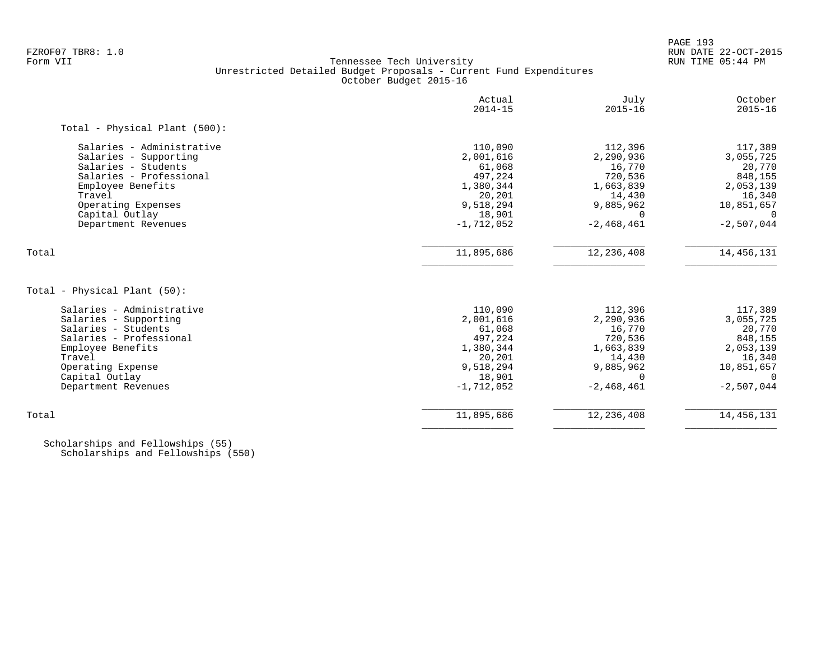PAGE 193

# FZROF07 TBR8: 1.0 RUN DATE 22-OCT-2015 Tennessee Tech University Unrestricted Detailed Budget Proposals - Current Fund Expenditures October Budget 2015-16

|                                                           | Actual<br>$2014 - 15$ | July<br>$2015 - 16$ | October<br>$2015 - 16$ |
|-----------------------------------------------------------|-----------------------|---------------------|------------------------|
| Total - Physical Plant (500):                             |                       |                     |                        |
| Salaries - Administrative                                 | 110,090               | 112,396             | 117,389                |
| Salaries - Supporting                                     | 2,001,616             | 2,290,936           | 3,055,725              |
| Salaries - Students                                       | 61,068                | 16,770              | 20,770                 |
| Salaries - Professional                                   | 497,224               | 720,536             | 848,155                |
| Employee Benefits                                         | 1,380,344             | 1,663,839           | 2,053,139              |
| Travel                                                    | 20,201                | 14,430              | 16,340                 |
| Operating Expenses                                        | 9,518,294             | 9,885,962           | 10,851,657             |
| Capital Outlay                                            | 18,901                | $\Omega$            | $\Omega$               |
| Department Revenues                                       | $-1,712,052$          | $-2,468,461$        | $-2,507,044$           |
| Total                                                     | 11,895,686            | 12, 236, 408        | 14, 456, 131           |
| Total - Physical Plant (50):<br>Salaries - Administrative | 110,090               | 112,396             | 117,389                |
| Salaries - Supporting                                     | 2,001,616             | 2,290,936           | 3,055,725              |
| Salaries - Students                                       | 61,068                | 16,770              | 20,770                 |
| Salaries - Professional                                   | 497,224               | 720,536             | 848,155                |
| Employee Benefits                                         | 1,380,344             | 1,663,839           | 2,053,139              |
| Travel                                                    | 20,201                | 14,430              | 16,340                 |
| Operating Expense                                         | 9,518,294             | 9,885,962           | 10,851,657             |
| Capital Outlay                                            | 18,901                | $\Omega$            | $\Omega$               |
| Department Revenues                                       | $-1,712,052$          | $-2,468,461$        | $-2,507,044$           |
| Total                                                     | 11,895,686            | 12, 236, 408        | 14, 456, 131           |
|                                                           |                       |                     |                        |

 Scholarships and Fellowships (55) Scholarships and Fellowships (550)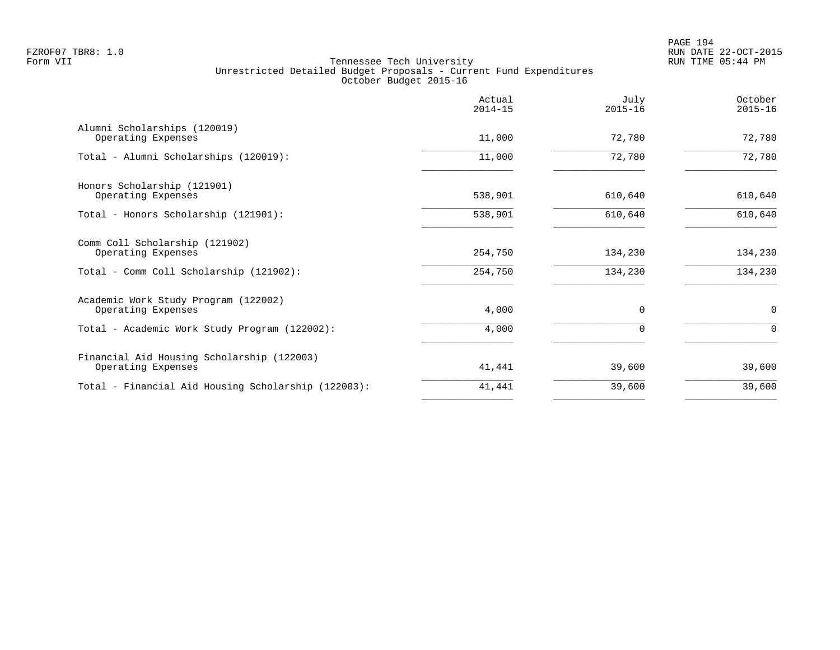|                                                                  | Actual<br>$2014 - 15$ | July<br>$2015 - 16$ | October<br>$2015 - 16$ |
|------------------------------------------------------------------|-----------------------|---------------------|------------------------|
| Alumni Scholarships (120019)<br>Operating Expenses               | 11,000                | 72,780              | 72,780                 |
| Total - Alumni Scholarships (120019):                            | 11,000                | 72,780              | 72,780                 |
| Honors Scholarship (121901)<br>Operating Expenses                | 538,901               | 610,640             | 610,640                |
| Total - Honors Scholarship (121901):                             | 538,901               | 610,640             | 610,640                |
| Comm Coll Scholarship (121902)<br>Operating Expenses             | 254,750               | 134,230             | 134,230                |
| Total - Comm Coll Scholarship (121902):                          | 254,750               | 134,230             | 134,230                |
| Academic Work Study Program (122002)<br>Operating Expenses       | 4,000                 | $\Omega$            | $\mathbf 0$            |
| Total - Academic Work Study Program (122002):                    | 4,000                 |                     | $\Omega$               |
| Financial Aid Housing Scholarship (122003)<br>Operating Expenses | 41,441                | 39,600              | 39,600                 |
| Total - Financial Aid Housing Scholarship (122003):              | 41,441                | 39,600              | 39,600                 |
|                                                                  |                       |                     |                        |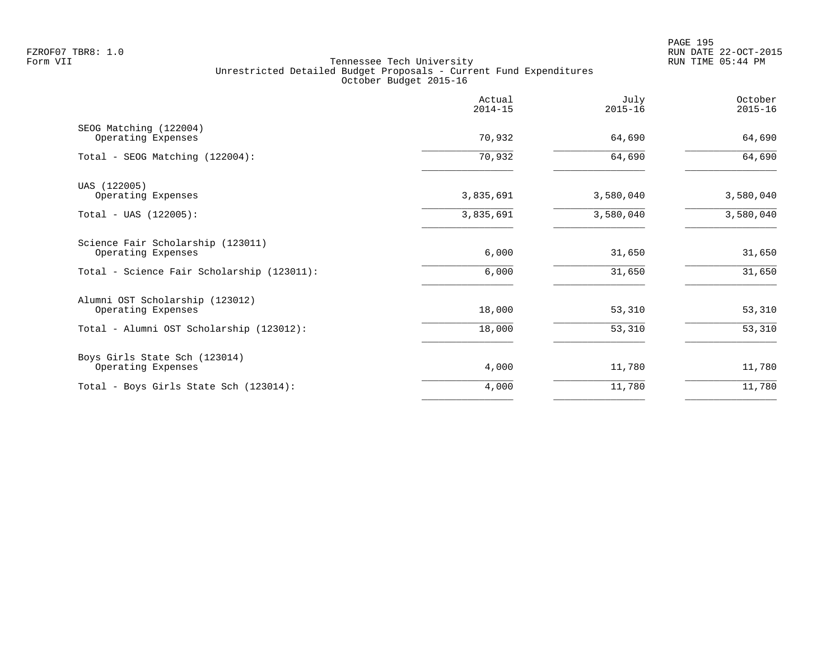PAGE 195 FZROF07 TBR8: 1.0 RUN DATE 22-OCT-2015

|                                                         | Actual<br>$2014 - 15$ | July<br>$2015 - 16$ | October<br>$2015 - 16$ |
|---------------------------------------------------------|-----------------------|---------------------|------------------------|
| SEOG Matching (122004)<br>Operating Expenses            | 70,932                | 64,690              | 64,690                 |
| Total - SEOG Matching (122004):                         | 70,932                | 64,690              | 64,690                 |
| UAS (122005)<br>Operating Expenses                      | 3,835,691             | 3,580,040           | 3,580,040              |
| $Total - UAS (122005):$                                 | 3,835,691             | 3,580,040           | 3,580,040              |
| Science Fair Scholarship (123011)<br>Operating Expenses | 6,000                 | 31,650              | 31,650                 |
| Total - Science Fair Scholarship (123011):              | 6,000                 | 31,650              | 31,650                 |
| Alumni OST Scholarship (123012)<br>Operating Expenses   | 18,000                | 53,310              | 53,310                 |
| Total - Alumni OST Scholarship (123012):                | 18,000                | 53,310              | 53,310                 |
| Boys Girls State Sch (123014)<br>Operating Expenses     | 4,000                 | 11,780              | 11,780                 |
| Total - Boys Girls State Sch (123014):                  | 4,000                 | 11,780              | 11,780                 |
|                                                         |                       |                     |                        |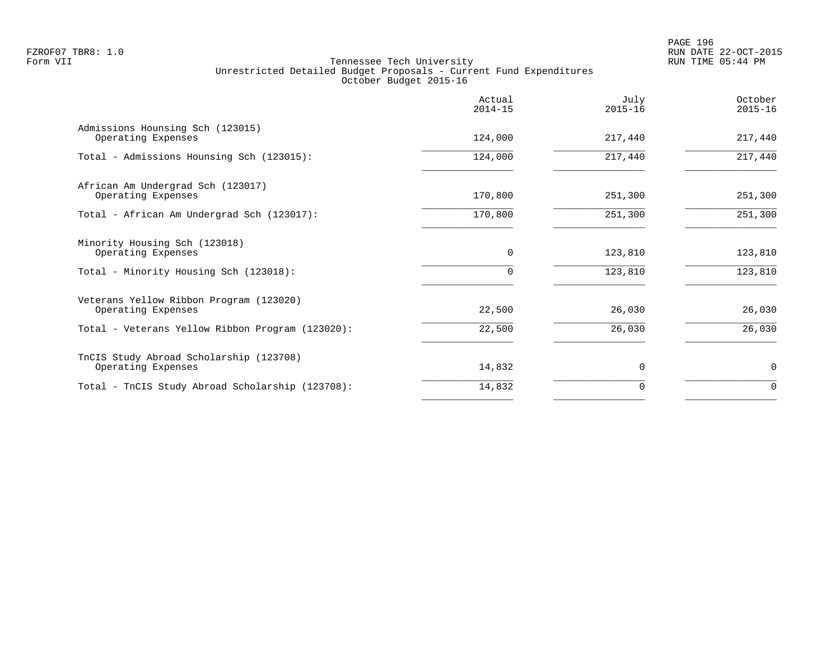|                                                               | Actual<br>$2014 - 15$ | July<br>$2015 - 16$ | October<br>$2015 - 16$ |
|---------------------------------------------------------------|-----------------------|---------------------|------------------------|
| Admissions Hounsing Sch (123015)<br>Operating Expenses        | 124,000               | 217,440             | 217,440                |
| Total - Admissions Hounsing Sch (123015):                     | 124,000               | 217,440             | 217,440                |
| African Am Undergrad Sch (123017)<br>Operating Expenses       | 170,800               | 251,300             | 251,300                |
| Total - African Am Undergrad Sch (123017):                    | 170,800               | 251,300             | 251,300                |
| Minority Housing Sch (123018)<br>Operating Expenses           | $\mathbf 0$           | 123,810             | 123,810                |
| Total - Minority Housing Sch (123018):                        |                       | 123,810             | 123,810                |
| Veterans Yellow Ribbon Program (123020)<br>Operating Expenses | 22,500                | 26,030              | 26,030                 |
| Total - Veterans Yellow Ribbon Program (123020):              | 22,500                | 26,030              | 26,030                 |
| TnCIS Study Abroad Scholarship (123708)<br>Operating Expenses | 14,832                | $\Omega$            | 0                      |
| Total - TnCIS Study Abroad Scholarship (123708):              | 14,832                | 0                   | $\Omega$               |
|                                                               |                       |                     |                        |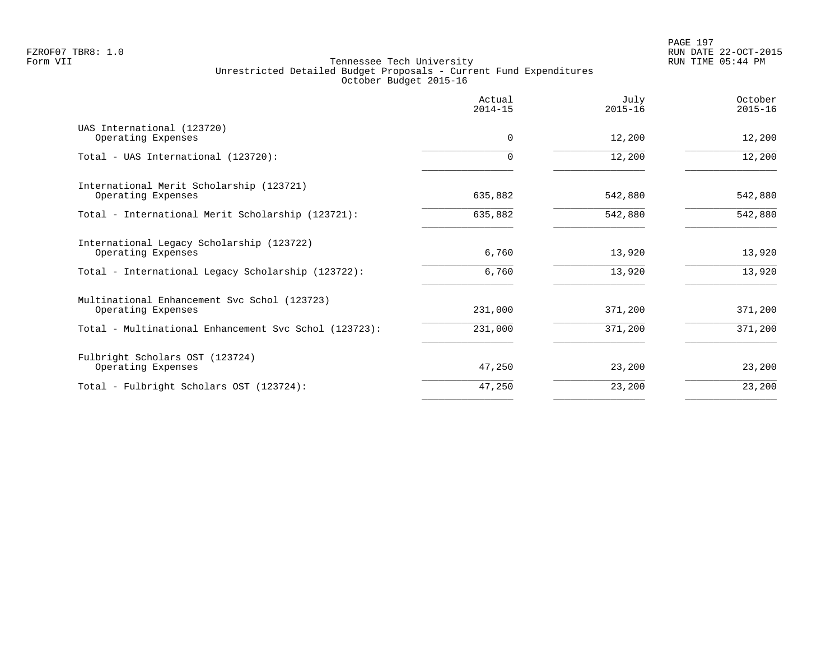PAGE 197 FZROF07 TBR8: 1.0 RUN DATE 22-OCT-2015

|                                                                    | Actual<br>$2014 - 15$ | July<br>$2015 - 16$ | October<br>$2015 - 16$ |
|--------------------------------------------------------------------|-----------------------|---------------------|------------------------|
| UAS International (123720)<br>Operating Expenses                   | $\Omega$              | 12,200              | 12,200                 |
| Total - UAS International (123720):                                | $\Omega$              | 12,200              | 12,200                 |
| International Merit Scholarship (123721)<br>Operating Expenses     | 635,882               | 542,880             | 542,880                |
| Total - International Merit Scholarship (123721):                  | 635,882               | 542,880             | 542,880                |
| International Legacy Scholarship (123722)<br>Operating Expenses    | 6,760                 | 13,920              | 13,920                 |
| Total - International Legacy Scholarship (123722):                 | 6,760                 | 13,920              | 13,920                 |
| Multinational Enhancement Svc Schol (123723)<br>Operating Expenses | 231,000               | 371,200             | 371,200                |
| Total - Multinational Enhancement Svc Schol (123723):              | 231,000               | 371,200             | 371,200                |
| Fulbright Scholars OST (123724)<br>Operating Expenses              | 47,250                | 23,200              | 23,200                 |
| Total - Fulbright Scholars OST (123724):                           | 47,250                | 23,200              | 23,200                 |
|                                                                    |                       |                     |                        |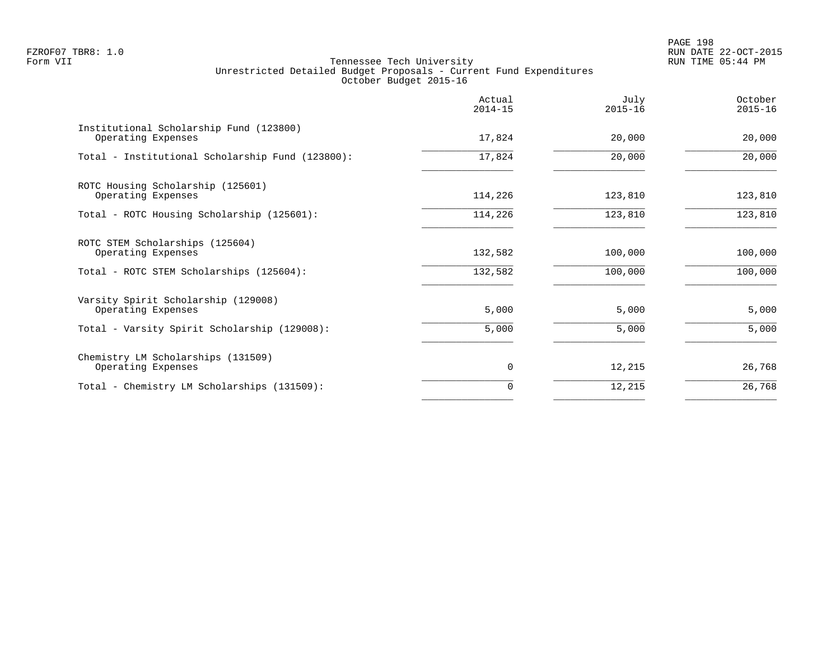PAGE 198 FZROF07 TBR8: 1.0 RUN DATE 22-OCT-2015

|                                                               | Actual<br>$2014 - 15$ | July<br>$2015 - 16$ | October<br>$2015 - 16$ |
|---------------------------------------------------------------|-----------------------|---------------------|------------------------|
| Institutional Scholarship Fund (123800)<br>Operating Expenses | 17,824                | 20,000              | 20,000                 |
| Total - Institutional Scholarship Fund (123800):              | 17,824                | 20,000              | 20,000                 |
| ROTC Housing Scholarship (125601)<br>Operating Expenses       | 114,226               | 123,810             | 123,810                |
| Total - ROTC Housing Scholarship (125601):                    | 114,226               | 123,810             | 123,810                |
| ROTC STEM Scholarships (125604)<br>Operating Expenses         | 132,582               | 100,000             | 100,000                |
| Total - ROTC STEM Scholarships (125604):                      | 132,582               | 100,000             | 100,000                |
| Varsity Spirit Scholarship (129008)<br>Operating Expenses     | 5,000                 | 5,000               | 5,000                  |
| Total - Varsity Spirit Scholarship (129008):                  | 5,000                 | 5,000               | 5,000                  |
| Chemistry LM Scholarships (131509)<br>Operating Expenses      | 0                     | 12,215              | 26,768                 |
| Total - Chemistry LM Scholarships (131509):                   | 0                     | 12,215              | 26,768                 |
|                                                               |                       |                     |                        |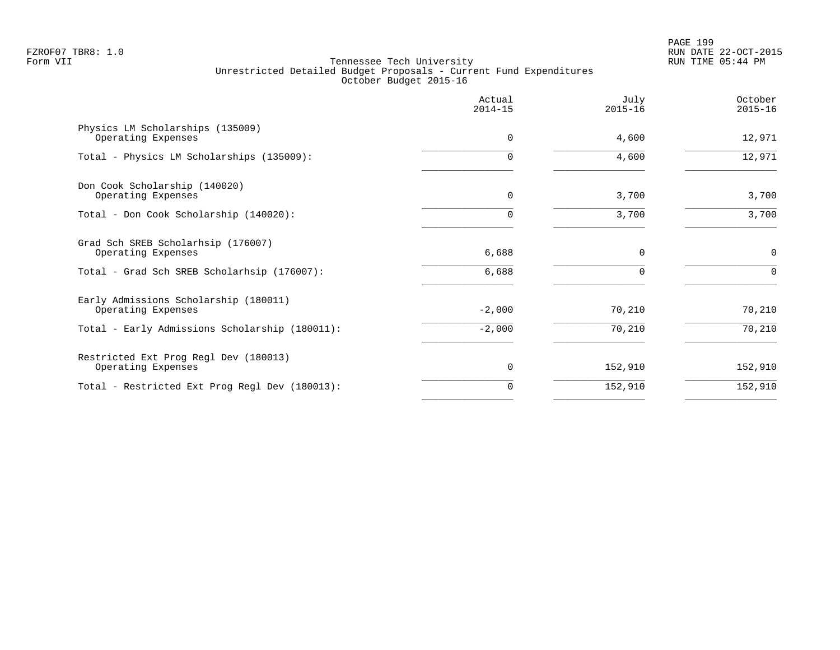PAGE 199 FZROF07 TBR8: 1.0 RUN DATE 22-OCT-2015

|                                                             | Actual<br>$2014 - 15$ | July<br>$2015 - 16$ | October<br>$2015 - 16$ |
|-------------------------------------------------------------|-----------------------|---------------------|------------------------|
| Physics LM Scholarships (135009)<br>Operating Expenses      | $\mathbf 0$           | 4,600               | 12,971                 |
| Total - Physics LM Scholarships (135009):                   | O                     | 4,600               | 12,971                 |
| Don Cook Scholarship (140020)<br>Operating Expenses         | $\mathbf 0$           | 3,700               | 3,700                  |
| Total - Don Cook Scholarship (140020):                      | $\Omega$              | 3,700               | 3,700                  |
| Grad Sch SREB Scholarhsip (176007)<br>Operating Expenses    | 6,688                 | $\Omega$            | $\mathbf 0$            |
| Total - Grad Sch SREB Scholarhsip (176007):                 | 6,688                 | $\Omega$            | $\mathbf 0$            |
| Early Admissions Scholarship (180011)<br>Operating Expenses | $-2,000$              | 70,210              | 70,210                 |
| Total - Early Admissions Scholarship (180011):              | $-2,000$              | 70,210              | 70,210                 |
| Restricted Ext Prog Regl Dev (180013)<br>Operating Expenses | $\mathbf 0$           | 152,910             | 152,910                |
| Total - Restricted Ext Prog Regl Dev (180013):              | 0                     | 152,910             | 152,910                |
|                                                             |                       |                     |                        |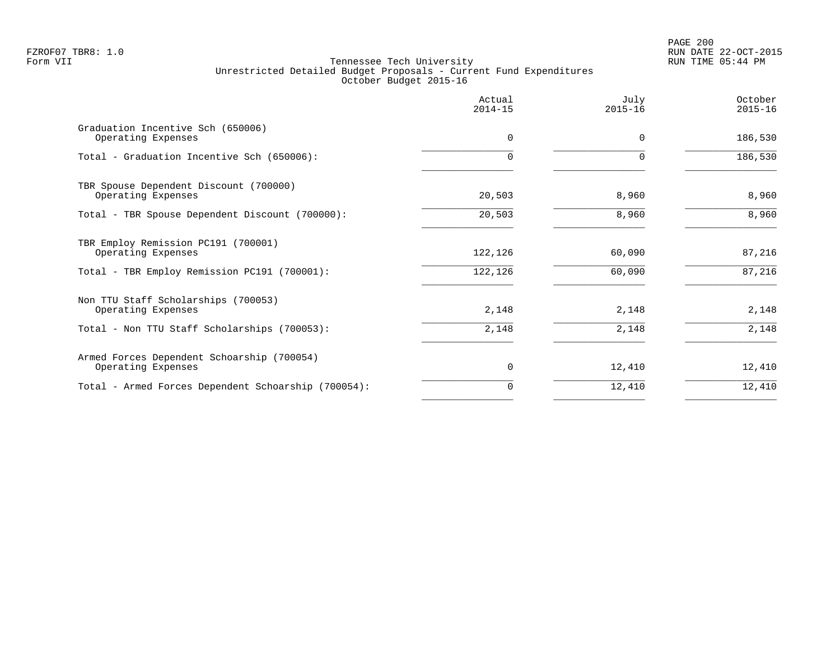|                                                                  | Actual<br>$2014 - 15$ | July<br>$2015 - 16$ | October<br>$2015 - 16$ |
|------------------------------------------------------------------|-----------------------|---------------------|------------------------|
| Graduation Incentive Sch (650006)<br>Operating Expenses          | $\mathbf 0$           | $\Omega$            | 186,530                |
| Total - Graduation Incentive Sch (650006):                       |                       |                     | 186,530                |
| TBR Spouse Dependent Discount (700000)<br>Operating Expenses     | 20,503                | 8,960               | 8,960                  |
| Total - TBR Spouse Dependent Discount (700000):                  | 20,503                | 8,960               | 8,960                  |
| TBR Employ Remission PC191 (700001)<br>Operating Expenses        | 122,126               | 60,090              | 87,216                 |
| Total - TBR Employ Remission PC191 (700001):                     | 122,126               | 60,090              | 87,216                 |
| Non TTU Staff Scholarships (700053)<br>Operating Expenses        | 2,148                 | 2,148               | 2,148                  |
| Total - Non TTU Staff Scholarships (700053):                     | 2,148                 | 2,148               | 2,148                  |
| Armed Forces Dependent Schoarship (700054)<br>Operating Expenses | $\mathbf 0$           | 12,410              | 12,410                 |
| Total - Armed Forces Dependent Schoarship (700054):              | 0                     | 12,410              | 12,410                 |
|                                                                  |                       |                     |                        |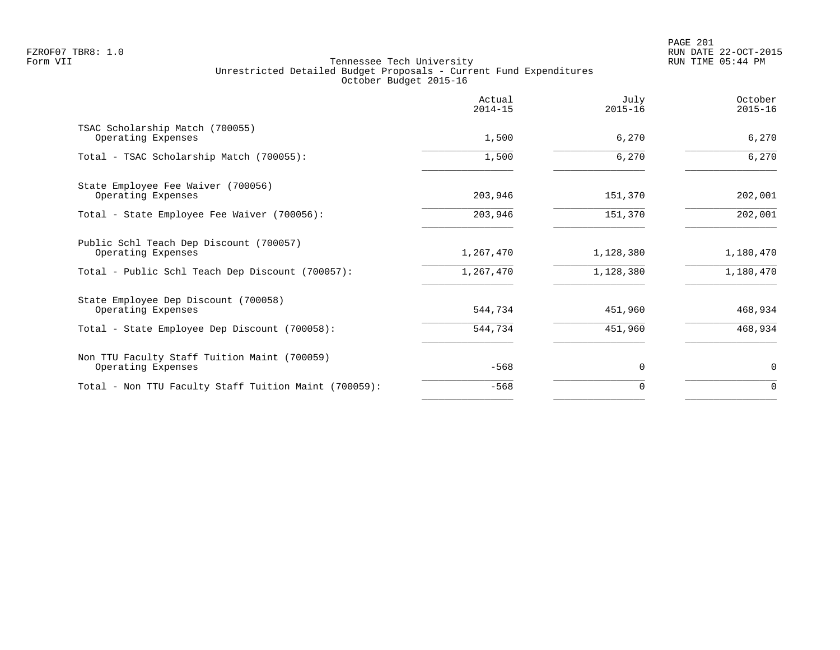|                                                                    | Actual<br>$2014 - 15$ | July<br>$2015 - 16$ | October<br>$2015 - 16$ |
|--------------------------------------------------------------------|-----------------------|---------------------|------------------------|
| TSAC Scholarship Match (700055)<br>Operating Expenses              | 1,500                 | 6,270               | 6,270                  |
| Total - TSAC Scholarship Match (700055):                           | 1,500                 | 6,270               | 6,270                  |
| State Employee Fee Waiver (700056)<br>Operating Expenses           | 203,946               | 151,370             | 202,001                |
| Total - State Employee Fee Waiver (700056):                        | 203,946               | 151,370             | 202,001                |
| Public Schl Teach Dep Discount (700057)<br>Operating Expenses      | 1,267,470             | 1,128,380           | 1,180,470              |
| Total - Public Schl Teach Dep Discount (700057):                   | 1,267,470             | 1,128,380           | 1,180,470              |
| State Employee Dep Discount (700058)<br>Operating Expenses         | 544,734               | 451,960             | 468,934                |
| Total - State Employee Dep Discount (700058):                      | 544,734               | 451,960             | 468,934                |
| Non TTU Faculty Staff Tuition Maint (700059)<br>Operating Expenses | $-568$                | $\Omega$            | $\mathbf 0$            |
| Total - Non TTU Faculty Staff Tuition Maint (700059):              | $-568$                | 0                   | $\Omega$               |
|                                                                    |                       |                     |                        |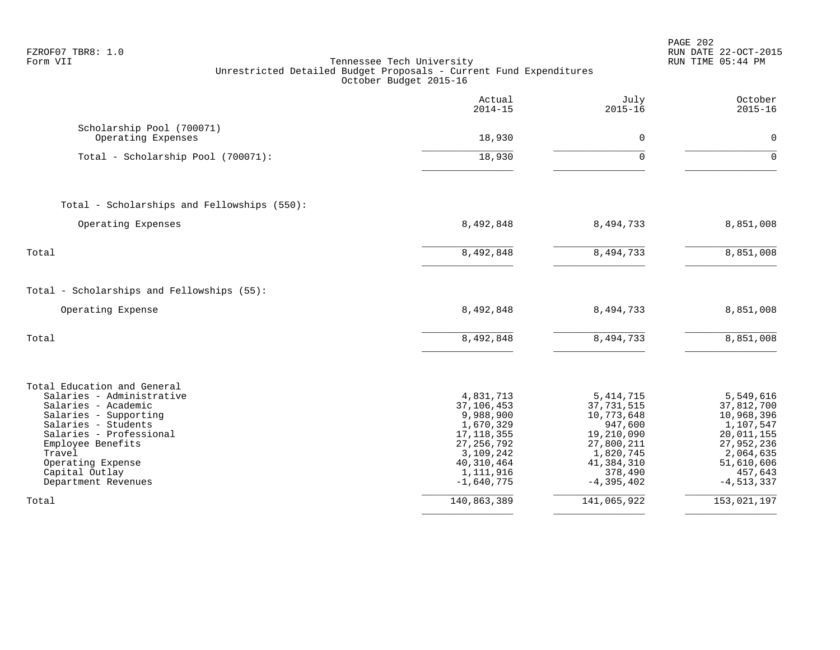| FZROF07 TBR8: 1.0<br>Tennessee Tech University<br>Form VII<br>Unrestricted Detailed Budget Proposals - Current Fund Expenditures<br>October Budget 2015-16                                                                                              |  |                                                                                                                                             |                                                                                                                                          | RUN DATE 22-OCT-2015<br>RUN TIME 05:44 PM                                                                                              |
|---------------------------------------------------------------------------------------------------------------------------------------------------------------------------------------------------------------------------------------------------------|--|---------------------------------------------------------------------------------------------------------------------------------------------|------------------------------------------------------------------------------------------------------------------------------------------|----------------------------------------------------------------------------------------------------------------------------------------|
|                                                                                                                                                                                                                                                         |  | Actual<br>$2014 - 15$                                                                                                                       | July<br>$2015 - 16$                                                                                                                      | October<br>$2015 - 16$                                                                                                                 |
| Scholarship Pool (700071)<br>Operating Expenses                                                                                                                                                                                                         |  | 18,930                                                                                                                                      | $\mathbf 0$                                                                                                                              | $\Omega$                                                                                                                               |
| Total - Scholarship Pool (700071):                                                                                                                                                                                                                      |  | 18,930                                                                                                                                      | $\Omega$                                                                                                                                 | $\Omega$                                                                                                                               |
| Total - Scholarships and Fellowships (550):                                                                                                                                                                                                             |  |                                                                                                                                             |                                                                                                                                          |                                                                                                                                        |
| Operating Expenses                                                                                                                                                                                                                                      |  | 8,492,848                                                                                                                                   | 8,494,733                                                                                                                                | 8,851,008                                                                                                                              |
| Total                                                                                                                                                                                                                                                   |  | 8,492,848                                                                                                                                   | 8,494,733                                                                                                                                | 8,851,008                                                                                                                              |
| Total - Scholarships and Fellowships (55):                                                                                                                                                                                                              |  |                                                                                                                                             |                                                                                                                                          |                                                                                                                                        |
| Operating Expense                                                                                                                                                                                                                                       |  | 8,492,848                                                                                                                                   | 8,494,733                                                                                                                                | 8,851,008                                                                                                                              |
| Total                                                                                                                                                                                                                                                   |  | 8,492,848                                                                                                                                   | 8,494,733                                                                                                                                | 8,851,008                                                                                                                              |
| Total Education and General<br>Salaries - Administrative<br>Salaries - Academic<br>Salaries - Supporting<br>Salaries - Students<br>Salaries - Professional<br>Employee Benefits<br>Travel<br>Operating Expense<br>Capital Outlay<br>Department Revenues |  | 4,831,713<br>37,106,453<br>9,988,900<br>1,670,329<br>17, 118, 355<br>27, 256, 792<br>3,109,242<br>40, 310, 464<br>1,111,916<br>$-1,640,775$ | 5, 414, 715<br>37, 731, 515<br>10,773,648<br>947,600<br>19,210,090<br>27,800,211<br>1,820,745<br>41,384,310<br>378,490<br>$-4, 395, 402$ | 5,549,616<br>37,812,700<br>10,968,396<br>1,107,547<br>20,011,155<br>27,952,236<br>2,064,635<br>51,610,606<br>457,643<br>$-4, 513, 337$ |
| Total                                                                                                                                                                                                                                                   |  | 140,863,389                                                                                                                                 | 141,065,922                                                                                                                              | 153,021,197                                                                                                                            |

PAGE 202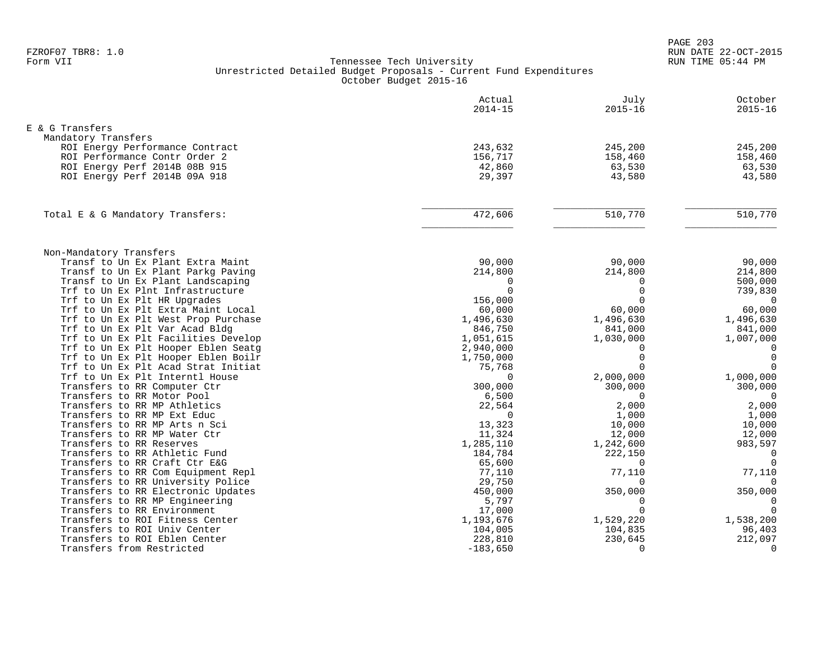PAGE 203 FZROF07 TBR8: 1.0 RUN DATE 22-OCT-2015

|                                                                       | Actual<br>$2014 - 15$ | July<br>$2015 - 16$  | October<br>$2015 - 16$ |
|-----------------------------------------------------------------------|-----------------------|----------------------|------------------------|
| E & G Transfers                                                       |                       |                      |                        |
| Mandatory Transfers                                                   |                       |                      |                        |
| ROI Energy Performance Contract                                       | 243,632               | 245,200              | 245,200                |
| ROI Performance Contr Order 2                                         | 156,717               | 158,460              | 158,460                |
| ROI Energy Perf 2014B 08B 915                                         | 42,860                | 63,530               | 63,530                 |
| ROI Energy Perf 2014B 09A 918                                         | 29,397                | 43,580               | 43,580                 |
|                                                                       |                       |                      |                        |
| Total E & G Mandatory Transfers:                                      | 472,606               | 510,770              | 510,770                |
|                                                                       |                       |                      |                        |
| Non-Mandatory Transfers                                               |                       |                      |                        |
| Transf to Un Ex Plant Extra Maint                                     | 90,000                | 90,000               | 90,000                 |
| Transf to Un Ex Plant Parkg Paving                                    | 214,800               | 214,800              | 214,800                |
| Transf to Un Ex Plant Landscaping<br>Trf to Un Ex Plnt Infrastructure | $\Omega$<br>$\Omega$  | $\Omega$<br>$\Omega$ | 500,000<br>739,830     |
|                                                                       | 156,000               | $\Omega$             | $\overline{0}$         |
| Trf to Un Ex Plt HR Upgrades<br>Trf to Un Ex Plt Extra Maint Local    | 60,000                | 60,000               | 60,000                 |
| Trf to Un Ex Plt West Prop Purchase                                   | 1,496,630             | 1,496,630            | 1,496,630              |
| Trf to Un Ex Plt Var Acad Bldg                                        | 846,750               | 841,000              | 841,000                |
| Trf to Un Ex Plt Facilities Develop                                   | 1,051,615             | 1,030,000            | 1,007,000              |
| Trf to Un Ex Plt Hooper Eblen Seatq                                   | 2,940,000             | $\Omega$             | 0                      |
| Trf to Un Ex Plt Hooper Eblen Boilr                                   | 1,750,000             | $\Omega$             | $\mathbf 0$            |
| Trf to Un Ex Plt Acad Strat Initiat                                   | 75,768                | $\Omega$             | $\mathbf 0$            |
| Trf to Un Ex Plt Interntl House                                       | $\Omega$              | 2,000,000            | 1,000,000              |
| Transfers to RR Computer Ctr                                          | 300,000               | 300,000              | 300,000                |
| Transfers to RR Motor Pool                                            | 6,500                 | 0                    | 0                      |
| Transfers to RR MP Athletics                                          | 22,564                | 2,000                | 2,000                  |
| Transfers to RR MP Ext Educ                                           | $\Omega$              | 1,000                | 1,000                  |
| Transfers to RR MP Arts n Sci                                         | 13,323                | 10,000               | 10,000                 |
| Transfers to RR MP Water Ctr                                          | 11,324                | 12,000               | 12,000                 |
| Transfers to RR Reserves                                              | 1,285,110             | 1,242,600            | 983,597                |
| Transfers to RR Athletic Fund                                         | 184,784               | 222,150              | $\overline{0}$         |
| Transfers to RR Craft Ctr E&G                                         | 65,600                | $\Omega$             | $\Omega$               |
| Transfers to RR Com Equipment Repl                                    | 77,110                | 77,110               | 77,110                 |
| Transfers to RR University Police                                     | 29,750                | 0                    |                        |
| Transfers to RR Electronic Updates                                    | 450,000               | 350,000              | 350,000                |
| Transfers to RR MP Engineering                                        | 5,797                 | $\Omega$             | 0                      |
| Transfers to RR Environment                                           | 17,000                | $\Omega$             | $\Omega$               |
| Transfers to ROI Fitness Center                                       | 1,193,676             | 1,529,220            | 1,538,200              |
| Transfers to ROI Univ Center                                          | 104,005               | 104,835              | 96,403                 |
| Transfers to ROI Eblen Center                                         | 228,810               | 230,645              | 212,097                |
| Transfers from Restricted                                             | $-183,650$            | $\Omega$             | $\Omega$               |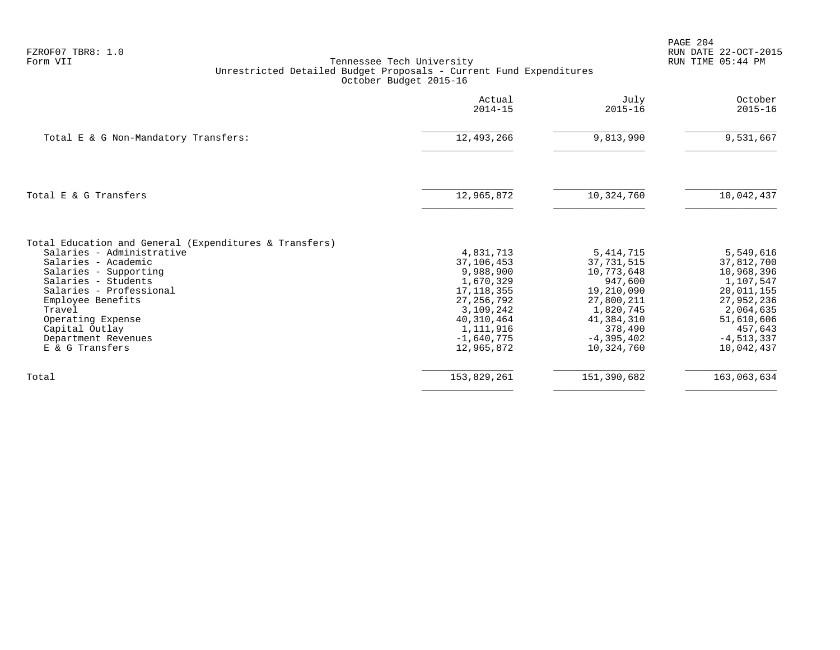| FZROF07 TBR8: 1.0 |  |
|-------------------|--|
| Form VII          |  |

 PAGE 204 FZROF07 TBR8: 1.0 RUN DATE 22-OCT-2015

|                                                        | Actual<br>$2014 - 15$     | July<br>$2015 - 16$   | October<br>$2015 - 16$  |
|--------------------------------------------------------|---------------------------|-----------------------|-------------------------|
| Total E & G Non-Mandatory Transfers:                   | 12,493,266                | 9,813,990             | 9,531,667               |
| Total E & G Transfers                                  | 12,965,872                | 10,324,760            | 10,042,437              |
| Total Education and General (Expenditures & Transfers) |                           |                       |                         |
| Salaries - Administrative                              | 4,831,713                 | 5, 414, 715           | 5,549,616               |
| Salaries - Academic                                    | 37,106,453                | 37, 731, 515          | 37,812,700              |
| Salaries - Supporting<br>Salaries - Students           | 9,988,900                 | 10,773,648            | 10,968,396              |
| Salaries - Professional                                | 1,670,329<br>17, 118, 355 | 947,600<br>19,210,090 | 1,107,547<br>20,011,155 |
| Employee Benefits                                      | 27, 256, 792              | 27,800,211            | 27,952,236              |
| Travel                                                 | 3,109,242                 | 1,820,745             | 2,064,635               |
| Operating Expense                                      | 40,310,464                | 41,384,310            | 51,610,606              |
| Capital Outlay                                         | 1,111,916                 | 378,490               | 457,643                 |
| Department Revenues                                    | $-1,640,775$              | $-4, 395, 402$        | $-4,513,337$            |
| E & G Transfers                                        | 12,965,872                | 10,324,760            | 10,042,437              |
| Total                                                  | 153,829,261               | 151,390,682           | 163,063,634             |
|                                                        |                           |                       |                         |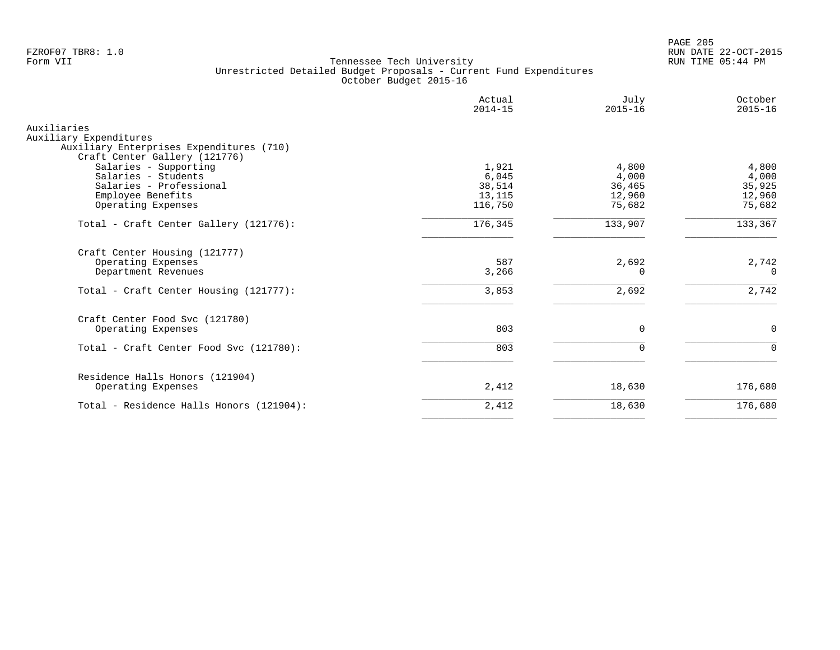PAGE 205 FZROF07 TBR8: 1.0 RUN DATE 22-OCT-2015

|                                                                                                                                                     | Actual<br>$2014 - 15$                         | July<br>$2015 - 16$                          | October<br>$2015 - 16$                       |
|-----------------------------------------------------------------------------------------------------------------------------------------------------|-----------------------------------------------|----------------------------------------------|----------------------------------------------|
| Auxiliaries<br>Auxiliary Expenditures<br>Auxiliary Enterprises Expenditures (710)                                                                   |                                               |                                              |                                              |
| Craft Center Gallery (121776)<br>Salaries - Supporting<br>Salaries - Students<br>Salaries - Professional<br>Employee Benefits<br>Operating Expenses | 1,921<br>6,045<br>38,514<br>13,115<br>116,750 | 4,800<br>4,000<br>36,465<br>12,960<br>75,682 | 4,800<br>4,000<br>35,925<br>12,960<br>75,682 |
| Total - Craft Center Gallery (121776):                                                                                                              | 176,345                                       | 133,907                                      | 133,367                                      |
| Craft Center Housing (121777)<br>Operating Expenses<br>Department Revenues                                                                          | 587<br>3,266                                  | 2,692<br>$\Omega$                            | 2,742<br>$\Omega$                            |
| Total - Craft Center Housing (121777):                                                                                                              | 3,853                                         | 2,692                                        | 2,742                                        |
| Craft Center Food Svc (121780)<br>Operating Expenses                                                                                                | 803                                           | 0                                            | $\mathbf 0$                                  |
| Total - Craft Center Food Svc (121780):                                                                                                             | 803                                           | $\Omega$                                     | $\Omega$                                     |
| Residence Halls Honors (121904)<br>Operating Expenses                                                                                               | 2,412                                         | 18,630                                       | 176,680                                      |
| Total - Residence Halls Honors (121904):                                                                                                            | 2,412                                         | 18,630                                       | 176,680                                      |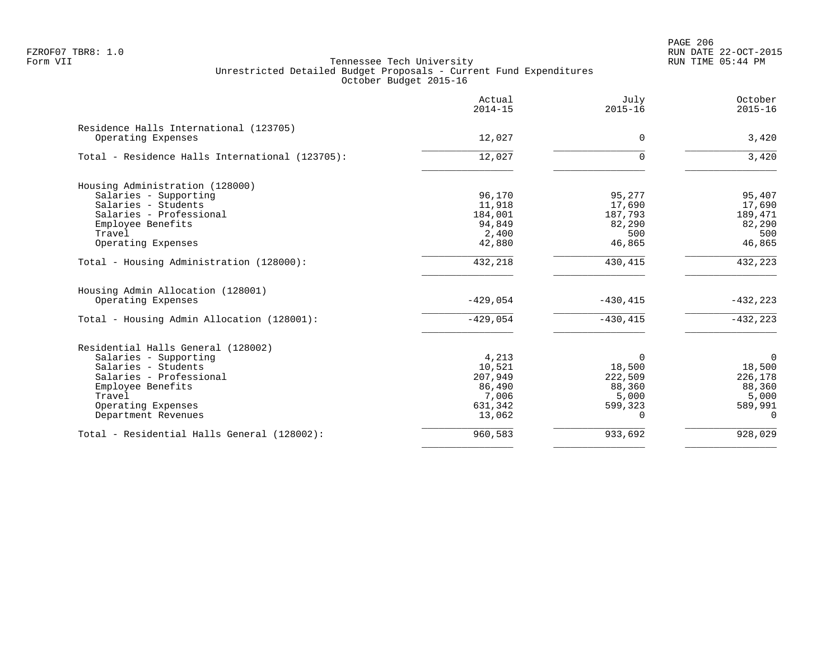PAGE 206 FZROF07 TBR8: 1.0 RUN DATE 22-OCT-2015

|                                                              | Actual<br>$2014 - 15$ | July<br>$2015 - 16$ | October<br>$2015 - 16$ |
|--------------------------------------------------------------|-----------------------|---------------------|------------------------|
| Residence Halls International (123705)<br>Operating Expenses | 12,027                | $\Omega$            | 3,420                  |
| Total - Residence Halls International (123705):              | 12,027                | $\Omega$            | 3,420                  |
| Housing Administration (128000)                              |                       |                     |                        |
| Salaries - Supporting                                        | 96,170                | 95,277              | 95,407                 |
| Salaries - Students                                          | 11,918                | 17,690              | 17,690                 |
| Salaries - Professional                                      | 184,001               | 187,793             | 189,471                |
| Employee Benefits                                            | 94,849                | 82,290              | 82,290                 |
| Travel                                                       | 2,400                 | 500                 | 500                    |
| Operating Expenses                                           | 42,880                | 46,865              | 46,865                 |
| Total - Housing Administration (128000):                     | 432,218               | 430,415             | 432,223                |
| Housing Admin Allocation (128001)                            |                       |                     |                        |
| Operating Expenses                                           | $-429,054$            | $-430, 415$         | $-432, 223$            |
| Total - Housing Admin Allocation (128001):                   | $-429,054$            | $-430, 415$         | $-432, 223$            |
| Residential Halls General (128002)                           |                       |                     |                        |
| Salaries - Supporting                                        | 4,213                 | $\Omega$            | $\Omega$               |
| Salaries - Students                                          | 10,521                | 18,500              | 18,500                 |
| Salaries - Professional                                      | 207,949               | 222,509             | 226,178                |
| Employee Benefits                                            | 86,490                | 88,360              | 88,360                 |
| Travel                                                       | 7,006                 | 5,000               | 5,000                  |
| Operating Expenses                                           | 631,342               | 599,323             | 589,991                |
| Department Revenues                                          | 13,062                | $\Omega$            | $\Omega$               |
| Total - Residential Halls General (128002):                  | 960,583               | 933,692             | 928,029                |
|                                                              |                       |                     |                        |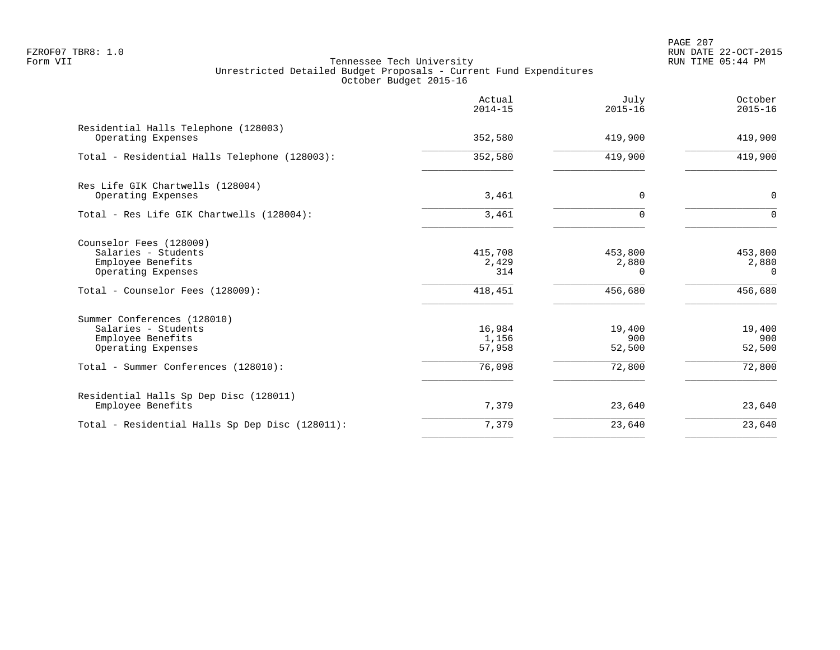PAGE 207 FZROF07 TBR8: 1.0 RUN DATE 22-OCT-2015

|                                                                                               | Actual<br>$2014 - 15$     | July<br>$2015 - 16$          | October<br>$2015 - 16$       |
|-----------------------------------------------------------------------------------------------|---------------------------|------------------------------|------------------------------|
| Residential Halls Telephone (128003)<br>Operating Expenses                                    | 352,580                   | 419,900                      | 419,900                      |
| Total - Residential Halls Telephone (128003):                                                 | 352,580                   | 419,900                      | 419,900                      |
| Res Life GIK Chartwells (128004)<br>Operating Expenses                                        | 3,461                     | 0                            | $\mathbf 0$                  |
| Total - Res Life GIK Chartwells (128004):                                                     | 3,461                     | $\Omega$                     | $\Omega$                     |
| Counselor Fees (128009)<br>Salaries - Students<br>Employee Benefits<br>Operating Expenses     | 415,708<br>2,429<br>314   | 453,800<br>2,880<br>$\Omega$ | 453,800<br>2,880<br>$\Omega$ |
| Total - Counselor Fees (128009):                                                              | 418,451                   | 456,680                      | 456,680                      |
| Summer Conferences (128010)<br>Salaries - Students<br>Employee Benefits<br>Operating Expenses | 16,984<br>1,156<br>57,958 | 19,400<br>900<br>52,500      | 19,400<br>900<br>52,500      |
| Total - Summer Conferences (128010):                                                          | 76,098                    | 72,800                       | 72,800                       |
| Residential Halls Sp Dep Disc (128011)<br>Employee Benefits                                   | 7,379                     | 23,640                       | 23,640                       |
| Total - Residential Halls Sp Dep Disc (128011):                                               | 7,379                     | 23,640                       | 23,640                       |
|                                                                                               |                           |                              |                              |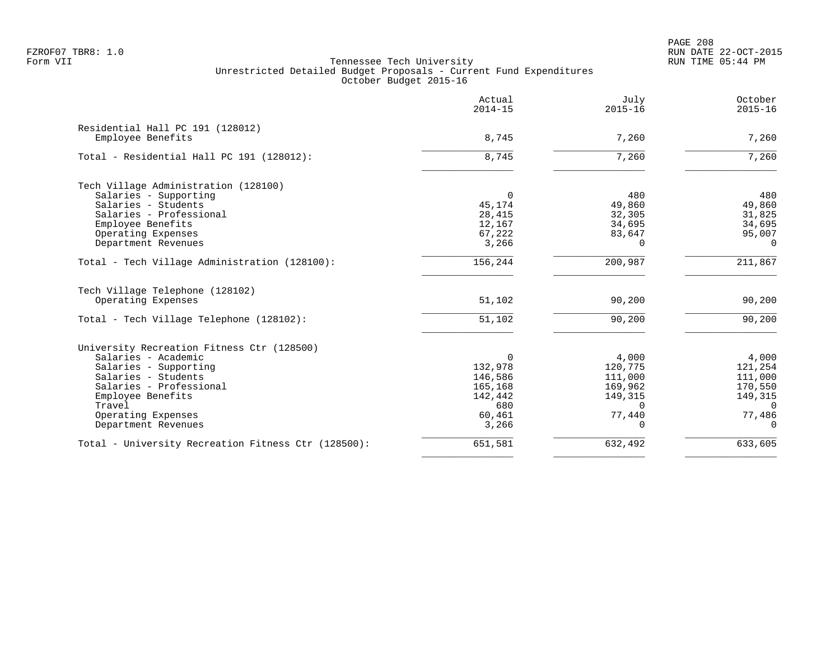PAGE 208 FZROF07 TBR8: 1.0 RUN DATE 22-OCT-2015

|                                                       | Actual<br>$2014 - 15$ | July<br>$2015 - 16$ | October<br>$2015 - 16$ |
|-------------------------------------------------------|-----------------------|---------------------|------------------------|
| Residential Hall PC 191 (128012)<br>Employee Benefits | 8,745                 | 7,260               | 7,260                  |
|                                                       |                       |                     |                        |
| Total - Residential Hall PC 191 (128012):             | 8,745                 | 7,260               | 7,260                  |
| Tech Village Administration (128100)                  |                       |                     |                        |
| Salaries - Supporting                                 | $\Omega$              | 480                 | 480                    |
| Salaries - Students                                   | 45,174                | 49,860              | 49,860                 |
| Salaries - Professional                               | 28,415                | 32,305              | 31,825                 |
| Employee Benefits                                     | 12,167                | 34,695              | 34,695                 |
| Operating Expenses                                    | 67,222<br>3,266       | 83,647<br>$\Omega$  | 95,007<br>$\Omega$     |
| Department Revenues                                   |                       |                     |                        |
| Total - Tech Village Administration (128100):         | 156,244               | 200,987             | 211,867                |
| Tech Village Telephone (128102)                       |                       |                     |                        |
| Operating Expenses                                    | 51,102                | 90,200              | 90,200                 |
| Total - Tech Village Telephone (128102):              | 51,102                | 90,200              | 90,200                 |
| University Recreation Fitness Ctr (128500)            |                       |                     |                        |
| Salaries - Academic                                   | $\Omega$              | 4,000               | 4,000                  |
| Salaries - Supporting                                 | 132,978               | 120,775             | 121,254                |
| Salaries - Students                                   | 146,586               | 111,000             | 111,000                |
| Salaries - Professional                               | 165,168               | 169,962             | 170,550                |
| Employee Benefits                                     | 142,442               | 149,315             | 149,315                |
| Travel                                                | 680                   | $\Omega$            | $\Omega$               |
| Operating Expenses                                    | 60,461                | 77,440              | 77,486                 |
| Department Revenues                                   | 3,266                 | $\Omega$            | $\Omega$               |
| Total - University Recreation Fitness Ctr (128500):   | 651,581               | 632,492             | 633,605                |
|                                                       |                       |                     |                        |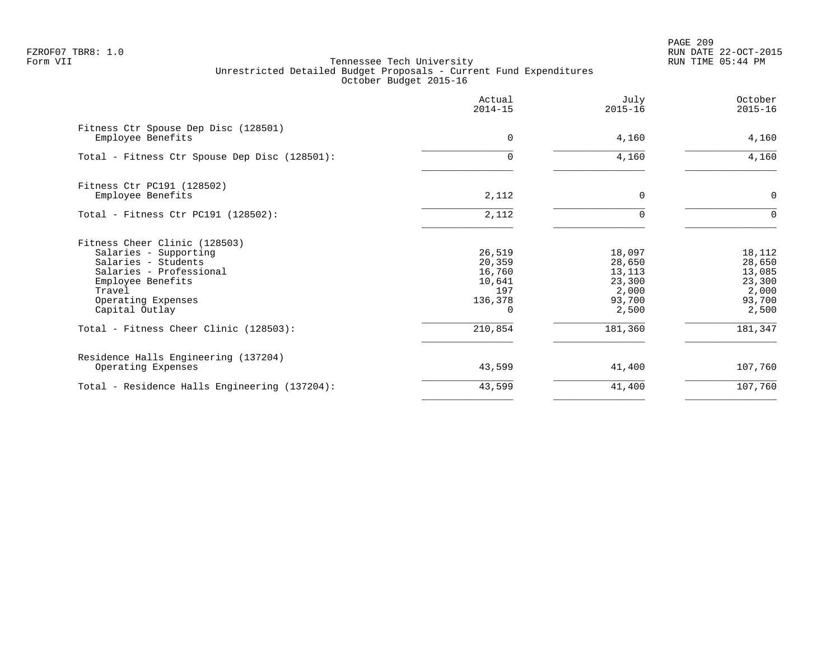PAGE 209 FZROF07 TBR8: 1.0 RUN DATE 22-OCT-2015

|                                                                                                                                                                                 | Actual<br>$2014 - 15$                                  | July<br>$2015 - 16$                                              | October<br>$2015 - 16$                                           |
|---------------------------------------------------------------------------------------------------------------------------------------------------------------------------------|--------------------------------------------------------|------------------------------------------------------------------|------------------------------------------------------------------|
| Fitness Ctr Spouse Dep Disc (128501)<br>Employee Benefits                                                                                                                       | $\Omega$                                               | 4,160                                                            | 4,160                                                            |
| Total - Fitness Ctr Spouse Dep Disc (128501):                                                                                                                                   | $\Omega$                                               | 4,160                                                            | 4,160                                                            |
| Fitness Ctr PC191 (128502)<br>Employee Benefits                                                                                                                                 | 2,112                                                  | $\Omega$                                                         | $\mathbf 0$                                                      |
| Total - Fitness Ctr PC191 (128502):                                                                                                                                             | 2,112                                                  |                                                                  | $\Omega$                                                         |
| Fitness Cheer Clinic (128503)<br>Salaries - Supporting<br>Salaries - Students<br>Salaries - Professional<br>Employee Benefits<br>Travel<br>Operating Expenses<br>Capital Outlay | 26,519<br>20,359<br>16,760<br>10,641<br>197<br>136,378 | 18,097<br>28,650<br>13,113<br>23,300<br>2,000<br>93,700<br>2,500 | 18,112<br>28,650<br>13,085<br>23,300<br>2,000<br>93,700<br>2,500 |
| Total - Fitness Cheer Clinic (128503):                                                                                                                                          | 210,854                                                | 181,360                                                          | 181,347                                                          |
| Residence Halls Engineering (137204)<br>Operating Expenses                                                                                                                      | 43,599                                                 | 41,400                                                           | 107,760                                                          |
| Total - Residence Halls Engineering (137204):                                                                                                                                   | 43,599                                                 | 41,400                                                           | 107,760                                                          |
|                                                                                                                                                                                 |                                                        |                                                                  |                                                                  |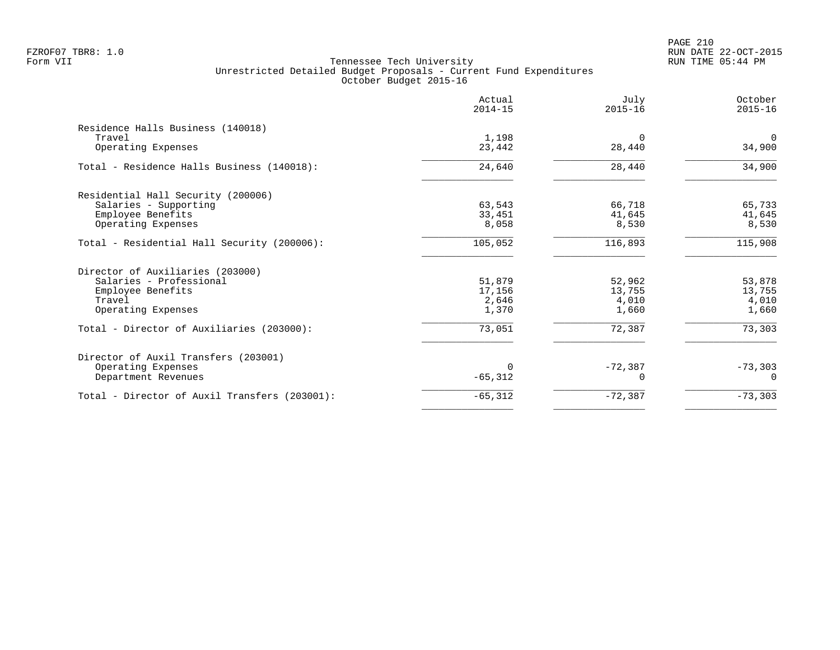|                                                                                                                  | Actual<br>$2014 - 15$              | July<br>$2015 - 16$                | October<br>$2015 - 16$             |
|------------------------------------------------------------------------------------------------------------------|------------------------------------|------------------------------------|------------------------------------|
| Residence Halls Business (140018)<br>Travel<br>Operating Expenses                                                | 1,198<br>23,442                    | $\Omega$<br>28,440                 | 0<br>34,900                        |
| Total - Residence Halls Business (140018):                                                                       | 24,640                             | 28,440                             | 34,900                             |
| Residential Hall Security (200006)<br>Salaries - Supporting<br>Employee Benefits<br>Operating Expenses           | 63,543<br>33,451<br>8,058          | 66,718<br>41,645<br>8,530          | 65,733<br>41,645<br>8,530          |
| Total - Residential Hall Security (200006):                                                                      | 105,052                            | 116,893                            | 115,908                            |
| Director of Auxiliaries (203000)<br>Salaries - Professional<br>Employee Benefits<br>Travel<br>Operating Expenses | 51,879<br>17,156<br>2,646<br>1,370 | 52,962<br>13,755<br>4,010<br>1,660 | 53,878<br>13,755<br>4,010<br>1,660 |
| Total - Director of Auxiliaries (203000):                                                                        | 73,051                             | 72,387                             | 73,303                             |
| Director of Auxil Transfers (203001)<br>Operating Expenses<br>Department Revenues                                | $\Omega$<br>$-65, 312$             | $-72,387$<br>$\Omega$              | $-73,303$<br>$\Omega$              |
| Total - Director of Auxil Transfers (203001):                                                                    | $-65, 312$                         | $-72,387$                          | $-73,303$                          |
|                                                                                                                  |                                    |                                    |                                    |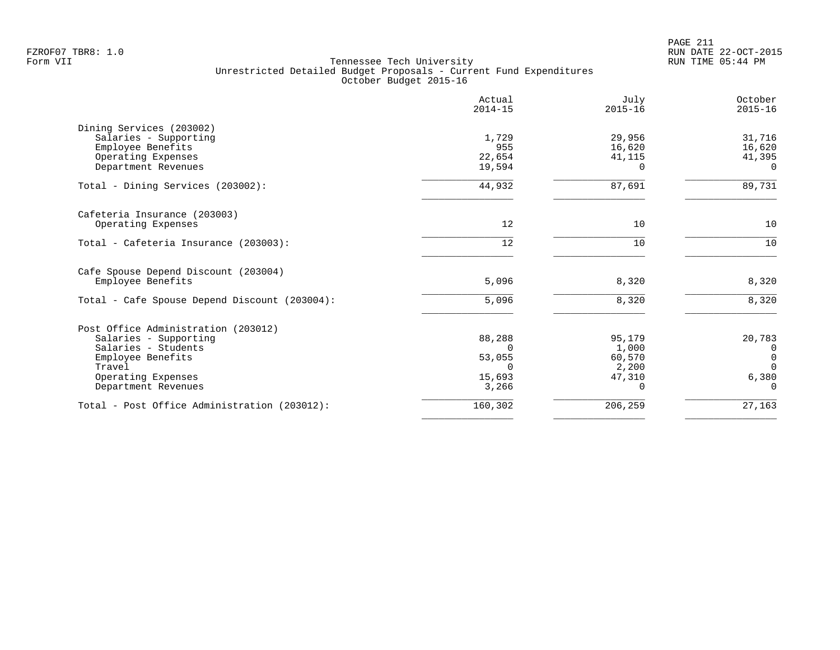PAGE 211 FZROF07 TBR8: 1.0 RUN DATE 22-OCT-2015

|                                               | Actual<br>$2014 - 15$ | July<br>$2015 - 16$ | October<br>$2015 - 16$ |
|-----------------------------------------------|-----------------------|---------------------|------------------------|
| Dining Services (203002)                      |                       |                     |                        |
| Salaries - Supporting                         | 1,729                 | 29,956              | 31,716                 |
| Employee Benefits                             | 955                   | 16,620              | 16,620                 |
| Operating Expenses                            | 22,654                | 41,115              | 41,395                 |
| Department Revenues                           | 19,594                | $\Omega$            | $\Omega$               |
| Total - Dining Services (203002):             | 44,932                | 87,691              | 89,731                 |
| Cafeteria Insurance (203003)                  |                       |                     |                        |
| Operating Expenses                            | 12                    | 10                  | 10                     |
| Total - Cafeteria Insurance (203003):         | 12                    | 10                  | 10                     |
| Cafe Spouse Depend Discount (203004)          |                       |                     |                        |
| Employee Benefits                             | 5,096                 | 8,320               | 8,320                  |
| Total - Cafe Spouse Depend Discount (203004): | 5,096                 | 8,320               | 8,320                  |
| Post Office Administration (203012)           |                       |                     |                        |
| Salaries - Supporting                         | 88,288                | 95,179              | 20,783                 |
| Salaries - Students                           | $\Omega$              | 1,000               | 0                      |
| Employee Benefits                             | 53,055                | 60,570              | 0                      |
| Travel                                        | $\cap$                | 2,200               | $\Omega$               |
| Operating Expenses                            | 15,693                | 47,310              | 6,380                  |
| Department Revenues                           | 3,266                 | $\Omega$            | $\Omega$               |
| Total - Post Office Administration (203012):  | 160,302               | 206,259             | 27,163                 |
|                                               |                       |                     |                        |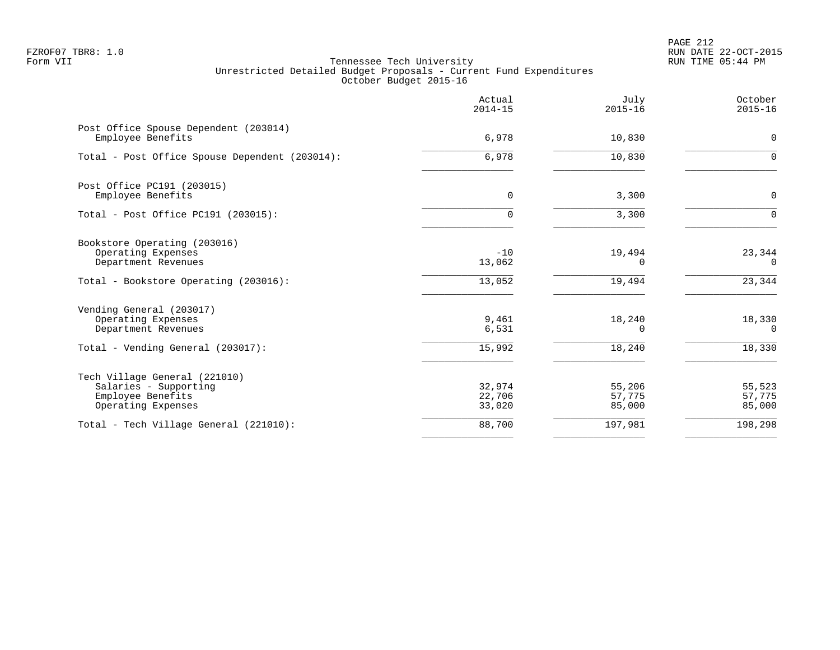PAGE 212 FZROF07 TBR8: 1.0 RUN DATE 22-OCT-2015

|                                                                                                            | Actual<br>$2014 - 15$      | July<br>$2015 - 16$          | October<br>$2015 - 16$       |
|------------------------------------------------------------------------------------------------------------|----------------------------|------------------------------|------------------------------|
| Post Office Spouse Dependent (203014)<br>Employee Benefits                                                 | 6,978                      | 10,830                       | 0                            |
| Total - Post Office Spouse Dependent (203014):                                                             | 6,978                      | 10,830                       | $\mathbf 0$                  |
| Post Office PC191 (203015)<br>Employee Benefits                                                            | $\mathbf 0$                | 3,300                        | $\mathbf 0$                  |
| Total - Post Office PC191 (203015):                                                                        | $\Omega$                   | 3,300                        | $\Omega$                     |
| Bookstore Operating (203016)<br>Operating Expenses<br>Department Revenues                                  | $-10$<br>13,062            | 19,494<br>$\Omega$           | 23,344<br>$\Omega$           |
| Total - Bookstore Operating (203016):                                                                      | 13,052                     | 19,494                       | 23,344                       |
| Vending General (203017)<br>Operating Expenses<br>Department Revenues<br>Total - Vending General (203017): | 9,461<br>6,531<br>15,992   | 18,240<br>$\Omega$<br>18,240 | 18,330<br>$\Omega$<br>18,330 |
| Tech Village General (221010)<br>Salaries - Supporting<br>Employee Benefits<br>Operating Expenses          | 32,974<br>22,706<br>33,020 | 55,206<br>57,775<br>85,000   | 55,523<br>57,775<br>85,000   |
| Total - Tech Village General (221010):                                                                     | 88,700                     | 197,981                      | 198,298                      |
|                                                                                                            |                            |                              |                              |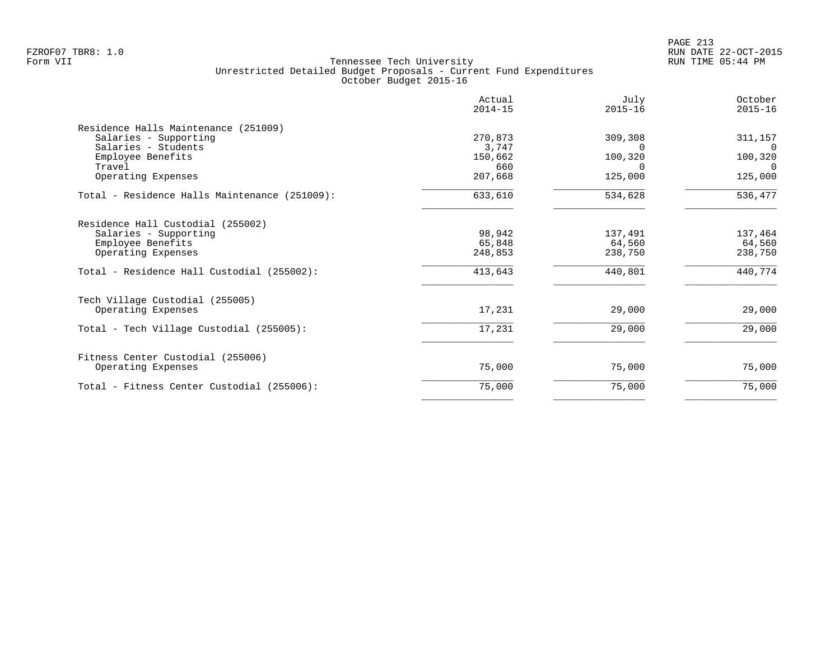PAGE 213 FZROF07 TBR8: 1.0 RUN DATE 22-OCT-2015

|                                               | Actual<br>$2014 - 15$ | July<br>$2015 - 16$ | October<br>$2015 - 16$ |
|-----------------------------------------------|-----------------------|---------------------|------------------------|
| Residence Halls Maintenance (251009)          |                       |                     |                        |
| Salaries - Supporting                         | 270,873               | 309,308             | 311,157                |
| Salaries - Students                           | 3,747                 |                     | $\Omega$               |
| Employee Benefits                             | 150,662               | 100,320             | 100,320                |
| Travel                                        | 660                   | ∩                   | $\Omega$               |
| Operating Expenses                            | 207,668               | 125,000             | 125,000                |
| Total - Residence Halls Maintenance (251009): | 633,610               | 534,628             | 536,477                |
| Residence Hall Custodial (255002)             |                       |                     |                        |
| Salaries - Supporting                         | 98,942                | 137,491             | 137,464                |
| Employee Benefits                             | 65,848                | 64,560              | 64,560                 |
| Operating Expenses                            | 248,853               | 238,750             | 238,750                |
| Total - Residence Hall Custodial (255002):    | 413,643               | 440,801             | 440,774                |
| Tech Village Custodial (255005)               |                       |                     |                        |
| Operating Expenses                            | 17,231                | 29,000              | 29,000                 |
| Total - Tech Village Custodial (255005):      | 17,231                | 29,000              | 29,000                 |
| Fitness Center Custodial (255006)             |                       |                     |                        |
| Operating Expenses                            | 75,000                | 75,000              | 75,000                 |
| Total - Fitness Center Custodial (255006):    | 75,000                | 75,000              | 75,000                 |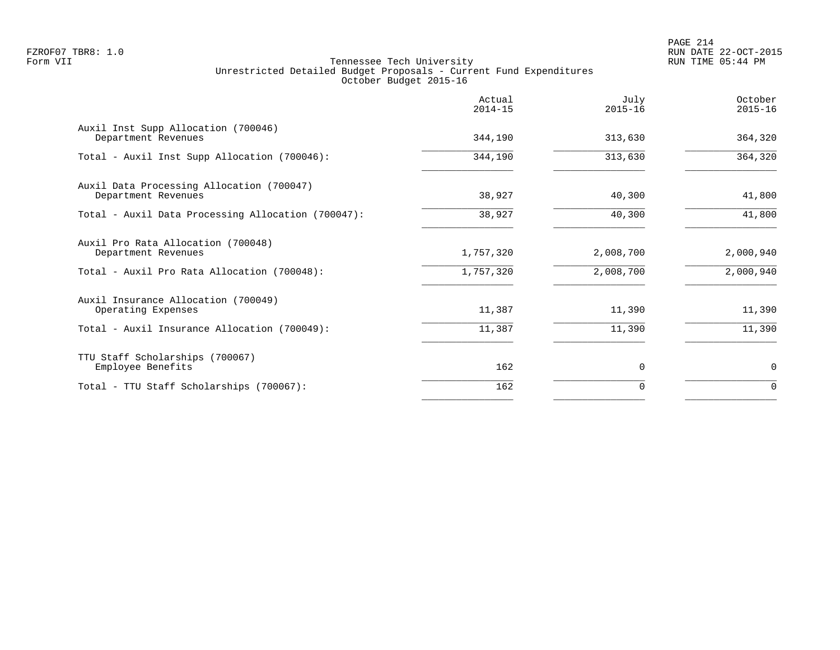PAGE 214 FZROF07 TBR8: 1.0 RUN DATE 22-OCT-2015

|                                                                  | Actual<br>$2014 - 15$ | July<br>$2015 - 16$ | October<br>$2015 - 16$ |
|------------------------------------------------------------------|-----------------------|---------------------|------------------------|
| Auxil Inst Supp Allocation (700046)<br>Department Revenues       | 344,190               | 313,630             | 364,320                |
| Total - Auxil Inst Supp Allocation (700046):                     | 344,190               | 313,630             | 364,320                |
| Auxil Data Processing Allocation (700047)<br>Department Revenues | 38,927                | 40,300              | 41,800                 |
| Total - Auxil Data Processing Allocation (700047):               | 38,927                | 40,300              | 41,800                 |
| Auxil Pro Rata Allocation (700048)<br>Department Revenues        | 1,757,320             | 2,008,700           | 2,000,940              |
| Total - Auxil Pro Rata Allocation (700048):                      | 1,757,320             | 2,008,700           | 2,000,940              |
| Auxil Insurance Allocation (700049)<br>Operating Expenses        | 11,387                | 11,390              | 11,390                 |
| Total - Auxil Insurance Allocation (700049):                     | 11,387                | 11,390              | 11,390                 |
| TTU Staff Scholarships (700067)<br>Employee Benefits             | 162                   | $\Omega$            | 0                      |
| Total - TTU Staff Scholarships (700067):                         | 162                   | $\Omega$            | $\Omega$               |
|                                                                  |                       |                     |                        |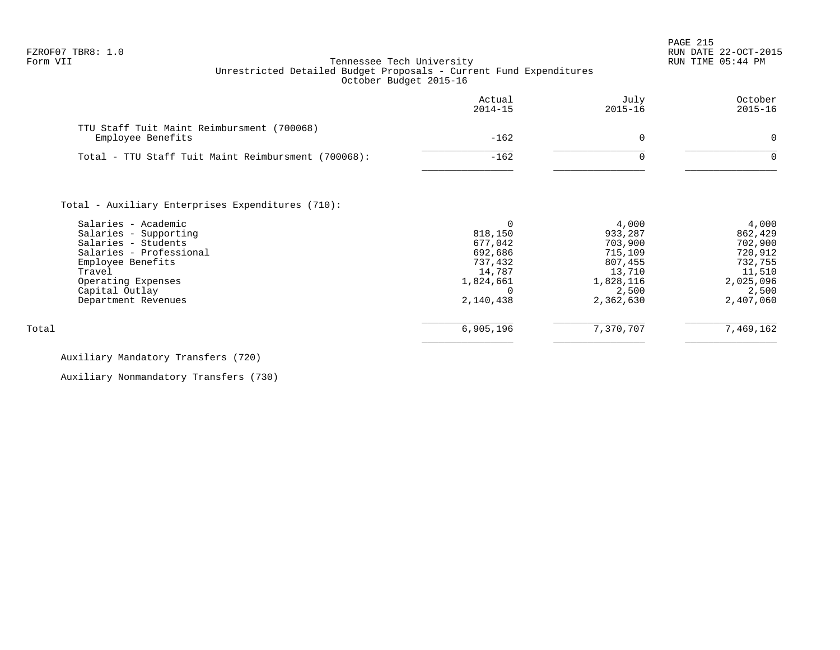PAGE 215

# FZROF07 TBR8: 1.0 RUN DATE 22-OCT-2015 Form VII Tennessee Tech University RUN TIME 05:44 PM Unrestricted Detailed Budget Proposals - Current Fund Expenditures October Budget 2015-16

|                                                                 | Actual<br>$2014 - 15$ | July<br>$2015 - 16$ | October<br>$2015 - 16$ |
|-----------------------------------------------------------------|-----------------------|---------------------|------------------------|
| TTU Staff Tuit Maint Reimbursment (700068)<br>Employee Benefits | $-162$                |                     |                        |
| Total - TTU Staff Tuit Maint Reimbursment (700068):             | $-162$                |                     |                        |

Total - Auxiliary Enterprises Expenditures (710):

|       | Salaries - Academic     |           | 4,000     | 4,000     |
|-------|-------------------------|-----------|-----------|-----------|
|       | Salaries - Supporting   | 818,150   | 933,287   | 862,429   |
|       | Salaries - Students     | 677,042   | 703,900   | 702,900   |
|       | Salaries - Professional | 692,686   | 715,109   | 720,912   |
|       | Employee Benefits       | 737,432   | 807,455   | 732,755   |
|       | Travel                  | 14,787    | 13,710    | 11,510    |
|       | Operating Expenses      | 1,824,661 | 1,828,116 | 2,025,096 |
|       | Capital Outlay          |           | 2,500     | 2,500     |
|       | Department Revenues     | 2,140,438 | 2,362,630 | 2,407,060 |
|       |                         |           |           |           |
| Total |                         | 6,905,196 | 7,370,707 | 7,469,162 |
|       |                         |           |           |           |

# Auxiliary Mandatory Transfers (720)

Auxiliary Nonmandatory Transfers (730)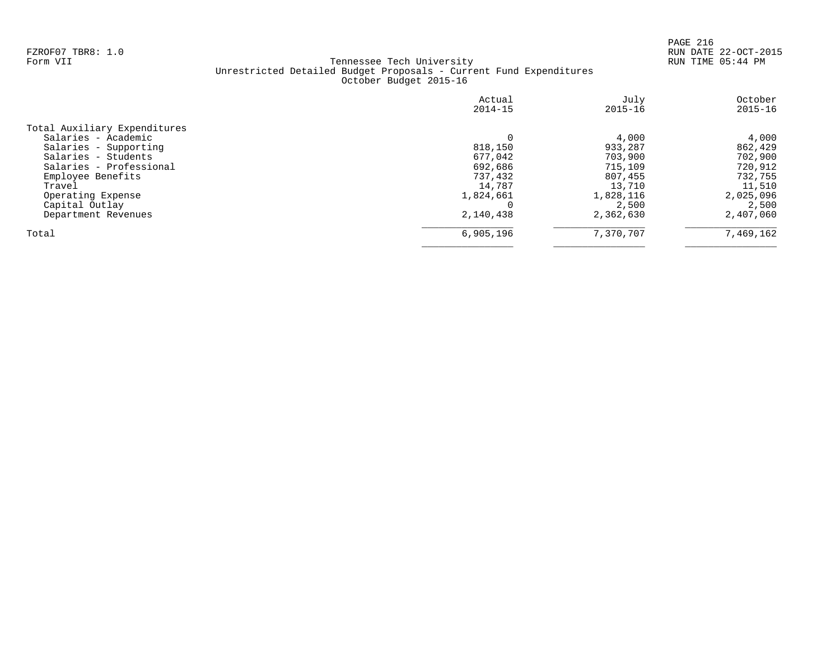PAGE 216 FZROF07 TBR8: 1.0 RUN DATE 22-OCT-2015

# Form VII Tennessee Tech University RUN TIME 05:44 PM Unrestricted Detailed Budget Proposals - Current Fund Expenditures October Budget 2015-16

|                              | Actual      | July        | October     |
|------------------------------|-------------|-------------|-------------|
|                              | $2014 - 15$ | $2015 - 16$ | $2015 - 16$ |
| Total Auxiliary Expenditures |             |             |             |
| Salaries - Academic          |             | 4,000       | 4,000       |
| Salaries - Supporting        | 818,150     | 933,287     | 862,429     |
| Salaries - Students          | 677,042     | 703,900     | 702,900     |
| Salaries - Professional      | 692,686     | 715,109     | 720,912     |
| Employee Benefits            | 737,432     | 807,455     | 732,755     |
| Travel                       | 14,787      | 13,710      | 11,510      |
| Operating Expense            | 1,824,661   | 1,828,116   | 2,025,096   |
| Capital Outlay               |             | 2,500       | 2,500       |
| Department Revenues          | 2,140,438   | 2,362,630   | 2,407,060   |
| Total                        | 6,905,196   | 7,370,707   | 7,469,162   |
|                              |             |             |             |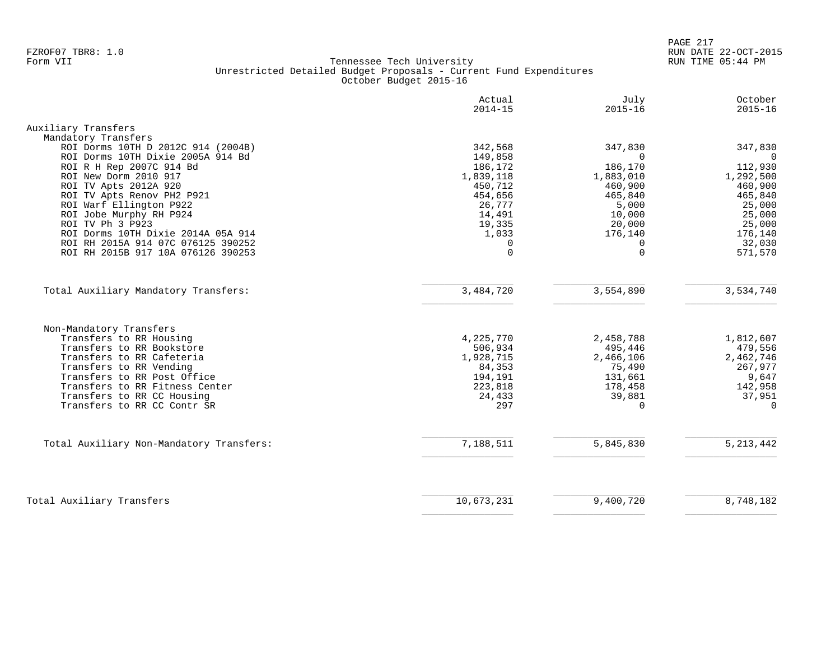PAGE 217 FZROF07 TBR8: 1.0 RUN DATE 22-OCT-2015

### Form VII Tennessee Tech University RUN TIME 05:44 PM Unrestricted Detailed Budget Proposals - Current Fund Expenditures October Budget 2015-16

|                                          | Actual<br>$2014 - 15$ | July<br>$2015 - 16$ | October<br>$2015 - 16$ |
|------------------------------------------|-----------------------|---------------------|------------------------|
| Auxiliary Transfers                      |                       |                     |                        |
| Mandatory Transfers                      |                       |                     |                        |
| ROI Dorms 10TH D 2012C 914 (2004B)       | 342,568               | 347,830             | 347,830                |
| ROI Dorms 10TH Dixie 2005A 914 Bd        | 149,858               | $\Omega$            |                        |
| ROI R H Rep 2007C 914 Bd                 | 186,172               | 186,170             | 112,930                |
| ROI New Dorm 2010 917                    | 1,839,118             | 1,883,010           | 1,292,500              |
| ROI TV Apts 2012A 920                    | 450,712               | 460,900             | 460,900                |
| ROI TV Apts Renov PH2 P921               | 454,656               | 465,840             | 465,840                |
| ROI Warf Ellington P922                  | 26,777                | 5,000               | 25,000                 |
| ROI Jobe Murphy RH P924                  | 14,491                | 10,000              | 25,000                 |
| ROI TV Ph 3 P923                         | 19,335                | 20,000              | 25,000                 |
| ROI Dorms 10TH Dixie 2014A 05A 914       | 1,033                 | 176,140             | 176,140                |
| ROI RH 2015A 914 07C 076125 390252       | $\Omega$              | $\Omega$            | 32,030                 |
| ROI RH 2015B 917 10A 076126 390253       | $\Omega$              | $\Omega$            | 571,570                |
| Total Auxiliary Mandatory Transfers:     | 3,484,720             | 3,554,890           | 3,534,740              |
|                                          |                       |                     |                        |
| Non-Mandatory Transfers                  |                       |                     |                        |
| Transfers to RR Housing                  | 4,225,770             | 2,458,788           | 1,812,607              |
| Transfers to RR Bookstore                | 506,934               | 495,446             | 479,556                |
| Transfers to RR Cafeteria                | 1,928,715             | 2,466,106           | 2,462,746              |
| Transfers to RR Vending                  | 84,353                | 75,490              | 267,977                |
| Transfers to RR Post Office              | 194,191               | 131,661             | 9,647                  |
| Transfers to RR Fitness Center           | 223,818               | 178,458             | 142,958                |
| Transfers to RR CC Housing               | 24,433                | 39,881              | 37,951                 |
| Transfers to RR CC Contr SR              | 297                   | $\Omega$            | $\Omega$               |
| Total Auxiliary Non-Mandatory Transfers: | 7,188,511             | 5,845,830           | 5, 213, 442            |
|                                          |                       |                     |                        |
| Total Auxiliary Transfers                | 10,673,231            | 9,400,720           | 8,748,182              |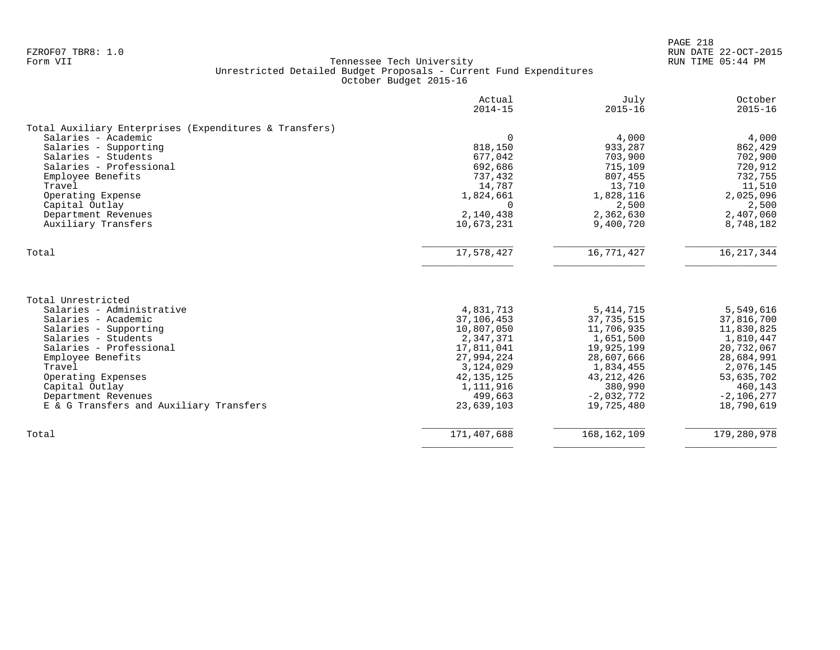# Form VII Tennessee Tech University RUN TIME 05:44 PM Unrestricted Detailed Budget Proposals - Current Fund Expenditures October Budget 2015-16

|                                                        | Actual<br>$2014 - 15$ | July<br>$2015 - 16$ | October<br>$2015 - 16$ |
|--------------------------------------------------------|-----------------------|---------------------|------------------------|
|                                                        |                       |                     |                        |
| Total Auxiliary Enterprises (Expenditures & Transfers) |                       |                     |                        |
| Salaries - Academic                                    | 0                     | 4,000               | 4,000                  |
| Salaries - Supporting                                  | 818,150               | 933,287             | 862,429                |
| Salaries - Students                                    | 677,042               | 703,900             | 702,900                |
| Salaries - Professional                                | 692,686               | 715,109             | 720,912                |
| Employee Benefits                                      | 737,432               | 807,455             | 732,755                |
| Travel                                                 | 14,787                | 13,710              | 11,510                 |
| Operating Expense                                      | 1,824,661             | 1,828,116           | 2,025,096              |
| Capital Outlay                                         | $\Omega$              | 2,500               | 2,500                  |
| Department Revenues                                    | 2,140,438             | 2,362,630           | 2,407,060              |
| Auxiliary Transfers                                    | 10,673,231            | 9,400,720           | 8,748,182              |
| Total                                                  | 17,578,427            | 16,771,427          | 16, 217, 344           |
|                                                        |                       |                     |                        |
| Total Unrestricted                                     |                       |                     |                        |
| Salaries - Administrative                              | 4,831,713             | 5, 414, 715         | 5,549,616              |
| Salaries - Academic                                    | 37,106,453            | 37, 735, 515        | 37,816,700             |
| Salaries - Supporting                                  | 10,807,050            | 11,706,935          | 11,830,825             |
| Salaries - Students                                    | 2,347,371             | 1,651,500           | 1,810,447              |
| Salaries - Professional                                | 17,811,041            | 19,925,199          | 20,732,067             |
| Employee Benefits                                      | 27,994,224            | 28,607,666          | 28,684,991             |
| Travel                                                 | 3,124,029             | 1,834,455           | 2,076,145              |
| Operating Expenses                                     | 42, 135, 125          | 43, 212, 426        | 53,635,702             |
| Capital Outlay                                         | 1,111,916             | 380,990             | 460,143                |
| Department Revenues                                    | 499,663               | $-2,032,772$        | $-2,106,277$           |
| E & G Transfers and Auxiliary Transfers                | 23,639,103            | 19,725,480          | 18,790,619             |
| Total                                                  | 171,407,688           | 168, 162, 109       | 179,280,978            |
|                                                        |                       |                     |                        |